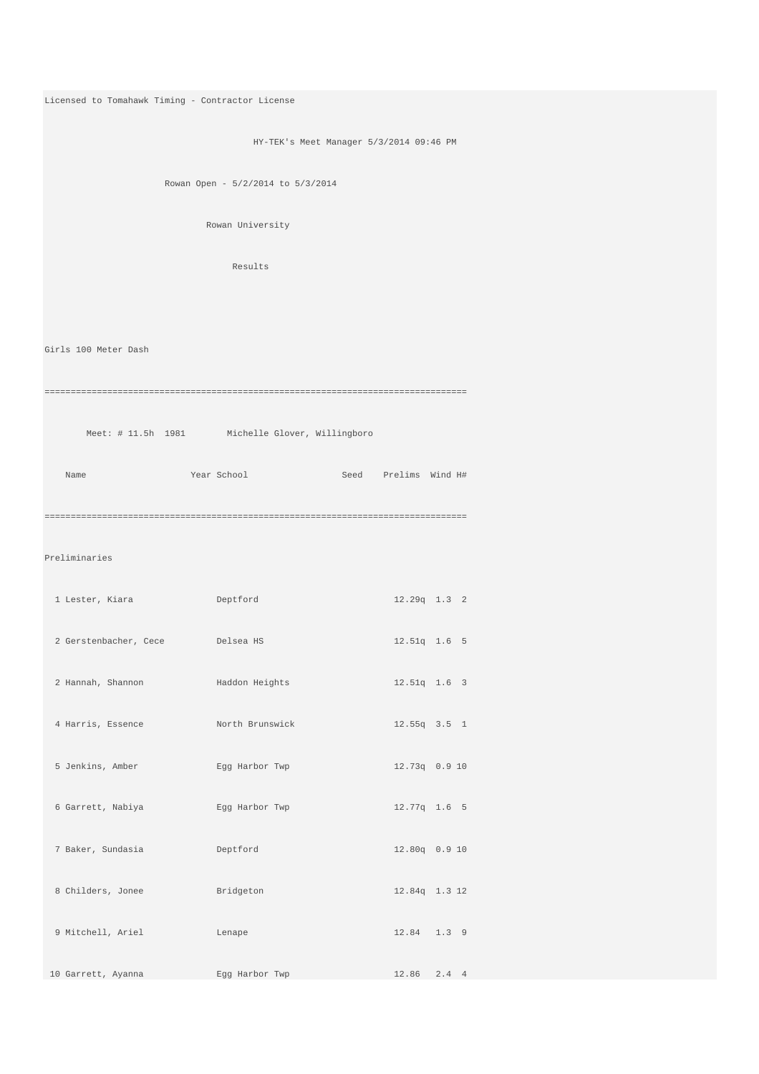```
Licensed to Tomahawk Timing - Contractor License 
                            HY-TEK's Meet Manager 5/3/2014 09:46 PM 
                Rowan Open - 5/2/2014 to 5/3/2014 
                      Rowan University 
                         Results 
Girls 100 Meter Dash 
================================================================================= 
    Meet: # 11.5h 1981 Michelle Glover, Willingboro
   Name Year School Seed Prelims Wind H# 
================================================================================= 
Preliminaries 
  1 Lester, Kiara Deptford 12.29q 1.3 2 
  2 Gerstenbacher, Cece Delsea HS 12.51q 1.6 5 
  2 Hannah, Shannon Haddon Heights 12.51q 1.6 3 
  4 Harris, Essence North Brunswick 12.55q 3.5 1 
  5 Jenkins, Amber Egg Harbor Twp 12.73q 0.9 10 
  6 Garrett, Nabiya Egg Harbor Twp 12.77q 1.6 5 
  7 Baker, Sundasia Deptford 12.80q 0.9 10 
  8 Childers, Jonee Bridgeton 12.84q 1.3 12 
  9 Mitchell, Ariel Lenape 12.84 1.3 9 
 10 Garrett, Ayanna Egg Harbor Twp 12.86 2.4 4
```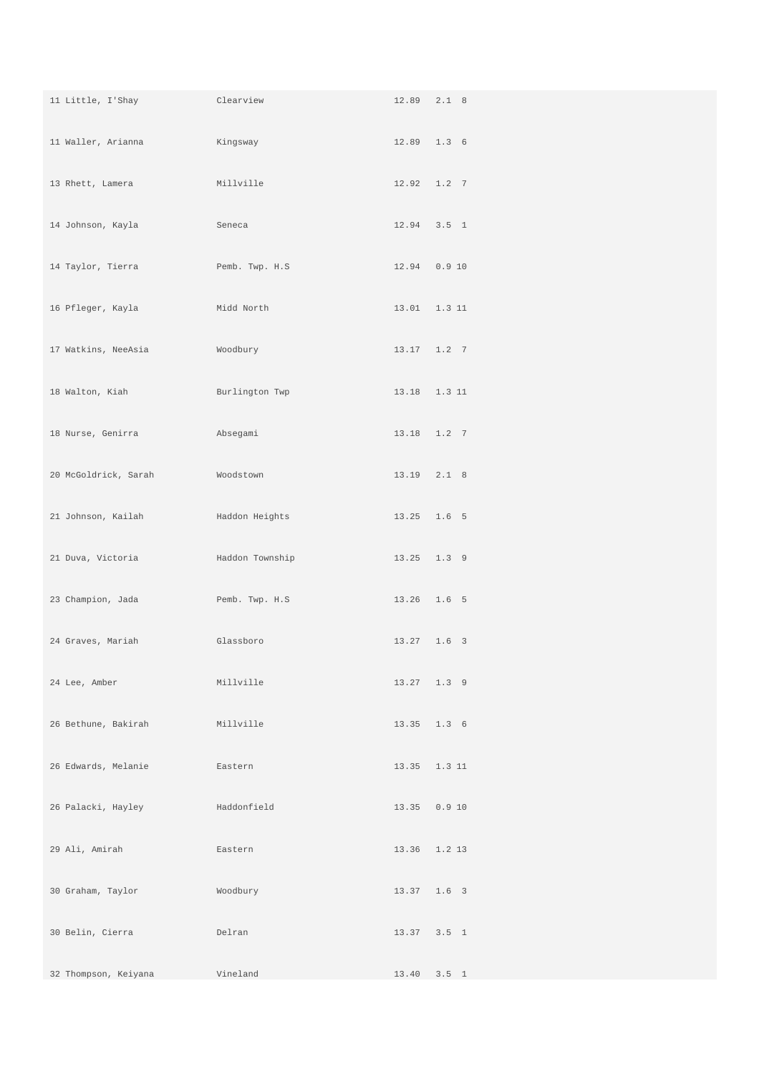| 11 Little, I'Shay    | Clearview       |                | 12.89 2.1 8  |
|----------------------|-----------------|----------------|--------------|
| 11 Waller, Arianna   | Kingsway        |                | 12.89 1.3 6  |
| 13 Rhett, Lamera     | Millville       |                | 12.92 1.2 7  |
| 14 Johnson, Kayla    | Seneca          |                | 12.94 3.5 1  |
| 14 Taylor, Tierra    | Pemb. Twp. H.S  | 12.94  0.9  10 |              |
| 16 Pfleger, Kayla    | Midd North      |                | 13.01 1.3 11 |
| 17 Watkins, NeeAsia  | Woodbury        |                | 13.17 1.2 7  |
| 18 Walton, Kiah      | Burlington Twp  |                | 13.18 1.3 11 |
| 18 Nurse, Genirra    | Absegami        |                | 13.18 1.2 7  |
| 20 McGoldrick, Sarah | Woodstown       |                | 13.19 2.1 8  |
| 21 Johnson, Kailah   | Haddon Heights  |                | 13.25 1.6 5  |
| 21 Duva, Victoria    | Haddon Township |                | 13.25 1.3 9  |
| 23 Champion, Jada    | Pemb. Twp. H.S  | 13.26 1.6 5    |              |
| 24 Graves, Mariah    | Glassboro       |                | 13.27 1.6 3  |
| 24 Lee, Amber        | Millville       |                | 13.27 1.3 9  |
| 26 Bethune, Bakirah  | Millville       |                | 13.35 1.3 6  |
| 26 Edwards, Melanie  | Eastern         |                | 13.35 1.3 11 |
| 26 Palacki, Hayley   | Haddonfield     | 13.35  0.9  10 |              |
| 29 Ali, Amirah       | Eastern         |                | 13.36 1.2 13 |
| 30 Graham, Taylor    | Woodbury        |                | 13.37 1.6 3  |
| 30 Belin, Cierra     | Delran          |                | 13.37 3.5 1  |
| 32 Thompson, Keiyana | Vineland        |                | 13.40 3.5 1  |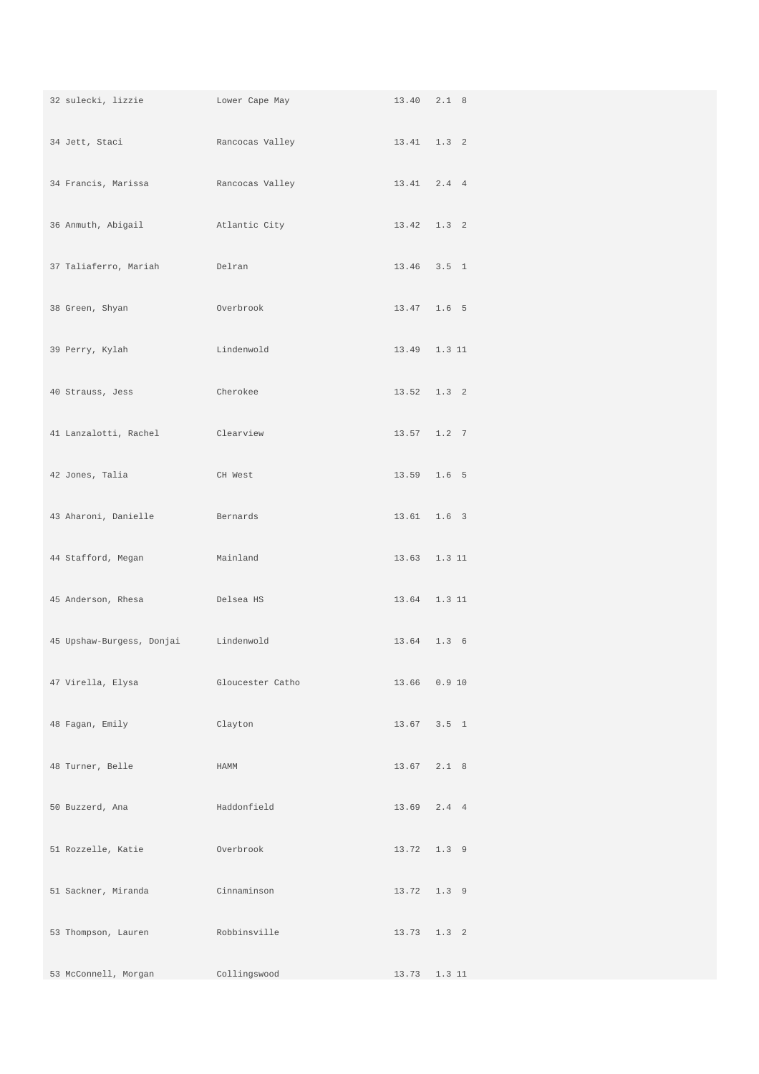|                                                   | 32 sulecki, lizzie Lower Cape May 13.40 2.1 8                                     |             |                 |
|---------------------------------------------------|-----------------------------------------------------------------------------------|-------------|-----------------|
|                                                   | 34 Jett, Staci               Rancocas Valley                     13.41   1.3   2  |             |                 |
|                                                   | 34 Francis, Marissa           Rancocas Valley                     13.41   2.4   4 |             |                 |
| 36 Anmuth, Abigail and Atlantic City              |                                                                                   | 13.42 1.3 2 |                 |
| 37 Taliaferro, Mariah     Delran                  |                                                                                   |             | 13.46 3.5 1     |
| 38 Green, Shyan<br><b>Example 2018</b> Overbrook  |                                                                                   |             | 13.47 1.6 5     |
| 39 Perry, Kylah Kalendary Lindenwold              |                                                                                   |             | 13.49 1.3 11    |
| 40 Strauss, Jess Cherokee                         |                                                                                   |             | $13.52$ $1.3$ 2 |
| 41 Lanzalotti, Rachel Clearview                   |                                                                                   |             | $13.57$ $1.2$ 7 |
| 42 Jones, Talia                                   | CH West                                                                           |             | 13.59 1.6 5     |
| 43 Aharoni, Danielle Bernards                     |                                                                                   |             | 13.61 1.6 3     |
| 44 Stafford, Megan<br>Mainland                    |                                                                                   |             | 13.63 1.3 11    |
| 45 Anderson, Rhesa<br><b>Example 19 Delsea HS</b> |                                                                                   |             | 13.64 1.3 11    |
| 45 Upshaw-Burgess, Donjai Lindenwold              |                                                                                   |             | 13.64 1.3 6     |
| 47 Virella, Elysa                                 | Gloucester Catho                                                                  |             | 13.66 0.9 10    |
| 48 Fagan, Emily                                   | Clayton                                                                           |             | $13.67$ $3.5$ 1 |
| 48 Turner, Belle                                  | HAMM                                                                              |             | 13.67 2.1 8     |
| 50 Buzzerd, Ana                                   | Haddonfield                                                                       |             | 13.69 2.4 4     |
| 51 Rozzelle, Katie                                | Overbrook                                                                         |             | 13.72 1.3 9     |
| 51 Sackner, Miranda                               | Cinnaminson                                                                       |             | 13.72 1.3 9     |
| 53 Thompson, Lauren                               | Robbinsville                                                                      |             | 13.73 1.3 2     |
| 53 McConnell, Morgan                              | Collingswood                                                                      |             | 13.73 1.3 11    |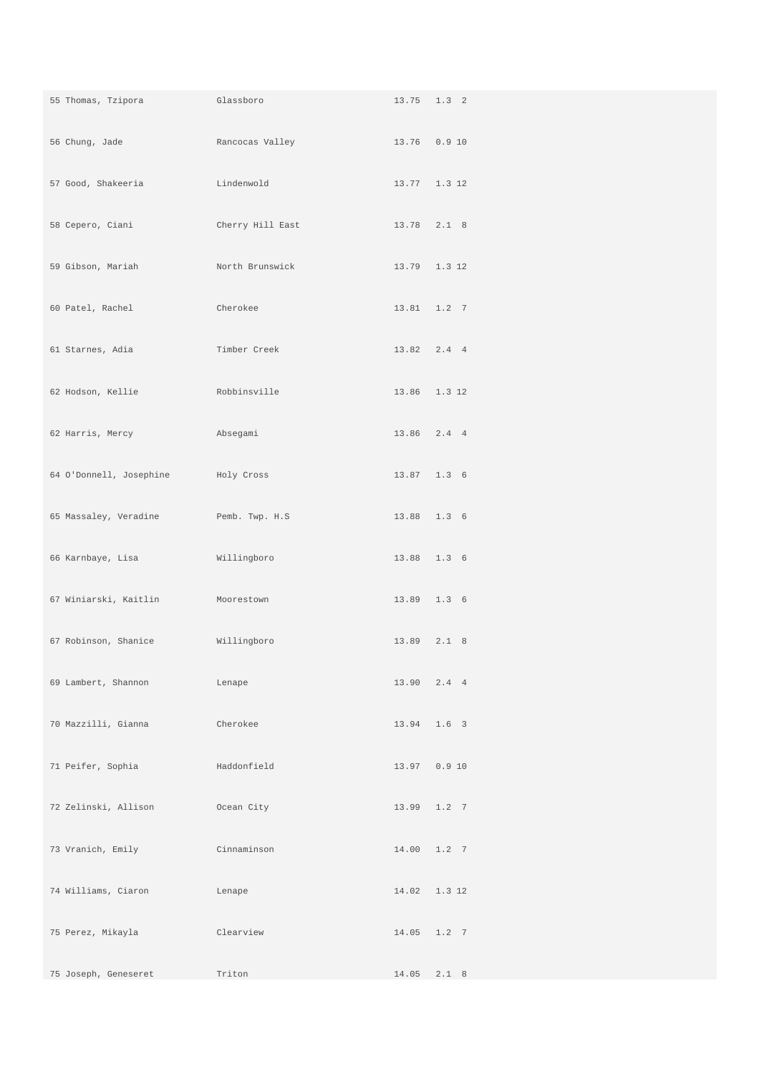| and Glassboro<br>55 Thomas, Tzipora  |                  | 13.75 1.3 2  |
|--------------------------------------|------------------|--------------|
|                                      |                  |              |
| 57 Good, Shakeeria                   | Lindenwold       | 13.77 1.3 12 |
| 58 Cepero, Ciani                     | Cherry Hill East | 13.78 2.1 8  |
| 59 Gibson, Mariah                    | North Brunswick  | 13.79 1.3 12 |
| 60 Patel, Rachel                     | Cherokee         | 13.81 1.2 7  |
| 61 Starnes, Adia                     | Timber Creek     | 13.82 2.4 4  |
| 62 Hodson, Kellie                    | Robbinsville     | 13.86 1.3 12 |
| 62 Harris, Mercy                     | Absegami         | 13.86 2.4 4  |
| 64 O'Donnell, Josephine Holy Cross   |                  | 13.87 1.3 6  |
| 65 Massaley, Veradine Femb. Twp. H.S |                  | 13.88 1.3 6  |
| 66 Karnbaye, Lisa                    | Willingboro      | 13.88 1.3 6  |
| 67 Winiarski, Kaitlin Moorestown     |                  | 13.89 1.3 6  |
| 67 Robinson, Shanice Millingboro     |                  | 13.89 2.1 8  |
| 69 Lambert, Shannon                  | Lenape           | 13.90 2.4 4  |
| 70 Mazzilli, Gianna                  | Cherokee         | 13.94 1.6 3  |
| 71 Peifer, Sophia                    | Haddonfield      | 13.97 0.9 10 |
| 72 Zelinski, Allison                 | Ocean City       | 13.99 1.2 7  |
| 73 Vranich, Emily                    | Cinnaminson      | 14.00 1.2 7  |
| 74 Williams, Ciaron                  | Lenape           | 14.02 1.3 12 |
| 75 Perez, Mikayla                    | Clearview        | 14.05 1.2 7  |
| 75 Joseph, Geneseret                 | Triton           | 14.05 2.1 8  |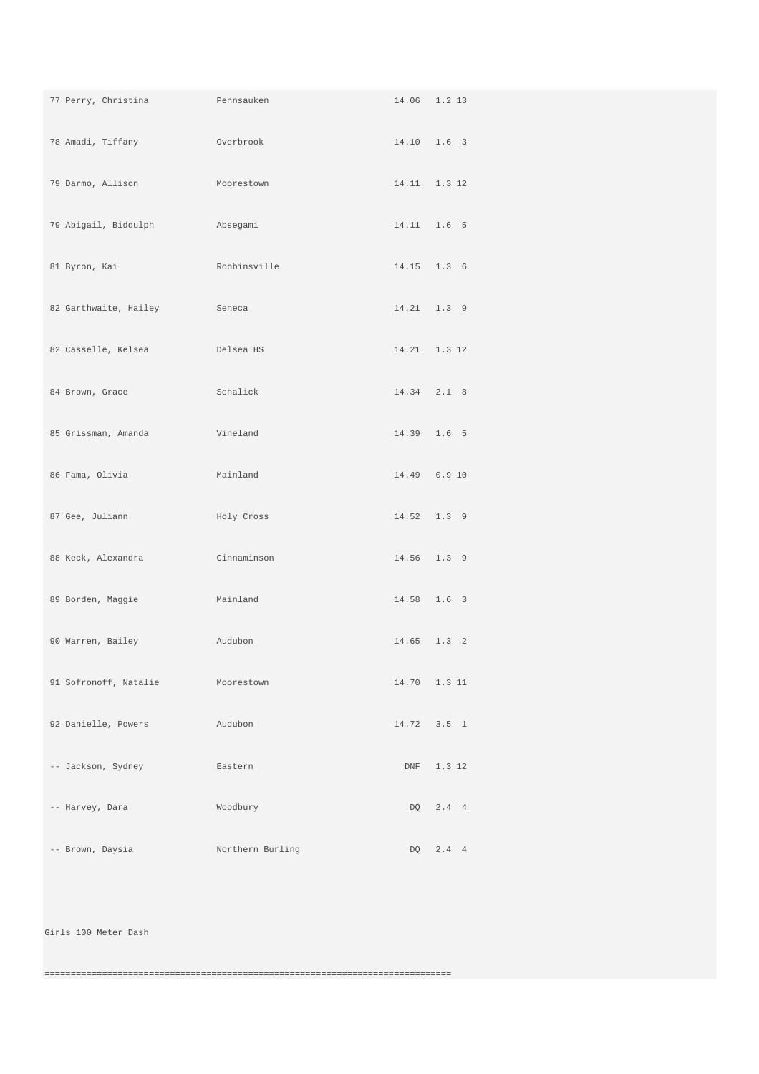| 77 Perry, Christina Pennsauken                     |                    | 14.06 1.2 13    |            |
|----------------------------------------------------|--------------------|-----------------|------------|
| 78 Amadi, Tiffany<br><b>Example 2019</b> Overbrook |                    | 14.10 1.6 3     |            |
| 79 Darmo, Allison                                  | Moorestown         | 14.11 1.3 12    |            |
| 79 Abigail, Biddulph Mabsegami                     |                    | 14.11 1.6 5     |            |
| 81 Byron, Kai                                      | Robbinsville       | 14.15 1.3 6     |            |
| 82 Garthwaite, Hailey Seneca                       |                    | 14.21  1.3  9   |            |
| 82 Casselle, Kelsea<br>Delsea HS                   |                    | 14.21 1.3 12    |            |
| 84 Brown, Grace                                    | Schalick           | $14.34$ $2.1$ 8 |            |
| 85 Grissman, Amanda<br><b>Example 21</b> Vineland  |                    | 14.39 1.6 5     |            |
| 86 Fama, Olivia                                    | Mainland           | 14.49  0.9  10  |            |
| 87 Gee, Juliann                                    | Holy Cross         | 14.52 1.3 9     |            |
| 88 Keck, Alexandra                                 | <b>Cinnaminson</b> | 14.56 1.3 9     |            |
| 89 Borden, Maggie<br><b>Example 2018</b> Mainland  |                    | 14.58 1.6 3     |            |
| 90 Warren, Bailey                                  | Audubon            | 14.65 1.3 2     |            |
| 91 Sofronoff, Natalie                              | Moorestown         | 14.70 1.3 11    |            |
| 92 Danielle, Powers                                | Audubon            | 14.72 3.5 1     |            |
| -- Jackson, Sydney                                 | Eastern            |                 | DNF 1.3 12 |
| -- Harvey, Dara                                    | Woodbury           |                 | DQ 2.4 4   |
| -- Brown, Daysia                                   | Northern Burling   |                 | DQ 2.4 4   |

Girls 100 Meter Dash

==============================================================================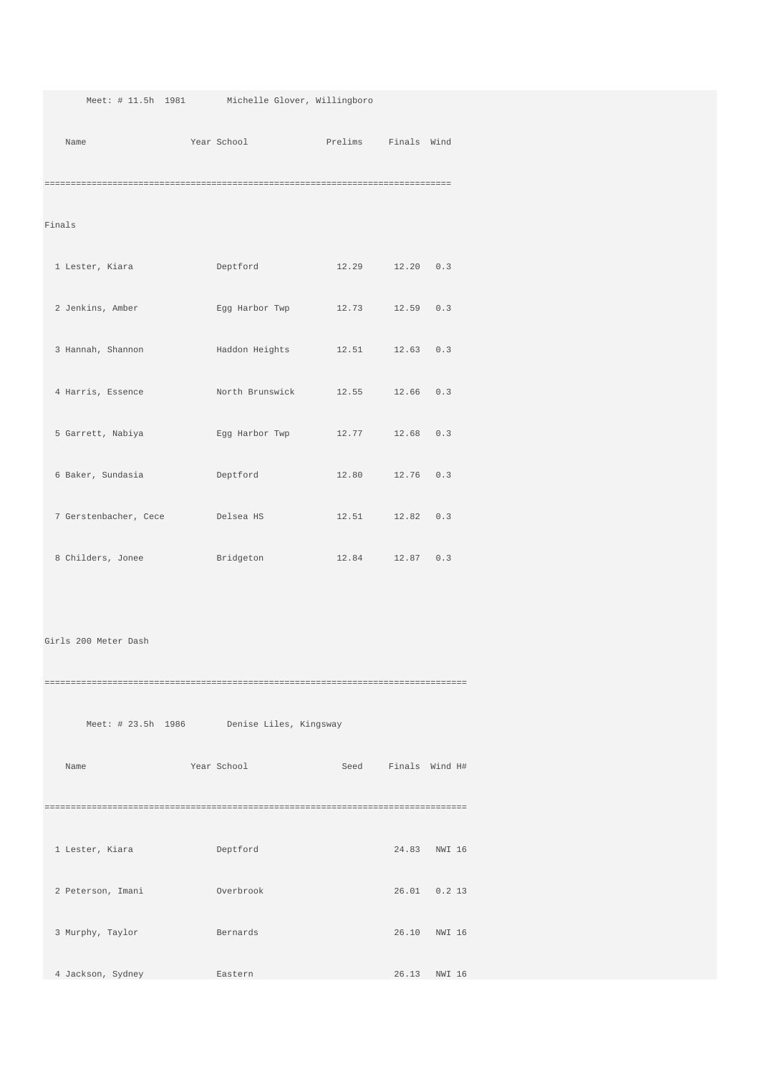Meet: # 11.5h 1981 Michelle Glover, Willingboro

Name Year School Prelims Finals Wind

==============================================================================

Finals

| 1 Lester, Kiara       | Deptford        | 12.29 | 12.20           | 0.3 |
|-----------------------|-----------------|-------|-----------------|-----|
| 2 Jenkins, Amber      | Egg Harbor Twp  | 12.73 | 12.59           | 0.3 |
| 3 Hannah, Shannon     | Haddon Heights  |       | 12.51 12.63 0.3 |     |
| 4 Harris, Essence     | North Brunswick |       | 12.55 12.66     | 0.3 |
| 5 Garrett, Nabiya     | Eqq Harbor Twp  | 12.77 | 12.68           | 0.3 |
| 6 Baker, Sundasia     | Deptford        |       | 12.80 12.76     | 0.3 |
| 7 Gerstenbacher, Cece | Delsea HS       |       | 12.51 12.82     | 0.3 |
| 8 Childers, Jonee     | Bridgeton       |       | 12.84 12.87 0.3 |     |

Girls 200 Meter Dash

================================================================================= Meet: # 23.5h 1986 Denise Liles, Kingsway Name Year School Seed Finals Wind H# ================================================================================= 1 Lester, Kiara Deptford 24.83 NWI 16 2 Peterson, Imani Overbrook 26.01 0.2 13 3 Murphy, Taylor Bernards 26.10 NWI 16 4 Jackson, Sydney Eastern 26.13 NWI 16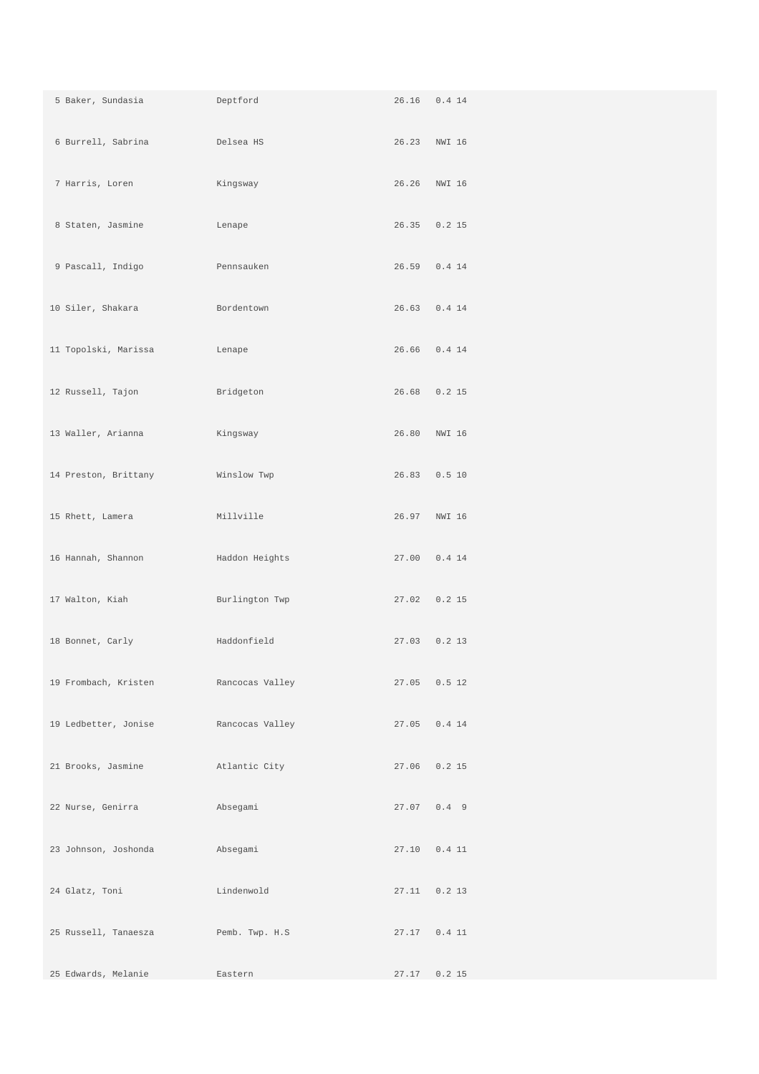| 5 Baker, Sundasia            | Deptford        |                | 26.16  0.4  14 |
|------------------------------|-----------------|----------------|----------------|
| 6 Burrell, Sabrina belsea HS |                 | 26.23 NWI 16   |                |
| 7 Harris, Loren              | Kingsway        |                | 26.26 NWI 16   |
| 8 Staten, Jasmine            | Lenape          |                | 26.35 0.2 15   |
| 9 Pascall, Indigo            | Pennsauken      | 26.59 0.4 14   |                |
| 10 Siler, Shakara            | Bordentown      | 26.63 0.4 14   |                |
| 11 Topolski, Marissa         | Lenape          |                | 26.66 0.4 14   |
| 12 Russell, Tajon            | Bridgeton       | 26.68 0.2 15   |                |
| 13 Waller, Arianna           | Kingsway        |                | 26.80 NWI 16   |
| 14 Preston, Brittany         | Winslow Twp     | 26.83 0.5 10   |                |
| 15 Rhett, Lamera             | Millville       |                | 26.97 NWI 16   |
| 16 Hannah, Shannon           | Haddon Heights  | 27.00  0.4  14 |                |
| 17 Walton, Kiah              | Burlington Twp  | 27.02 0.2 15   |                |
| 18 Bonnet, Carly             | Haddonfield     |                | 27.03 0.2 13   |
| 19 Frombach, Kristen         | Rancocas Valley |                | 27.05 0.5 12   |
| 19 Ledbetter, Jonise         | Rancocas Valley | 27.05 0.4 14   |                |
| 21 Brooks, Jasmine           | Atlantic City   |                | 27.06 0.2 15   |
| 22 Nurse, Genirra            | Absegami        | 27.07 0.4 9    |                |
| 23 Johnson, Joshonda         | Absegami        |                | 27.10  0.4  11 |
| 24 Glatz, Toni               | Lindenwold      |                | 27.11  0.2  13 |
| 25 Russell, Tanaesza         | Pemb. Twp. H.S  | 27.17  0.4  11 |                |
| 25 Edwards, Melanie          | Eastern         | 27.17          | $0.2$ 15       |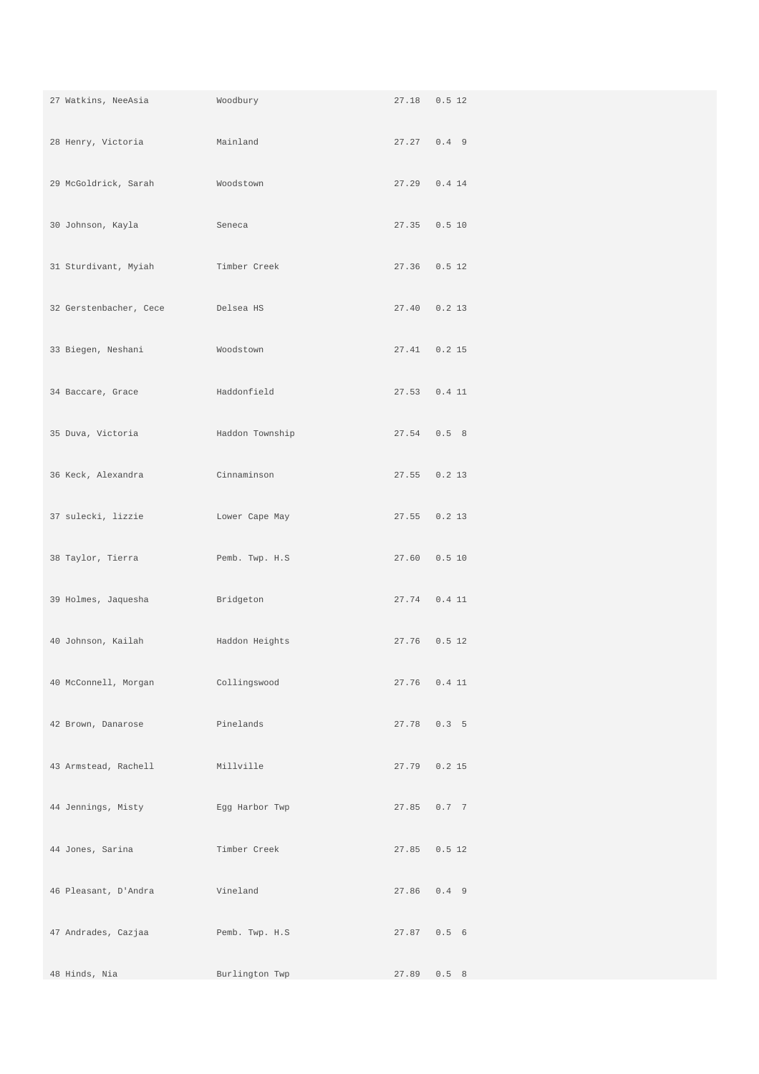| 27 Watkins, NeeAsia         | Woodbury        | 27.18  0.5  12 |
|-----------------------------|-----------------|----------------|
| 28 Henry, Victoria Mainland |                 | $27.27$ 0.4 9  |
| 29 McGoldrick, Sarah        | Moodstown       | 27.29 0.4 14   |
| 30 Johnson, Kayla           | Seneca          | 27.35 0.5 10   |
| 31 Sturdivant, Myiah        | Timber Creek    | 27.36 0.5 12   |
| 32 Gerstenbacher, Cece      | Delsea HS       | 27.40 0.2 13   |
| 33 Biegen, Neshani          | Woodstown       | 27.41 0.2 15   |
| 34 Baccare, Grace           | Haddonfield     | 27.53 0.4 11   |
| 35 Duva, Victoria           | Haddon Township | 27.54 0.5 8    |
| 36 Keck, Alexandra          | Cinnaminson     | 27.55 0.2 13   |
| 37 sulecki, lizzie          | Lower Cape May  | 27.55 0.2 13   |
| 38 Taylor, Tierra           | Pemb. Twp. H.S  | 27.60  0.5  10 |
| 39 Holmes, Jaquesha         | Bridgeton       | 27.74  0.4  11 |
| 40 Johnson, Kailah          | Haddon Heights  | 27.76 0.5 12   |
| 40 McConnell, Morgan        | Collingswood    | 27.76  0.4  11 |
| 42 Brown, Danarose          | Pinelands       | 27.78 0.3 5    |
| 43 Armstead, Rachell        | Millville       | 27.79 0.2 15   |
| 44 Jennings, Misty          | Egg Harbor Twp  | 27.85 0.7 7    |
| 44 Jones, Sarina            | Timber Creek    | 27.85 0.5 12   |
| 46 Pleasant, D'Andra        | Vineland        | 27.86 0.4 9    |
| 47 Andrades, Cazjaa         | Pemb. Twp. H.S  | 27.87 0.5 6    |
| 48 Hinds, Nia               | Burlington Twp  | 27.89 0.5 8    |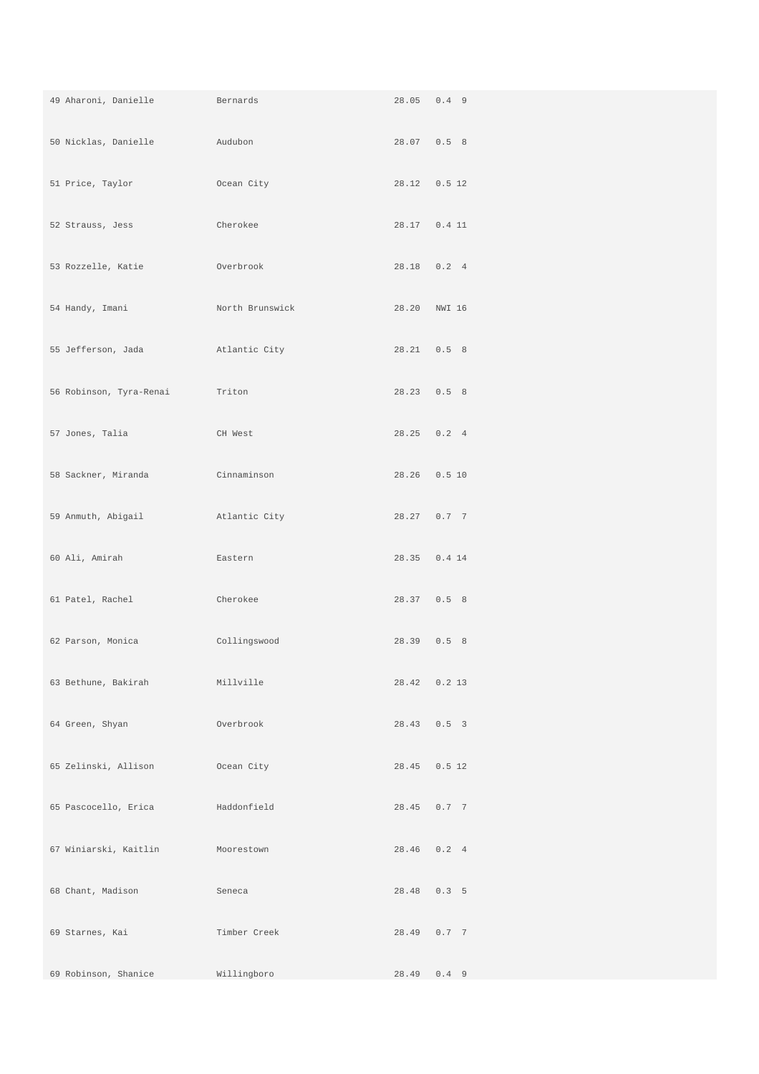| 49 Aharoni, Danielle                    | <b>Example 2</b> Bernards | 28.05 0.4 9    |
|-----------------------------------------|---------------------------|----------------|
| 50 Nicklas, Danielle Audubon            |                           | 28.07 0.5 8    |
| 51 Price, Taylor                        | Ocean City                | 28.12  0.5  12 |
| 52 Strauss, Jess                        | Cherokee                  | 28.17  0.4  11 |
| 53 Rozzelle, Katie Overbrook            |                           | 28.18  0.2  4  |
| 54 Handy, Imani                         | North Brunswick           | 28.20 NWI 16   |
| 55 Jefferson, Jada barrat atlantic City |                           | 28.21 0.5 8    |
| 56 Robinson, Tyra-Renai                 | Triton                    | 28.23 0.5 8    |
| 57 Jones, Talia                         | CH West                   | 28.25 0.2 4    |
| 58 Sackner, Miranda     Cinnaminson     |                           | 28.26  0.5  10 |
| 59 Anmuth, Abigail and Atlantic City    |                           | 28.27 0.7 7    |
| 60 Ali, Amirah                          | Eastern                   | 28.35 0.4 14   |
| 61 Patel, Rachel                        | Cherokee                  | 28.37 0.5 8    |
| 62 Parson, Monica                       | Collingswood              | 28.39 0.5 8    |
| 63 Bethune, Bakirah Millville           |                           | 28.42 0.2 13   |
| 64 Green, Shyan                         | Overbrook                 | 28.43 0.5 3    |
| 65 Zelinski, Allison                    | Ocean City                | 28.45 0.5 12   |
| 65 Pascocello, Erica                    | Haddonfield               | 28.45 0.7 7    |
| 67 Winiarski, Kaitlin                   | Moorestown                | 28.46 0.2 4    |
| 68 Chant, Madison                       | Seneca                    | 28.48 0.3 5    |
| 69 Starnes, Kai                         | Timber Creek              | 28.49 0.7 7    |
| 69 Robinson, Shanice                    | Willingboro               | 28.49 0.4 9    |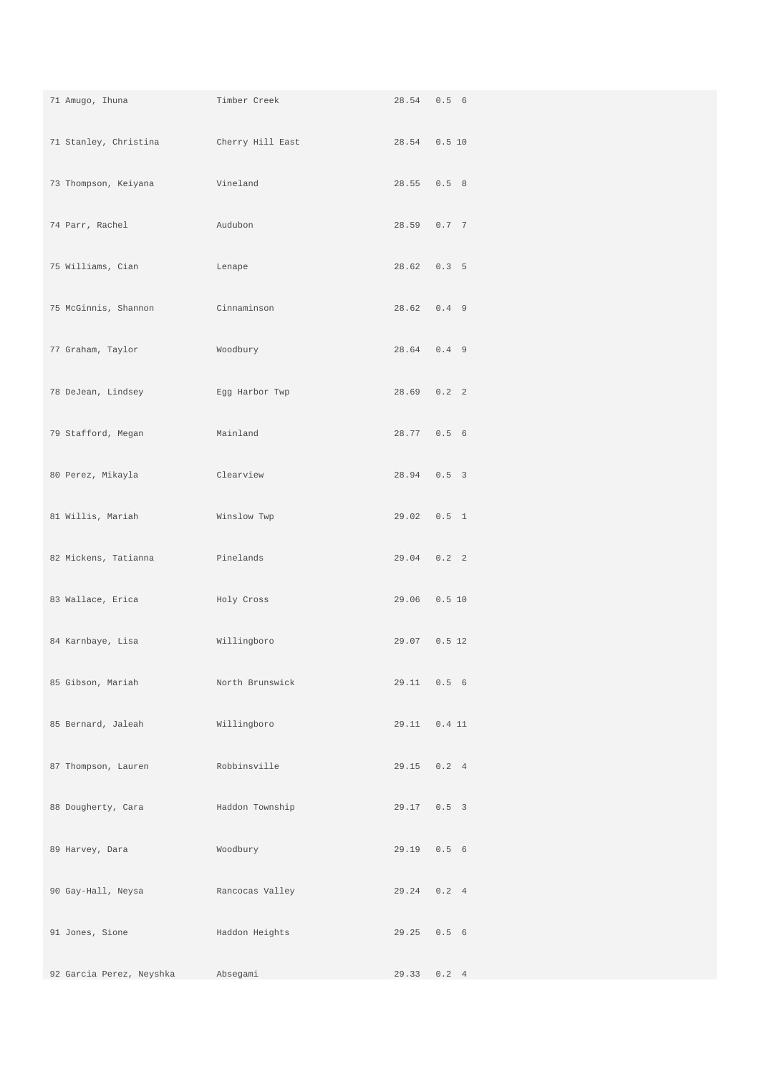| 71 Amugo, Ihuna          | Timber Creek               |              | 28.54 0.5 6    |
|--------------------------|----------------------------|--------------|----------------|
|                          |                            | 28.54 0.5 10 |                |
| 73 Thompson, Keiyana     | <b>Example 12</b> Vineland |              | 28.55 0.5 8    |
| 74 Parr, Rachel          | Audubon                    |              | 28.59 0.7 7    |
| 75 Williams, Cian        | Lenape                     |              | $28.62$ 0.3 5  |
| 75 McGinnis, Shannon     | <b>Cinnaminson</b>         |              | 28.62 0.4 9    |
| 77 Graham, Taylor        | Woodbury                   |              | 28.64 0.4 9    |
| 78 DeJean, Lindsey       | Egg Harbor Twp             |              | $28.69$ 0.2 2  |
| 79 Stafford, Megan       | Mainland                   |              | 28.77 0.5 6    |
| 80 Perez, Mikayla        | Clearview                  |              | 28.94 0.5 3    |
| 81 Willis, Mariah        | Winslow Twp                |              | 29.02  0.5  1  |
| 82 Mickens, Tatianna     | Pinelands                  |              | $29.04$ 0.2 2  |
| 83 Wallace, Erica        | Holy Cross                 |              | 29.06  0.5  10 |
| 84 Karnbaye, Lisa        | Willingboro                |              | 29.07 0.5 12   |
| 85 Gibson, Mariah        | North Brunswick            |              | 29.11 0.5 6    |
| 85 Bernard, Jaleah       | Willingboro                |              | 29.11  0.4  11 |
| 87 Thompson, Lauren      | Robbinsville               |              | 29.15 0.2 4    |
| 88 Dougherty, Cara       | Haddon Township            |              | 29.17 0.5 3    |
| 89 Harvey, Dara          | Woodbury                   |              | 29.19  0.5  6  |
| 90 Gay-Hall, Neysa       | Rancocas Valley            |              | 29.24 0.2 4    |
| 91 Jones, Sione          | Haddon Heights             |              | 29.25 0.5 6    |
| 92 Garcia Perez, Neyshka | Absegami                   |              | 29.33 0.2 4    |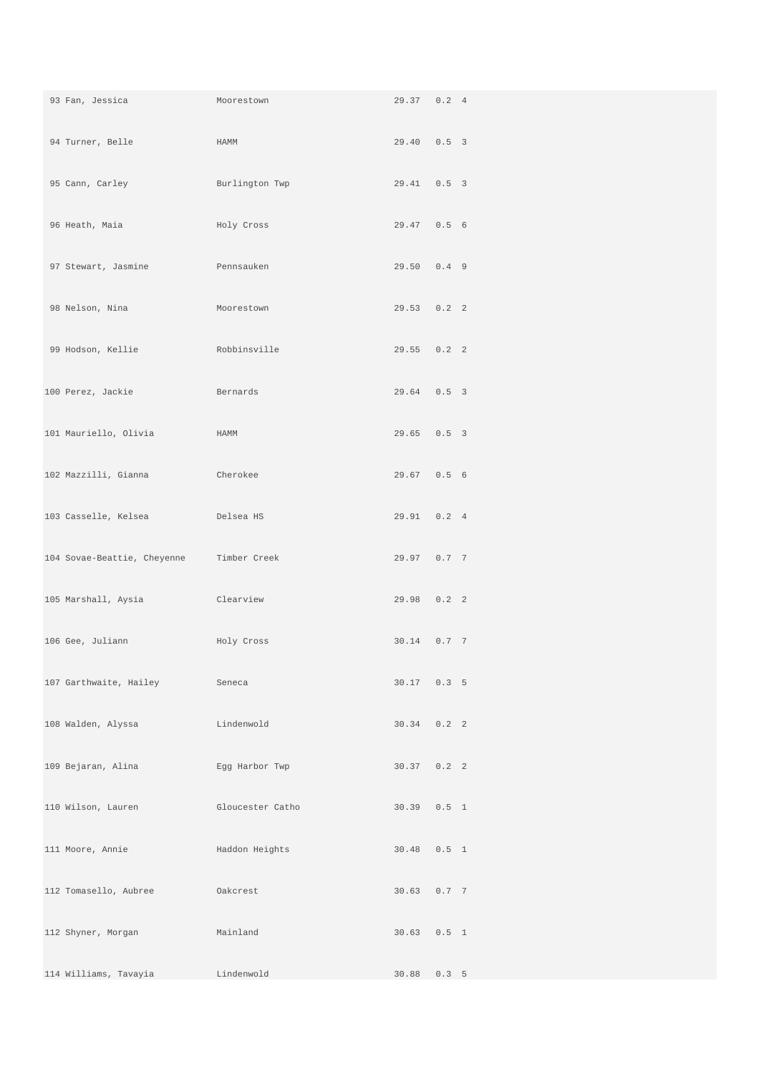| Moorestown<br>93 Fan, Jessica                                                                                  |                  | 29.37 0.2 4   |  |
|----------------------------------------------------------------------------------------------------------------|------------------|---------------|--|
| 94 Turner, Belle                                                                                               | HAMM             | 29.40 0.5 3   |  |
| 95 Cann, Carley                                                                                                | Burlington Twp   | 29.41 0.5 3   |  |
| 96 Heath, Maia                                                                                                 | Holy Cross       | 29.47 0.5 6   |  |
| 97 Stewart, Jasmine <b>Example 1988</b> Pennsauken                                                             |                  | 29.50 0.4 9   |  |
| 98 Nelson, Nina                                                                                                | Moorestown       | 29.53 0.2 2   |  |
| 99 Hodson, Kellie Kobbinsville                                                                                 |                  | $29.55$ 0.2 2 |  |
| 100 Perez, Jackie and Bernards                                                                                 |                  | 29.64 0.5 3   |  |
| 101 Mauriello, Olivia                                                                                          | HAMM             | 29.65 0.5 3   |  |
| 102 Mazzilli, Gianna<br><b>Example 2018</b> Cherokee                                                           |                  | 29.67 0.5 6   |  |
| 103 Casselle, Kelsea (Casselle, Casselle, Casselle, Casselle, Casselle, Casselle, Casselle, Casselle, Casselle |                  | 29.91  0.2  4 |  |
| 104 Sovae-Beattie, Cheyenne Timber Creek                                                                       |                  | 29.97 0.7 7   |  |
| 105 Marshall, Aysia                                                                                            | Clearview        | 29.98 0.2 2   |  |
| 106 Gee, Juliann                                                                                               | Holy Cross       | 30.14 0.7 7   |  |
| 107 Garthwaite, Hailey                                                                                         | Seneca           | 30.17 0.3 5   |  |
| 108 Walden, Alyssa                                                                                             | Lindenwold       | $30.34$ 0.2 2 |  |
| 109 Bejaran, Alina                                                                                             | Egg Harbor Twp   | $30.37$ 0.2 2 |  |
| 110 Wilson, Lauren                                                                                             | Gloucester Catho | 30.39 0.5 1   |  |
| 111 Moore, Annie                                                                                               | Haddon Heights   | 30.48  0.5  1 |  |
| 112 Tomasello, Aubree                                                                                          | Oakcrest         | 30.63 0.7 7   |  |
| 112 Shyner, Morgan                                                                                             | Mainland         | 30.63 0.5 1   |  |
| 114 Williams, Tavayia                                                                                          | Lindenwold       | 30.88 0.3 5   |  |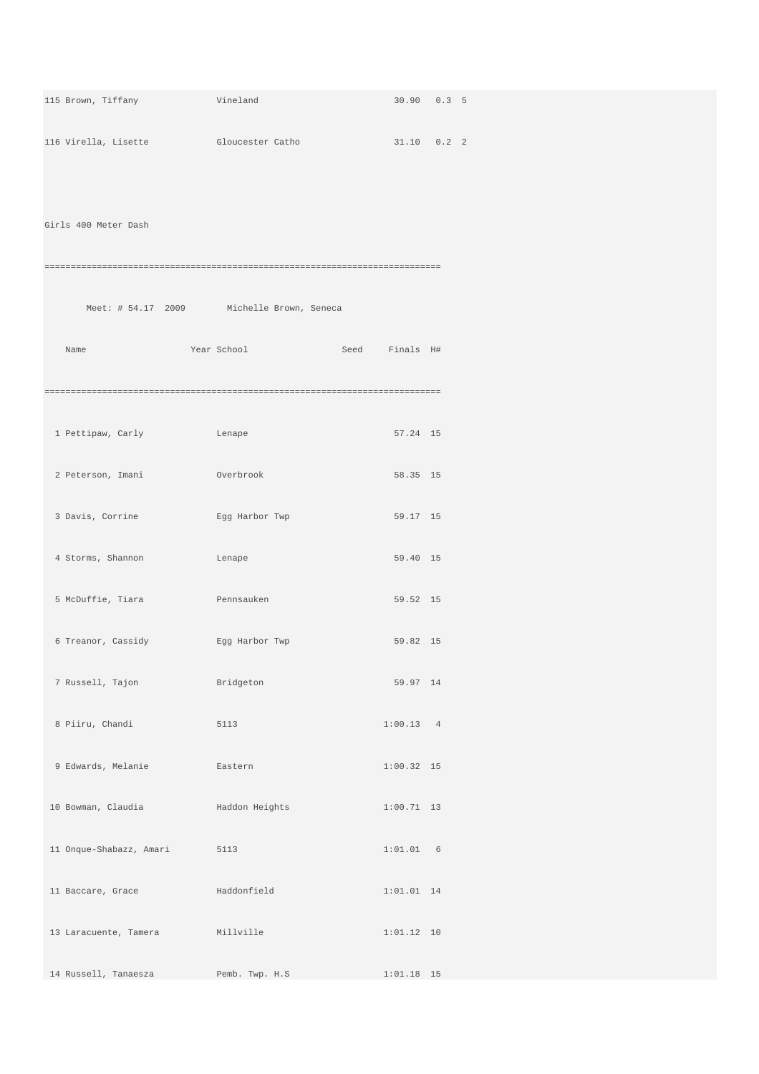| 115 Brown, Tiffany                                | Vineland                                  | 30.90 0.3 5    |  |
|---------------------------------------------------|-------------------------------------------|----------------|--|
| 116 Virella, Lisette Gloucester Catho 31.10 0.2 2 |                                           |                |  |
|                                                   |                                           |                |  |
| Girls 400 Meter Dash                              |                                           |                |  |
|                                                   |                                           |                |  |
|                                                   | Meet: # 54.17 2009 Michelle Brown, Seneca |                |  |
|                                                   |                                           |                |  |
| Name                                              | Year School                               | Seed Finals H# |  |
|                                                   |                                           |                |  |
| 1 Pettipaw, Carly Carl Lenape                     |                                           | 57.24 15       |  |
| 2 Peterson, Imani Moverbrook                      |                                           | 58.35 15       |  |
| 3 Davis, Corrine                                  | Egg Harbor Twp                            | 59.17 15       |  |
| 4 Storms, Shannon                                 | Lenape                                    | 59.40 15       |  |
| 5 McDuffie, Tiara                                 | <b>Example 19 Pennsauken</b>              | 59.52 15       |  |
|                                                   |                                           |                |  |
| 6 Treanor, Cassidy                                | Egg Harbor Twp                            | 59.82 15       |  |
| 7 Russell, Tajon                                  | Bridgeton                                 | 59.97 14       |  |
| 8 Piiru, Chandi                                   | 5113                                      | 1:00.13 4      |  |
| 9 Edwards, Melanie                                | Eastern                                   | $1:00.32$ 15   |  |
| 10 Bowman, Claudia                                | Haddon Heights                            | $1:00.71$ 13   |  |
| 11 Onque-Shabazz, Amari                           | 5113                                      | 1:01.01 6      |  |
| 11 Baccare, Grace                                 | Haddonfield                               | $1:01.01$ 14   |  |
|                                                   |                                           |                |  |
| 13 Laracuente, Tamera                             | Millville                                 | 1:01.12 10     |  |
| 14 Russell, Tanaesza                              | Pemb. Twp. H.S                            | $1:01.18$ 15   |  |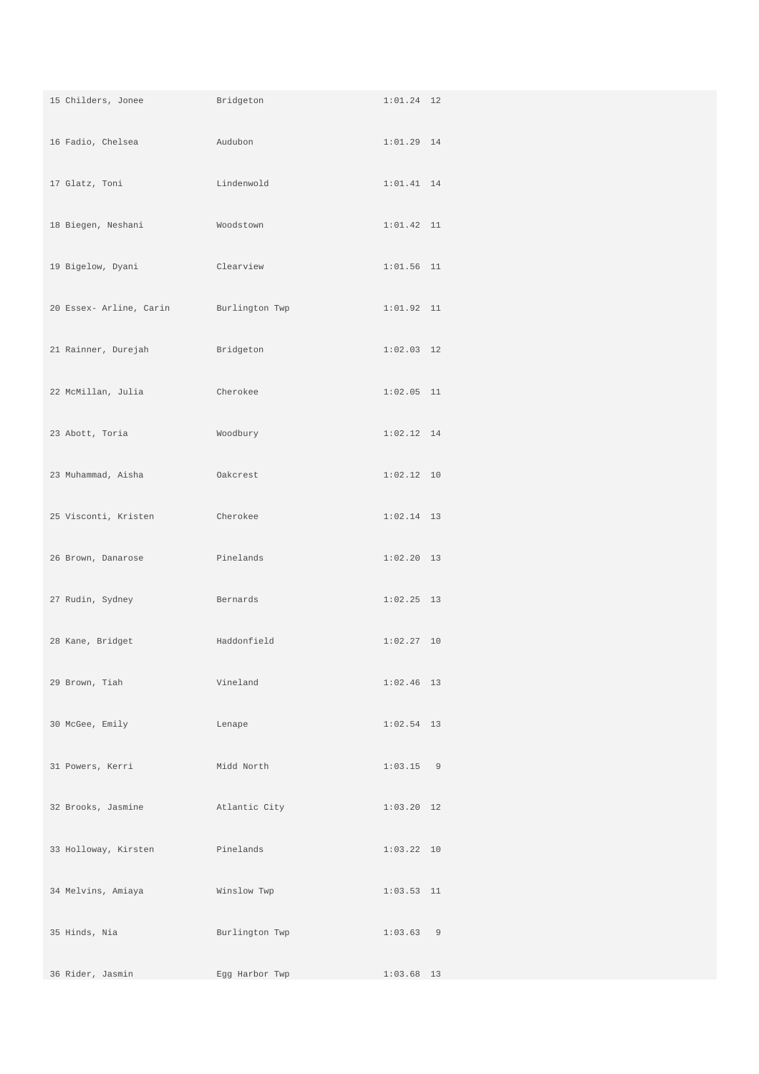| 15 Childers, Jonee      | Bridgeton      | $1:01.24$ 12 |
|-------------------------|----------------|--------------|
| 16 Fadio, Chelsea       | Audubon        | $1:01.29$ 14 |
| 17 Glatz, Toni          | Lindenwold     | $1:01.41$ 14 |
| 18 Biegen, Neshani      | Woodstown      | $1:01.42$ 11 |
| 19 Bigelow, Dyani       | Clearview      | $1:01.56$ 11 |
| 20 Essex- Arline, Carin | Burlington Twp | $1:01.92$ 11 |
| 21 Rainner, Durejah     | Bridgeton      | $1:02.03$ 12 |
| 22 McMillan, Julia      | Cherokee       | $1:02.05$ 11 |
| 23 Abott, Toria         | Woodbury       | $1:02.12$ 14 |
| 23 Muhammad, Aisha      | Oakcrest       | 1:02.12 10   |
| 25 Visconti, Kristen    | Cherokee       | $1:02.14$ 13 |
| 26 Brown, Danarose      | Pinelands      | $1:02.20$ 13 |
| 27 Rudin, Sydney        | Bernards       | $1:02.25$ 13 |
| 28 Kane, Bridget        | Haddonfield    | $1:02.27$ 10 |
| 29 Brown, Tiah          | Vineland       | $1:02.46$ 13 |
| 30 McGee, Emily         | Lenape         | $1:02.54$ 13 |
| 31 Powers, Kerri        | Midd North     | $1:03.15$ 9  |
| 32 Brooks, Jasmine      | Atlantic City  | $1:03.20$ 12 |
| 33 Holloway, Kirsten    | Pinelands      | $1:03.22$ 10 |
| 34 Melvins, Amiaya      | Winslow Twp    | $1:03.53$ 11 |
| 35 Hinds, Nia           | Burlington Twp | 1:03.63 9    |
| 36 Rider, Jasmin        | Egg Harbor Twp | $1:03.68$ 13 |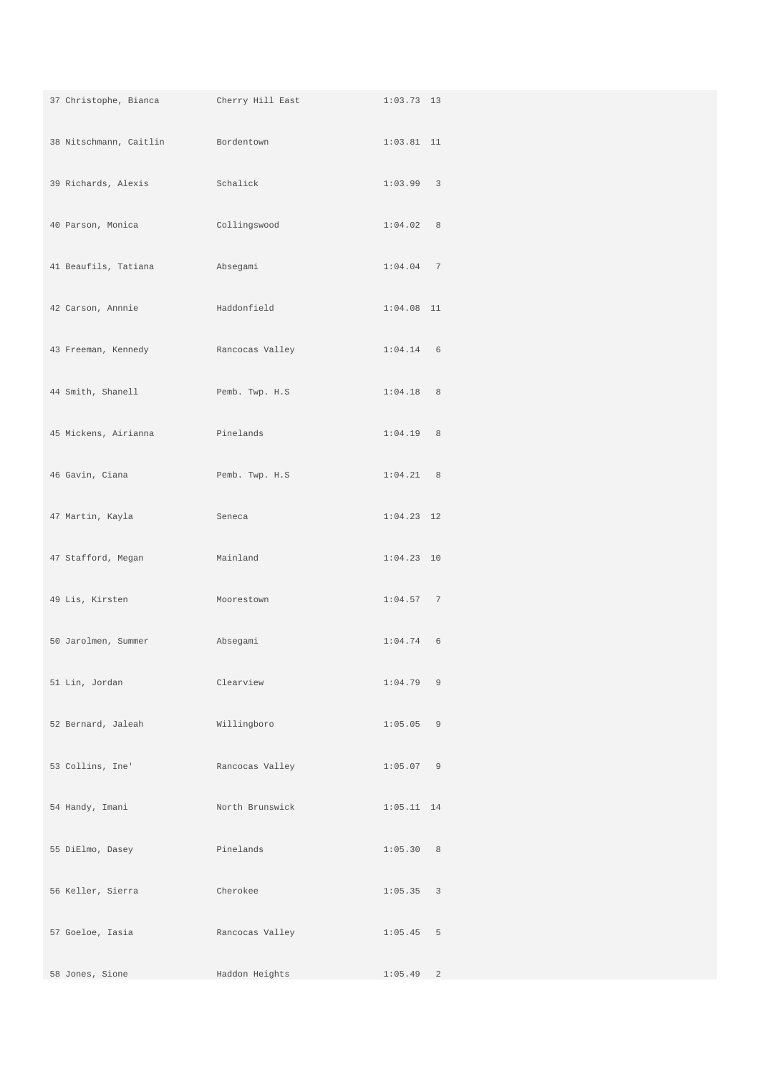| 37 Christophe, Bianca               | Cherry Hill East | $1:03.73$ 13              |
|-------------------------------------|------------------|---------------------------|
| 38 Nitschmann, Caitlin Bordentown   |                  | $1:03.81$ 11              |
| 39 Richards, Alexis                 | Schalick         | 1:03.99 3                 |
| 40 Parson, Monica                   | Collingswood     | 1:04.02 8                 |
| 41 Beaufils, Tatiana                | Absegami         | 1:04.0477                 |
| 42 Carson, Annnie                   | Haddonfield      | $1:04.08$ 11              |
| 43 Freeman, Kennedy Rancocas Valley |                  | $1:04.14$ 6               |
| 44 Smith, Shanell                   | Pemb. Twp. H.S   | $1:04.18$ 8               |
| 45 Mickens, Airianna                | Pinelands        | $1:04.19$ 8               |
| 46 Gavin, Ciana                     | Pemb. Twp. H.S   | $1:04.21$ 8               |
| 47 Martin, Kayla                    | Seneca           | $1:04.23$ 12              |
| 47 Stafford, Megan                  | Mainland         | $1:04.23$ 10              |
| 49 Lis, Kirsten                     | Moorestown       | 1:04.57 7                 |
| 50 Jarolmen, Summer                 | Absegami         | $1:04.74$ 6               |
| 51 Lin, Jordan                      | Clearview        | $1:04.79$ 9               |
| 52 Bernard, Jaleah                  | Willingboro      | $1:05.05$ 9               |
| 53 Collins, Ine'                    | Rancocas Valley  | $1:05.07$ 9               |
| 54 Handy, Imani                     | North Brunswick  | $1:05.11$ 14              |
| 55 DiElmo, Dasey                    | Pinelands        | 1:05.30 8                 |
| 56 Keller, Sierra                   | Cherokee         | 1:05.35 3                 |
| 57 Goeloe, Iasia                    | Rancocas Valley  | $1:05.45$ 5               |
| 58 Jones, Sione                     | Haddon Heights   | $\overline{c}$<br>1:05.49 |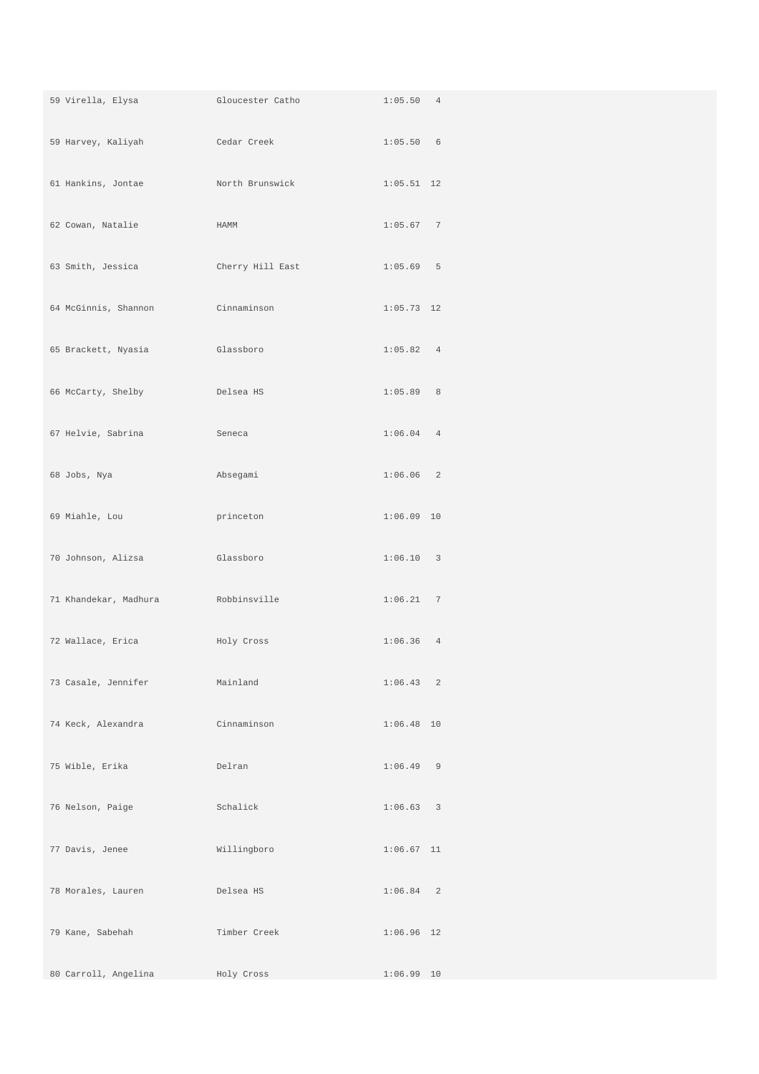| 59 Virella, Elysa     | Gloucester Catho | 1:05.50 4    |
|-----------------------|------------------|--------------|
| 59 Harvey, Kaliyah    | Cedar Creek      | 1:05.50 6    |
| 61 Hankins, Jontae    | North Brunswick  | $1:05.51$ 12 |
| 62 Cowan, Natalie     | HAMM             | 1:05.677     |
| 63 Smith, Jessica     | Cherry Hill East | $1:05.69$ 5  |
| 64 McGinnis, Shannon  | Cinnaminson      | $1:05.73$ 12 |
| 65 Brackett, Nyasia   | Glassboro        | 1:05.82 4    |
| 66 McCarty, Shelby    | Delsea HS        | 1:05.89 8    |
| 67 Helvie, Sabrina    | Seneca           | $1:06.04$ 4  |
| 68 Jobs, Nya          | Absegami         | 1:06.06 2    |
| 69 Miahle, Lou        | princeton        | $1:06.09$ 10 |
| 70 Johnson, Alizsa    | Glassboro        | 1:06.10 3    |
| 71 Khandekar, Madhura | Robbinsville     | 1:06.21 7    |
| 72 Wallace, Erica     | Holy Cross       | $1:06.36$ 4  |
| 73 Casale, Jennifer   | Mainland         | 1:06.43 2    |
| 74 Keck, Alexandra    | Cinnaminson      | $1:06.48$ 10 |
| 75 Wible, Erika       | Delran           | $1:06.49$ 9  |
| 76 Nelson, Paige      | Schalick         | 1:06.63 3    |
| 77 Davis, Jenee       | Willingboro      | $1:06.67$ 11 |
| 78 Morales, Lauren    | Delsea HS        | $1:06.84$ 2  |
| 79 Kane, Sabehah      | Timber Creek     | $1:06.96$ 12 |
| 80 Carroll, Angelina  | Holy Cross       | $1:06.99$ 10 |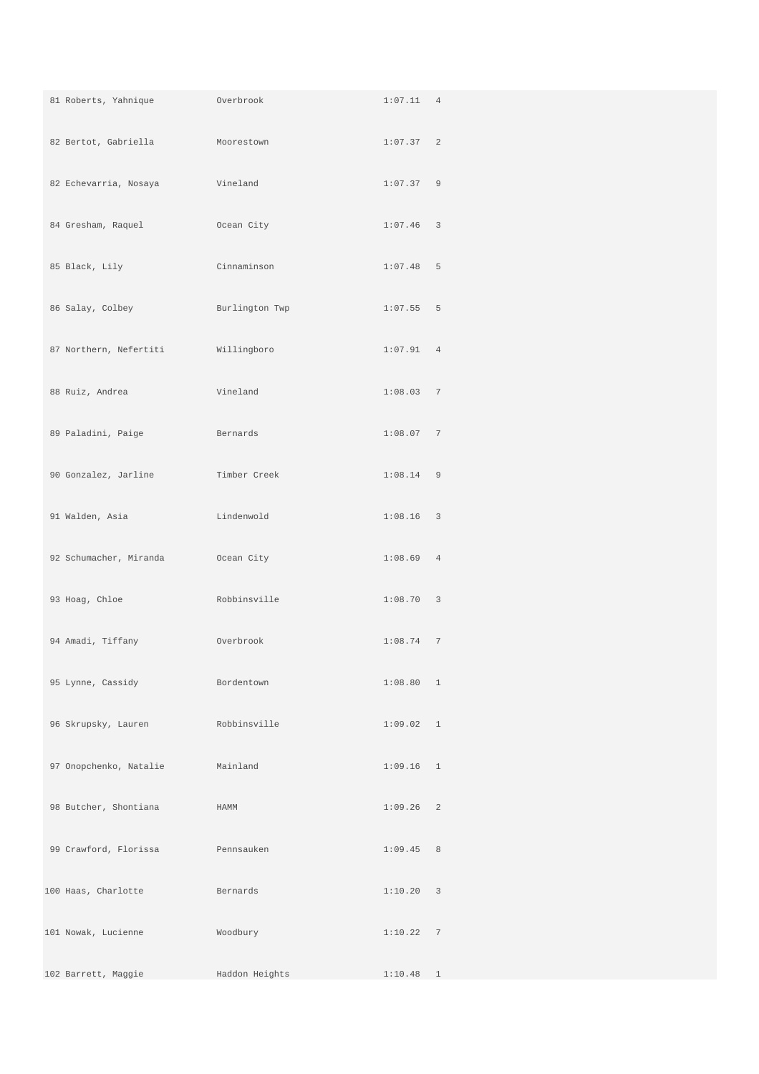| 81 Roberts, Yahnique   | Overbrook      | 1:07.11 4   |  |
|------------------------|----------------|-------------|--|
| 82 Bertot, Gabriella   | Moorestown     | 1:07.37 2   |  |
| 82 Echevarria, Nosaya  | Vineland       | 1:07.37 9   |  |
| 84 Gresham, Raquel     | Ocean City     | $1:07.46$ 3 |  |
| 85 Black, Lily         | Cinnaminson    | $1:07.48$ 5 |  |
| 86 Salay, Colbey       | Burlington Twp | $1:07.55$ 5 |  |
| 87 Northern, Nefertiti | Willingboro    | 1:07.91 4   |  |
| 88 Ruiz, Andrea        | Vineland       | 1:08.03 7   |  |
| 89 Paladini, Paige     | Bernards       | 1:08.07 7   |  |
| 90 Gonzalez, Jarline   | Timber Creek   | $1:08.14$ 9 |  |
| 91 Walden, Asia        | Lindenwold     | $1:08.16$ 3 |  |
| 92 Schumacher, Miranda | Ocean City     | 1:08.69 4   |  |
| 93 Hoag, Chloe         | Robbinsville   | 1:08.70 3   |  |
| 94 Amadi, Tiffany      | Overbrook      | 1:08.747    |  |
| 95 Lynne, Cassidy      | Bordentown     | 1:08.80 1   |  |
| 96 Skrupsky, Lauren    | Robbinsville   | 1:09.02 1   |  |
| 97 Onopchenko, Natalie | Mainland       | $1:09.16$ 1 |  |
| 98 Butcher, Shontiana  | HAMM           | 1:09.26 2   |  |
| 99 Crawford, Florissa  | Pennsauken     | 1:09.45 8   |  |
| 100 Haas, Charlotte    | Bernards       | 1:10.20 3   |  |
| 101 Nowak, Lucienne    | Woodbury       | 1:10.22 7   |  |
| 102 Barrett, Maggie    | Haddon Heights | $1:10.48$ 1 |  |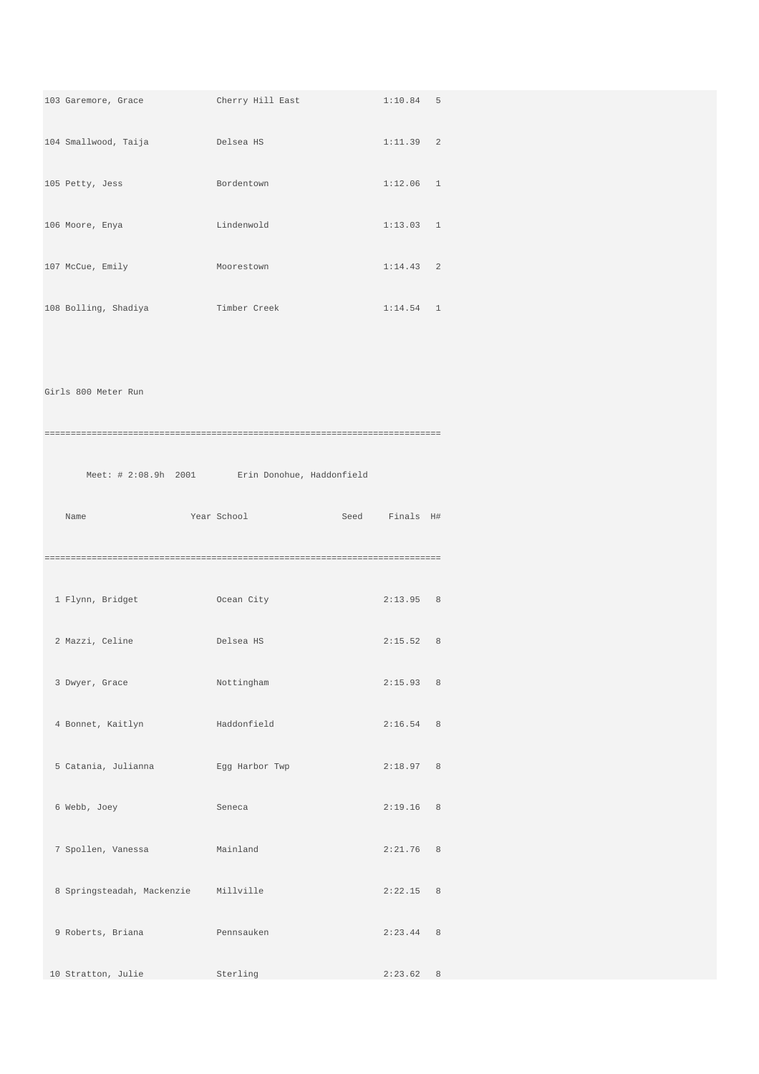| 103 Garemore, Grace Cherry Hill East<br>$1:10.84$ 5<br>104 Smallwood, Taija belsea HS<br>1:11.39 2<br>$1:12.06$ 1<br>105 Petty, Jess<br>Bordentown<br>106 Moore, Enya<br>and the state of Lindenwold<br>1:13.03 1<br>107 McCue, Emily<br>$1:14.43$ 2<br>Moorestown<br>$1:14.54$ 1<br>108 Bolling, Shadiya <b>Timber Creek</b><br>Girls 800 Meter Run<br>Meet: # 2:08.9h 2001 Erin Donohue, Haddonfield<br>Year School Contract Seed Finals H#<br>Name<br>1 Flynn, Bridget<br><b>Example 2</b> Ocean City<br>2:13.95 8<br>2 Mazzi, Celine Controller Delsea HS<br>2:15.52 8<br>3 Dwyer, Grace<br>Nottingham<br>2:15.93 8<br>4 Bonnet, Kaitlyn<br>Haddonfield<br>2:16.54 8<br>5 Catania, Julianna<br>Egg Harbor Twp<br>2:18.97 8<br>2:19.16 8<br>6 Webb, Joey<br>Seneca<br>7 Spollen, Vanessa<br>Mainland<br>2:21.76 8<br>8 Springsteadah, Mackenzie Millville<br>2:22.15 8<br>9 Roberts, Briana<br>Pennsauken<br>2:23.44 8<br>10 Stratton, Julie<br>Sterling<br>2:23.62 8 |
|--------------------------------------------------------------------------------------------------------------------------------------------------------------------------------------------------------------------------------------------------------------------------------------------------------------------------------------------------------------------------------------------------------------------------------------------------------------------------------------------------------------------------------------------------------------------------------------------------------------------------------------------------------------------------------------------------------------------------------------------------------------------------------------------------------------------------------------------------------------------------------------------------------------------------------------------------------------------------|
|                                                                                                                                                                                                                                                                                                                                                                                                                                                                                                                                                                                                                                                                                                                                                                                                                                                                                                                                                                          |
|                                                                                                                                                                                                                                                                                                                                                                                                                                                                                                                                                                                                                                                                                                                                                                                                                                                                                                                                                                          |
|                                                                                                                                                                                                                                                                                                                                                                                                                                                                                                                                                                                                                                                                                                                                                                                                                                                                                                                                                                          |
|                                                                                                                                                                                                                                                                                                                                                                                                                                                                                                                                                                                                                                                                                                                                                                                                                                                                                                                                                                          |
|                                                                                                                                                                                                                                                                                                                                                                                                                                                                                                                                                                                                                                                                                                                                                                                                                                                                                                                                                                          |
|                                                                                                                                                                                                                                                                                                                                                                                                                                                                                                                                                                                                                                                                                                                                                                                                                                                                                                                                                                          |
|                                                                                                                                                                                                                                                                                                                                                                                                                                                                                                                                                                                                                                                                                                                                                                                                                                                                                                                                                                          |
|                                                                                                                                                                                                                                                                                                                                                                                                                                                                                                                                                                                                                                                                                                                                                                                                                                                                                                                                                                          |
|                                                                                                                                                                                                                                                                                                                                                                                                                                                                                                                                                                                                                                                                                                                                                                                                                                                                                                                                                                          |
|                                                                                                                                                                                                                                                                                                                                                                                                                                                                                                                                                                                                                                                                                                                                                                                                                                                                                                                                                                          |
|                                                                                                                                                                                                                                                                                                                                                                                                                                                                                                                                                                                                                                                                                                                                                                                                                                                                                                                                                                          |
|                                                                                                                                                                                                                                                                                                                                                                                                                                                                                                                                                                                                                                                                                                                                                                                                                                                                                                                                                                          |
|                                                                                                                                                                                                                                                                                                                                                                                                                                                                                                                                                                                                                                                                                                                                                                                                                                                                                                                                                                          |
|                                                                                                                                                                                                                                                                                                                                                                                                                                                                                                                                                                                                                                                                                                                                                                                                                                                                                                                                                                          |
|                                                                                                                                                                                                                                                                                                                                                                                                                                                                                                                                                                                                                                                                                                                                                                                                                                                                                                                                                                          |
|                                                                                                                                                                                                                                                                                                                                                                                                                                                                                                                                                                                                                                                                                                                                                                                                                                                                                                                                                                          |
|                                                                                                                                                                                                                                                                                                                                                                                                                                                                                                                                                                                                                                                                                                                                                                                                                                                                                                                                                                          |
|                                                                                                                                                                                                                                                                                                                                                                                                                                                                                                                                                                                                                                                                                                                                                                                                                                                                                                                                                                          |
|                                                                                                                                                                                                                                                                                                                                                                                                                                                                                                                                                                                                                                                                                                                                                                                                                                                                                                                                                                          |
|                                                                                                                                                                                                                                                                                                                                                                                                                                                                                                                                                                                                                                                                                                                                                                                                                                                                                                                                                                          |
|                                                                                                                                                                                                                                                                                                                                                                                                                                                                                                                                                                                                                                                                                                                                                                                                                                                                                                                                                                          |
|                                                                                                                                                                                                                                                                                                                                                                                                                                                                                                                                                                                                                                                                                                                                                                                                                                                                                                                                                                          |
|                                                                                                                                                                                                                                                                                                                                                                                                                                                                                                                                                                                                                                                                                                                                                                                                                                                                                                                                                                          |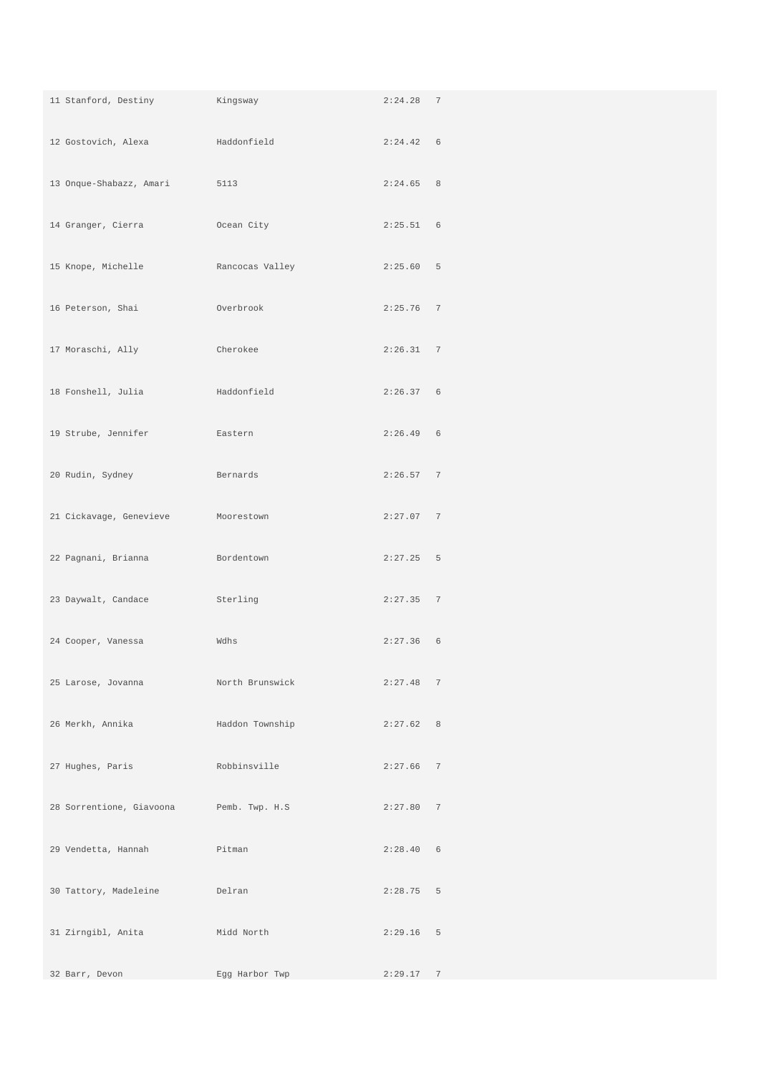| 11 Stanford, Destiny     | Kingsway        | 2:24.28 7   |  |
|--------------------------|-----------------|-------------|--|
| 12 Gostovich, Alexa      | Haddonfield     | 2:24.42 6   |  |
| 13 Onque-Shabazz, Amari  | 5113            | 2:24.65 8   |  |
| 14 Granger, Cierra       | Ocean City      | 2:25.51 6   |  |
| 15 Knope, Michelle       | Rancocas Valley | 2:25.60 5   |  |
| 16 Peterson, Shai        | Overbrook       | $2:25.76$ 7 |  |
| 17 Moraschi, Ally        | Cherokee        | 2:26.31 7   |  |
| 18 Fonshell, Julia       | Haddonfield     | 2:26.37 6   |  |
| 19 Strube, Jennifer      | Eastern         | $2:26.49$ 6 |  |
| 20 Rudin, Sydney         | Bernards        | 2:26.57 7   |  |
| 21 Cickavage, Genevieve  | Moorestown      | 2:27.07 7   |  |
| 22 Pagnani, Brianna      | Bordentown      | $2:27.25$ 5 |  |
| 23 Daywalt, Candace      | Sterling        | 2:27.35 7   |  |
| 24 Cooper, Vanessa       | Wdhs            | $2:27.36$ 6 |  |
| 25 Larose, Jovanna       | North Brunswick | 2:27.48 7   |  |
| 26 Merkh, Annika         | Haddon Township | 2:27.62 8   |  |
| 27 Hughes, Paris         | Robbinsville    | $2:27.66$ 7 |  |
| 28 Sorrentione, Giavoona | Pemb. Twp. H.S  | 2:27.80 7   |  |
| 29 Vendetta, Hannah      | Pitman          | 2:28.40 6   |  |
| 30 Tattory, Madeleine    | Delran          | $2:28.75$ 5 |  |
| 31 Zirngibl, Anita       | Midd North      | $2:29.16$ 5 |  |
| 32 Barr, Devon           | Egg Harbor Twp  | 2:29.17 7   |  |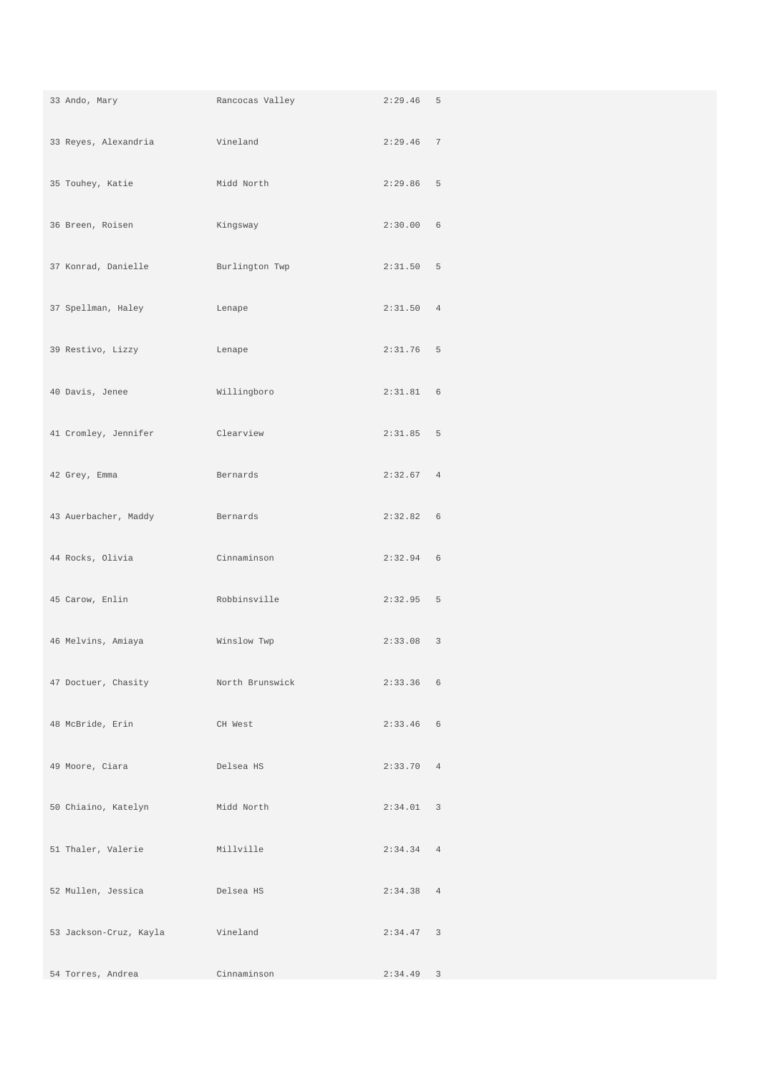| 33 Ando, Mary                       | Rancocas Valley | $2:29.46$ 5 |  |
|-------------------------------------|-----------------|-------------|--|
| 33 Reyes, Alexandria                | Vineland        | $2:29.46$ 7 |  |
| 35 Touhey, Katie                    | Midd North      | 2:29.86 5   |  |
| 36 Breen, Roisen                    | Kingsway        | 2:30.00 6   |  |
| 37 Konrad, Danielle                 | Burlington Twp  | 2:31.50 5   |  |
| 37 Spellman, Haley                  | Lenape          | 2:31.50 4   |  |
| 39 Restivo, Lizzy                   | Lenape          | $2:31.76$ 5 |  |
| 40 Davis, Jenee                     | Willingboro     | 2:31.81 6   |  |
| 41 Cromley, Jennifer                | Clearview       | 2:31.85 5   |  |
| 42 Grey, Emma                       | Bernards        | 2:32.67 4   |  |
| 43 Auerbacher, Maddy                | Bernards        | 2:32.82 6   |  |
| 44 Rocks, Olivia                    | Cinnaminson     | $2:32.94$ 6 |  |
| 45 Carow, Enlin                     | Robbinsville    | $2:32.95$ 5 |  |
| 46 Melvins, Amiaya                  | Winslow Twp     | $2:33.08$ 3 |  |
| 47 Doctuer, Chasity Morth Brunswick |                 | $2:33.36$ 6 |  |
| 48 McBride, Erin                    | CH West         | $2:33.46$ 6 |  |
| 49 Moore, Ciara                     | Delsea HS       | 2:33.70 4   |  |
| 50 Chiaino, Katelyn                 | Midd North      | 2:34.01 3   |  |
| 51 Thaler, Valerie                  | Millville       | 2:34.34 4   |  |
| 52 Mullen, Jessica                  | Delsea HS       | 2:34.38 4   |  |
| 53 Jackson-Cruz, Kayla Vineland     |                 | 2:34.47 3   |  |
| 54 Torres, Andrea                   | Cinnaminson     | $2:34.49$ 3 |  |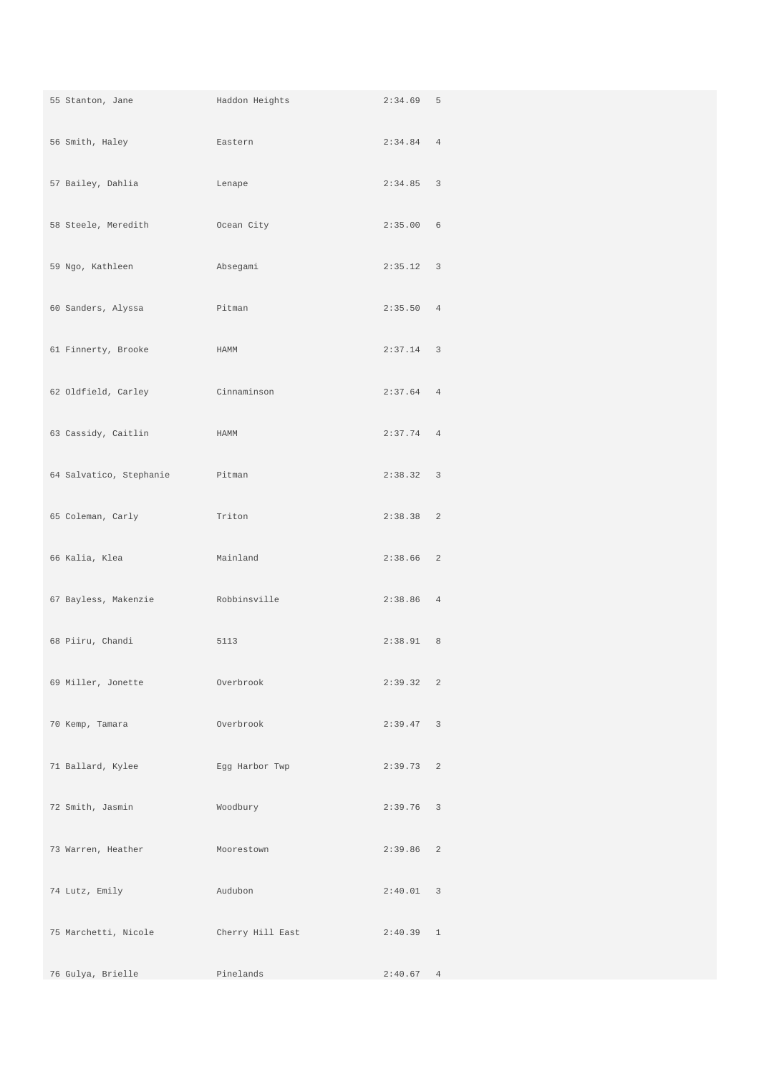| 55 Stanton, Jane        | Haddon Heights   | $2:34.69$ 5 |  |
|-------------------------|------------------|-------------|--|
| 56 Smith, Haley         | Eastern          | 2:34.84 4   |  |
| 57 Bailey, Dahlia       | Lenape           | 2:34.85 3   |  |
| 58 Steele, Meredith     | Ocean City       | 2:35.00 6   |  |
| 59 Ngo, Kathleen        | Absegami         | 2:35.12 3   |  |
| 60 Sanders, Alyssa      | Pitman           | 2:35.50 4   |  |
| 61 Finnerty, Brooke     | HAMM             | $2:37.14$ 3 |  |
| 62 Oldfield, Carley     | Cinnaminson      | 2:37.64 4   |  |
| 63 Cassidy, Caitlin     | HAMM             | $2:37.74$ 4 |  |
| 64 Salvatico, Stephanie | Pitman           | 2:38.32 3   |  |
| 65 Coleman, Carly       | Triton           | 2:38.38 2   |  |
| 66 Kalia, Klea          | Mainland         | 2:38.66 2   |  |
| 67 Bayless, Makenzie    | Robbinsville     | 2:38.86 4   |  |
| 68 Piiru, Chandi        | 5113             | 2:38.91 8   |  |
| 69 Miller, Jonette      | Overbrook        | 2:39.32 2   |  |
| 70 Kemp, Tamara         | Overbrook        | 2:39.47 3   |  |
| 71 Ballard, Kylee       | Egg Harbor Twp   | 2:39.73 2   |  |
| 72 Smith, Jasmin        | Woodbury         | $2:39.76$ 3 |  |
| 73 Warren, Heather      | Moorestown       | 2:39.86 2   |  |
| 74 Lutz, Emily          | Audubon          | 2:40.01 3   |  |
| 75 Marchetti, Nicole    | Cherry Hill East | $2:40.39$ 1 |  |
| 76 Gulya, Brielle       | Pinelands        | 2:40.67 4   |  |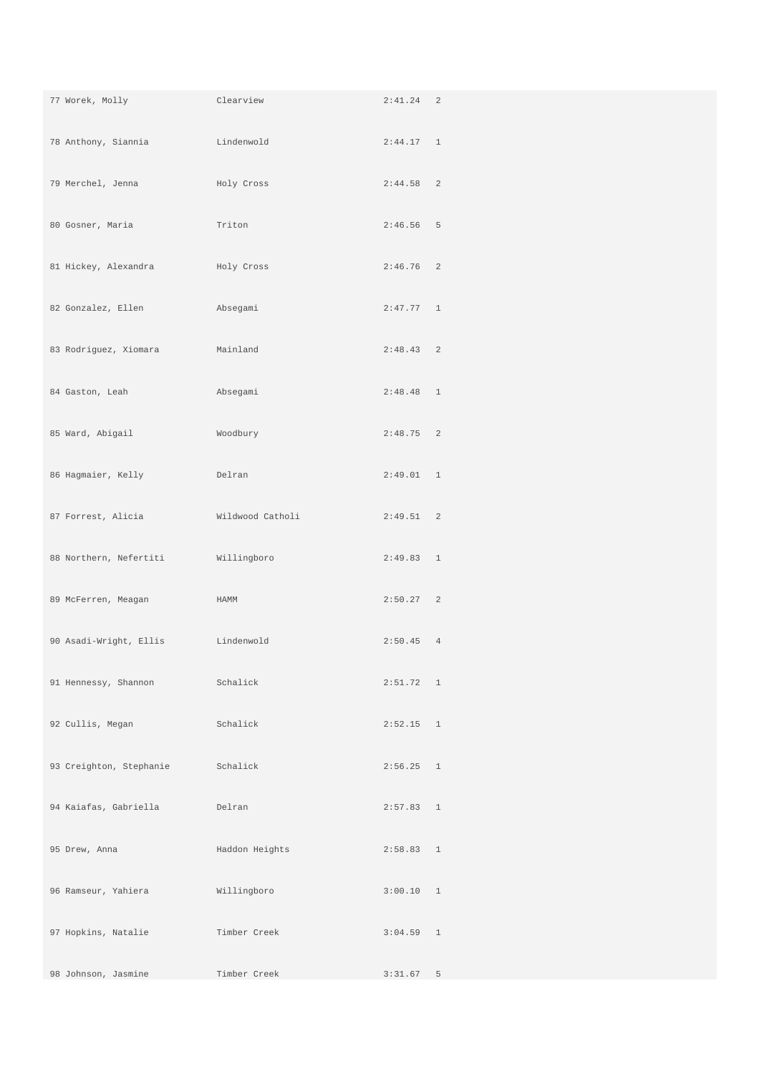| 77 Worek, Molly                     | Clearview      | $2:41.24$ 2 |  |
|-------------------------------------|----------------|-------------|--|
| 78 Anthony, Siannia                 | Lindenwold     | 2:44.17 1   |  |
| 79 Merchel, Jenna                   | Holy Cross     | $2:44.58$ 2 |  |
| 80 Gosner, Maria                    | Triton         | $2:46.56$ 5 |  |
| 81 Hickey, Alexandra                | Holy Cross     | $2:46.76$ 2 |  |
| 82 Gonzalez, Ellen                  | Absegami       | 2:47.77 1   |  |
| 83 Rodriguez, Xiomara               | Mainland       | 2:48.43 2   |  |
| 84 Gaston, Leah                     | Absegami       | $2:48.48$ 1 |  |
| 85 Ward, Abigail                    | Woodbury       | $2:48.75$ 2 |  |
| 86 Hagmaier, Kelly                  | Delran         | 2:49.01 1   |  |
| 87 Forrest, Alicia Mildwood Catholi |                | 2:49.51 2   |  |
| 88 Northern, Nefertiti              | Willingboro    | 2:49.83 1   |  |
| 89 McFerren, Meagan                 | HAMM           | 2:50.27 2   |  |
| 90 Asadi-Wright, Ellis              | Lindenwold     | 2:50.45 4   |  |
| 91 Hennessy, Shannon                | Schalick       | 2:51.72 1   |  |
| 92 Cullis, Megan                    | Schalick       | $2:52.15$ 1 |  |
| 93 Creighton, Stephanie             | Schalick       | 2:56.25 1   |  |
| 94 Kaiafas, Gabriella               | Delran         | 2:57.83 1   |  |
| 95 Drew, Anna                       | Haddon Heights | 2:58.83 1   |  |
| 96 Ramseur, Yahiera                 | Willingboro    | 3:00.10 1   |  |
| 97 Hopkins, Natalie                 | Timber Creek   | $3:04.59$ 1 |  |
| 98 Johnson, Jasmine                 | Timber Creek   | 3:31.67 5   |  |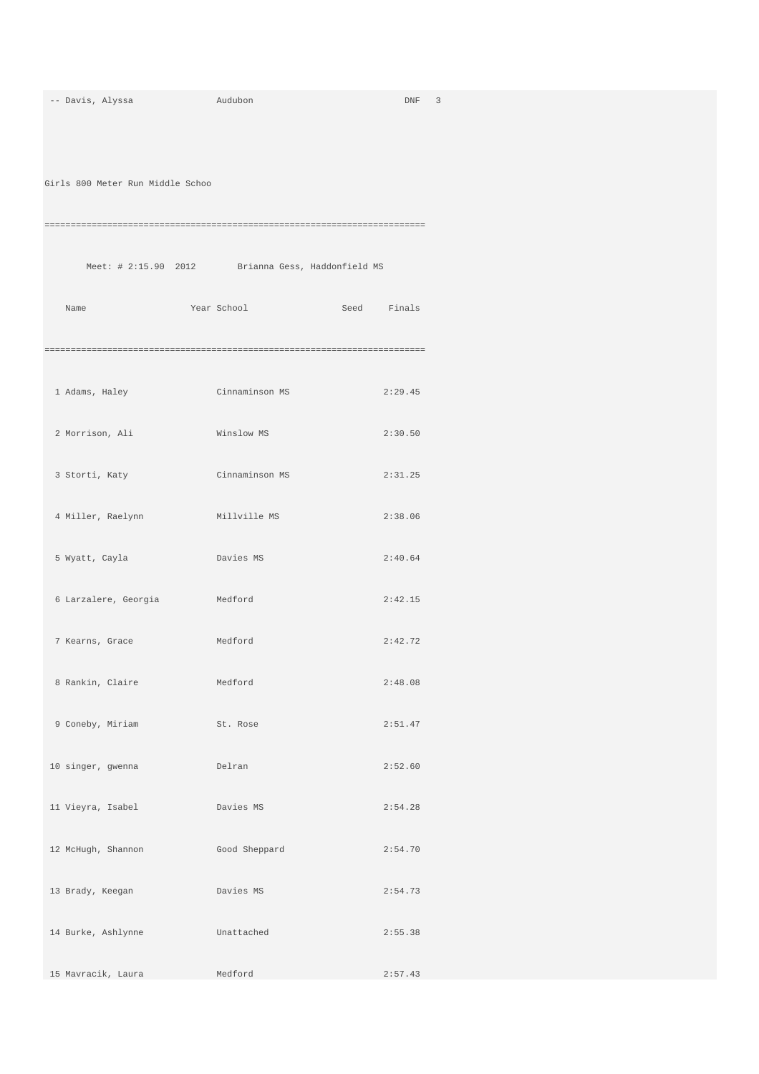| -- Davis, Alyssa                 | Audubon                                           | DNF 3       |
|----------------------------------|---------------------------------------------------|-------------|
| Girls 800 Meter Run Middle Schoo |                                                   |             |
|                                  |                                                   |             |
|                                  | Meet: # 2:15.90 2012 Brianna Gess, Haddonfield MS |             |
| Name                             | Year School                                       | Seed Finals |
|                                  |                                                   |             |
| 1 Adams, Haley                   | Cinnaminson MS                                    | 2:29.45     |
| 2 Morrison, Ali                  | Winslow MS                                        | 2:30.50     |
| 3 Storti, Katy                   | Cinnaminson MS                                    | 2:31.25     |
| 4 Miller, Raelynn                | Millville MS                                      | 2:38.06     |
| 5 Wyatt, Cayla                   | Davies MS                                         | 2:40.64     |
| 6 Larzalere, Georgia             | Medford                                           | 2:42.15     |
| 7 Kearns, Grace                  | Medford                                           | 2:42.72     |
| 8 Rankin, Claire                 | Medford                                           | 2:48.08     |
| 9 Coneby, Miriam                 | St. Rose                                          | 2:51.47     |
| 10 singer, gwenna                | Delran                                            | 2:52.60     |
| 11 Vieyra, Isabel                | Davies MS                                         | 2:54.28     |
| 12 McHugh, Shannon               | Good Sheppard                                     | 2:54.70     |
| 13 Brady, Keegan                 | Davies MS                                         | 2:54.73     |
| 14 Burke, Ashlynne               | Unattached                                        | 2:55.38     |
| 15 Mavracik, Laura               | Medford                                           | 2:57.43     |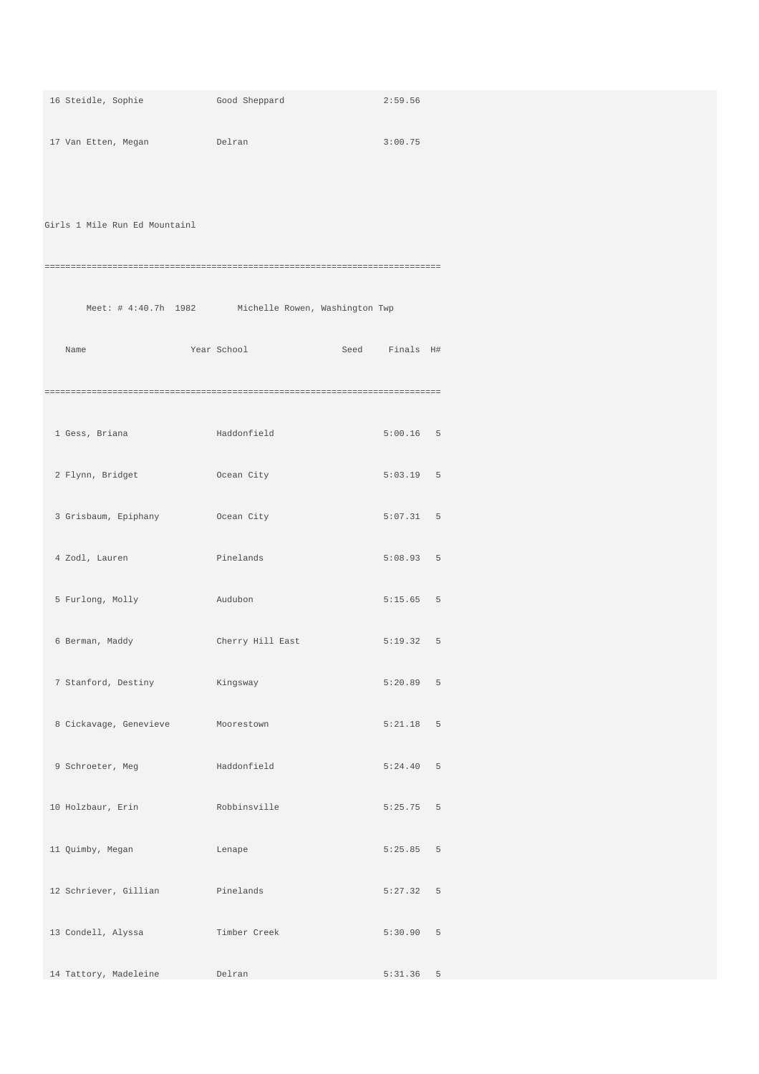| 16 Steidle, Sophie                | Good Sheppard                                       | 2:59.56     |  |
|-----------------------------------|-----------------------------------------------------|-------------|--|
| 17 Van Etten, Megan               | <b>Example 1</b> Delran                             | 3:00.75     |  |
|                                   |                                                     |             |  |
| Girls 1 Mile Run Ed Mountainl     |                                                     |             |  |
|                                   |                                                     |             |  |
|                                   |                                                     |             |  |
|                                   | Meet: # 4:40.7h 1982 Michelle Rowen, Washington Twp |             |  |
| Name                              | Year School<br>Seed Finals H#                       |             |  |
|                                   |                                                     |             |  |
| 1 Gess, Briana                    | Haddonfield                                         | $5:00.16$ 5 |  |
| 2 Flynn, Bridget                  | Ocean City                                          | $5:03.19$ 5 |  |
| 3 Grisbaum, Epiphany (Ocean City) |                                                     | 5:07.31 5   |  |
|                                   |                                                     |             |  |
| 4 Zodl, Lauren                    | Pinelands                                           | 5:08.93 5   |  |
| 5 Furlong, Molly                  | Audubon                                             | $5:15.65$ 5 |  |
| 6 Berman, Maddy                   | Cherry Hill East                                    | 5:19.32 5   |  |
| 7 Stanford, Destiny               | Kingsway                                            | 5:20.89 5   |  |
| 8 Cickavage, Genevieve            | Moorestown                                          | $5:21.18$ 5 |  |
| 9 Schroeter, Meg                  | Haddonfield                                         | 5:24.40 5   |  |
|                                   |                                                     |             |  |
| 10 Holzbaur, Erin                 | Robbinsville                                        | $5:25.75$ 5 |  |
| 11 Quimby, Megan                  | Lenape                                              | 5:25.85 5   |  |
| 12 Schriever, Gillian             | Pinelands                                           | 5:27.32 5   |  |
| 13 Condell, Alyssa                | Timber Creek                                        | 5:30.90 5   |  |
| 14 Tattory, Madeleine             | Delran                                              | $5:31.36$ 5 |  |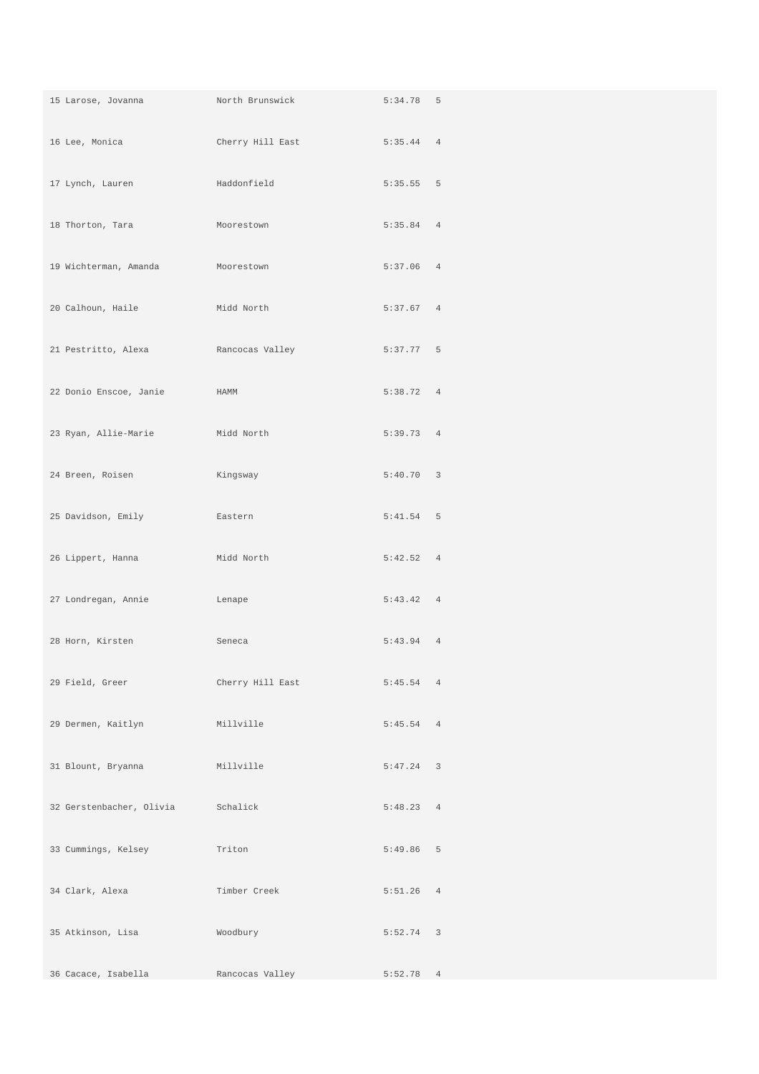| 15 Larose, Jovanna                | North Brunswick  | $5:34.78$ 5 |  |
|-----------------------------------|------------------|-------------|--|
| 16 Lee, Monica                    | Cherry Hill East | $5:35.44$ 4 |  |
| 17 Lynch, Lauren                  | Haddonfield      | $5:35.55$ 5 |  |
| 18 Thorton, Tara                  | Moorestown       | 5:35.84 4   |  |
| 19 Wichterman, Amanda             | Moorestown       | $5:37.06$ 4 |  |
| 20 Calhoun, Haile                 | Midd North       | 5:37.67 4   |  |
| 21 Pestritto, Alexa               | Rancocas Valley  | $5:37.77$ 5 |  |
| 22 Donio Enscoe, Janie            | HAMM             | 5:38.72 4   |  |
| 23 Ryan, Allie-Marie              | Midd North       | 5:39.73 4   |  |
| 24 Breen, Roisen                  | Kingsway         | 5:40.70 3   |  |
| 25 Davidson, Emily                | Eastern          | $5:41.54$ 5 |  |
| 26 Lippert, Hanna                 | Midd North       | 5:42.52 4   |  |
| 27 Londregan, Annie               | Lenape           | 5:43.42 4   |  |
| 28 Horn, Kirsten                  | Seneca           | $5:43.94$ 4 |  |
| 29 Field, Greer                   | Cherry Hill East | 5:45.54 4   |  |
| 29 Dermen, Kaitlyn Millville      |                  | 5:45.54 4   |  |
| 31 Blount, Bryanna                | Millville        | $5:47.24$ 3 |  |
| 32 Gerstenbacher, Olivia Schalick |                  | 5:48.23 4   |  |
| 33 Cummings, Kelsey               | Triton           | $5:49.86$ 5 |  |
| 34 Clark, Alexa                   | Timber Creek     | $5:51.26$ 4 |  |
| 35 Atkinson, Lisa                 | Woodbury         | $5:52.74$ 3 |  |
| 36 Cacace, Isabella               | Rancocas Valley  | $5:52.78$ 4 |  |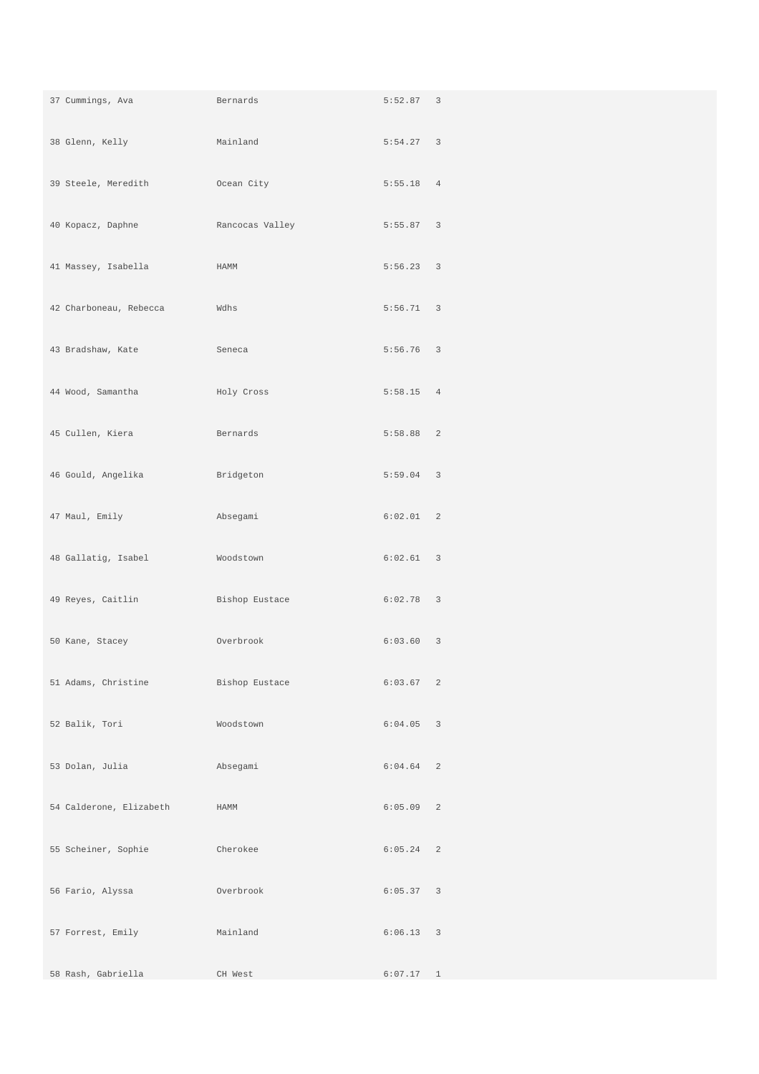| 37 Cummings, Ava        | Bernards        | 5:52.87 3   |  |
|-------------------------|-----------------|-------------|--|
| 38 Glenn, Kelly         | Mainland        | $5:54.27$ 3 |  |
| 39 Steele, Meredith     | Ocean City      | 5:55.18 4   |  |
| 40 Kopacz, Daphne       | Rancocas Valley | 5:55.87 3   |  |
| 41 Massey, Isabella     | HAMM            | $5:56.23$ 3 |  |
| 42 Charboneau, Rebecca  | Wdhs            | $5:56.71$ 3 |  |
| 43 Bradshaw, Kate       | Seneca          | $5:56.76$ 3 |  |
| 44 Wood, Samantha       | Holy Cross      | $5:58.15$ 4 |  |
| 45 Cullen, Kiera        | Bernards        | 5:58.88 2   |  |
| 46 Gould, Angelika      | Bridgeton       | $5:59.04$ 3 |  |
| 47 Maul, Emily          | Absegami        | 6:02.01 2   |  |
| 48 Gallatig, Isabel     | Woodstown       | 6:02.61 3   |  |
| 49 Reyes, Caitlin       | Bishop Eustace  | $6:02.78$ 3 |  |
| 50 Kane, Stacey         | Overbrook       | 6:03.60 3   |  |
| 51 Adams, Christine     | Bishop Eustace  | 6:03.67 2   |  |
| 52 Balik, Tori          | Woodstown       | $6:04.05$ 3 |  |
| 53 Dolan, Julia         | Absegami        | $6:04.64$ 2 |  |
| 54 Calderone, Elizabeth | HAMM            | $6:05.09$ 2 |  |
| 55 Scheiner, Sophie     | Cherokee        | $6:05.24$ 2 |  |
| 56 Fario, Alyssa        | Overbrook       | 6:05.37 3   |  |
| 57 Forrest, Emily       | Mainland        | $6:06.13$ 3 |  |
| 58 Rash, Gabriella      | CH West         | 6:07.17 1   |  |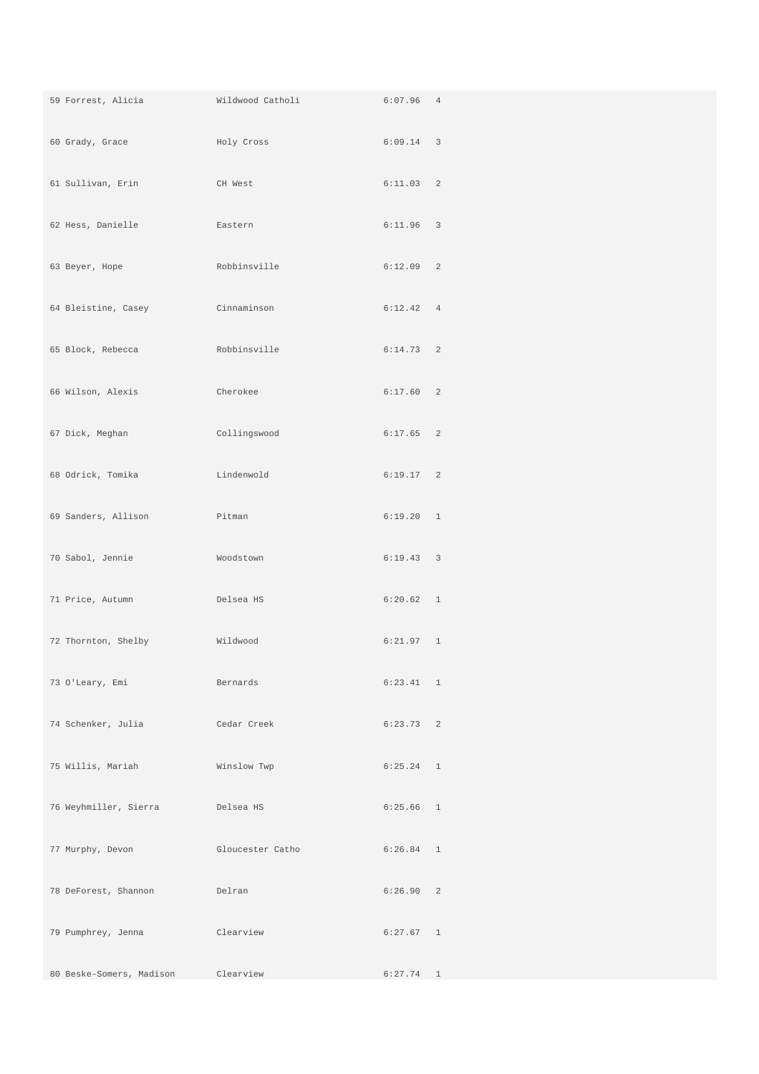| 59 Forrest, Alicia              | Wildwood Catholi | $6:07.96$ 4 |  |
|---------------------------------|------------------|-------------|--|
| 60 Grady, Grace                 | Holy Cross       | $6:09.14$ 3 |  |
| 61 Sullivan, Erin               | CH West          | 6:11.03 2   |  |
| 62 Hess, Danielle               | Eastern          | $6:11.96$ 3 |  |
| 63 Beyer, Hope                  | Robbinsville     | $6:12.09$ 2 |  |
| 64 Bleistine, Casey Cinnaminson |                  | 6:12.42 4   |  |
| 65 Block, Rebecca               | Robbinsville     | $6:14.73$ 2 |  |
| 66 Wilson, Alexis               | Cherokee         | 6:17.60 2   |  |
| 67 Dick, Meghan                 | Collingswood     | $6:17.65$ 2 |  |
| 68 Odrick, Tomika               | Lindenwold       | 6:19.17 2   |  |
| 69 Sanders, Allison             | Pitman           | 6:19.20 1   |  |
| 70 Sabol, Jennie                | Woodstown        | 6:19.43 3   |  |
| 71 Price, Autumn                | Delsea HS        | 6:20.62 1   |  |
| 72 Thornton, Shelby             | Wildwood         | 6:21.97 1   |  |
| 73 O'Leary, Emi                 | Bernards         | 6:23.41 1   |  |
| 74 Schenker, Julia              | Cedar Creek      | 6:23.73 2   |  |
| 75 Willis, Mariah               | Winslow Twp      | $6:25.24$ 1 |  |
| 76 Weyhmiller, Sierra           | Delsea HS        | $6:25.66$ 1 |  |
| 77 Murphy, Devon                | Gloucester Catho | $6:26.84$ 1 |  |
| 78 DeForest, Shannon            | Delran           | 6:26.90 2   |  |
| 79 Pumphrey, Jenna              | Clearview        | 6:27.67 1   |  |
| 80 Beske-Somers, Madison        | Clearview        | $6:27.74$ 1 |  |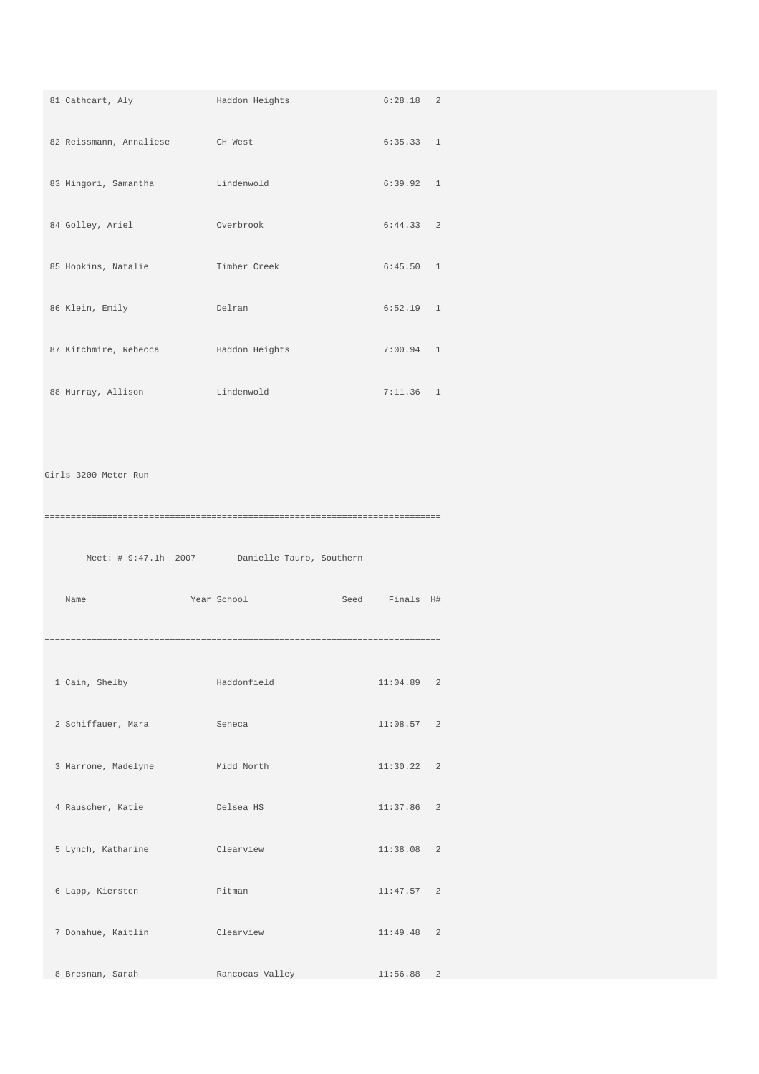| 81 Cathcart, Aly        | Haddon Heights                                | $6:28.18$ 2       |  |
|-------------------------|-----------------------------------------------|-------------------|--|
| 82 Reissmann, Annaliese | CH West                                       | 6:35.33 1         |  |
| 83 Mingori, Samantha    | Lindenwold                                    | 6:39.92 1         |  |
| 84 Golley, Ariel        | Overbrook                                     | $6:44.33$ 2       |  |
| 85 Hopkins, Natalie     | Timber Creek                                  | 6:45.50 1         |  |
| 86 Klein, Emily         | Delran                                        | $6:52.19$ 1       |  |
| 87 Kitchmire, Rebecca   | Haddon Heights                                | $7:00.94$ 1       |  |
| 88 Murray, Allison      | Lindenwold                                    | $7:11.36$ 1       |  |
|                         |                                               |                   |  |
| Girls 3200 Meter Run    |                                               |                   |  |
|                         |                                               |                   |  |
|                         | Meet: # 9:47.1h 2007 Danielle Tauro, Southern |                   |  |
| Name                    | Year School                                   | Seed<br>Finals H# |  |
|                         |                                               |                   |  |
| 1 Cain, Shelby          | Haddonfield                                   | 11:04.89 2        |  |
| 2 Schiffauer, Mara      | Seneca                                        | 11:08.57 2        |  |
| 3 Marrone, Madelyne     | Midd North                                    | 11:30.22 2        |  |
| 4 Rauscher, Katie       | Delsea HS                                     | 11:37.86 2        |  |
| 5 Lynch, Katharine      | Clearview                                     | 11:38.08 2        |  |
| 6 Lapp, Kiersten        | Pitman                                        | 11:47.57 2        |  |
| 7 Donahue, Kaitlin      |                                               |                   |  |
|                         | Clearview                                     | $11:49.48$ 2      |  |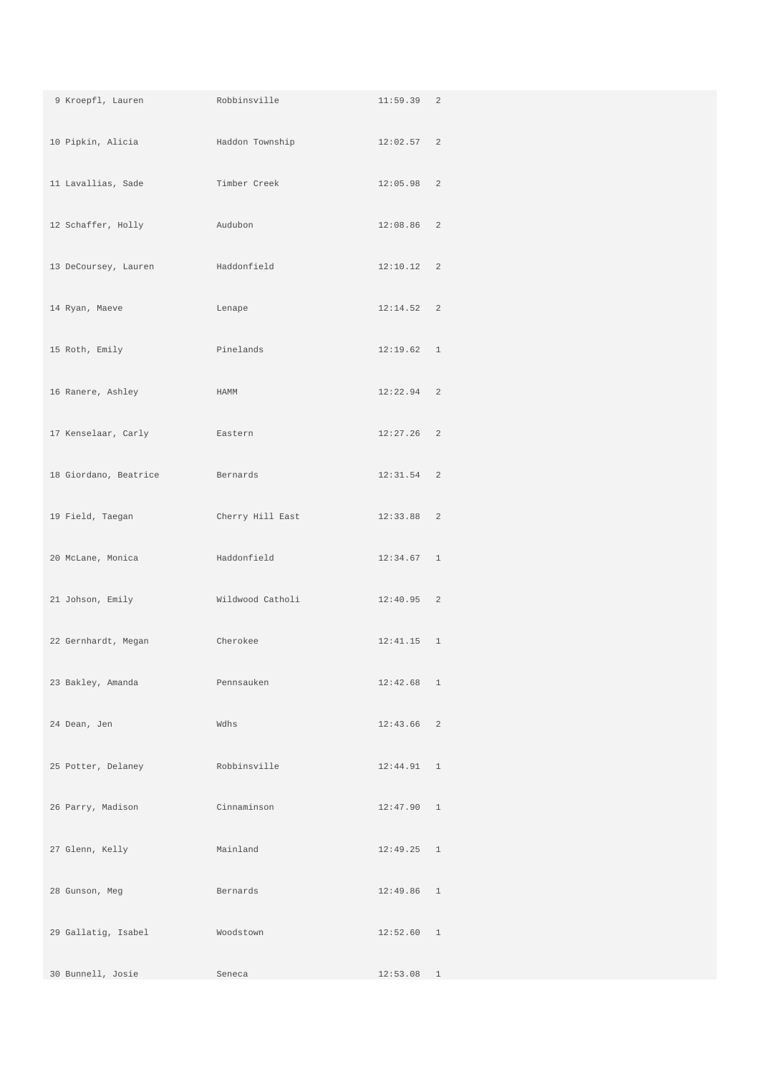| 9 Kroepfl, Lauren     | Robbinsville     | 11:59.39 2   |  |
|-----------------------|------------------|--------------|--|
| 10 Pipkin, Alicia     | Haddon Township  | 12:02.57 2   |  |
| 11 Lavallias, Sade    | Timber Creek     | $12:05.98$ 2 |  |
| 12 Schaffer, Holly    | Audubon          | $12:08.86$ 2 |  |
| 13 DeCoursey, Lauren  | Haddonfield      | 12:10.12 2   |  |
| 14 Ryan, Maeve        | Lenape           | 12:14.52 2   |  |
| 15 Roth, Emily        | Pinelands        | 12:19.62 1   |  |
| 16 Ranere, Ashley     | HAMM             | $12:22.94$ 2 |  |
| 17 Kenselaar, Carly   | Eastern          | $12:27.26$ 2 |  |
| 18 Giordano, Beatrice | Bernards         | $12:31.54$ 2 |  |
| 19 Field, Taegan      | Cherry Hill East | 12:33.88 2   |  |
| 20 McLane, Monica     | Haddonfield      | $12:34.67$ 1 |  |
| 21 Johson, Emily      | Wildwood Catholi | $12:40.95$ 2 |  |
| 22 Gernhardt, Megan   | Cherokee         | $12:41.15$ 1 |  |
| 23 Bakley, Amanda     | Pennsauken       | $12:42.68$ 1 |  |
| 24 Dean, Jen          | Wdhs             | $12:43.66$ 2 |  |
| 25 Potter, Delaney    | Robbinsville     | 12:44.91 1   |  |
| 26 Parry, Madison     | Cinnaminson      | 12:47.90 1   |  |
| 27 Glenn, Kelly       | Mainland         | $12:49.25$ 1 |  |
| 28 Gunson, Meg        | Bernards         | $12:49.86$ 1 |  |
| 29 Gallatig, Isabel   | Woodstown        | 12:52.60 1   |  |
| 30 Bunnell, Josie     | Seneca           | $12:53.08$ 1 |  |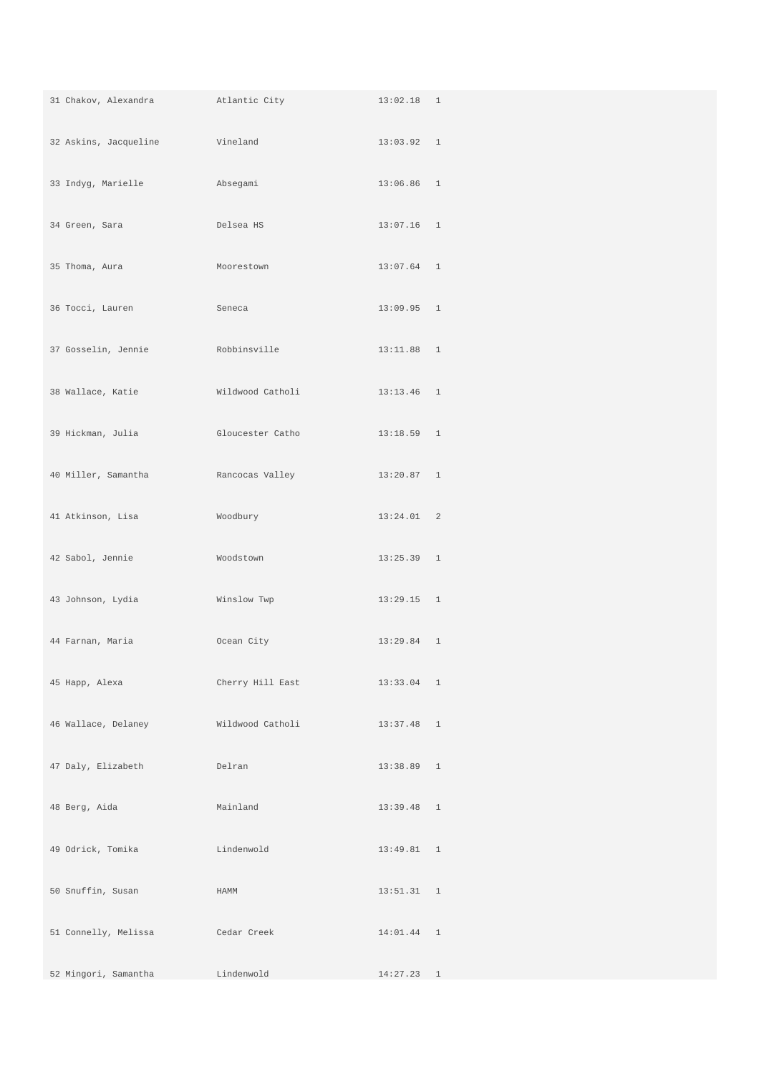| 31 Chakov, Alexandra             | Atlantic City    | $13:02.18$ 1 |  |
|----------------------------------|------------------|--------------|--|
| 32 Askins, Jacqueline            | Vineland         | 13:03.92 1   |  |
| 33 Indyg, Marielle               | Absegami         | $13:06.86$ 1 |  |
| 34 Green, Sara                   | Delsea HS        | $13:07.16$ 1 |  |
| 35 Thoma, Aura                   | Moorestown       | $13:07.64$ 1 |  |
| 36 Tocci, Lauren                 | Seneca           | $13:09.95$ 1 |  |
| 37 Gosselin, Jennie Robbinsville |                  | 13:11.88 1   |  |
| 38 Wallace, Katie                | Wildwood Catholi | $13:13.46$ 1 |  |
| 39 Hickman, Julia                | Gloucester Catho | $13:18.59$ 1 |  |
| 40 Miller, Samantha              | Rancocas Valley  | 13:20.87 1   |  |
| 41 Atkinson, Lisa                | Woodbury         | 13:24.01 2   |  |
| 42 Sabol, Jennie                 | Woodstown        | $13:25.39$ 1 |  |
| 43 Johnson, Lydia                | Winslow Twp      | $13:29.15$ 1 |  |
| 44 Farnan, Maria                 | Ocean City       | $13:29.84$ 1 |  |
| 45 Happ, Alexa                   | Cherry Hill East | 13:33.04 1   |  |
| 46 Wallace, Delaney              | Wildwood Catholi | $13:37.48$ 1 |  |
| 47 Daly, Elizabeth               | Delran           | $13:38.89$ 1 |  |
| 48 Berg, Aida                    | Mainland         | $13:39.48$ 1 |  |
| 49 Odrick, Tomika                | Lindenwold       | 13:49.81 1   |  |
| 50 Snuffin, Susan                | HAMM             | 13:51.31 1   |  |
| 51 Connelly, Melissa             | Cedar Creek      | 14:01.44 1   |  |
| 52 Mingori, Samantha             | Lindenwold       | $14:27.23$ 1 |  |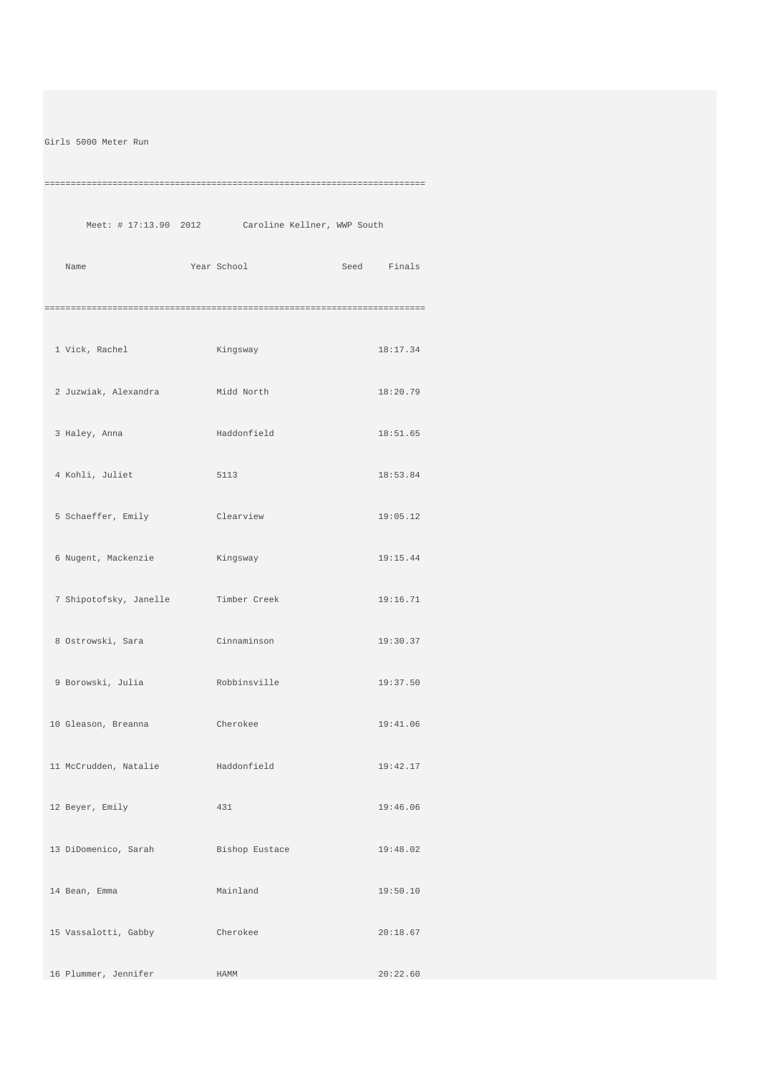Girls 5000 Meter Run

=========================================================================

Meet: # 17:13.90 2012 Caroline Kellner, WWP South

Name Year School Seed Finals =========================================================================

| 1 Vick, Rachel                      | <b>Example 21</b><br>Kingsway | 18:17.34 |
|-------------------------------------|-------------------------------|----------|
| 2 Juzwiak, Alexandra     Midd North |                               | 18:20.79 |
| 3 Haley, Anna Maddonfield           |                               | 18:51.65 |
| 4 Kohli, Juliet                     | 5113                          | 18:53.84 |
| 5 Schaeffer, Emily                  | Clearview                     | 19:05.12 |
| 6 Nugent, Mackenzie                 | Kingsway                      | 19:15.44 |
| 7 Shipotofsky, Janelle Timber Creek |                               | 19:16.71 |
| 8 Ostrowski, Sara (Cinnaminson      |                               | 19:30.37 |
| 9 Borowski, Julia Robbinsville      |                               | 19:37.50 |
| 10 Gleason, Breanna Cherokee        |                               | 19:41.06 |
| 11 McCrudden, Natalie Maddonfield   |                               | 19:42.17 |
| 12 Beyer, Emily                     | 431                           | 19:46.06 |
| 13 DiDomenico, Sarah                | Bishop Eustace                | 19:48.02 |
| 14 Bean, Emma                       | Mainland                      | 19:50.10 |
| 15 Vassalotti, Gabby                | Cherokee                      | 20:18.67 |
| 16 Plummer, Jennifer                | HAMM                          | 20:22.60 |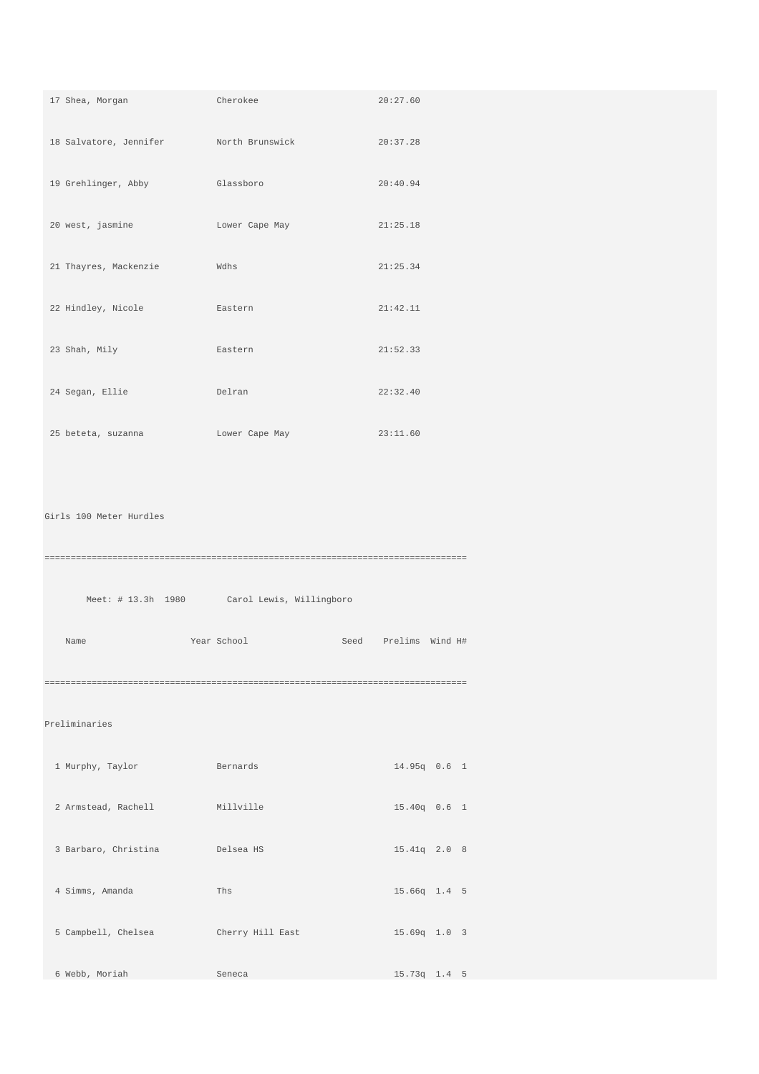| 17 Shea, Morgan                        | Cherokee                 | 20:27.60        |
|----------------------------------------|--------------------------|-----------------|
| 18 Salvatore, Jennifer North Brunswick |                          | 20:37.28        |
| 19 Grehlinger, Abby                    | Glassboro                | 20:40.94        |
| 20 west, jasmine                       | Lower Cape May           | 21:25.18        |
| 21 Thayres, Mackenzie                  | Wdhs                     | 21:25.34        |
| 22 Hindley, Nicole                     | Eastern                  | 21:42.11        |
| 23 Shah, Mily                          | Eastern                  | 21:52.33        |
| 24 Segan, Ellie                        | Delran                   | 22:32.40        |
| 25 beteta, suzanna                     | Lower Cape May           | 23:11.60        |
|                                        |                          |                 |
| Girls 100 Meter Hurdles                |                          |                 |
|                                        |                          |                 |
| Meet: # 13.3h 1980                     | Carol Lewis, Willingboro |                 |
| Name                                   | Year School<br>Seed      | Prelims Wind H# |
|                                        |                          |                 |
| Preliminaries                          |                          |                 |
| 1 Murphy, Taylor                       | Bernards                 | 14.95q 0.6 1    |
| 2 Armstead, Rachell                    | Millville                | 15.40q 0.6 1    |
| 3 Barbaro, Christina                   | Delsea HS                | 15.41q 2.0 8    |
| 4 Simms, Amanda                        | Ths                      | 15.66q 1.4 5    |
|                                        |                          |                 |
| 5 Campbell, Chelsea                    | Cherry Hill East         | 15.69q 1.0 3    |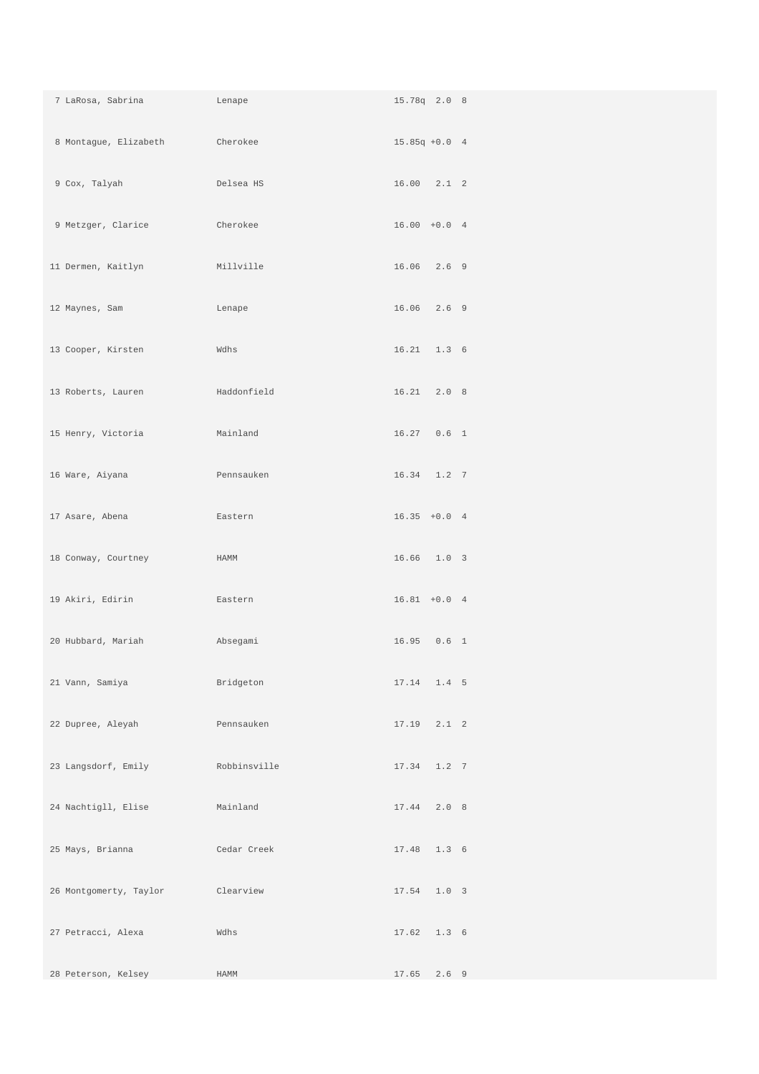| 7 LaRosa, Sabrina<br><b>Example 12</b> Lenape |              | 15.78q 2.0 8    |
|-----------------------------------------------|--------------|-----------------|
| 8 Montague, Elizabeth                         | Cherokee     | $15.85q + 0.04$ |
| 9 Cox, Talyah                                 | Delsea HS    | $16.00$ $2.1$ 2 |
| 9 Metzger, Clarice                            | Cherokee     | $16.00 + 0.04$  |
| 11 Dermen, Kaitlyn                            | Millville    | $16.06$ $2.6$ 9 |
| 12 Maynes, Sam                                | Lenape       | 16.06 2.6 9     |
| 13 Cooper, Kirsten                            | Wdhs         | $16.21$ $1.3$ 6 |
| 13 Roberts, Lauren                            | Haddonfield  | 16.21 2.0 8     |
| 15 Henry, Victoria                            | Mainland     | 16.27  0.6  1   |
| 16 Ware, Aiyana                               | Pennsauken   | 16.34   1.2   7 |
| 17 Asare, Abena                               | Eastern      | $16.35 + 0.04$  |
| 18 Conway, Courtney                           | HAMM         | 16.66 1.0 3     |
| 19 Akiri, Edirin                              | Eastern      | $16.81 + 0.04$  |
| 20 Hubbard, Mariah                            | Absegami     | 16.95  0.6  1   |
| 21 Vann, Samiya Manazarta (1988)              | Bridgeton    | 17.14 1.4 5     |
| 22 Dupree, Aleyah                             | Pennsauken   | $17.19$ $2.1$ 2 |
| 23 Langsdorf, Emily                           | Robbinsville | $17.34$ $1.2$ 7 |
| 24 Nachtigll, Elise                           | Mainland     | 17.44 2.0 8     |
| 25 Mays, Brianna                              | Cedar Creek  | 17.48  1.3  6   |
| 26 Montgomerty, Taylor                        | Clearview    | 17.54 1.0 3     |
| 27 Petracci, Alexa                            | Wdhs         | 17.62 1.3 6     |
| 28 Peterson, Kelsey                           | HAMM         | 17.65 2.6 9     |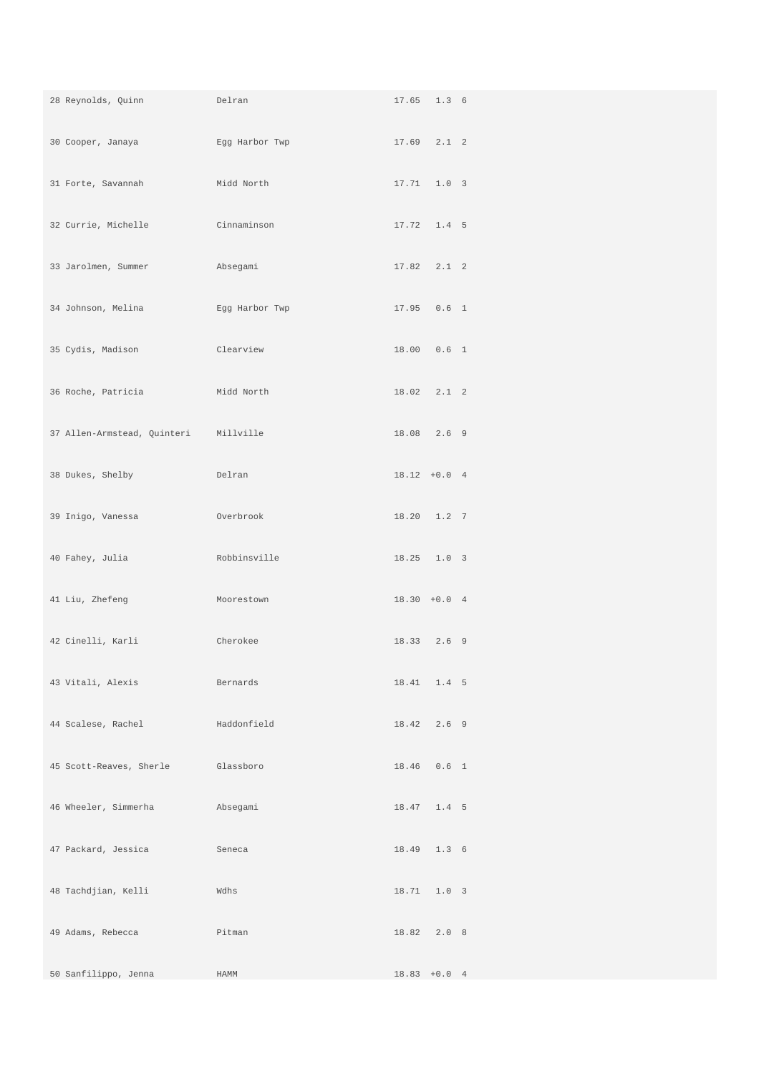| and Delran<br>28 Reynolds, Quinn                                                                                                                                                                                                                      |                | 17.65 1.3 6     |  |
|-------------------------------------------------------------------------------------------------------------------------------------------------------------------------------------------------------------------------------------------------------|----------------|-----------------|--|
| 30 Cooper, Janaya                                                                                                                                                                                                                                     |                |                 |  |
| 31 Forte, Savannah                                                                                                                                                                                                                                    | Midd North     | 17.71  1.0  3   |  |
| 32 Currie, Michelle Cinnaminson                                                                                                                                                                                                                       |                | 17.72  1.4  5   |  |
| 33 Jarolmen, Summer<br>and a state and a state and a state and a state of the state of the state of the state of the state of the state of the state of the state of the state of the state of the state of the state of the state of the state of th |                | $17.82$ $2.1$ 2 |  |
| 34 Johnson, Melina                                                                                                                                                                                                                                    | Egg Harbor Twp | 17.95  0.6  1   |  |
| 35 Cydis, Madison<br><b>Clearview</b>                                                                                                                                                                                                                 |                | 18.00  0.6  1   |  |
| 36 Roche, Patricia Midd North                                                                                                                                                                                                                         |                | 18.02 2.1 2     |  |
| 37 Allen-Armstead, Quinteri Millville                                                                                                                                                                                                                 |                | 18.08 2.6 9     |  |
| 38 Dukes, Shelby                                                                                                                                                                                                                                      | Delran         | $18.12 + 0.0 4$ |  |
| 39 Inigo, Vanessa                                                                                                                                                                                                                                     | Overbrook      | 18.20 1.2 7     |  |
| 40 Fahey, Julia                                                                                                                                                                                                                                       | Robbinsville   | 18.25 1.0 3     |  |
| 41 Liu, Zhefeng                                                                                                                                                                                                                                       | Moorestown     | $18.30 + 0.04$  |  |
| 42 Cinelli, Karli                                                                                                                                                                                                                                     | Cherokee       | 18.33 2.6 9     |  |
| 43 Vitali, Alexis                                                                                                                                                                                                                                     | Bernards       | 18.41 1.4 5     |  |
| 44 Scalese, Rachel                                                                                                                                                                                                                                    | Haddonfield    | 18.42 2.6 9     |  |
| 45 Scott-Reaves, Sherle                                                                                                                                                                                                                               | Glassboro      | 18.46  0.6  1   |  |
| 46 Wheeler, Simmerha                                                                                                                                                                                                                                  | Absegami       | 18.47 1.4 5     |  |
| 47 Packard, Jessica                                                                                                                                                                                                                                   | Seneca         | 18.49 1.3 6     |  |
| 48 Tachdjian, Kelli                                                                                                                                                                                                                                   | Wdhs           | 18.71 1.0 3     |  |
| 49 Adams, Rebecca                                                                                                                                                                                                                                     | Pitman         | 18.82 2.0 8     |  |
| 50 Sanfilippo, Jenna                                                                                                                                                                                                                                  | HAMM           | $18.83 + 0.0 4$ |  |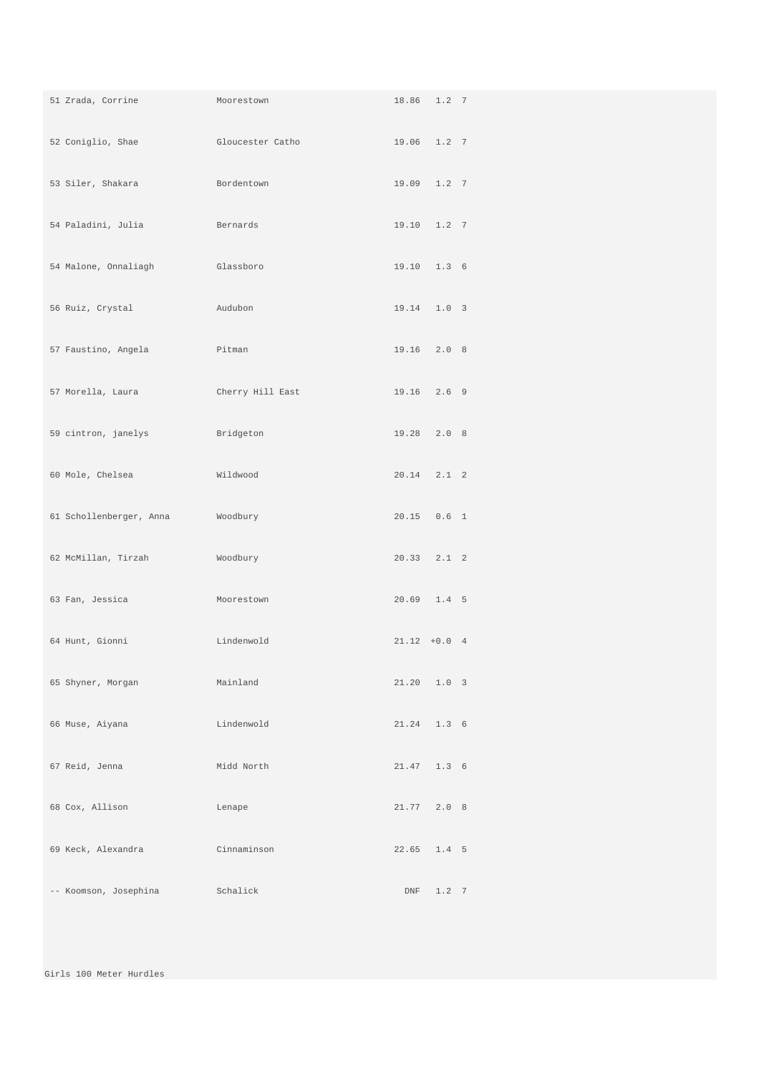| 51 Zrada, Corrine       | Moorestown                                                                                                                                                                                                                     | 18.86 1.2 7     |  |
|-------------------------|--------------------------------------------------------------------------------------------------------------------------------------------------------------------------------------------------------------------------------|-----------------|--|
| 52 Coniglio, Shae       | Gloucester Catholic Catholic Catholic Contract Catholic Catholic Catholic Catholic Catholic Catholic Catholic Catholic Catholic Catholic Catholic Catholic Catholic Catholic Catholic Catholic Catholic Catholic Catholic Cath | 19.06 1.2 7     |  |
| 53 Siler, Shakara       | Bordentown                                                                                                                                                                                                                     | 19.09 1.2 7     |  |
| 54 Paladini, Julia      | Bernards                                                                                                                                                                                                                       | 19.10 1.2 7     |  |
| 54 Malone, Onnaliagh    | Glassboro                                                                                                                                                                                                                      | 19.10 1.3 6     |  |
| 56 Ruiz, Crystal        | Audubon                                                                                                                                                                                                                        | 19.14 1.0 3     |  |
| 57 Faustino, Angela     | Pitman                                                                                                                                                                                                                         | 19.16 2.0 8     |  |
| 57 Morella, Laura       | Cherry Hill East                                                                                                                                                                                                               | 19.16 2.6 9     |  |
| 59 cintron, janelys     | Bridgeton                                                                                                                                                                                                                      | 19.28 2.0 8     |  |
| 60 Mole, Chelsea        | Wildwood                                                                                                                                                                                                                       | $20.14$ $2.1$ 2 |  |
| 61 Schollenberger, Anna | Woodbury                                                                                                                                                                                                                       | $20.15$ 0.6 1   |  |
| 62 McMillan, Tirzah     | Woodbury                                                                                                                                                                                                                       | $20.33$ $2.1$ 2 |  |
| 63 Fan, Jessica         | Moorestown                                                                                                                                                                                                                     | $20.69$ 1.4 5   |  |
| 64 Hunt, Gionni         | Lindenwold                                                                                                                                                                                                                     | $21.12 + 0.0 4$ |  |
| 65 Shyner, Morgan       | Mainland                                                                                                                                                                                                                       | $21.20$ $1.0$ 3 |  |
| 66 Muse, Aiyana         | Lindenwold                                                                                                                                                                                                                     | $21.24$ 1.3 6   |  |
| 67 Reid, Jenna          | Midd North                                                                                                                                                                                                                     | 21.47 1.3 6     |  |
| 68 Cox, Allison         | Lenape                                                                                                                                                                                                                         | 21.77 2.0 8     |  |
| 69 Keck, Alexandra      | Cinnaminson                                                                                                                                                                                                                    | $22.65$ 1.4 5   |  |
| -- Koomson, Josephina   | Schalick                                                                                                                                                                                                                       | DNF 1.2 7       |  |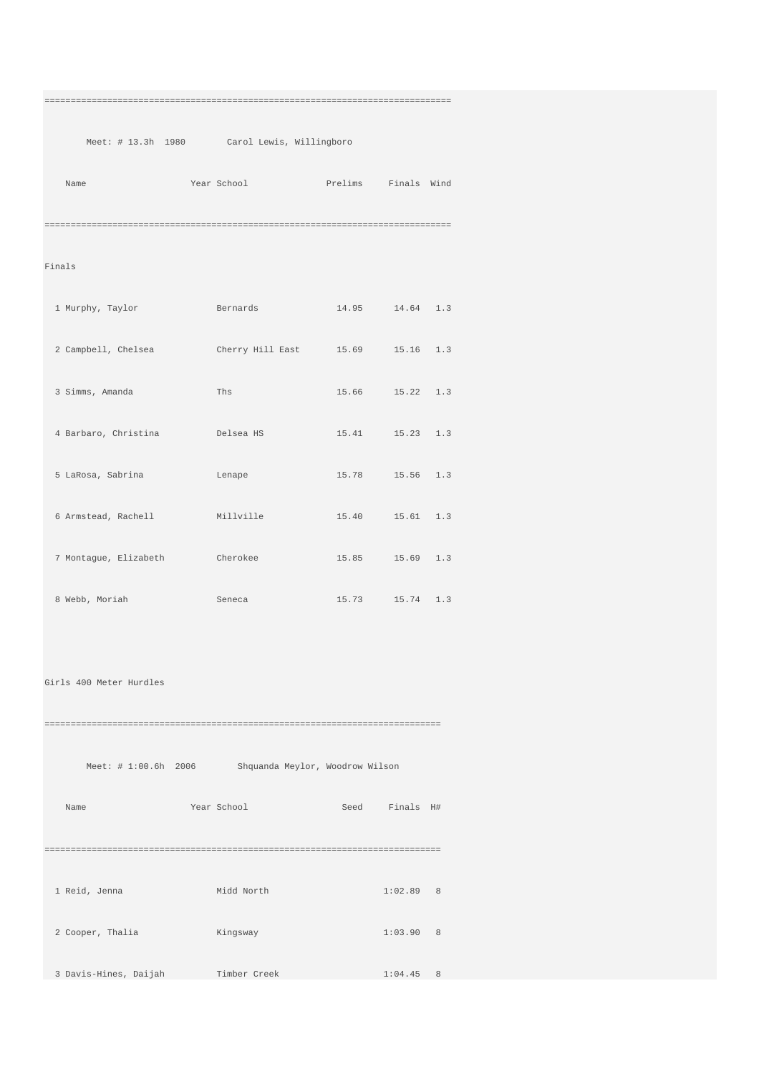## ==============================================================================

Meet: # 13.3h 1980 Carol Lewis, Willingboro

| Name | Year School | Prelims | Finals Wind |
|------|-------------|---------|-------------|
|      |             |         |             |

## Finals

| 1 Murphy, Taylor      | Bernards                         | 14.95 14.64 1.3     |  |
|-----------------------|----------------------------------|---------------------|--|
| 2 Campbell, Chelsea   | Cherry Hill East 15.69 15.16 1.3 |                     |  |
| 3 Simms, Amanda       | Ths                              | 15.66 15.22 1.3     |  |
| 4 Barbaro, Christina  | Delsea HS                        | 15.41 15.23 1.3     |  |
| 5 LaRosa, Sabrina     | Lenape                           | 15.78   15.56   1.3 |  |
| 6 Armstead, Rachell   | Millville                        | 15.40   15.61   1.3 |  |
| 7 Montague, Elizabeth | Cherokee                         | 15.85 15.69 1.3     |  |
| 8 Webb, Moriah        | Seneca                           | 15.73   15.74   1.3 |  |

Girls 400 Meter Hurdles

============================================================================ Meet: # 1:00.6h 2006 Shquanda Meylor, Woodrow Wilson

 Name Year School Seed Finals H# ============================================================================ 1 Reid, Jenna Midd North 1:02.89 8 2 Cooper, Thalia Kingsway 1:03.90 8

3 Davis-Hines, Daijah Timber Creek 1:04.45 8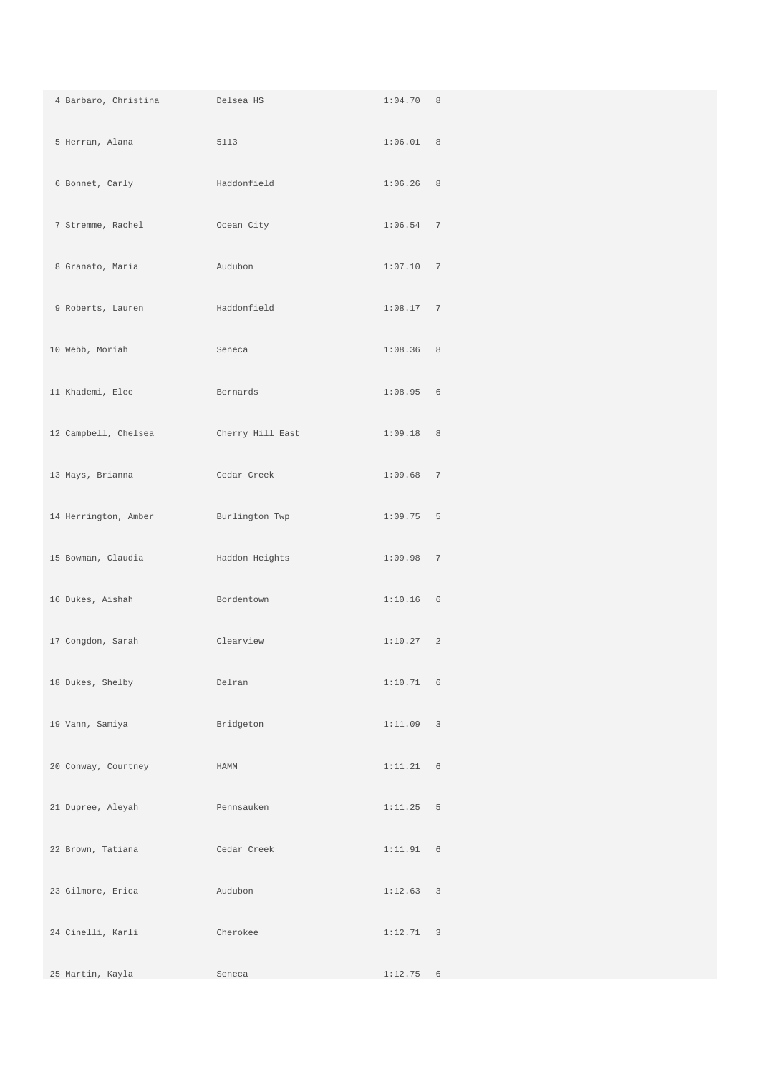| 4 Barbaro, Christina | Delsea HS        | 1:04.70 8   |  |
|----------------------|------------------|-------------|--|
| 5 Herran, Alana      | 5113             | 1:06.01 8   |  |
| 6 Bonnet, Carly      | Haddonfield      | $1:06.26$ 8 |  |
| 7 Stremme, Rachel    | Ocean City       | $1:06.54$ 7 |  |
| 8 Granato, Maria     | Audubon          | 1:07.10 7   |  |
| 9 Roberts, Lauren    | Haddonfield      | 1:08.17 7   |  |
| 10 Webb, Moriah      | Seneca           | 1:08.36 8   |  |
| 11 Khademi, Elee     | Bernards         | 1:08.95 6   |  |
| 12 Campbell, Chelsea | Cherry Hill East | 1:09.18 8   |  |
| 13 Mays, Brianna     | Cedar Creek      | 1:09.68 7   |  |
| 14 Herrington, Amber | Burlington Twp   | $1:09.75$ 5 |  |
| 15 Bowman, Claudia   | Haddon Heights   | 1:09.9877   |  |
| 16 Dukes, Aishah     | Bordentown       | $1:10.16$ 6 |  |
| 17 Congdon, Sarah    | Clearview        | 1:10.27 2   |  |
| 18 Dukes, Shelby     | Delran           | $1:10.71$ 6 |  |
| 19 Vann, Samiya      | Bridgeton        | 1:11.09 3   |  |
| 20 Conway, Courtney  | HAMM             | $1:11.21$ 6 |  |
| 21 Dupree, Aleyah    | Pennsauken       | 1:11.25 5   |  |
| 22 Brown, Tatiana    | Cedar Creek      | 1:11.91 6   |  |
| 23 Gilmore, Erica    | Audubon          | 1:12.63 3   |  |
| 24 Cinelli, Karli    | Cherokee         | 1:12.71 3   |  |
| 25 Martin, Kayla     | Seneca           | $1:12.75$ 6 |  |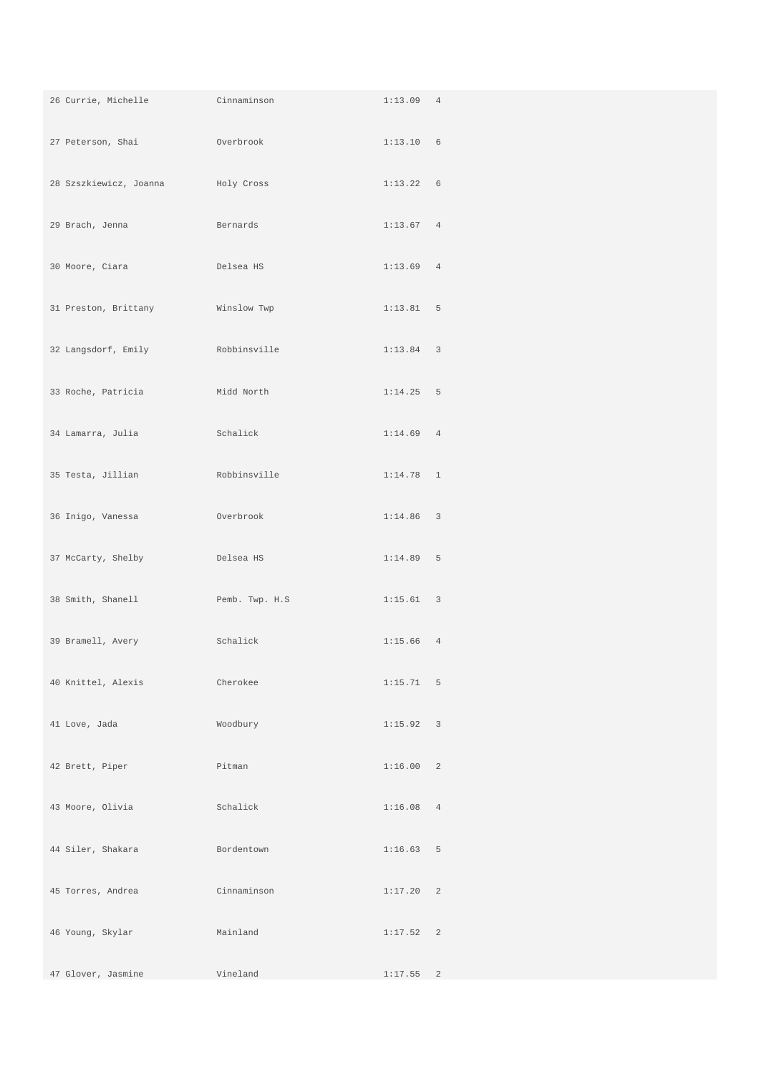| 26 Currie, Michelle Cinnaminson               |                | $1:13.09$ 4 |  |
|-----------------------------------------------|----------------|-------------|--|
| 27 Peterson, Shai et al. Overbrook            |                | 1:13.10 6   |  |
| 28 Szszkiewicz, Joanna                        | Holy Cross     | 1:13.22 6   |  |
| 29 Brach, Jenna                               | Bernards       | 1:13.67 4   |  |
| 30 Moore, Ciara                               | Delsea HS      | $1:13.69$ 4 |  |
| 31 Preston, Brittany                          | Winslow Twp    | 1:13.81 5   |  |
| 32 Langsdorf, Emily Robbinsville              |                | $1:13.84$ 3 |  |
| 33 Roche, Patricia                            | Midd North     | $1:14.25$ 5 |  |
| 34 Lamarra, Julia<br><b>Schalick</b> Schalick |                | $1:14.69$ 4 |  |
| 35 Testa, Jillian                             | Robbinsville   | $1:14.78$ 1 |  |
| 36 Inigo, Vanessa                             | Overbrook      | $1:14.86$ 3 |  |
| 37 McCarty, Shelby                            | Delsea HS      | 1:14.89 5   |  |
| 38 Smith, Shanell                             | Pemb. Twp. H.S | 1:15.61 3   |  |
| 39 Bramell, Avery                             | Schalick       | $1:15.66$ 4 |  |
| 40 Knittel, Alexis                            | Cherokee       | 1:15.71 5   |  |
| 41 Love, Jada                                 | Woodbury       | 1:15.92 3   |  |
| 42 Brett, Piper                               | Pitman         | 1:16.00 2   |  |
| 43 Moore, Olivia                              | Schalick       | 1:16.08 4   |  |
| 44 Siler, Shakara                             | Bordentown     | 1:16.63 5   |  |
| 45 Torres, Andrea                             | Cinnaminson    | 1:17.20 2   |  |
| 46 Young, Skylar                              | Mainland       | 1:17.52 2   |  |
| 47 Glover, Jasmine                            | Vineland       | 1:17.55 2   |  |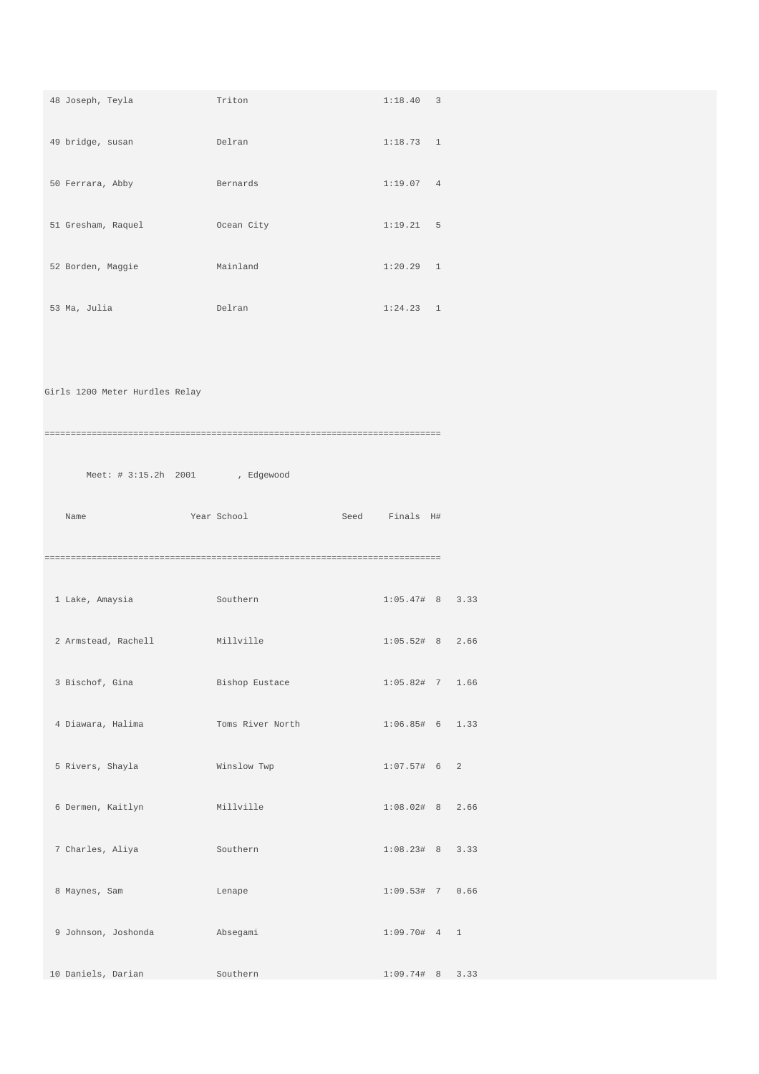| <b>Example 19 Delran</b> Delran Mars 1999<br>49 bridge, susan<br>1:18.73 1<br>50 Ferrara, Abby<br>Bernards<br>1:19.07 4 |
|-------------------------------------------------------------------------------------------------------------------------|
|                                                                                                                         |
|                                                                                                                         |
| 51 Gresham, Raquel Coean City<br>1:19.21 5                                                                              |
| 52 Borden, Maggie<br>Mainland<br>$1:20.29$ 1                                                                            |
| 53 Ma, Julia<br>$1:24.23$ 1<br>Delran                                                                                   |
|                                                                                                                         |
| Girls 1200 Meter Hurdles Relay                                                                                          |
|                                                                                                                         |
| Meet: # 3:15.2h 2001 , Edgewood                                                                                         |
| Year School <a>&gt;Seed <a>Finals</a> H#<br/>Name</a>                                                                   |
|                                                                                                                         |
| 1 Lake, Amaysia<br>$1:05.47#$ 8 3.33<br>Southern                                                                        |
| 2 Armstead, Rachell<br>Millville<br>$1:05.52#$ 8 2.66                                                                   |
| 3 Bischof, Gina<br>Bishop Eustace 1:05.82# 7 1.66                                                                       |
| 4 Diawara, Halima<br>Toms River North<br>$1:06.85#$ 6 1.33                                                              |
| $1:07.57#$ 6 2<br>5 Rivers, Shayla<br>Winslow Twp                                                                       |
| $1:08.02#$ 8 2.66<br>6 Dermen, Kaitlyn<br>Millville                                                                     |
| 7 Charles, Aliya<br>Southern<br>$1:08.23#$ 8 3.33                                                                       |
| 8 Maynes, Sam<br>1:09.53# 7 0.66<br>Lenape                                                                              |
| 9 Johnson, Joshonda<br>Absegami<br>1:09.70# 4 1                                                                         |
| 10 Daniels, Darian<br>Southern<br>1:09.74# 8 3.33                                                                       |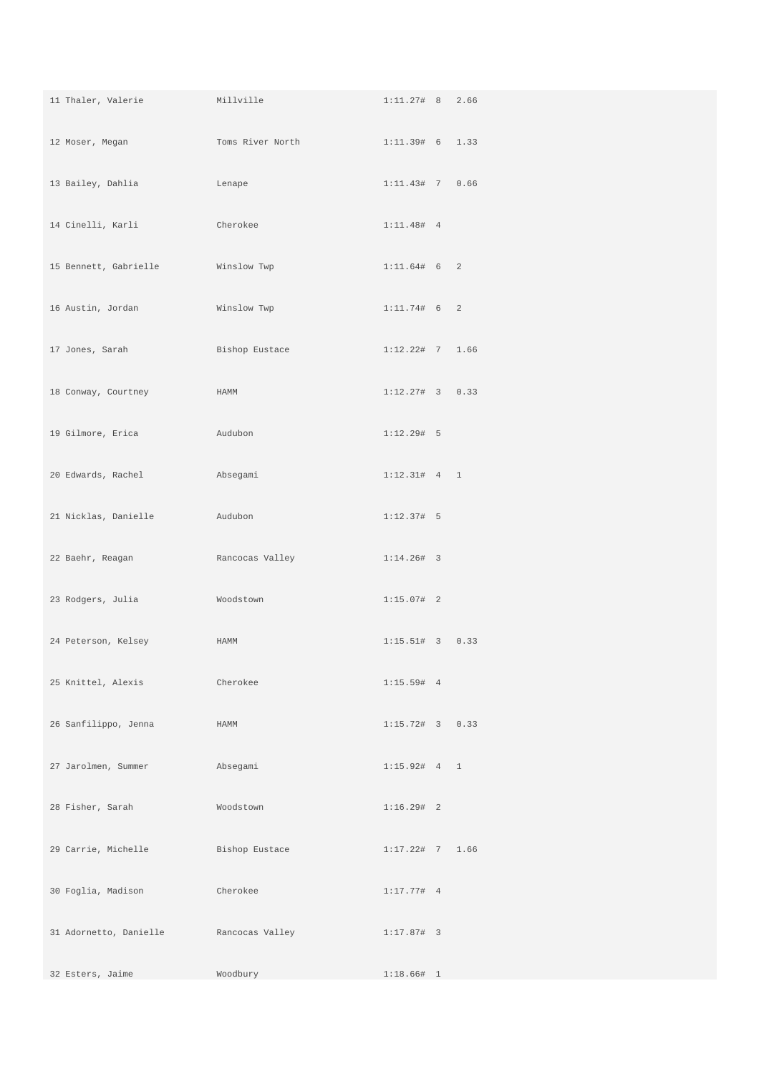| 11 Thaler, Valerie Millville      |                                  | $1:11.27#$ 8 2.66 |  |
|-----------------------------------|----------------------------------|-------------------|--|
| 12 Moser, Megan                   | Toms River North 1:11.39# 6 1.33 |                   |  |
| 13 Bailey, Dahlia                 | Lenape                           | 1:11.43# 7 0.66   |  |
| 14 Cinelli, Karli                 | Cherokee                         | $1:11.48#$ 4      |  |
| 15 Bennett, Gabrielle Minslow Twp |                                  | 1:11.64# 6 2      |  |
| 16 Austin, Jordan                 | Winslow Twp                      | 1:11.74# 6 2      |  |
| 17 Jones, Sarah                   | Bishop Eustace                   | $1:12.22#$ 7 1.66 |  |
| 18 Conway, Courtney               | HAMM                             | $1:12.27#$ 3 0.33 |  |
| 19 Gilmore, Erica                 | Audubon                          | 1:12.29# 5        |  |
| 20 Edwards, Rachel                | Absegami                         | $1:12.31#$ 4 1    |  |
| 21 Nicklas, Danielle              | Audubon                          | $1:12.37#$ 5      |  |
| 22 Baehr, Reagan                  | Rancocas Valley                  | $1:14.26#$ 3      |  |
| 23 Rodgers, Julia                 | Woodstown                        | $1:15.07#$ 2      |  |
| 24 Peterson, Kelsey               | HAMM                             | $1:15.51#$ 3 0.33 |  |
| 25 Knittel, Alexis                | Cherokee                         | 1:15.59# 4        |  |
| 26 Sanfilippo, Jenna              | HAMM                             | $1:15.72#$ 3 0.33 |  |
| 27 Jarolmen, Summer               | Absegami                         | 1:15.92# 4 1      |  |
| 28 Fisher, Sarah                  | Woodstown                        | $1:16.29#$ 2      |  |
| 29 Carrie, Michelle               | Bishop Eustace                   | $1:17.22#$ 7 1.66 |  |
| 30 Foglia, Madison                | Cherokee                         | $1:17.77#$ 4      |  |
| 31 Adornetto, Danielle            | Rancocas Valley                  | $1:17.87#$ 3      |  |
| 32 Esters, Jaime                  | Woodbury                         | $1:18.66#$ 1      |  |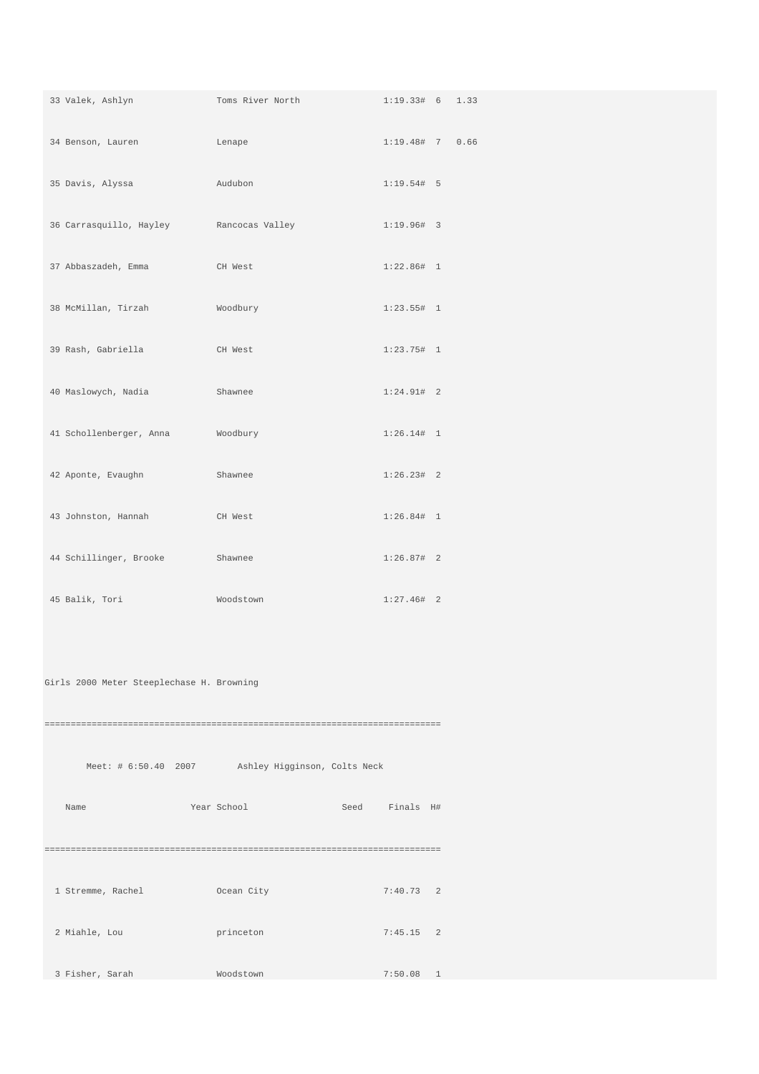| 33 Valek, Ashlyn                          | Toms River North                                  | $1:19.33#$ 6 1.33 |  |
|-------------------------------------------|---------------------------------------------------|-------------------|--|
| 34 Benson, Lauren                         | Lenape                                            | 1:19.48# 7 0.66   |  |
| 35 Davis, Alyssa                          | Audubon                                           | 1:19.54# 5        |  |
| 36 Carrasquillo, Hayley                   | Rancocas Valley                                   | $1:19.96#$ 3      |  |
| 37 Abbaszadeh, Emma                       | CH West                                           | 1:22.86# 1        |  |
| 38 McMillan, Tirzah                       | Woodbury                                          | $1:23.55#$ 1      |  |
| 39 Rash, Gabriella                        | CH West                                           | $1:23.75#$ 1      |  |
| 40 Maslowych, Nadia                       | Shawnee                                           | $1:24.91#$ 2      |  |
| 41 Schollenberger, Anna                   | Woodbury                                          | 1:26.14# 1        |  |
| 42 Aponte, Evaughn                        | Shawnee                                           | $1:26.23#$ 2      |  |
| 43 Johnston, Hannah                       | CH West                                           | 1:26.84# 1        |  |
| 44 Schillinger, Brooke                    | Shawnee                                           | $1:26.87#$ 2      |  |
| 45 Balik, Tori                            | Woodstown                                         | $1:27.46#$ 2      |  |
|                                           |                                                   |                   |  |
| Girls 2000 Meter Steeplechase H. Browning |                                                   |                   |  |
|                                           |                                                   |                   |  |
|                                           | Meet: # 6:50.40 2007 Ashley Higginson, Colts Neck |                   |  |
| Name                                      | Year School                                       | Seed Finals H#    |  |
|                                           |                                                   |                   |  |
| 1 Stremme, Rachel                         | Ocean City                                        | $7:40.73$ 2       |  |
| 2 Miahle, Lou                             | princeton                                         | $7:45.15$ 2       |  |
| 3 Fisher, Sarah                           | Woodstown                                         | $7:50.08$ 1       |  |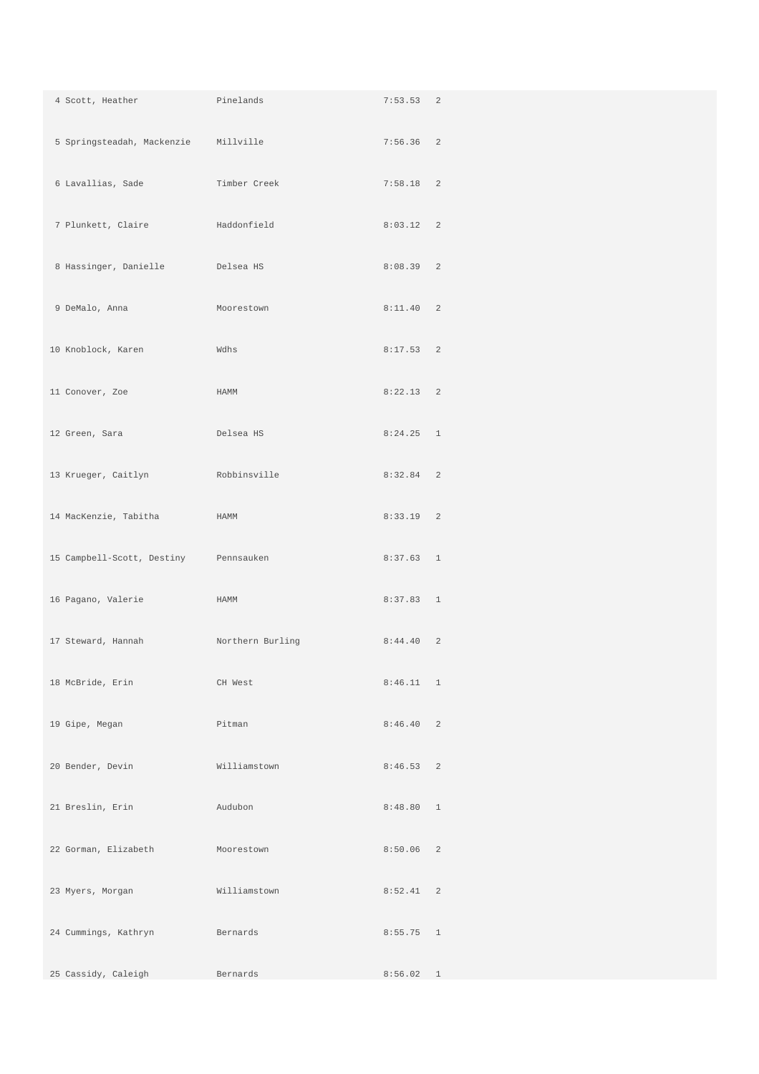| 4 Scott, Heather                      | Pinelands        | 7:53.53 2   |  |
|---------------------------------------|------------------|-------------|--|
| 5 Springsteadah, Mackenzie Millville  |                  | $7:56.36$ 2 |  |
| 6 Lavallias, Sade                     | Timber Creek     | $7:58.18$ 2 |  |
| 7 Plunkett, Claire                    | Haddonfield      | $8:03.12$ 2 |  |
| 8 Hassinger, Danielle                 | Delsea HS        | 8:08.39 2   |  |
| 9 DeMalo, Anna                        | Moorestown       | 8:11.40 2   |  |
| 10 Knoblock, Karen                    | Wdhs             | $8:17.53$ 2 |  |
| 11 Conover, Zoe                       | HAMM             | $8:22.13$ 2 |  |
| 12 Green, Sara                        | Delsea HS        | $8:24.25$ 1 |  |
| 13 Krueger, Caitlyn                   | Robbinsville     | $8:32.84$ 2 |  |
| 14 MacKenzie, Tabitha                 | HAMM             | $8:33.19$ 2 |  |
| 15 Campbell-Scott, Destiny Pennsauken |                  | 8:37.63 1   |  |
| 16 Pagano, Valerie                    | HAMM             | 8:37.83 1   |  |
| 17 Steward, Hannah                    | Northern Burling | 8:44.40 2   |  |
| 18 McBride, Erin                      | CH West          | $8:46.11$ 1 |  |
| 19 Gipe, Megan                        | Pitman           | 8:46.40 2   |  |
| 20 Bender, Devin                      | Williamstown     | $8:46.53$ 2 |  |
| 21 Breslin, Erin                      | Audubon          | 8:48.80 1   |  |
| 22 Gorman, Elizabeth                  | Moorestown       | $8:50.06$ 2 |  |
| 23 Myers, Morgan                      | Williamstown     | 8:52.41 2   |  |
| 24 Cummings, Kathryn                  | Bernards         | $8:55.75$ 1 |  |
| 25 Cassidy, Caleigh                   | Bernards         | 8:56.02 1   |  |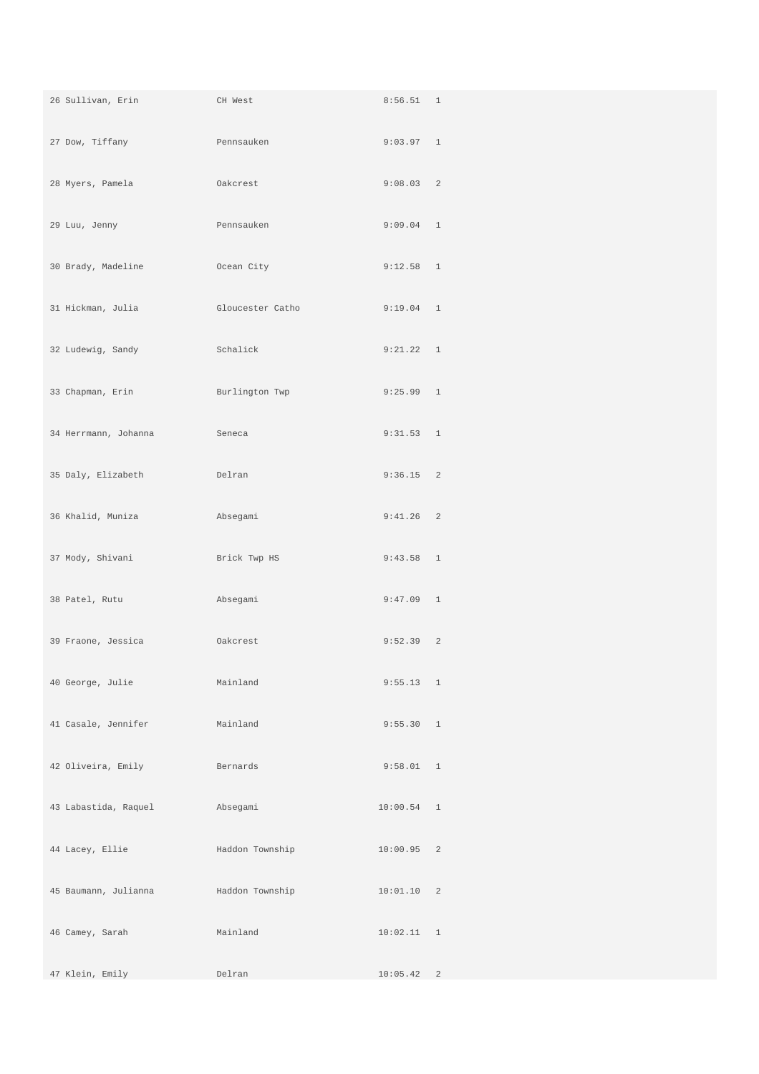| 26 Sullivan, Erin    | CH West          | 8:56.51 1    |  |
|----------------------|------------------|--------------|--|
| 27 Dow, Tiffany      | Pennsauken       | 9:03.97 1    |  |
| 28 Myers, Pamela     | Oakcrest         | 9:08.03 2    |  |
| 29 Luu, Jenny        | Pennsauken       | 9:09.04 1    |  |
| 30 Brady, Madeline   | Ocean City       | 9:12.58 1    |  |
| 31 Hickman, Julia    | Gloucester Catho | 9:19.04 1    |  |
| 32 Ludewig, Sandy    | Schalick         | 9:21.22 1    |  |
| 33 Chapman, Erin     | Burlington Twp   | 9:25.99 1    |  |
| 34 Herrmann, Johanna | Seneca           | 9:31.53 1    |  |
| 35 Daly, Elizabeth   | Delran           | $9:36.15$ 2  |  |
| 36 Khalid, Muniza    | Absegami         | $9:41.26$ 2  |  |
| 37 Mody, Shivani     | Brick Twp HS     | $9:43.58$ 1  |  |
| 38 Patel, Rutu       | Absegami         | $9:47.09$ 1  |  |
| 39 Fraone, Jessica   | Oakcrest         | 9:52.39 2    |  |
| 40 George, Julie     | Mainland         | 9:55.13 1    |  |
| 41 Casale, Jennifer  | Mainland         | 9:55.30 1    |  |
| 42 Oliveira, Emily   | Bernards         | 9:58.01 1    |  |
| 43 Labastida, Raquel | Absegami         | $10:00.54$ 1 |  |
| 44 Lacey, Ellie      | Haddon Township  | $10:00.95$ 2 |  |
| 45 Baumann, Julianna | Haddon Township  | 10:01.10 2   |  |
| 46 Camey, Sarah      | Mainland         | 10:02.11 1   |  |
| 47 Klein, Emily      | Delran           | 10:05.42 2   |  |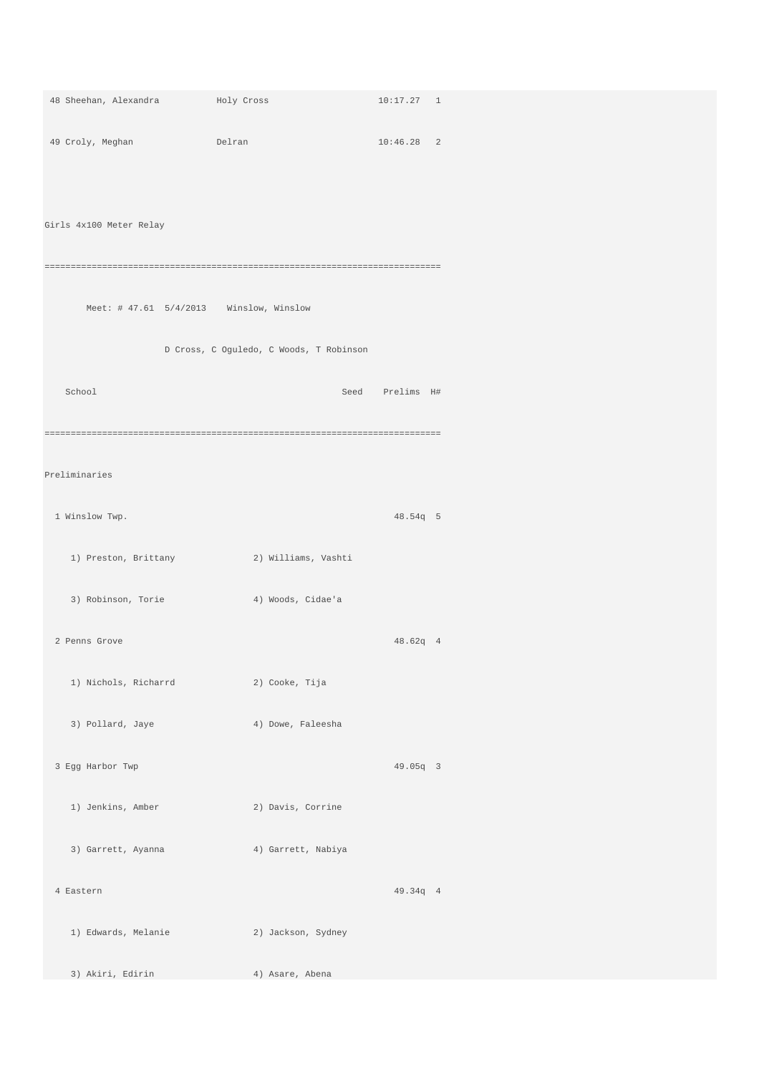| 48 Sheehan, Alexandra                        | Holy Cross                                | 10:17.27 1      |  |
|----------------------------------------------|-------------------------------------------|-----------------|--|
| 49 Croly, Meghan<br><b>Example 19</b> Delran |                                           | $10:46.28$ 2    |  |
|                                              |                                           |                 |  |
| Girls 4x100 Meter Relay                      |                                           |                 |  |
|                                              |                                           |                 |  |
| Meet: $#$ 47.61 5/4/2013 Winslow, Winslow    |                                           |                 |  |
|                                              | D Cross, C Oguledo, C Woods, T Robinson   |                 |  |
| School                                       |                                           | Seed Prelims H# |  |
|                                              |                                           |                 |  |
| Preliminaries                                |                                           |                 |  |
| 1 Winslow Twp.                               |                                           | 48.54g 5        |  |
|                                              | 1) Preston, Brittany (2) Williams, Vashti |                 |  |
| 3) Robinson, Torie (4) Woods, Cidae'a        |                                           |                 |  |
| 2 Penns Grove                                |                                           | 48.62q 4        |  |
| 1) Nichols, Richarrd                         | 2) Cooke, Tija                            |                 |  |
| 3) Pollard, Jaye                             | 4) Dowe, Faleesha                         |                 |  |
| 3 Egg Harbor Twp                             |                                           | 49.05q 3        |  |
| 1) Jenkins, Amber                            | 2) Davis, Corrine                         |                 |  |
| 3) Garrett, Ayanna                           | 4) Garrett, Nabiya                        |                 |  |
| 4 Eastern                                    |                                           | 49.34q 4        |  |
| 1) Edwards, Melanie                          | 2) Jackson, Sydney                        |                 |  |
| 3) Akiri, Edirin                             | 4) Asare, Abena                           |                 |  |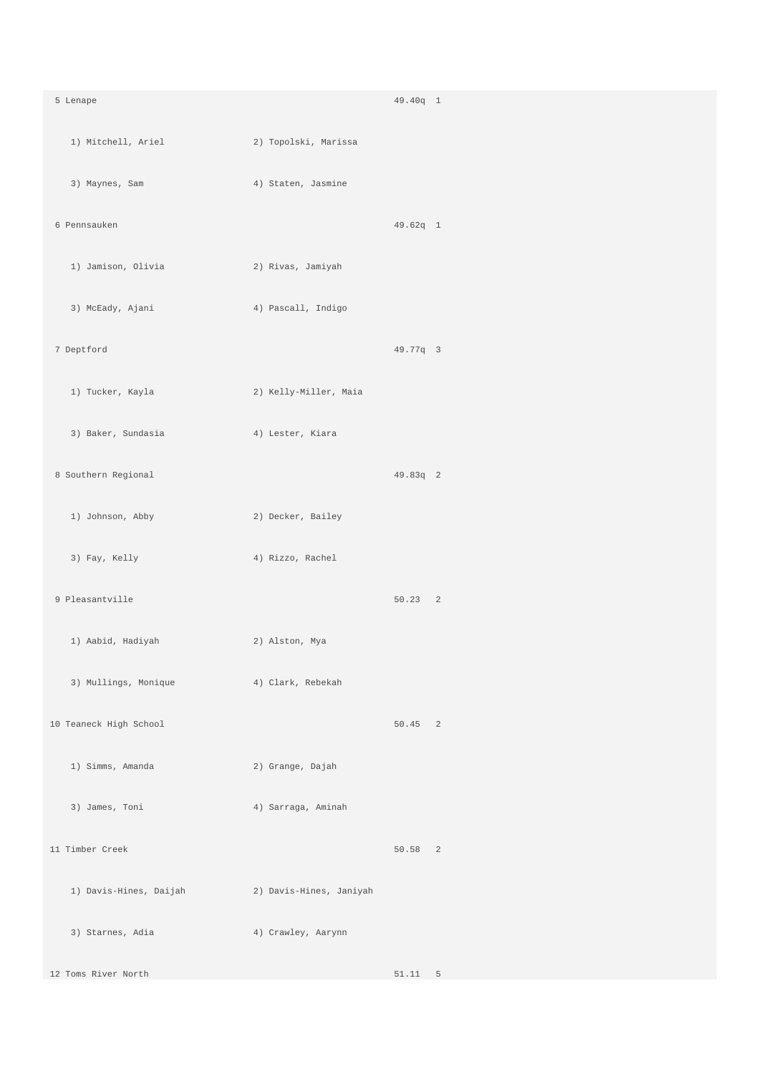| 5 Lenape               |                         | 49.40q 1  |  |
|------------------------|-------------------------|-----------|--|
| 1) Mitchell, Ariel     | 2) Topolski, Marissa    |           |  |
| 3) Maynes, Sam         | 4) Staten, Jasmine      |           |  |
| 6 Pennsauken           |                         | 49.62q 1  |  |
| 1) Jamison, Olivia     | 2) Rivas, Jamiyah       |           |  |
| 3) McEady, Ajani       | 4) Pascall, Indigo      |           |  |
| 7 Deptford             |                         | 49.77q 3  |  |
| 1) Tucker, Kayla       | 2) Kelly-Miller, Maia   |           |  |
| 3) Baker, Sundasia     | 4) Lester, Kiara        |           |  |
| 8 Southern Regional    |                         | 49.83q 2  |  |
| 1) Johnson, Abby       | 2) Decker, Bailey       |           |  |
| 3) Fay, Kelly          | 4) Rizzo, Rachel        |           |  |
| 9 Pleasantville        |                         | 50.23 2   |  |
| 1) Aabid, Hadiyah      | 2) Alston, Mya          |           |  |
| 3) Mullings, Monique   | 4) Clark, Rebekah       |           |  |
| 10 Teaneck High School |                         | $50.45$ 2 |  |
| 1) Simms, Amanda       | 2) Grange, Dajah        |           |  |
| 3) James, Toni         | 4) Sarraga, Aminah      |           |  |
| 11 Timber Creek        |                         | 50.58 2   |  |
| 1) Davis-Hines, Daijah | 2) Davis-Hines, Janiyah |           |  |
| 3) Starnes, Adia       | 4) Crawley, Aarynn      |           |  |
| 12 Toms River North    |                         | $51.11$ 5 |  |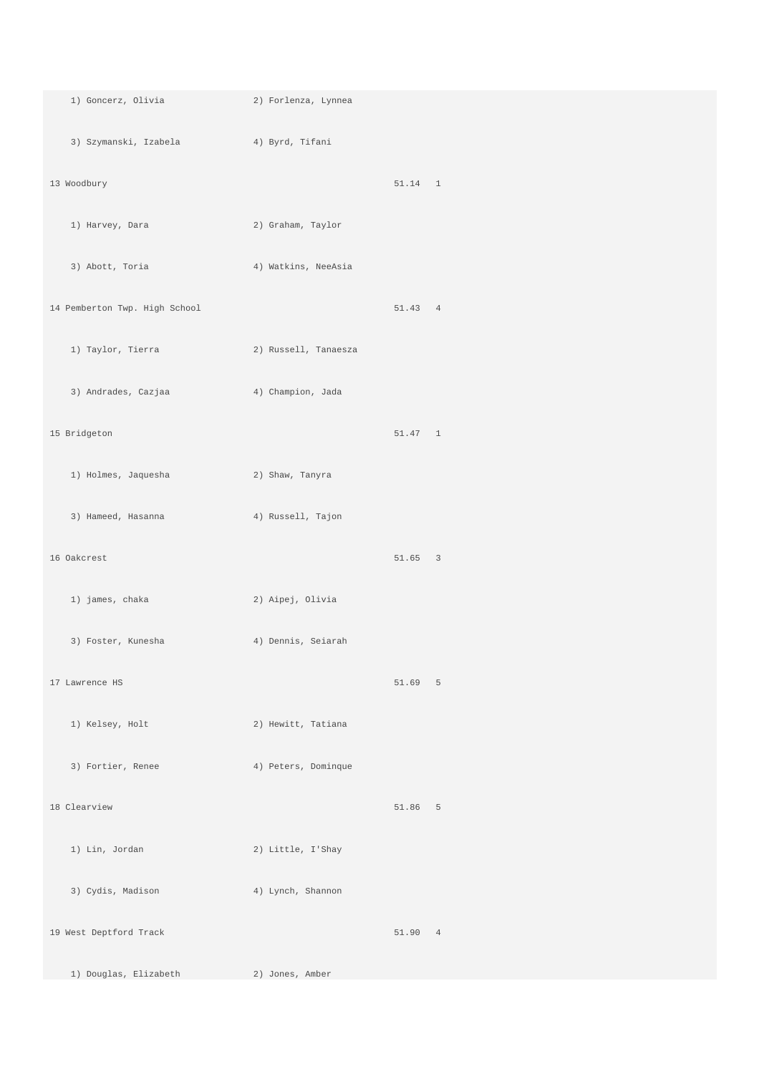| 1) Goncerz, Olivia                     | 2) Forlenza, Lynnea  |         |  |
|----------------------------------------|----------------------|---------|--|
| 3) Szymanski, Izabela (4) Byrd, Tifani |                      |         |  |
| 13 Woodbury                            |                      | 51.14 1 |  |
| 1) Harvey, Dara                        | 2) Graham, Taylor    |         |  |
| 3) Abott, Toria                        | 4) Watkins, NeeAsia  |         |  |
| 14 Pemberton Twp. High School          |                      | 51.43 4 |  |
| 1) Taylor, Tierra                      | 2) Russell, Tanaesza |         |  |
| 3) Andrades, Cazjaa                    | 4) Champion, Jada    |         |  |
| 15 Bridgeton                           |                      | 51.47 1 |  |
| 1) Holmes, Jaquesha                    | 2) Shaw, Tanyra      |         |  |
| 3) Hameed, Hasanna (4) Russell, Tajon  |                      |         |  |
| 16 Oakcrest                            |                      | 51.65 3 |  |
| 1) james, chaka                        | 2) Aipej, Olivia     |         |  |
| 3) Foster, Kunesha                     | 4) Dennis, Seiarah   |         |  |
| 17 Lawrence HS                         |                      | 51.69 5 |  |
| 1) Kelsey, Holt                        | 2) Hewitt, Tatiana   |         |  |
| 3) Fortier, Renee                      | 4) Peters, Dominque  |         |  |
| 18 Clearview                           |                      | 51.86 5 |  |
| 1) Lin, Jordan                         | 2) Little, I'Shay    |         |  |
| 3) Cydis, Madison                      | 4) Lynch, Shannon    |         |  |
| 19 West Deptford Track                 |                      | 51.90 4 |  |
| 1) Douglas, Elizabeth                  | 2) Jones, Amber      |         |  |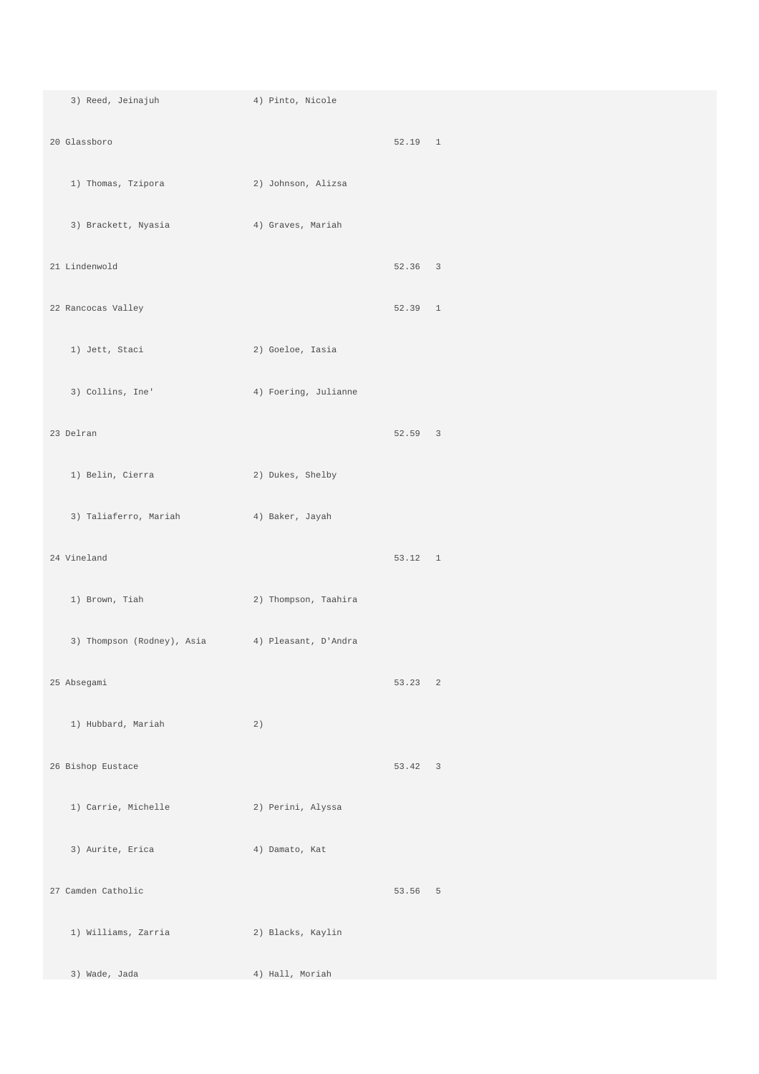3) Reed, Jeinajuh 4) Pinto, Nicole 20 Glassboro 52.19 1 1) Thomas, Tzipora 2) Johnson, Alizsa 3) Brackett, Nyasia 4) Graves, Mariah 21 Lindenwold 52.36 3 and 22 Rancocas Valley and 22 Rancocas Valley and 22 Rancocas Valley and 22 Rancocas Valley and 22 Rancocas Valley and 22 Rancocas Valley and 22 Rancocas Valley and 22 Rancocas Valley and 22 Rancocas Valley and 22 Rancocas 1) Jett, Staci 2) Goeloe, Iasia 3) Collins, Ine' 4) Foering, Julianne 23 Delran 52.59 3 1) Belin, Cierra 2) Dukes, Shelby 3) Taliaferro, Mariah 4) Baker, Jayah 24 Vineland 53.12 1 1) Brown, Tiah 2) Thompson, Taahira 3) Thompson (Rodney), Asia 4) Pleasant, D'Andra 25 Absegami 53.23 2 1) Hubbard, Mariah 2) 26 Bishop Eustace 53.42 3 1) Carrie, Michelle 2) Perini, Alyssa 3) Aurite, Erica 4) Damato, Kat 27 Camden Catholic 53.56 5 1) Williams, Zarria 2) Blacks, Kaylin 3) Wade, Jada 4) Hall, Moriah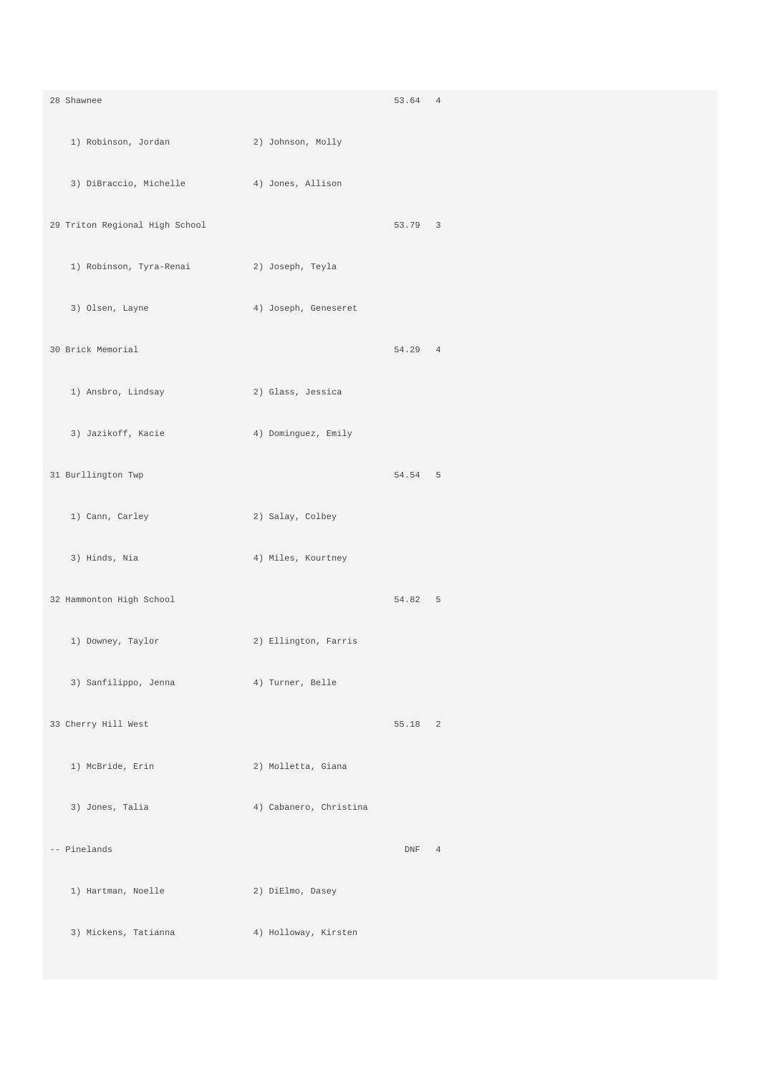| 28 Shawnee                                |                        | 53.64 4 |  |
|-------------------------------------------|------------------------|---------|--|
| 1) Robinson, Jordan                       | 2) Johnson, Molly      |         |  |
| 3) DiBraccio, Michelle 4) Jones, Allison  |                        |         |  |
| 29 Triton Regional High School            |                        | 53.79 3 |  |
| 1) Robinson, Tyra-Renai (2) Joseph, Teyla |                        |         |  |
| 3) Olsen, Layne                           | 4) Joseph, Geneseret   |         |  |
| 30 Brick Memorial                         |                        | 54.29 4 |  |
| 1) Ansbro, Lindsay                        | 2) Glass, Jessica      |         |  |
| 3) Jazikoff, Kacie                        | 4) Dominguez, Emily    |         |  |
| 31 Burllington Twp                        |                        | 54.54 5 |  |
| 1) Cann, Carley                           | 2) Salay, Colbey       |         |  |
| 3) Hinds, Nia                             | 4) Miles, Kourtney     |         |  |
| 32 Hammonton High School                  |                        | 54.82 5 |  |
| 1) Downey, Taylor                         | 2) Ellington, Farris   |         |  |
| 3) Sanfilippo, Jenna (4) Turner, Belle    |                        |         |  |
| 33 Cherry Hill West                       |                        | 55.18 2 |  |
| 1) McBride, Erin                          | 2) Molletta, Giana     |         |  |
| 3) Jones, Talia                           | 4) Cabanero, Christina |         |  |
| -- Pinelands                              |                        | DNF 4   |  |
| 1) Hartman, Noelle                        | 2) DiElmo, Dasey       |         |  |
| 3) Mickens, Tatianna                      | 4) Holloway, Kirsten   |         |  |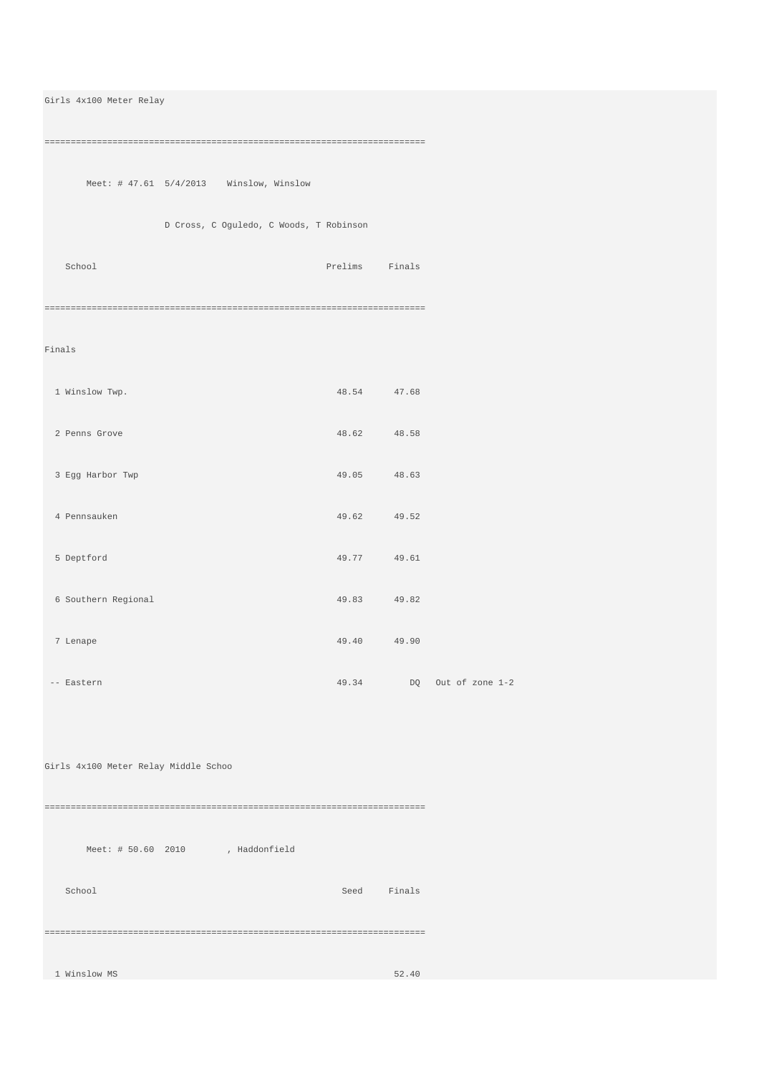| Girls 4x100 Meter Relay                   |                |             |                          |
|-------------------------------------------|----------------|-------------|--------------------------|
|                                           |                |             |                          |
| Meet: $# 47.61 5/4/2013$ Winslow, Winslow |                |             |                          |
| D Cross, C Oguledo, C Woods, T Robinson   |                |             |                          |
| School                                    | Prelims Finals |             |                          |
|                                           |                |             |                          |
| Finals                                    |                |             |                          |
| 1 Winslow Twp.                            | 48.54 47.68    |             |                          |
| 2 Penns Grove                             | 48.62 48.58    |             |                          |
| 3 Egg Harbor Twp                          | 49.05 48.63    |             |                          |
| 4 Pennsauken                              |                | 49.62 49.52 |                          |
| 5 Deptford                                | 49.77 49.61    |             |                          |
| 6 Southern Regional                       | 49.83 49.82    |             |                          |
| 7 Lenape                                  | 49.40 49.90    |             |                          |
|                                           |                |             |                          |
| -- Eastern                                |                |             | 49.34 DQ Out of zone 1-2 |
|                                           |                |             |                          |
| Girls 4x100 Meter Relay Middle Schoo      |                |             |                          |
|                                           |                |             |                          |
| Meet: # 50.60 2010 , Haddonfield          |                |             |                          |
| School                                    |                | Seed Finals |                          |
|                                           |                |             |                          |
| 1 Winslow MS                              |                | 52.40       |                          |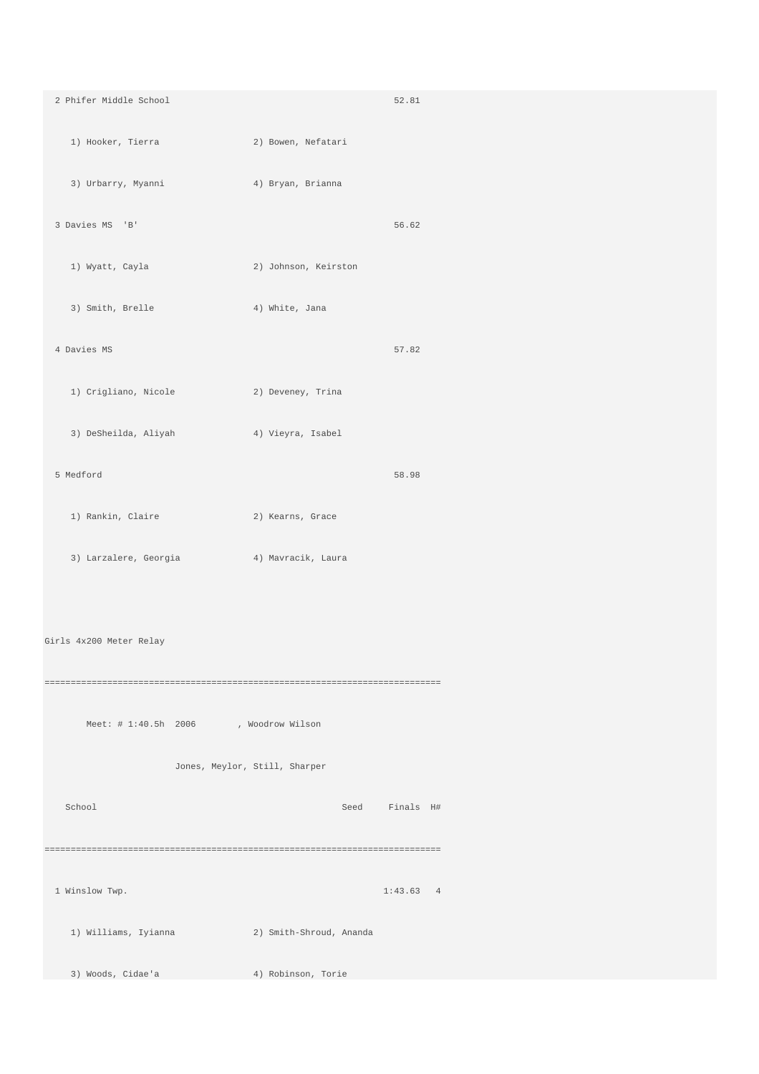2 Phifer Middle School 52.81 1) Hooker, Tierra 2) Bowen, Nefatari 3) Urbarry, Myanni 4) Bryan, Brianna 3 Davies MS 'B' 56.62 1) Wyatt, Cayla 2) Johnson, Keirston 3) Smith, Brelle 4) White, Jana 4 Davies MS 57.82 1) Crigliano, Nicole 2) Deveney, Trina 3) DeSheilda, Aliyah (4) Vieyra, Isabel 5 Medford 58.98 1) Rankin, Claire 2) Kearns, Grace 3) Larzalere, Georgia 4) Mavracik, Laura Girls 4x200 Meter Relay ============================================================================ Meet: # 1:40.5h 2006 , Woodrow Wilson Jones, Meylor, Still, Sharper School Seed Finals H# ============================================================================ 1 Winslow Twp. 1:43.63 4 1) Williams, Iyianna 2) Smith-Shroud, Ananda 3) Woods, Cidae'a 4) Robinson, Torie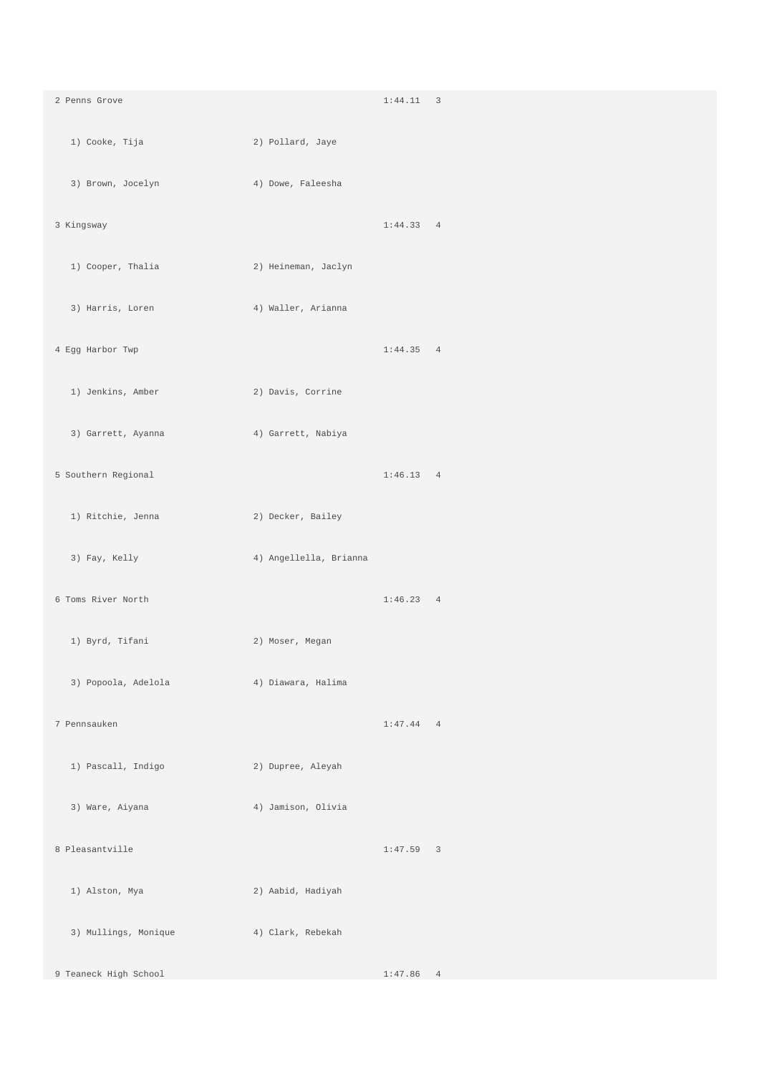2 Penns Grove 1:44.11 3 1) Cooke, Tija 2) Pollard, Jaye 3) Brown, Jocelyn 4) Dowe, Faleesha 3 Kingsway 1:44.33 4 1) Cooper, Thalia 2) Heineman, Jaclyn 3) Harris, Loren 4) Waller, Arianna 4 Egg Harbor Twp 1:44.35 4 1) Jenkins, Amber 2) Davis, Corrine 3) Garrett, Ayanna (4) Garrett, Nabiya 5 Southern Regional 1:46.13 4 1) Ritchie, Jenna 2) Decker, Bailey 3) Fay, Kelly 4) Angellella, Brianna 6 Toms River North 1:46.23 4 1) Byrd, Tifani 2) Moser, Megan 3) Popoola, Adelola 4) Diawara, Halima 7 Pennsauken 1:47.44 4 1) Pascall, Indigo 2) Dupree, Aleyah 3) Ware, Aiyana 4) Jamison, Olivia 8 Pleasantville 1:47.59 3 1) Alston, Mya 2) Aabid, Hadiyah 3) Mullings, Monique 4) Clark, Rebekah 9 Teaneck High School 1:47.86 4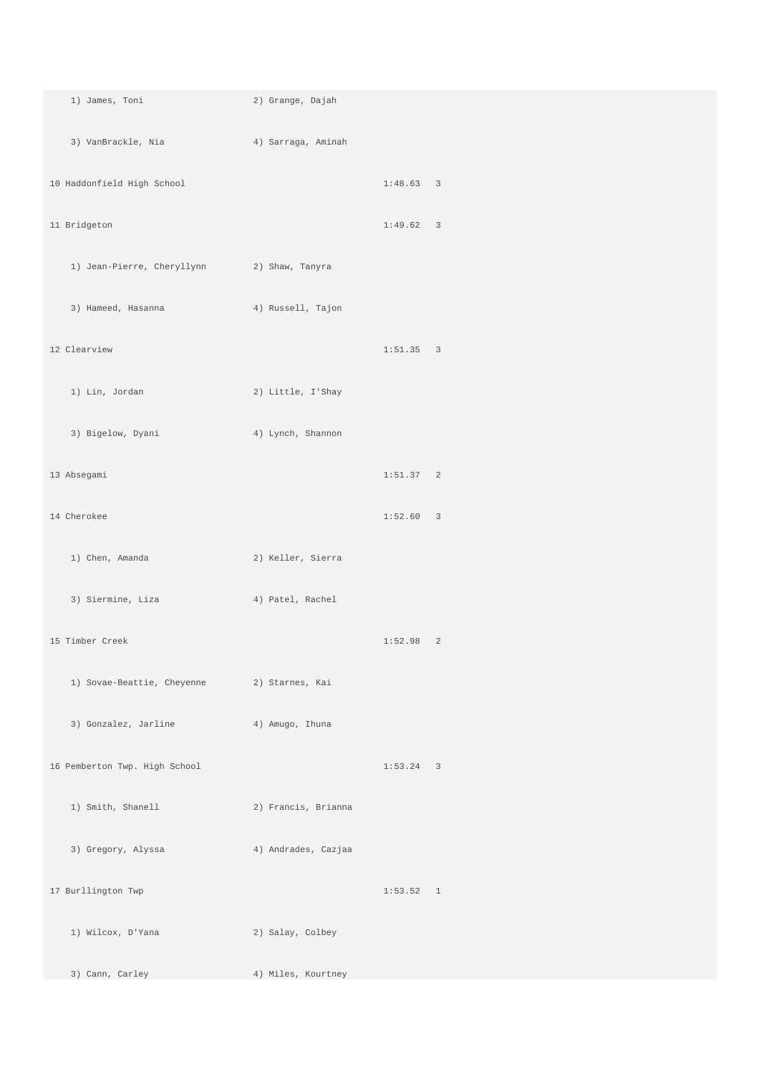| 1) James, Toni                               | 2) Grange, Dajah    |             |
|----------------------------------------------|---------------------|-------------|
| 3) VanBrackle, Nia (2008) 4) Sarraga, Aminah |                     |             |
| 10 Haddonfield High School                   |                     | $1:48.63$ 3 |
| 11 Bridgeton                                 |                     | 1:49.62 3   |
| 1) Jean-Pierre, Cheryllynn 2) Shaw, Tanyra   |                     |             |
| 3) Hameed, Hasanna                           | 4) Russell, Tajon   |             |
| 12 Clearview                                 |                     | 1:51.35 3   |
| 1) Lin, Jordan                               | 2) Little, I'Shay   |             |
| 3) Bigelow, Dyani                            | 4) Lynch, Shannon   |             |
| 13 Absegami                                  |                     | 1:51.37 2   |
| 14 Cherokee                                  |                     | 1:52.60 3   |
| 1) Chen, Amanda                              | 2) Keller, Sierra   |             |
| 3) Siermine, Liza                            | 4) Patel, Rachel    |             |
| 15 Timber Creek                              |                     | 1:52.98 2   |
| 1) Sovae-Beattie, Cheyenne 2) Starnes, Kai   |                     |             |
| 3) Gonzalez, Jarline                         | 4) Amugo, Ihuna     |             |
| 16 Pemberton Twp. High School                |                     | $1:53.24$ 3 |
| 1) Smith, Shanell                            | 2) Francis, Brianna |             |
| 3) Gregory, Alyssa                           | 4) Andrades, Cazjaa |             |
| 17 Burllington Twp                           |                     | 1:53.52 1   |
| 1) Wilcox, D'Yana                            | 2) Salay, Colbey    |             |
| 3) Cann, Carley                              | 4) Miles, Kourtney  |             |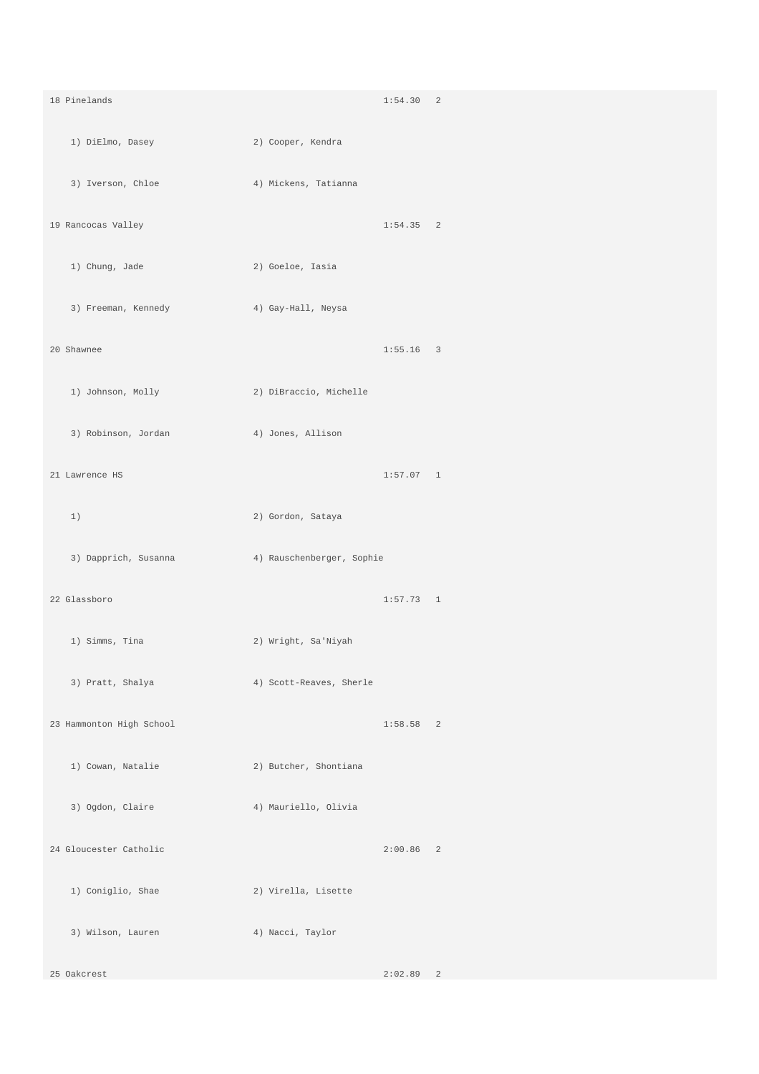18 Pinelands 1:54.30 2 1) DiElmo, Dasey 2) Cooper, Kendra 3) Iverson, Chloe 4) Mickens, Tatianna 19 Rancocas Valley 1:54.35 2 1) Chung, Jade 2) Goeloe, Iasia 3) Freeman, Kennedy 4) Gay-Hall, Neysa 20 Shawnee 1:55.16 3 1) Johnson, Molly 2) DiBraccio, Michelle 3) Robinson, Jordan (4) Jones, Allison 21 Lawrence HS 1:57.07 1 1) 2) Gordon, Sataya 3) Dapprich, Susanna 4) Rauschenberger, Sophie 22 Glassboro 1:57.73 1 1) Simms, Tina 2) Wright, Sa'Niyah 3) Pratt, Shalya 4) Scott-Reaves, Sherle 23 Hammonton High School 1:58.58 2 1) Cowan, Natalie 2) Butcher, Shontiana 3) Ogdon, Claire 4) Mauriello, Olivia 24 Gloucester Catholic 2:00.86 2 1) Coniglio, Shae 2) Virella, Lisette 3) Wilson, Lauren 4) Nacci, Taylor 25 Oakcrest 2:02.89 2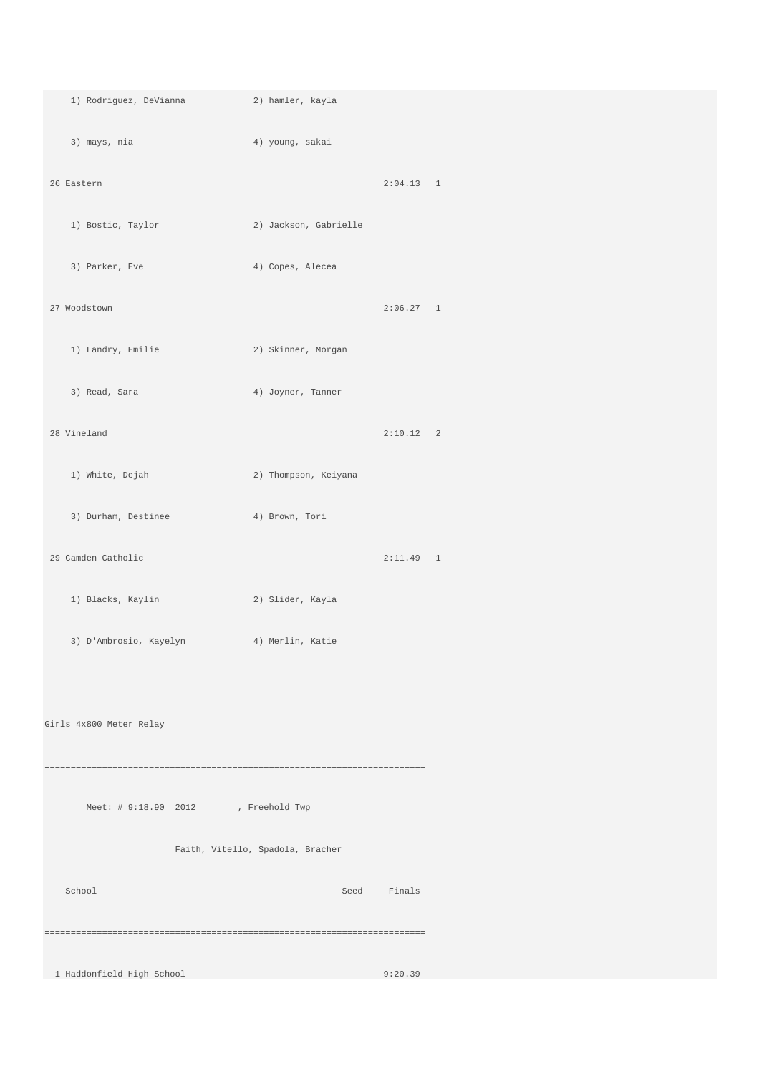| 1) Rodriguez, DeVianna (2) hamler, kayla |                                  |             |  |
|------------------------------------------|----------------------------------|-------------|--|
| 3) mays, nia                             | 4) young, sakai                  |             |  |
| 26 Eastern                               |                                  | 2:04.13 1   |  |
|                                          |                                  |             |  |
| 1) Bostic, Taylor                        | 2) Jackson, Gabrielle            |             |  |
| 3) Parker, Eve                           | 4) Copes, Alecea                 |             |  |
| 27 Woodstown                             |                                  | 2:06.27 1   |  |
|                                          |                                  |             |  |
| 1) Landry, Emilie                        | 2) Skinner, Morgan               |             |  |
| 3) Read, Sara                            | 4) Joyner, Tanner                |             |  |
|                                          |                                  |             |  |
| 28 Vineland                              |                                  | 2:10.12 2   |  |
| 1) White, Dejah                          | 2) Thompson, Keiyana             |             |  |
| 3) Durham, Destinee                      | 4) Brown, Tori                   |             |  |
|                                          |                                  |             |  |
| 29 Camden Catholic                       |                                  | $2:11.49$ 1 |  |
| 1) Blacks, Kaylin                        | 2) Slider, Kayla                 |             |  |
| 3) D'Ambrosio, Kayelyn (4) Merlin, Katie |                                  |             |  |
|                                          |                                  |             |  |
|                                          |                                  |             |  |
| Girls 4x800 Meter Relay                  |                                  |             |  |
|                                          |                                  |             |  |
|                                          |                                  |             |  |
| Meet: # 9:18.90 2012                     | , Freehold Twp                   |             |  |
|                                          | Faith, Vitello, Spadola, Bracher |             |  |
|                                          |                                  |             |  |
| School                                   | Seed                             | Finals      |  |
|                                          |                                  |             |  |
|                                          |                                  |             |  |
| 1 Haddonfield High School                |                                  | 9:20.39     |  |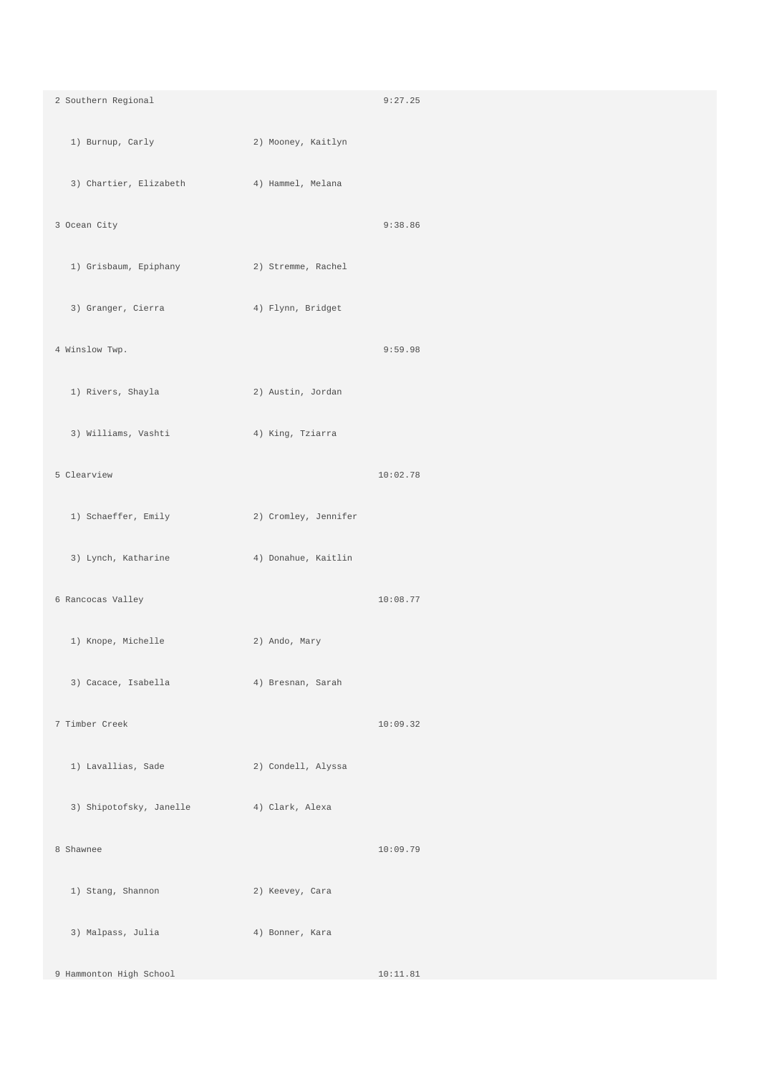| 2 Southern Regional                                 |                      | 9:27.25  |
|-----------------------------------------------------|----------------------|----------|
| 1) Burnup, Carly                                    | 2) Mooney, Kaitlyn   |          |
| 3) Chartier, Elizabeth (4) Hammel, Melana           |                      |          |
| 3 Ocean City                                        |                      | 9:38.86  |
| 1) Grisbaum, Epiphany (2) Stremme, Rachel           |                      |          |
| 3) Granger, Cierra (4) Flynn, Bridget               |                      |          |
| 4 Winslow Twp.                                      |                      | 9:59.98  |
| 1) Rivers, Shayla<br>and the company of the company | 2) Austin, Jordan    |          |
| 3) Williams, Vashti                                 | 4) King, Tziarra     |          |
| 5 Clearview                                         |                      | 10:02.78 |
| 1) Schaeffer, Emily                                 | 2) Cromley, Jennifer |          |
| 3) Lynch, Katharine                                 | 4) Donahue, Kaitlin  |          |
| 6 Rancocas Valley                                   |                      | 10:08.77 |
| 1) Knope, Michelle                                  | 2) Ando, Mary        |          |
| 3) Cacace, Isabella                                 | 4) Bresnan, Sarah    |          |
| 7 Timber Creek                                      |                      | 10:09.32 |
| 1) Lavallias, Sade                                  | 2) Condell, Alyssa   |          |
| 3) Shipotofsky, Janelle                             | 4) Clark, Alexa      |          |
| 8 Shawnee                                           |                      | 10:09.79 |
| 1) Stang, Shannon                                   | 2) Keevey, Cara      |          |
| 3) Malpass, Julia                                   | 4) Bonner, Kara      |          |
| 9 Hammonton High School                             |                      | 10:11.81 |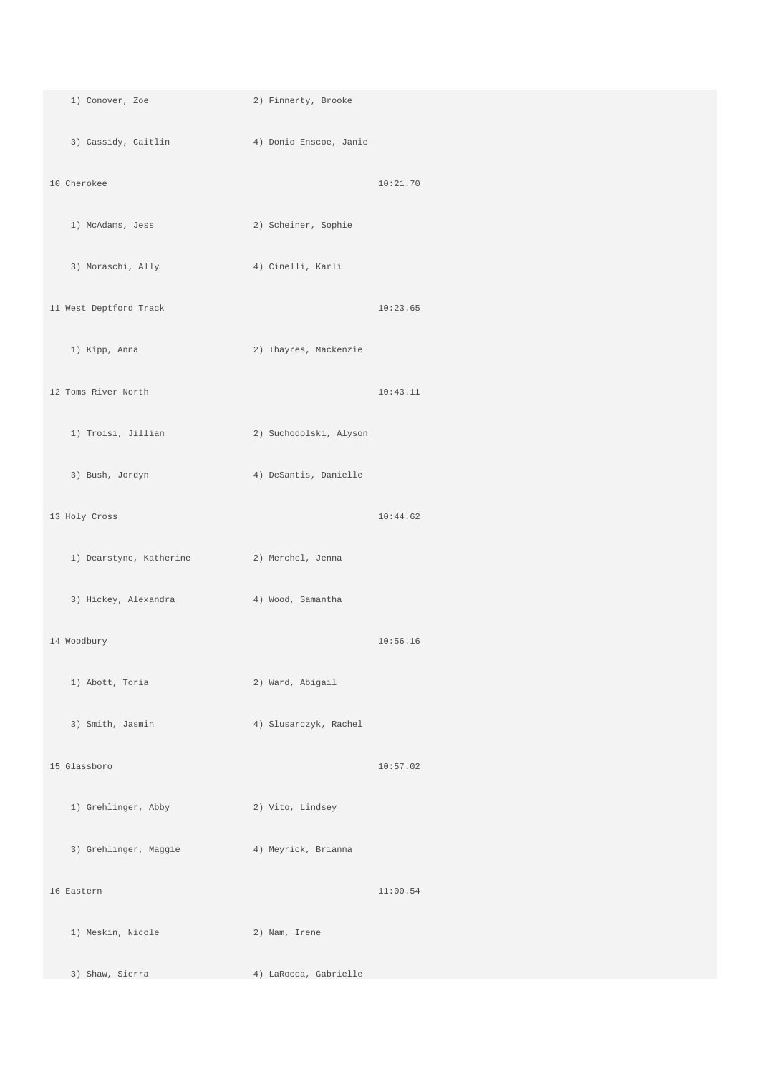| 1) Conover, Zoe                            | 2) Finnerty, Brooke    |          |
|--------------------------------------------|------------------------|----------|
| 3) Cassidy, Caitlin                        | 4) Donio Enscoe, Janie |          |
| 10 Cherokee                                |                        | 10:21.70 |
| 1) McAdams, Jess                           | 2) Scheiner, Sophie    |          |
| 3) Moraschi, Ally                          | 4) Cinelli, Karli      |          |
| 11 West Deptford Track                     |                        | 10:23.65 |
| 1) Kipp, Anna                              | 2) Thayres, Mackenzie  |          |
| 12 Toms River North                        |                        | 10:43.11 |
| 1) Troisi, Jillian                         | 2) Suchodolski, Alyson |          |
| 3) Bush, Jordyn                            | 4) DeSantis, Danielle  |          |
| 13 Holy Cross                              |                        | 10:44.62 |
| 1) Dearstyne, Katherine (2) Merchel, Jenna |                        |          |
| 3) Hickey, Alexandra                       | 4) Wood, Samantha      |          |
| 14 Woodbury                                |                        | 10:56.16 |
| 1) Abott, Toria                            | 2) Ward, Abigail       |          |
| 3) Smith, Jasmin                           | 4) Slusarczyk, Rachel  |          |
| 15 Glassboro                               |                        | 10:57.02 |
| 1) Grehlinger, Abby                        | 2) Vito, Lindsey       |          |
| 3) Grehlinger, Maggie                      | 4) Meyrick, Brianna    |          |
| 16 Eastern                                 |                        | 11:00.54 |
| 1) Meskin, Nicole                          | 2) Nam, Irene          |          |
| 3) Shaw, Sierra                            | 4) LaRocca, Gabrielle  |          |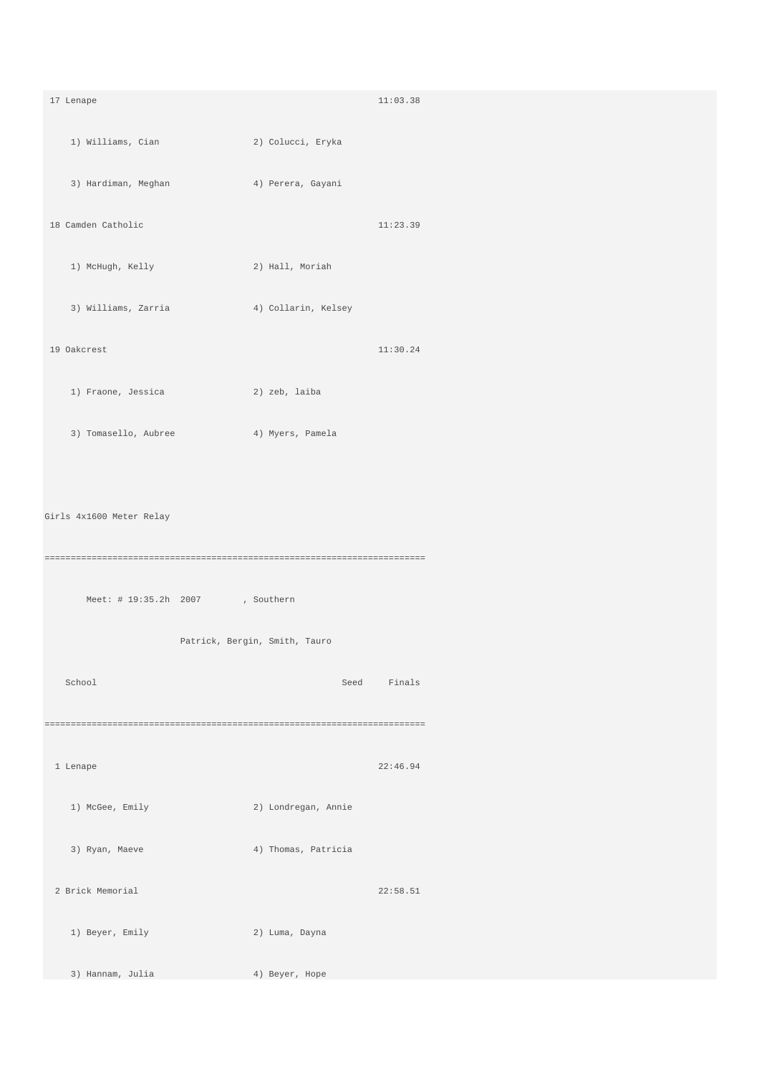17 Lenape 11:03.38 1) Williams, Cian 2) Colucci, Eryka 3) Hardiman, Meghan 4) Perera, Gayani 18 Camden Catholic 11:23.39 1) McHugh, Kelly 2) Hall, Moriah 3) Williams, Zarria (4) Collarin, Kelsey 19 Oakcrest 11:30.24 1) Fraone, Jessica 2) zeb, laiba 3) Tomasello, Aubree 4) Myers, Pamela Girls 4x1600 Meter Relay ========================================================================= Meet: # 19:35.2h 2007 , Southern Patrick, Bergin, Smith, Tauro School School Seed Finals ========================================================================= 1 Lenape 22:46.94 1) McGee, Emily 2) Londregan, Annie 3) Ryan, Maeve 4) Thomas, Patricia 2 Brick Memorial 22:58.51 1) Beyer, Emily 2) Luma, Dayna 3) Hannam, Julia 4) Beyer, Hope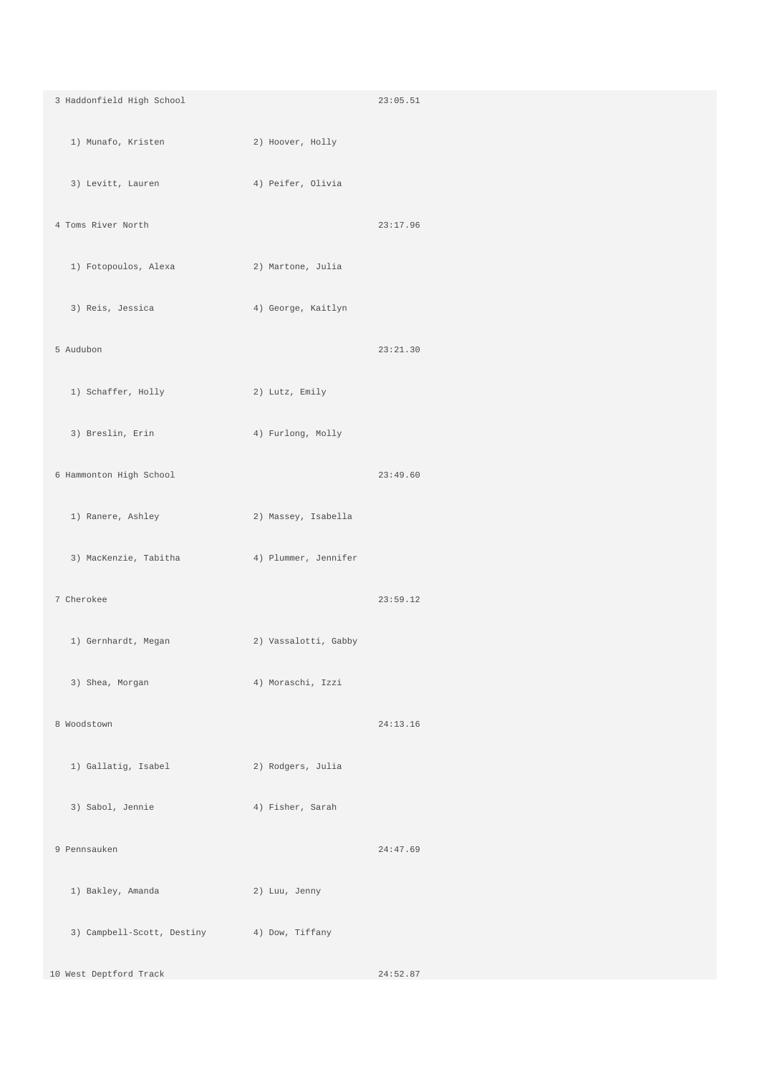| 3 Haddonfield High School                   |                      | 23:05.51 |
|---------------------------------------------|----------------------|----------|
| 1) Munafo, Kristen                          | 2) Hoover, Holly     |          |
| 3) Levitt, Lauren                           | 4) Peifer, Olivia    |          |
| 4 Toms River North                          |                      | 23:17.96 |
| 1) Fotopoulos, Alexa (2) Martone, Julia     |                      |          |
| 3) Reis, Jessica                            | 4) George, Kaitlyn   |          |
| 5 Audubon                                   |                      | 23:21.30 |
| 1) Schaffer, Holly                          | 2) Lutz, Emily       |          |
| 3) Breslin, Erin                            | 4) Furlong, Molly    |          |
| 6 Hammonton High School                     |                      | 23:49.60 |
| 1) Ranere, Ashley                           | 2) Massey, Isabella  |          |
| 3) MacKenzie, Tabitha (4) Plummer, Jennifer |                      |          |
| 7 Cherokee                                  |                      | 23:59.12 |
| 1) Gernhardt, Megan                         | 2) Vassalotti, Gabby |          |
| 3) Shea, Morgan                             | 4) Moraschi, Izzi    |          |
| 8 Woodstown                                 |                      | 24:13.16 |
| 1) Gallatig, Isabel                         | 2) Rodgers, Julia    |          |
| 3) Sabol, Jennie                            | 4) Fisher, Sarah     |          |
| 9 Pennsauken                                |                      | 24:47.69 |
| 1) Bakley, Amanda                           | 2) Luu, Jenny        |          |
| 3) Campbell-Scott, Destiny 4) Dow, Tiffany  |                      |          |
| 10 West Deptford Track                      |                      | 24:52.87 |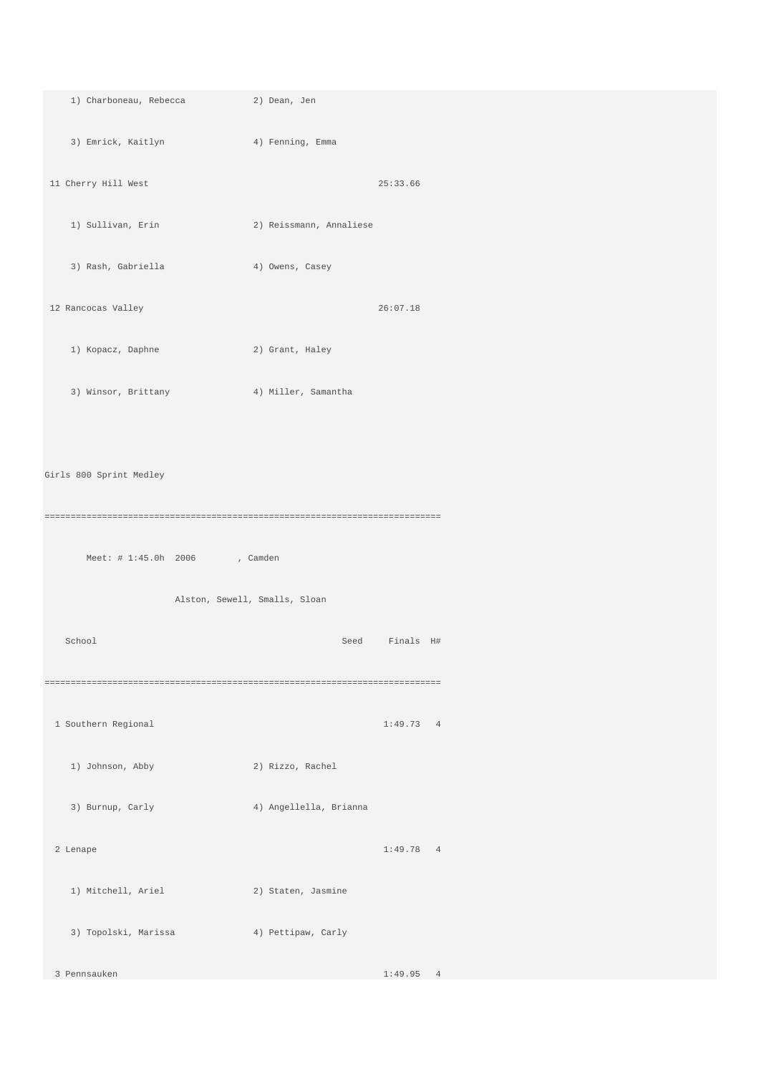| 1) Charboneau, Rebecca  | 2) Dean, Jen                  |           |
|-------------------------|-------------------------------|-----------|
| 3) Emrick, Kaitlyn      | 4) Fenning, Emma              |           |
| 11 Cherry Hill West     |                               | 25:33.66  |
| 1) Sullivan, Erin       | 2) Reissmann, Annaliese       |           |
| 3) Rash, Gabriella      | 4) Owens, Casey               |           |
| 12 Rancocas Valley      |                               | 26:07.18  |
| 1) Kopacz, Daphne       | 2) Grant, Haley               |           |
| 3) Winsor, Brittany     | 4) Miller, Samantha           |           |
|                         |                               |           |
| Girls 800 Sprint Medley |                               |           |
|                         |                               |           |
| Meet: # 1:45.0h 2006    | , Camden                      |           |
|                         | Alston, Sewell, Smalls, Sloan |           |
| School                  | Seed                          | Finals H# |
|                         |                               |           |
| 1 Southern Regional     |                               | 1:49.73 4 |
| 1) Johnson, Abby        | 2) Rizzo, Rachel              |           |
| 3) Burnup, Carly        | 4) Angellella, Brianna        |           |
| 2 Lenape                |                               | 1:49.78 4 |
| 1) Mitchell, Ariel      | 2) Staten, Jasmine            |           |
| 3) Topolski, Marissa    | 4) Pettipaw, Carly            |           |
| 3 Pennsauken            |                               | 1:49.95 4 |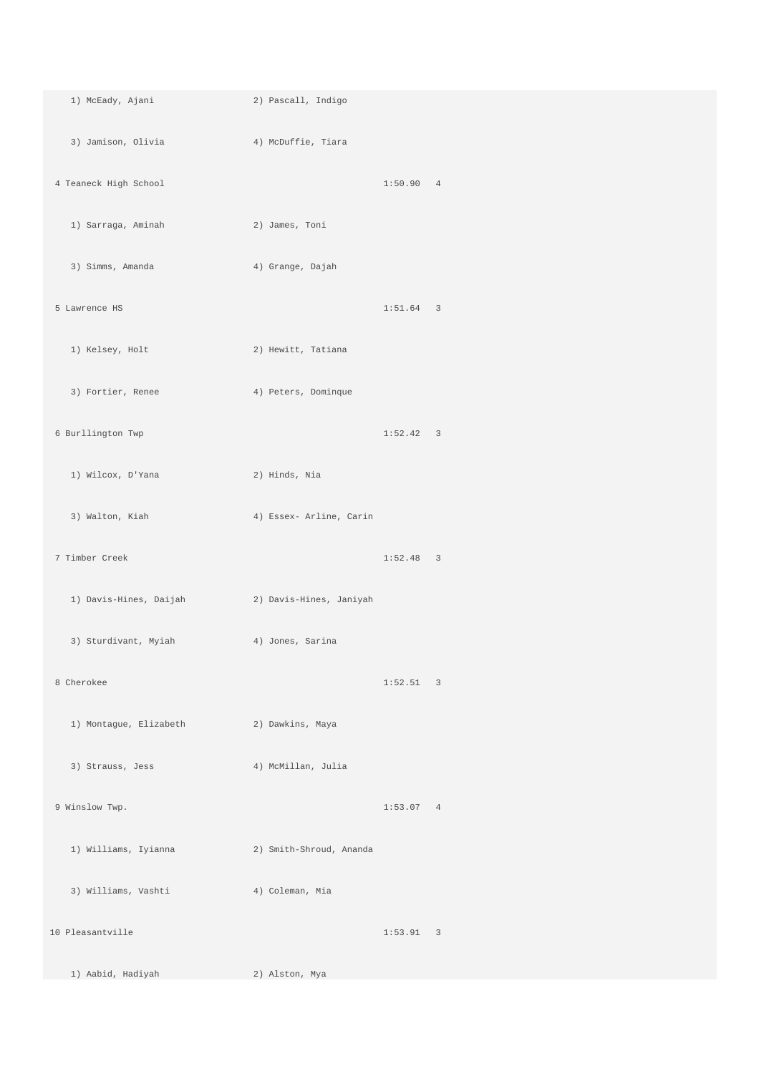| 1) McEady, Ajani                         | 2) Pascall, Indigo      |             |  |
|------------------------------------------|-------------------------|-------------|--|
| 3) Jamison, Olivia                       | 4) McDuffie, Tiara      |             |  |
| 4 Teaneck High School                    |                         | 1:50.90 4   |  |
| 1) Sarraga, Aminah                       | 2) James, Toni          |             |  |
| 3) Simms, Amanda                         | 4) Grange, Dajah        |             |  |
| 5 Lawrence HS                            |                         | $1:51.64$ 3 |  |
| 1) Kelsey, Holt                          | 2) Hewitt, Tatiana      |             |  |
| 3) Fortier, Renee                        | 4) Peters, Dominque     |             |  |
| 6 Burllington Twp                        |                         | 1:52.42 3   |  |
| 1) Wilcox, D'Yana                        | 2) Hinds, Nia           |             |  |
| 3) Walton, Kiah                          | 4) Essex- Arline, Carin |             |  |
| 7 Timber Creek                           |                         | $1:52.48$ 3 |  |
| 1) Davis-Hines, Daijah                   | 2) Davis-Hines, Janiyah |             |  |
| 3) Sturdivant, Myiah                     | 4) Jones, Sarina        |             |  |
| 8 Cherokee                               |                         | 1:52.51 3   |  |
| 1) Montague, Elizabeth (2) Dawkins, Maya |                         |             |  |
| 3) Strauss, Jess                         | 4) McMillan, Julia      |             |  |
| 9 Winslow Twp.                           |                         | 1:53.07 4   |  |
| 1) Williams, Iyianna                     | 2) Smith-Shroud, Ananda |             |  |
| 3) Williams, Vashti                      | 4) Coleman, Mia         |             |  |
| 10 Pleasantville                         |                         | 1:53.91 3   |  |
| 1) Aabid, Hadiyah                        | 2) Alston, Mya          |             |  |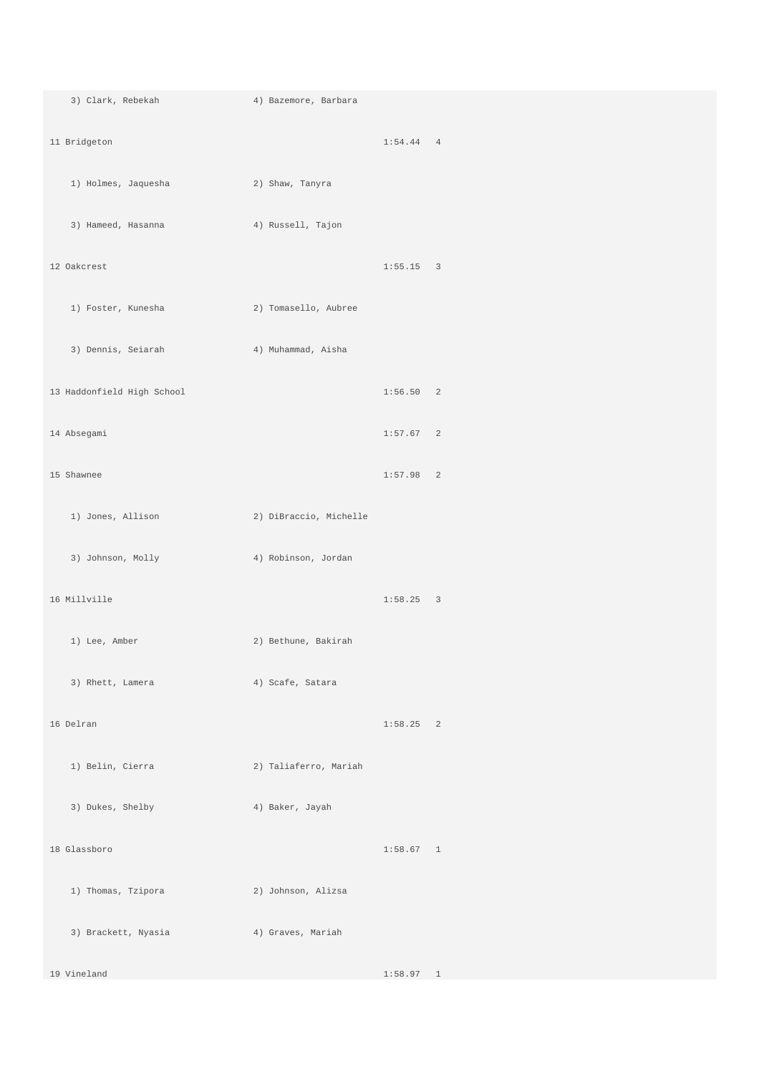3) Clark, Rebekah 4) Bazemore, Barbara 11 Bridgeton 1:54.44 4 1) Holmes, Jaquesha 2) Shaw, Tanyra 3) Hameed, Hasanna 4) Russell, Tajon 12 Oakcrest 1:55.15 3 1) Foster, Kunesha 2) Tomasello, Aubree 3) Dennis, Seiarah 4) Muhammad, Aisha 13 Haddonfield High School 1:56.50 2 14 Absegami 1:57.67 2 15 Shawnee 1:57.98 2 1) Jones, Allison 2) DiBraccio, Michelle 3) Johnson, Molly 4) Robinson, Jordan 16 Millville 1:58.25 3 1) Lee, Amber 2) Bethune, Bakirah 3) Rhett, Lamera (4) Scafe, Satara 16 Delran 1:58.25 2 1) Belin, Cierra 2) Taliaferro, Mariah 3) Dukes, Shelby 4) Baker, Jayah 18 Glassboro 1:58.67 1 1) Thomas, Tzipora 2) Johnson, Alizsa 3) Brackett, Nyasia 4) Graves, Mariah 19 Vineland 1:58.97 1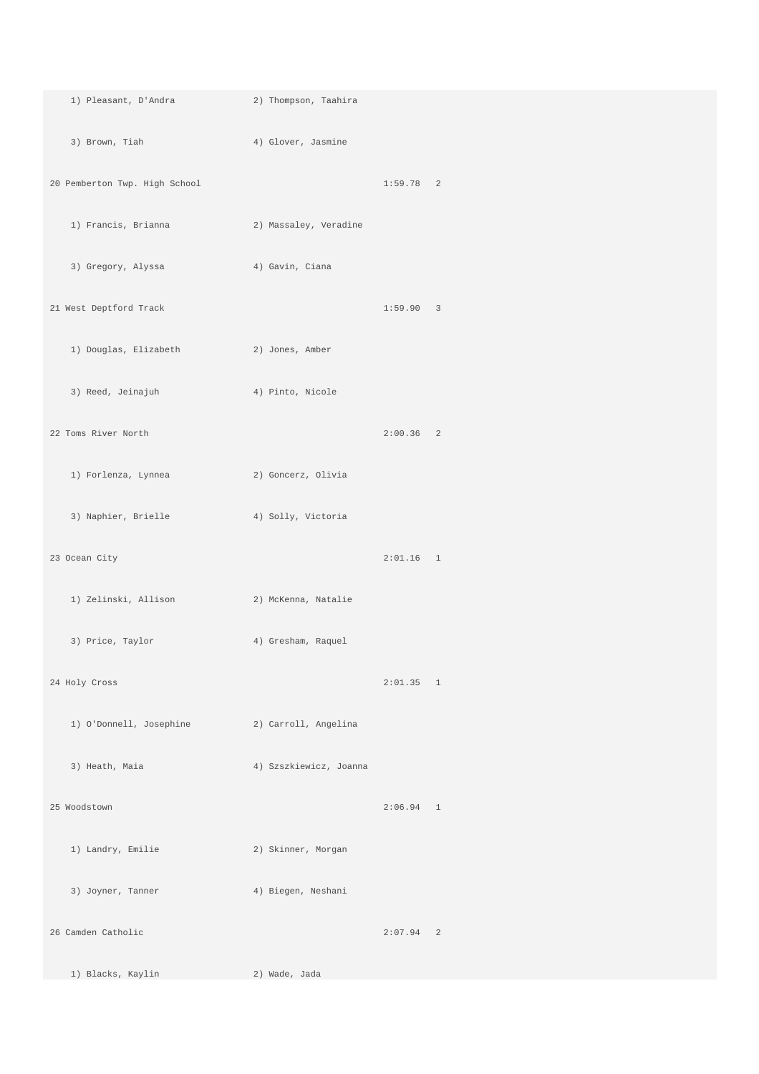| 1) Pleasant, D'Andra                          | 2) Thompson, Taahira   |             |  |
|-----------------------------------------------|------------------------|-------------|--|
| 3) Brown, Tiah (4) Glover, Jasmine            |                        |             |  |
| 20 Pemberton Twp. High School                 |                        | $1:59.78$ 2 |  |
| 1) Francis, Brianna                           | 2) Massaley, Veradine  |             |  |
| 3) Gregory, Alyssa (4) Gavin, Ciana           |                        |             |  |
| 21 West Deptford Track                        |                        | 1:59.90 3   |  |
| 1) Douglas, Elizabeth 2) Jones, Amber         |                        |             |  |
| 3) Reed, Jeinajuh                             | 4) Pinto, Nicole       |             |  |
| 22 Toms River North                           |                        | $2:00.36$ 2 |  |
| 1) Forlenza, Lynnea                           | 2) Goncerz, Olivia     |             |  |
| 3) Naphier, Brielle (4) Solly, Victoria       |                        |             |  |
| 23 Ocean City                                 |                        | $2:01.16$ 1 |  |
| 1) Zelinski, Allison                          | 2) McKenna, Natalie    |             |  |
| 3) Price, Taylor                              | 4) Gresham, Raquel     |             |  |
| 24 Holy Cross                                 |                        | 2:01.35 1   |  |
| 1) O'Donnell, Josephine (2) Carroll, Angelina |                        |             |  |
| 3) Heath, Maia                                | 4) Szszkiewicz, Joanna |             |  |
| 25 Woodstown                                  |                        | $2:06.94$ 1 |  |
| 1) Landry, Emilie                             | 2) Skinner, Morgan     |             |  |
| 3) Joyner, Tanner                             | 4) Biegen, Neshani     |             |  |
| 26 Camden Catholic                            |                        | $2:07.94$ 2 |  |
| 1) Blacks, Kaylin                             | 2) Wade, Jada          |             |  |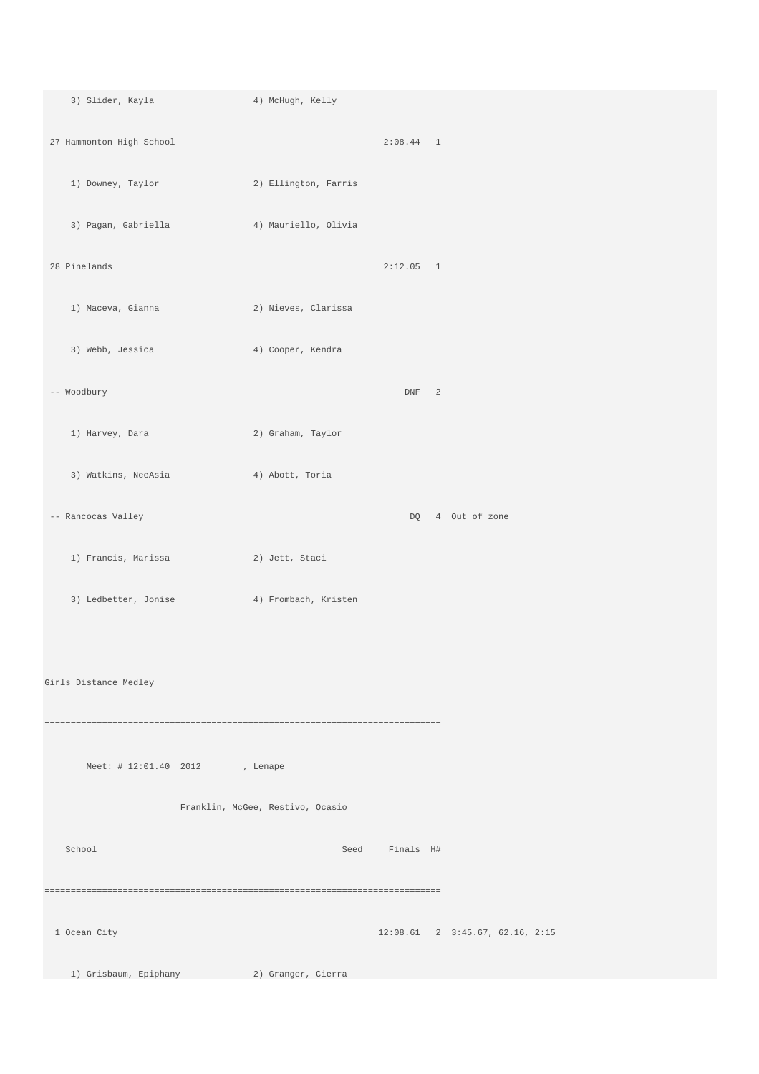3) Slider, Kayla 4) McHugh, Kelly 27 Hammonton High School 2:08.44 1 1) Downey, Taylor 2) Ellington, Farris 3) Pagan, Gabriella 4) Mauriello, Olivia 28 Pinelands 2:12.05 1 1) Maceva, Gianna 2) Nieves, Clarissa 3) Webb, Jessica 4) Cooper, Kendra -- Woodbury DNF 2 1) Harvey, Dara 2) Graham, Taylor 3) Watkins, NeeAsia 4) Abott, Toria -- Rancocas Valley 2008 and 2008 and 2008 and 2008 and 2008 and 2008 and 2008 and 2008 and 2008 and 2008 and 2008 and 2008 and 2008 and 2008 and 2008 and 2008 and 2008 and 2008 and 2008 and 2008 and 2008 and 2008 and 2008 1) Francis, Marissa 2) Jett, Staci 3) Ledbetter, Jonise 4) Frombach, Kristen Girls Distance Medley ============================================================================ Meet: # 12:01.40 2012 , Lenape Franklin, McGee, Restivo, Ocasio School Seed Finals H# ============================================================================ 1 Ocean City 12:08.61 2 3:45.67, 62.16, 2:15 1) Grisbaum, Epiphany 2) Granger, Cierra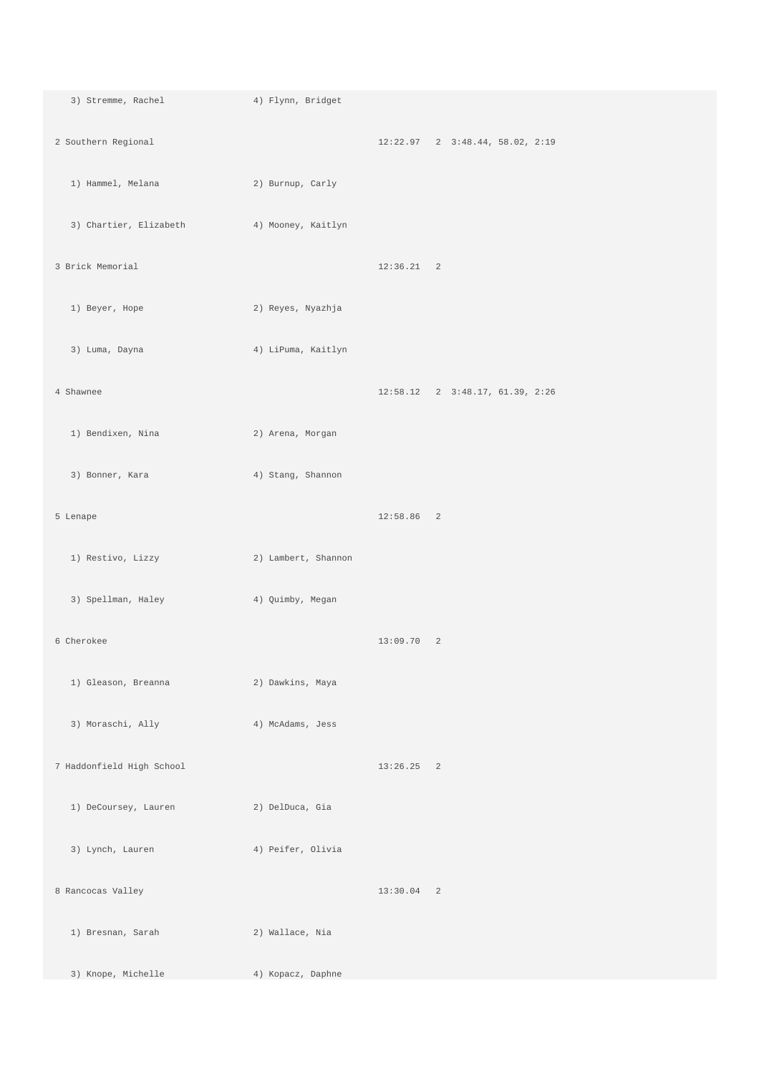3) Stremme, Rachel 4) Flynn, Bridget 2 Southern Regional 12:22.97 2 3:48.44, 58.02, 2:19 1) Hammel, Melana 2) Burnup, Carly 3) Chartier, Elizabeth 4) Mooney, Kaitlyn 3 Brick Memorial 12:36.21 2 1) Beyer, Hope 2) Reyes, Nyazhja 3) Luma, Dayna 4) LiPuma, Kaitlyn 4 Shawnee 12:58.12 2 3:48.17, 61.39, 2:26 1) Bendixen, Nina 2) Arena, Morgan 3) Bonner, Kara (4) Stang, Shannon 5 Lenape 12:58.86 2 1) Restivo, Lizzy 2) Lambert, Shannon 3) Spellman, Haley 4) Quimby, Megan 6 Cherokee 13:09.70 2 1) Gleason, Breanna 2) Dawkins, Maya 3) Moraschi, Ally 4) McAdams, Jess 7 Haddonfield High School 13:26.25 2 1) DeCoursey, Lauren 2) DelDuca, Gia 3) Lynch, Lauren 4) Peifer, Olivia 8 Rancocas Valley 13:30.04 2 1) Bresnan, Sarah 2) Wallace, Nia 3) Knope, Michelle 4) Kopacz, Daphne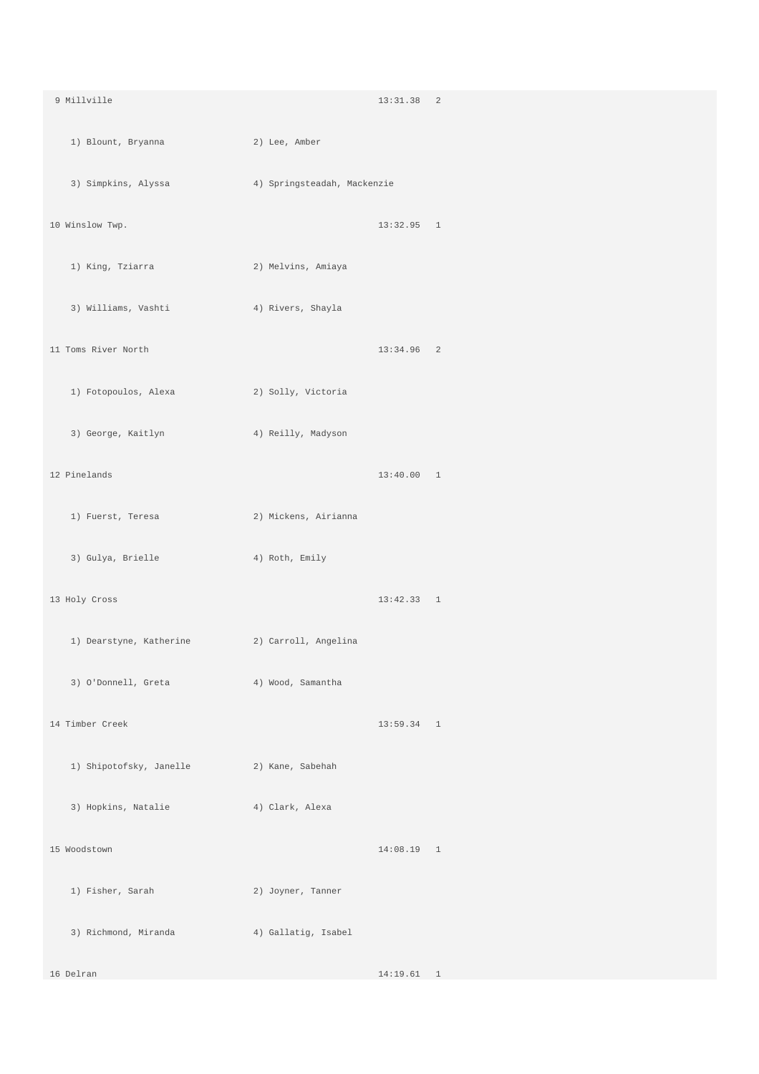| 9 Millville                                   |                             | 13:31.38 2   |  |
|-----------------------------------------------|-----------------------------|--------------|--|
| 1) Blount, Bryanna                            | 2) Lee, Amber               |              |  |
| 3) Simpkins, Alyssa                           | 4) Springsteadah, Mackenzie |              |  |
| 10 Winslow Twp.                               |                             | $13:32.95$ 1 |  |
| 1) King, Tziarra                              | 2) Melvins, Amiaya          |              |  |
| 3) Williams, Vashti                           | 4) Rivers, Shayla           |              |  |
| 11 Toms River North                           |                             | $13:34.96$ 2 |  |
| 1) Fotopoulos, Alexa                          | 2) Solly, Victoria          |              |  |
| 3) George, Kaitlyn                            | 4) Reilly, Madyson          |              |  |
| 12 Pinelands                                  |                             | 13:40.00 1   |  |
| 1) Fuerst, Teresa                             | 2) Mickens, Airianna        |              |  |
| 3) Gulya, Brielle                             | 4) Roth, Emily              |              |  |
| 13 Holy Cross                                 |                             | 13:42.33 1   |  |
| 1) Dearstyne, Katherine (2) Carroll, Angelina |                             |              |  |
| 3) O'Donnell, Greta                           | 4) Wood, Samantha           |              |  |
| 14 Timber Creek                               |                             | $13:59.34$ 1 |  |
| 1) Shipotofsky, Janelle (2) Kane, Sabehah     |                             |              |  |
| 3) Hopkins, Natalie                           | 4) Clark, Alexa             |              |  |
| 15 Woodstown                                  |                             | $14:08.19$ 1 |  |
| 1) Fisher, Sarah                              | 2) Joyner, Tanner           |              |  |
| 3) Richmond, Miranda                          | 4) Gallatig, Isabel         |              |  |
| 16 Delran                                     |                             | 14:19.61 1   |  |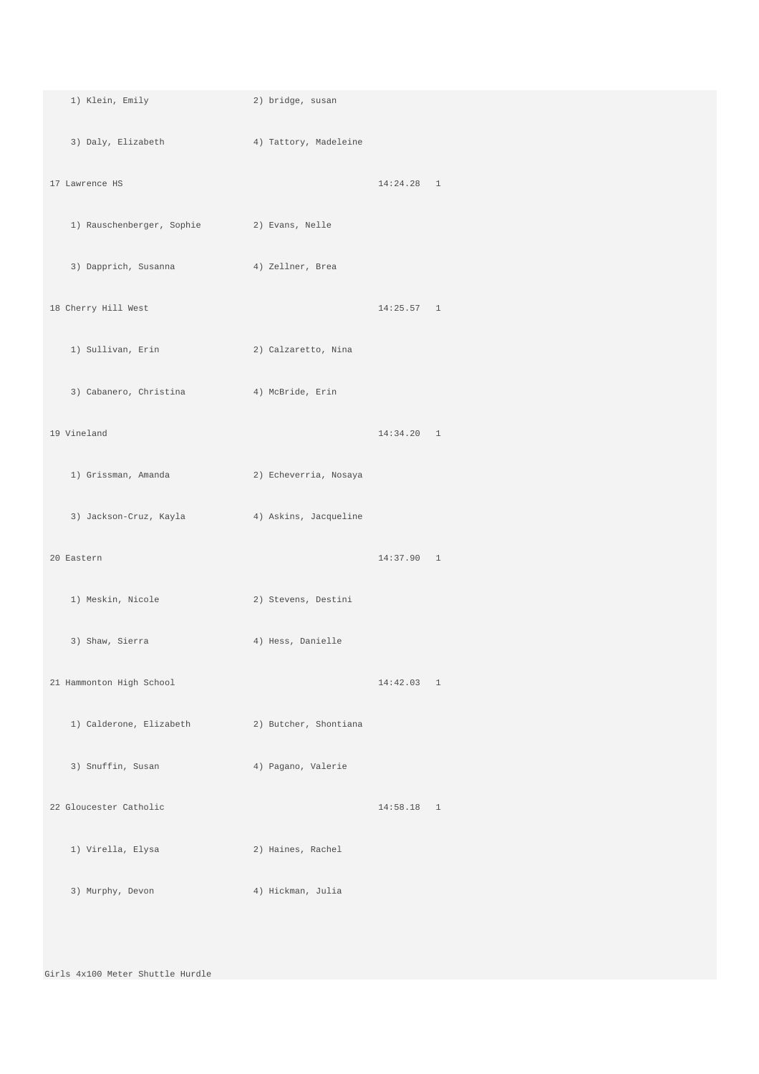| 1) Klein, Emily                                | 2) bridge, susan      |              |  |
|------------------------------------------------|-----------------------|--------------|--|
| 3) Daly, Elizabeth 4) Tattory, Madeleine       |                       |              |  |
| 17 Lawrence HS                                 |                       | $14:24.28$ 1 |  |
| 1) Rauschenberger, Sophie (2) Evans, Nelle     |                       |              |  |
| 3) Dapprich, Susanna (4) Zellner, Brea         |                       |              |  |
| 18 Cherry Hill West                            |                       | 14:25.57 1   |  |
| 1) Sullivan, Erin                              | 2) Calzaretto, Nina   |              |  |
| 3) Cabanero, Christina (4) McBride, Erin       |                       |              |  |
| 19 Vineland                                    |                       | 14:34.20 1   |  |
| 1) Grissman, Amanda                            | 2) Echeverria, Nosaya |              |  |
| 3) Jackson-Cruz, Kayla (4) Askins, Jacqueline  |                       |              |  |
| 20 Eastern                                     |                       | 14:37.90 1   |  |
| 1) Meskin, Nicole                              | 2) Stevens, Destini   |              |  |
| 3) Shaw, Sierra                                | 4) Hess, Danielle     |              |  |
| 21 Hammonton High School                       |                       | 14:42.03 1   |  |
| 1) Calderone, Elizabeth (2) Butcher, Shontiana |                       |              |  |
| 3) Snuffin, Susan                              | 4) Pagano, Valerie    |              |  |
| 22 Gloucester Catholic                         |                       | $14:58.18$ 1 |  |
| 1) Virella, Elysa                              | 2) Haines, Rachel     |              |  |
| 3) Murphy, Devon                               | 4) Hickman, Julia     |              |  |
|                                                |                       |              |  |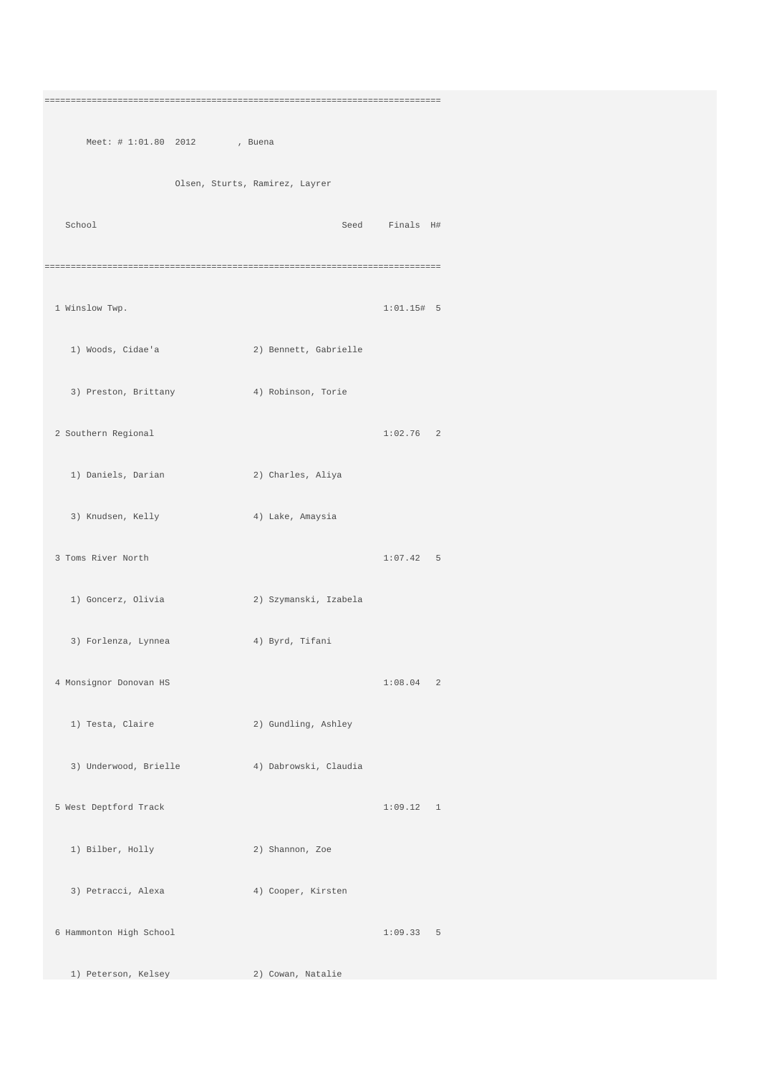============================================================================ Meet: # 1:01.80 2012 , Buena Olsen, Sturts, Ramirez, Layrer School Seed Finals H# ============================================================================ 1 Winslow Twp. 1:01.15# 5 1) Woods, Cidae'a 2) Bennett, Gabrielle 3) Preston, Brittany 4) Robinson, Torie 2 Southern Regional 1:02.76 2 1) Daniels, Darian 2) Charles, Aliya 3) Knudsen, Kelly 4) Lake, Amaysia 3 Toms River North 1:07.42 5 1) Goncerz, Olivia 2) Szymanski, Izabela 3) Forlenza, Lynnea 4) Byrd, Tifani 4 Monsignor Donovan HS 1:08.04 2 1) Testa, Claire 2) Gundling, Ashley 3) Underwood, Brielle 4) Dabrowski, Claudia 5 West Deptford Track 1:09.12 1 1) Bilber, Holly 2) Shannon, Zoe 3) Petracci, Alexa (4) Cooper, Kirsten 6 Hammonton High School 1:09.33 5 1) Peterson, Kelsey 2) Cowan, Natalie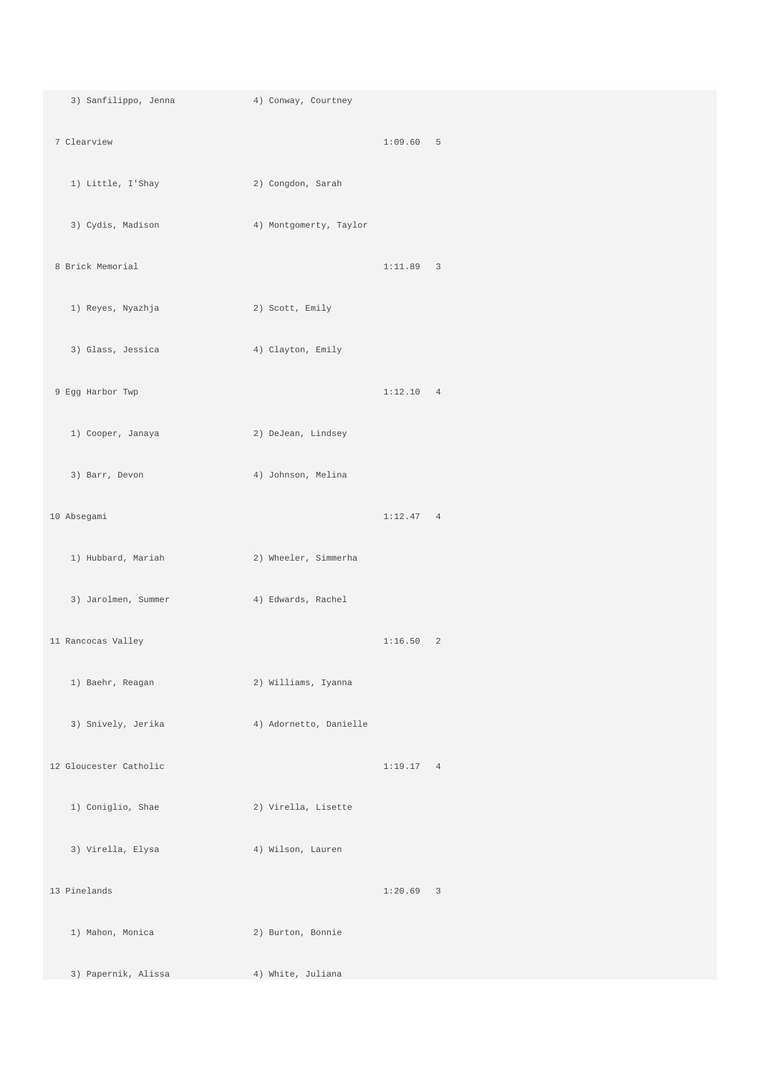3) Sanfilippo, Jenna 4) Conway, Courtney 7 Clearview 1:09.60 5 1) Little, I'Shay 2) Congdon, Sarah 3) Cydis, Madison 4) Montgomerty, Taylor 8 Brick Memorial 1:11.89 3 1) Reyes, Nyazhja 2) Scott, Emily 3) Glass, Jessica 4) Clayton, Emily 9 Egg Harbor Twp 1:12.10 4 1) Cooper, Janaya 2) DeJean, Lindsey 3) Barr, Devon 4) Johnson, Melina 10 Absegami 1:12.47 4 1) Hubbard, Mariah 2) Wheeler, Simmerha 3) Jarolmen, Summer 4) Edwards, Rachel 11 Rancocas Valley 1:16.50 2 1) Baehr, Reagan 2) Williams, Iyanna 3) Snively, Jerika 4) Adornetto, Danielle 12 Gloucester Catholic 1:19.17 4 1) Coniglio, Shae 2) Virella, Lisette 3) Virella, Elysa (4) Wilson, Lauren 13 Pinelands 1:20.69 3 1) Mahon, Monica 2) Burton, Bonnie 3) Papernik, Alissa 4) White, Juliana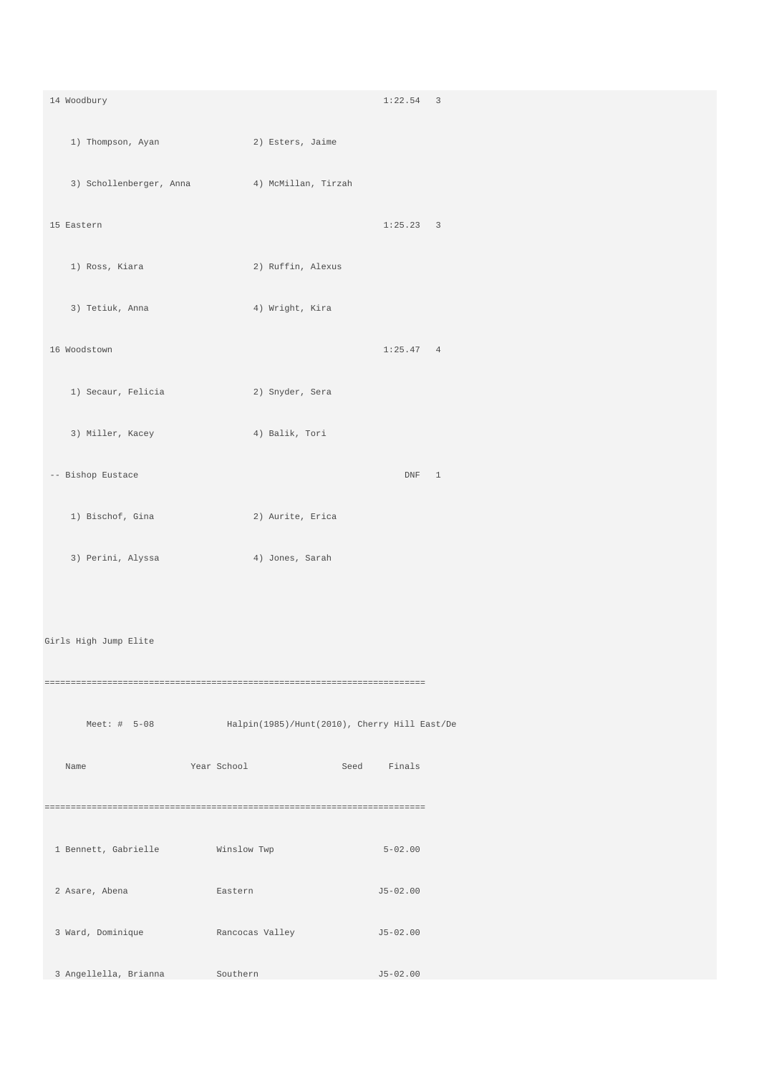14 Woodbury 1:22.54 3 1) Thompson, Ayan 2) Esters, Jaime 3) Schollenberger, Anna 4) McMillan, Tirzah 15 Eastern 1:25.23 3 1) Ross, Kiara 2) Ruffin, Alexus 3) Tetiuk, Anna  $\begin{array}{ccc} 4 & \text{Wright}, & \text{Kira} \end{array}$  16 Woodstown 1:25.47 4 1) Secaur, Felicia 2) Snyder, Sera 3) Miller, Kacey 4) Balik, Tori -- Bishop Eustace DNF 1 1) Bischof, Gina 2) Aurite, Erica 3) Perini, Alyssa (4) Jones, Sarah Girls High Jump Elite ========================================================================= Meet: # 5-08 Halpin(1985)/Hunt(2010), Cherry Hill East/De Name Year School Seed Finals ========================================================================= 1 Bennett, Gabrielle Winslow Twp 5-02.00  $\texttt{Lastern} \hspace{1.5cm} \texttt{J5-02.00}$  3 Ward, Dominique Rancocas Valley J5-02.00 3 Angellella, Brianna Southern J5-02.00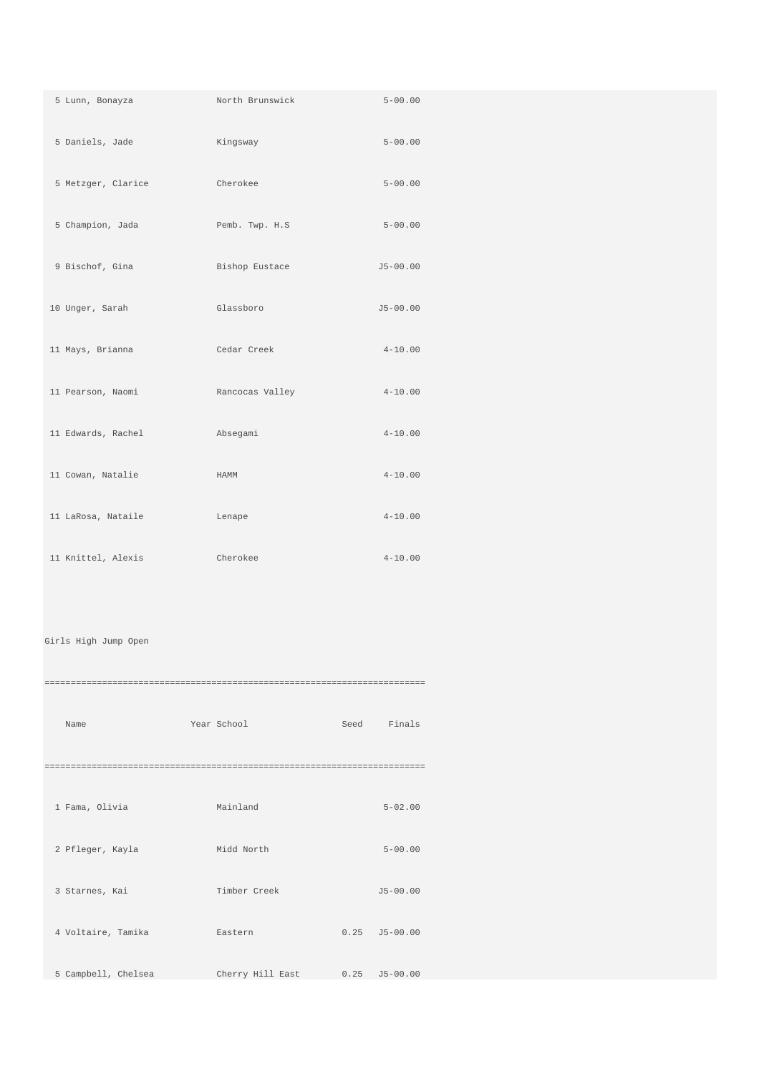| 5 Lunn, Bonayza    | North Brunswick | $5 - 00.00$  |
|--------------------|-----------------|--------------|
| 5 Daniels, Jade    | Kingsway        | $5 - 00.00$  |
| 5 Metzger, Clarice | Cherokee        | $5 - 00.00$  |
| 5 Champion, Jada   | Pemb. Twp. H.S  | $5 - 00.00$  |
| 9 Bischof, Gina    | Bishop Eustace  | $J5 - 00.00$ |
| 10 Unger, Sarah    | Glassboro       | $J5 - 00.00$ |
| 11 Mays, Brianna   | Cedar Creek     | $4 - 10.00$  |
| 11 Pearson, Naomi  | Rancocas Valley | $4 - 10.00$  |
| 11 Edwards, Rachel | Absegami        | $4 - 10.00$  |
| 11 Cowan, Natalie  | HAMM            | $4 - 10.00$  |
| 11 LaRosa, Nataile | Lenape          | $4 - 10.00$  |
| 11 Knittel, Alexis | Cherokee        | $4 - 10.00$  |

## Girls High Jump Open

| Name                | Year School      | Seed Finals       |
|---------------------|------------------|-------------------|
|                     |                  |                   |
| 1 Fama, Olivia      | Mainland         | $5 - 02.00$       |
| 2 Pfleger, Kayla    | Midd North       | $5 - 00.00$       |
| 3 Starnes, Kai      | Timber Creek     | $J5 - 00.00$      |
| 4 Voltaire, Tamika  | Eastern          | $0.25$ $J5-00.00$ |
| 5 Campbell, Chelsea | Cherry Hill East | $0.25$ $J5-00.00$ |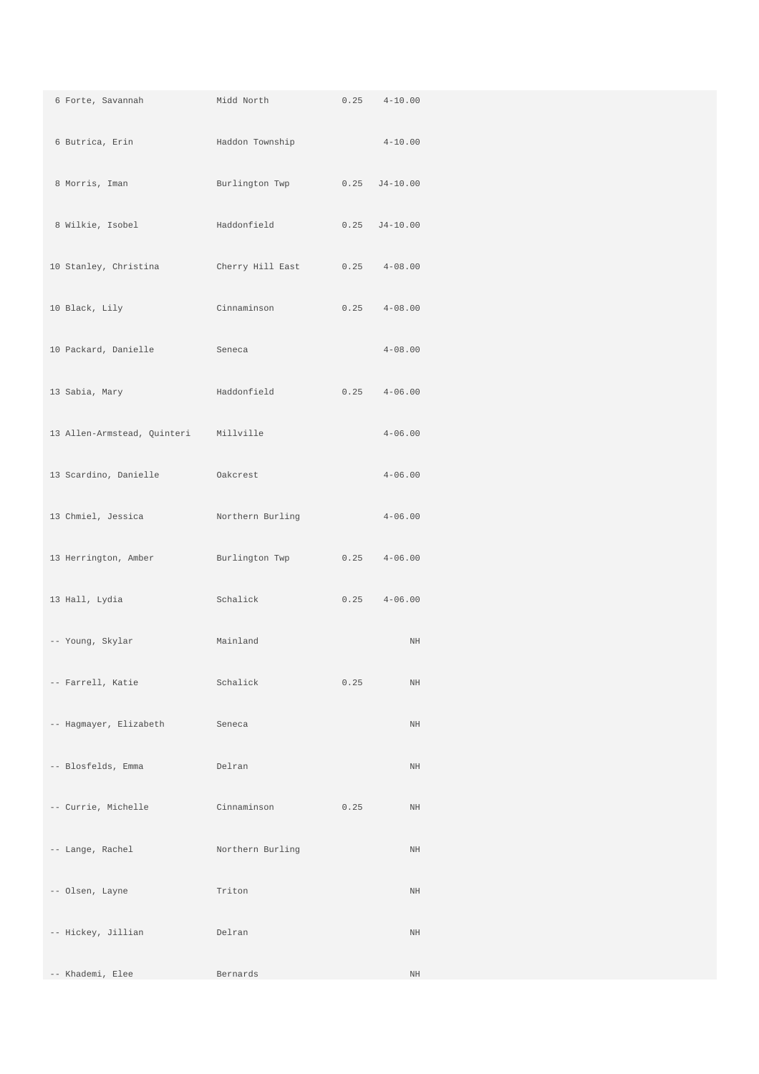| 6 Forte, Savannah                     | Midd North Theory            | 0.25 | $4 - 10.00$       |
|---------------------------------------|------------------------------|------|-------------------|
| 6 Butrica, Erin                       | Haddon Township              |      | $4 - 10.00$       |
| 8 Morris, Iman                        | Burlington Twp 0.25 J4-10.00 |      |                   |
| 8 Wilkie, Isobel                      | Haddonfield                  |      | $0.25$ $J4-10.00$ |
| 10 Stanley, Christina                 | Cherry Hill East             |      | $0.25$ $4-08.00$  |
| 10 Black, Lily                        | Cinnaminson                  | 0.25 | $4 - 08.00$       |
| 10 Packard, Danielle                  | Seneca                       |      | $4 - 08.00$       |
| 13 Sabia, Mary                        | Haddonfield                  | 0.25 | $4 - 06.00$       |
| 13 Allen-Armstead, Quinteri Millville |                              |      | $4 - 06.00$       |
| 13 Scardino, Danielle                 | Oakcrest                     |      | $4 - 06.00$       |
| 13 Chmiel, Jessica                    | Northern Burling             |      | $4 - 06.00$       |
| 13 Herrington, Amber                  | Burlington Twp               | 0.25 | $4 - 06.00$       |
| 13 Hall, Lydia                        | Schalick                     | 0.25 | $4 - 06.00$       |
| -- Young, Skylar                      | Mainland                     |      | $\rm{NH}$         |
| -- Farrell, Katie                     | Schalick                     | 0.25 | $\rm{NH}$         |
| -- Hagmayer, Elizabeth                | Seneca                       |      | NH                |
| -- Blosfelds, Emma                    | Delran                       |      | $\rm{NH}$         |
| -- Currie, Michelle                   | Cinnaminson                  | 0.25 | $\rm{NH}$         |
| -- Lange, Rachel                      | Northern Burling             |      | $\rm{NH}$         |
| -- Olsen, Layne                       | Triton                       |      | NH                |
| -- Hickey, Jillian                    | Delran                       |      | $\rm{NH}$         |
| -- Khademi, Elee                      | Bernards                     |      | $\rm{NH}$         |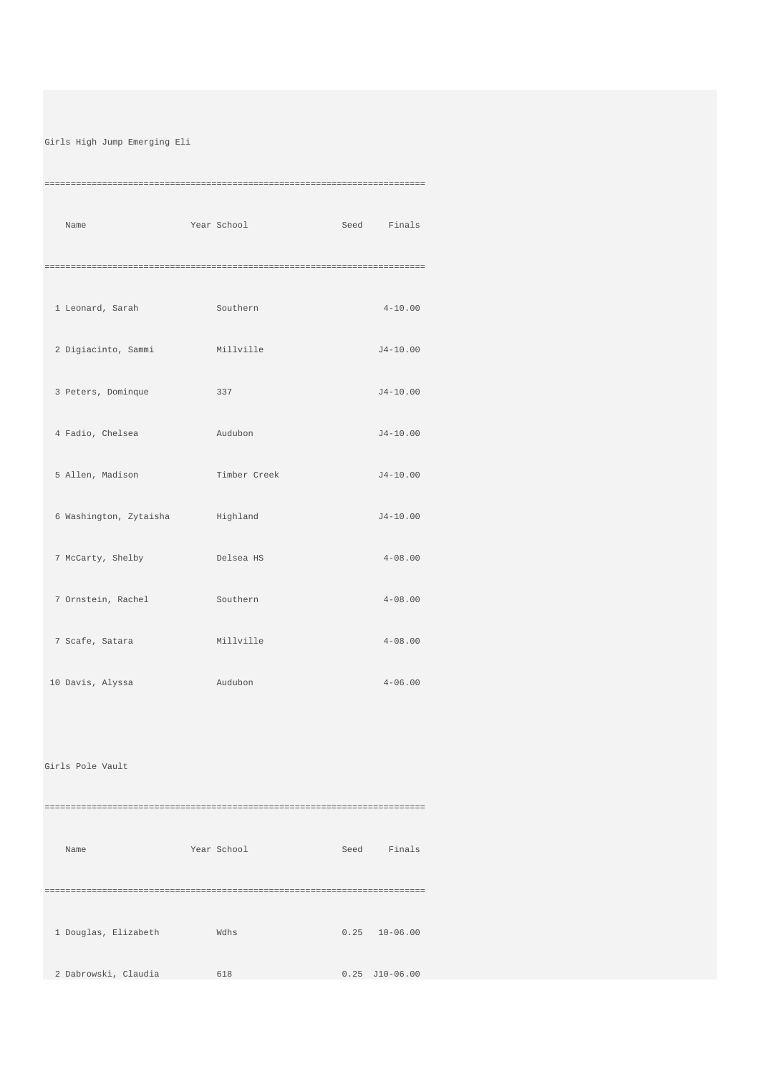## Girls High Jump Emerging Eli

=========================================================================

| Name                                    | Year School  | Seed Finals  |
|-----------------------------------------|--------------|--------------|
|                                         |              |              |
|                                         |              |              |
| 1 Leonard, Sarah Southern               |              | $4 - 10.00$  |
| 2 Digiacinto, Sammi Millville           |              | $J4 - 10.00$ |
| 3 Peters, Dominque                      | 337          | $J4-10.00$   |
| 4 Fadio, Chelsea                        | and Audubon  | $J4 - 10.00$ |
| 5 Allen, Madison                        | Timber Creek | $J4 - 10.00$ |
| 6 Washington, Zytaisha <a> Highland</a> |              | $J4 - 10.00$ |
| 7 McCarty, Shelby                       | Delsea HS    | $4 - 08.00$  |
| 7 Ornstein, Rachel                      | Southern     | $4 - 08.00$  |
| 7 Scafe, Satara                         | Millville    | $4 - 08.00$  |
| 10 Davis, Alyssa                        | Audubon      | $4 - 06.00$  |
|                                         |              |              |

## Girls Pole Vault

========================================================================= Name Year School Seed Finals

=========================================================================

1 Douglas, Elizabeth Wdhs 0.25 10-06.00

2 Dabrowski, Claudia 618 0.25 J10-06.00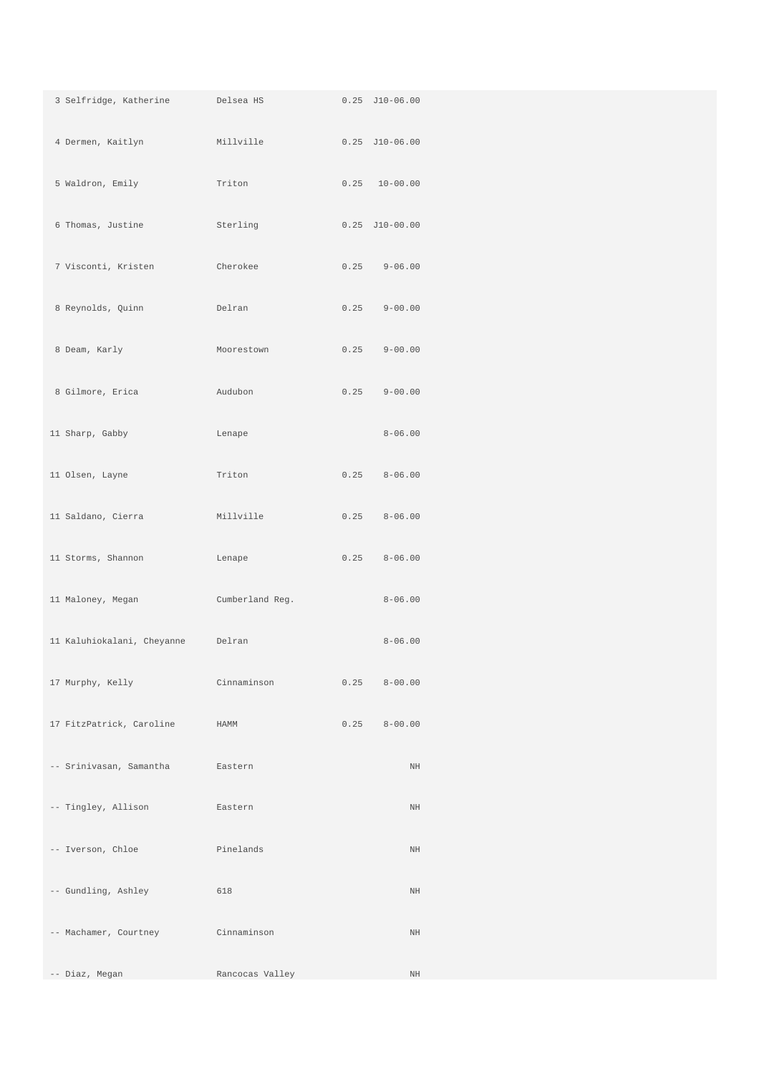| 3 Selfridge, Katherine     | Delsea HS       |      | $0.25$ $J10-06.00$ |
|----------------------------|-----------------|------|--------------------|
| 4 Dermen, Kaitlyn          | Millville       |      | $0.25$ $J10-06.00$ |
| 5 Waldron, Emily           | Triton          |      | $0.25$ $10-00.00$  |
| 6 Thomas, Justine          | Sterling        |      | $0.25$ $J10-00.00$ |
| 7 Visconti, Kristen        | Cherokee        | 0.25 | $9 - 06.00$        |
| 8 Reynolds, Quinn          | Delran          | 0.25 | $9 - 00.00$        |
| 8 Deam, Karly              | Moorestown      | 0.25 | $9 - 00.00$        |
| 8 Gilmore, Erica           | Audubon         | 0.25 | $9 - 00.00$        |
| 11 Sharp, Gabby            | Lenape          |      | $8 - 06.00$        |
| 11 Olsen, Layne            | Triton          | 0.25 | $8 - 06.00$        |
| 11 Saldano, Cierra         | Millville       | 0.25 | $8 - 06.00$        |
| 11 Storms, Shannon         | Lenape          | 0.25 | $8 - 06.00$        |
| 11 Maloney, Megan          | Cumberland Reg. |      | $8 - 06.00$        |
| 11 Kaluhiokalani, Cheyanne | Delran          |      | $8 - 06.00$        |
| 17 Murphy, Kelly           | Cinnaminson     | 0.25 | $8 - 00.00$        |
| 17 FitzPatrick, Caroline   | HAMM            | 0.25 | $8 - 00.00$        |
| -- Srinivasan, Samantha    | Eastern         |      | $\rm{NH}$          |
| -- Tingley, Allison        | Eastern         |      | $\rm{NH}$          |
| -- Iverson, Chloe          | Pinelands       |      | $\rm{NH}$          |
| -- Gundling, Ashley        | 618             |      | $\rm{NH}$          |
| -- Machamer, Courtney      | Cinnaminson     |      | $\rm{NH}$          |
| -- Diaz, Megan             | Rancocas Valley |      | $\rm{NH}$          |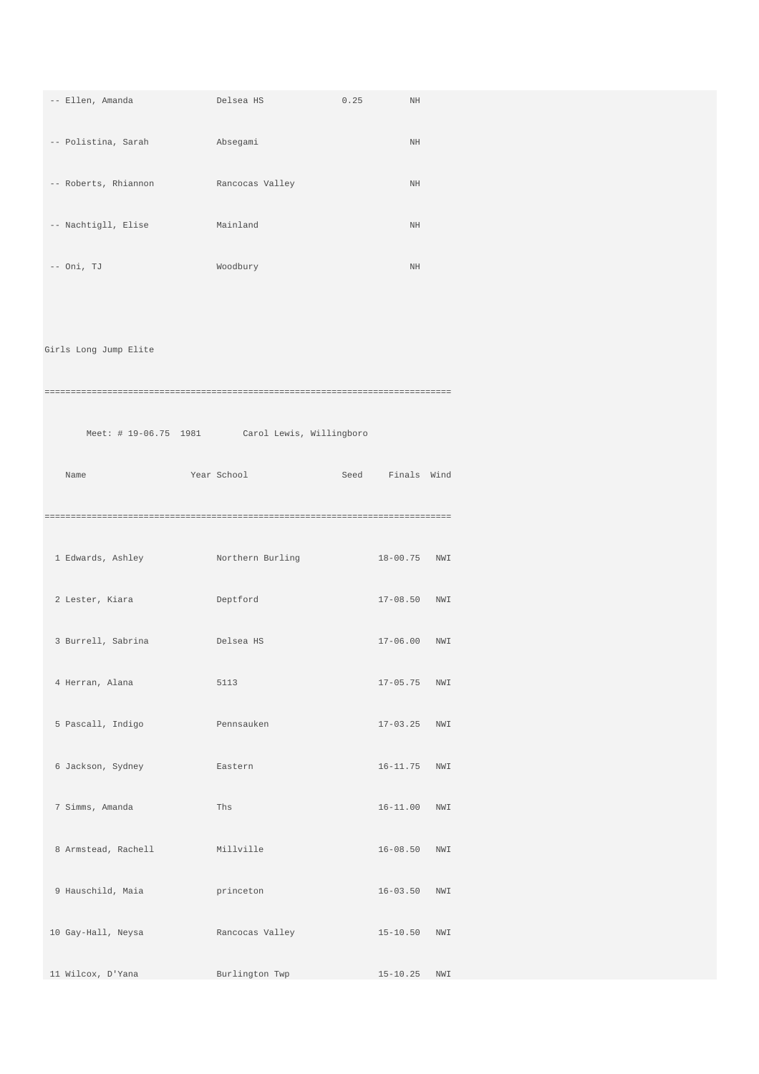| -- Ellen, Amanda      | Delsea HS                                      | 0.25 | $\rm{NH}$        |  |
|-----------------------|------------------------------------------------|------|------------------|--|
| -- Polistina, Sarah   | Absegami                                       |      | $\rm{NH}$        |  |
| -- Roberts, Rhiannon  | Rancocas Valley                                |      | $\rm{NH}$        |  |
| -- Nachtigll, Elise   | Mainland                                       |      | $\rm{NH}$        |  |
| $--$ Oni, TJ          | Woodbury                                       |      | $\rm{NH}$        |  |
|                       |                                                |      |                  |  |
| Girls Long Jump Elite |                                                |      |                  |  |
|                       |                                                |      |                  |  |
|                       | Meet: # 19-06.75 1981 Carol Lewis, Willingboro |      |                  |  |
| Name                  | Year School                                    |      | Seed Finals Wind |  |
|                       |                                                |      |                  |  |
| 1 Edwards, Ashley     | Northern Burling                               |      | 18-00.75 NWI     |  |
| 2 Lester, Kiara       | Deptford                                       |      | 17-08.50 NWI     |  |
| 3 Burrell, Sabrina    | Delsea HS                                      |      | 17-06.00 NWI     |  |
| 4 Herran, Alana       | 5113                                           |      | 17-05.75 NWI     |  |
| 5 Pascall, Indigo     | Pennsauken                                     |      | 17-03.25 NWI     |  |
| 6 Jackson, Sydney     | Eastern                                        |      | 16-11.75 NWI     |  |
|                       |                                                |      |                  |  |
| 7 Simms, Amanda       | Ths                                            |      | 16-11.00 NWI     |  |
| 8 Armstead, Rachell   | Millville                                      |      | 16-08.50 NWI     |  |
| 9 Hauschild, Maia     | princeton                                      |      | $16 - 03.50$ NWI |  |
| 10 Gay-Hall, Neysa    | Rancocas Valley                                |      | 15-10.50 NWI     |  |
| 11 Wilcox, D'Yana     | Burlington Twp                                 |      | 15-10.25 NWI     |  |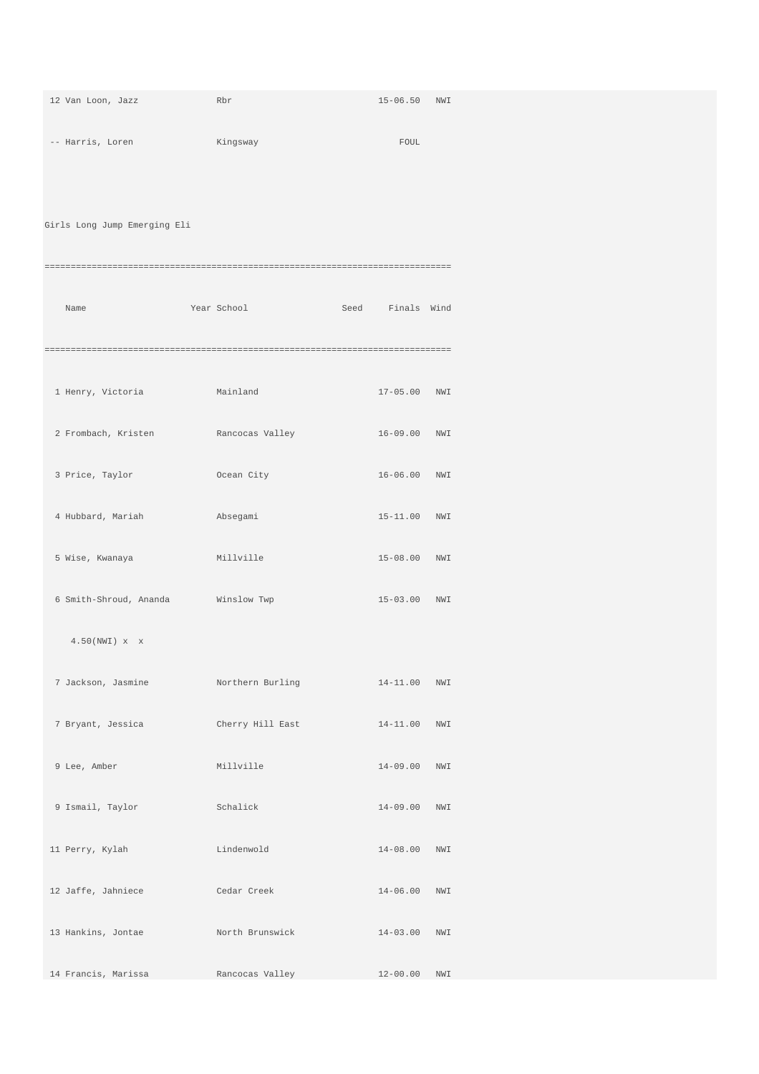| 12 Van Loon, Jazz            | Rbr              | 15-06.50 NWI     |  |
|------------------------------|------------------|------------------|--|
| -- Harris, Loren             | Kingsway         | FOUL             |  |
|                              |                  |                  |  |
| Girls Long Jump Emerging Eli |                  |                  |  |
|                              |                  |                  |  |
|                              |                  |                  |  |
| Name                         | Year School      | Seed Finals Wind |  |
|                              |                  |                  |  |
| 1 Henry, Victoria            | Mainland         | 17-05.00 NWI     |  |
| 2 Frombach, Kristen          | Rancocas Valley  | 16-09.00 NWI     |  |
| 3 Price, Taylor              | Ocean City       | 16-06.00 NWI     |  |
| 4 Hubbard, Mariah            | Absegami         | 15-11.00 NWI     |  |
|                              |                  |                  |  |
| 5 Wise, Kwanaya              | Millville        | 15-08.00 NWI     |  |
| 6 Smith-Shroud, Ananda       | Winslow Twp      | 15-03.00 NWI     |  |
| 4.50(NWI) x x                |                  |                  |  |
| 7 Jackson, Jasmine           | Northern Burling | 14-11.00 NWI     |  |
| 7 Bryant, Jessica            | Cherry Hill East | 14-11.00 NWI     |  |
|                              |                  |                  |  |
| 9 Lee, Amber                 | Millville        | 14-09.00 NWI     |  |
| 9 Ismail, Taylor             | Schalick         | 14-09.00 NWI     |  |
| 11 Perry, Kylah              | Lindenwold       | 14-08.00 NWI     |  |
| 12 Jaffe, Jahniece           | Cedar Creek      | 14-06.00 NWI     |  |
| 13 Hankins, Jontae           | North Brunswick  | 14-03.00 NWI     |  |
|                              |                  |                  |  |
| 14 Francis, Marissa          | Rancocas Valley  | 12-00.00 NWI     |  |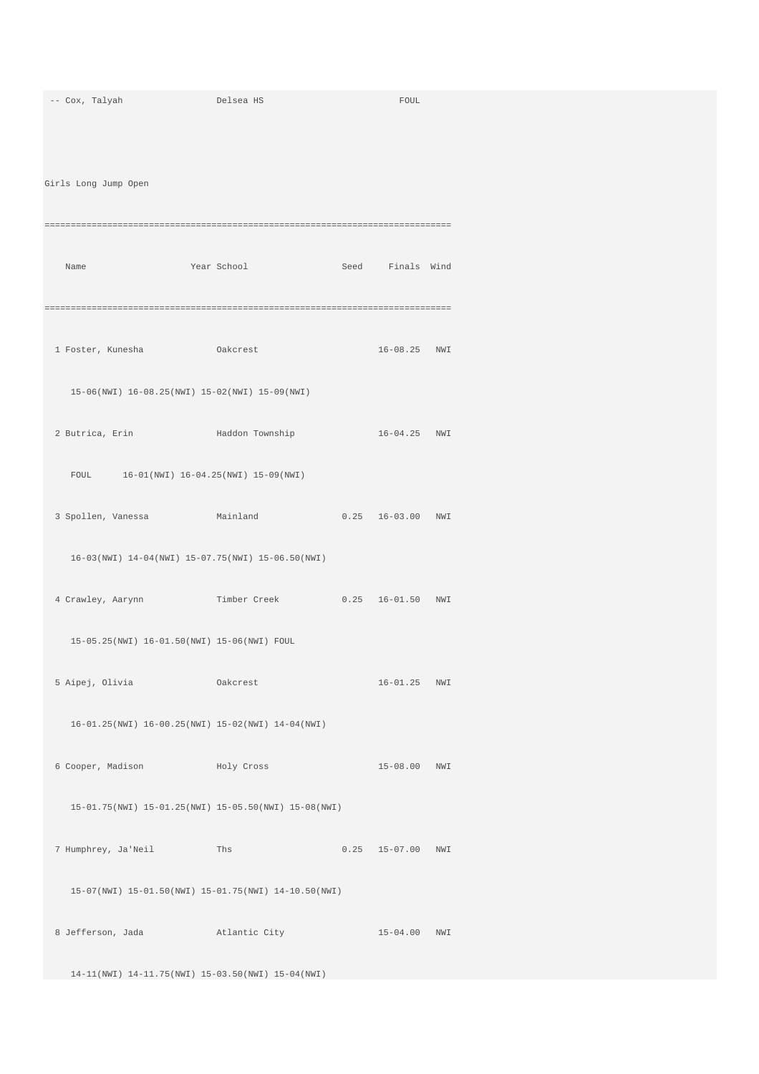| -- Cox, Talyah                                                             | Delsea HS   | FOUL                  |  |
|----------------------------------------------------------------------------|-------------|-----------------------|--|
|                                                                            |             |                       |  |
|                                                                            |             |                       |  |
|                                                                            |             |                       |  |
| Girls Long Jump Open                                                       |             |                       |  |
|                                                                            |             |                       |  |
|                                                                            |             |                       |  |
| Name                                                                       | Year School | Seed Finals Wind      |  |
|                                                                            |             |                       |  |
|                                                                            |             |                       |  |
|                                                                            |             |                       |  |
| 1 Foster, Kunesha Makcrest                                                 |             | 16-08.25 NWI          |  |
| 15-06(NWI) 16-08.25(NWI) 15-02(NWI) 15-09(NWI)                             |             |                       |  |
|                                                                            |             |                       |  |
| 2 Butrica, Erin Maddon Township                                            |             | 16-04.25 NWI          |  |
|                                                                            |             |                       |  |
| FOUL 16-01(NWI) 16-04.25(NWI) 15-09(NWI)                                   |             |                       |  |
|                                                                            |             |                       |  |
| 3 Spollen, Vanessa Mainland 0.25 16-03.00 NWI                              |             |                       |  |
| 16-03(NWI) 14-04(NWI) 15-07.75(NWI) 15-06.50(NWI)                          |             |                       |  |
|                                                                            |             |                       |  |
| 4 Crawley, Aarynn             Timber Creek           0.25   16-01.50   NWI |             |                       |  |
|                                                                            |             |                       |  |
| 15-05.25(NWI) 16-01.50(NWI) 15-06(NWI) FOUL                                |             |                       |  |
|                                                                            |             |                       |  |
| 5 Aipej, Olivia (akcrest                                                   |             | 16-01.25 NWI          |  |
| 16-01.25(NWI) 16-00.25(NWI) 15-02(NWI) 14-04(NWI)                          |             |                       |  |
|                                                                            |             |                       |  |
| 6 Cooper, Madison and Holy Cross                                           |             | 15-08.00 NWI          |  |
|                                                                            |             |                       |  |
| 15-01.75(NWI) 15-01.25(NWI) 15-05.50(NWI) 15-08(NWI)                       |             |                       |  |
|                                                                            |             |                       |  |
| 7 Humphrey, Ja'Neil Ths                                                    |             | $0.25$ $15-07.00$ NWI |  |
|                                                                            |             |                       |  |
| 15-07(NWI) 15-01.50(NWI) 15-01.75(NWI) 14-10.50(NWI)                       |             |                       |  |
| 8 Jefferson, Jada barrat atlantic City                                     |             | 15-04.00 NWI          |  |
|                                                                            |             |                       |  |
| 14-11(NWI) 14-11.75(NWI) 15-03.50(NWI) 15-04(NWI)                          |             |                       |  |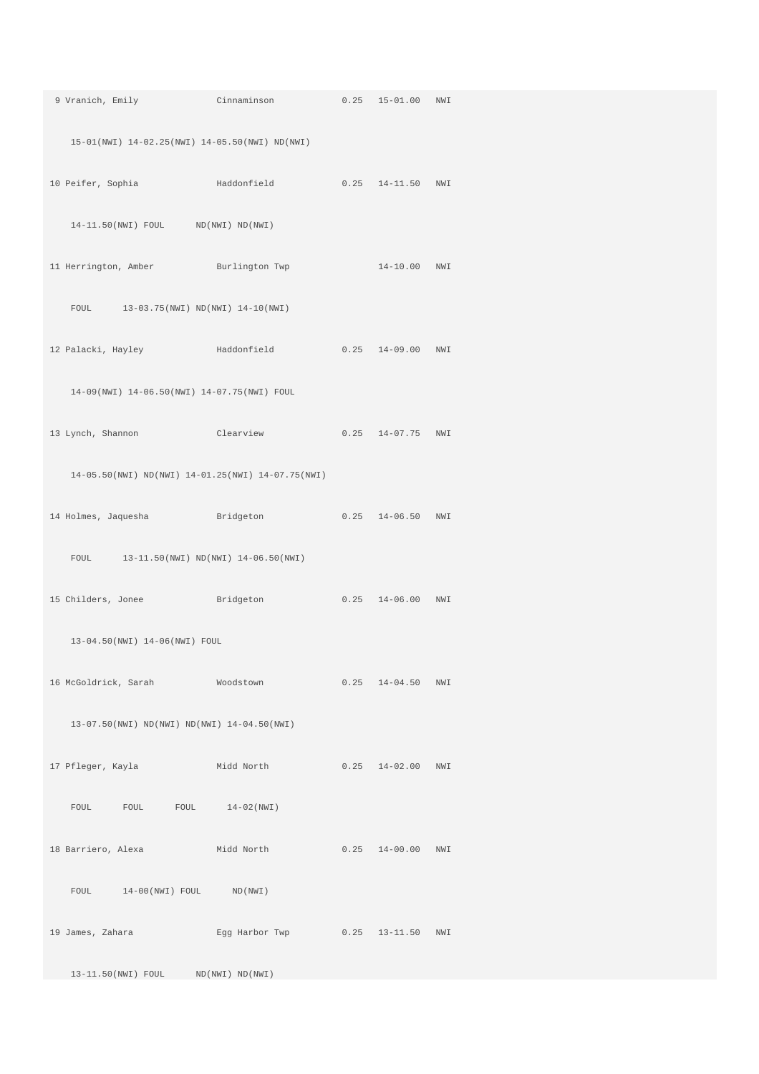| 9 Vranich, Emily Cinnaminson 0.25 15-01.00 NWI                               |  |                       |  |
|------------------------------------------------------------------------------|--|-----------------------|--|
| 15-01(NWI) 14-02.25(NWI) 14-05.50(NWI) ND(NWI)                               |  |                       |  |
| 10 Peifer, Sophia and Haddonfield                                            |  | $0.25$ 14-11.50 NWI   |  |
| $14-11.50(NW1)$ FOUL ND(NWI) ND(NWI)                                         |  |                       |  |
| 11 Herrington, Amber Burlington Twp 14-10.00 NWI                             |  |                       |  |
| FOUL 13-03.75 (NWI) ND (NWI) 14-10 (NWI)                                     |  |                       |  |
|                                                                              |  |                       |  |
| 14-09(NWI) 14-06.50(NWI) 14-07.75(NWI) FOUL                                  |  |                       |  |
| 13 Lynch, Shannon Clearview 0.25 14-07.75 NWI                                |  |                       |  |
| 14-05.50(NWI) ND(NWI) 14-01.25(NWI) 14-07.75(NWI)                            |  |                       |  |
|                                                                              |  |                       |  |
| FOUL 13-11.50(NWI) ND(NWI) 14-06.50(NWI)                                     |  |                       |  |
| 15 Childers, Jonee Bridgeton                                                 |  | $0.25$ $14-06.00$ NWI |  |
| 13-04.50(NWI) 14-06(NWI) FOUL                                                |  |                       |  |
| 16 McGoldrick, Sarah Moodstown 0.25 14-04.50 NWI                             |  |                       |  |
| 13-07.50(NWI) ND(NWI) ND(NWI) 14-04.50(NWI)                                  |  |                       |  |
| 17 Pfleger, Kayla               Midd North             0.25   14-02.00   NWI |  |                       |  |
| FOUL FOUL FOUL 14-02(NWI)                                                    |  |                       |  |
|                                                                              |  |                       |  |
| FOUL 14-00(NWI) FOUL ND(NWI)                                                 |  |                       |  |
| 19 James, Zahara Mark Egg Harbor Twp 0.25 13-11.50 NWI                       |  |                       |  |
| 13-11.50(NWI) FOUL ND(NWI) ND(NWI)                                           |  |                       |  |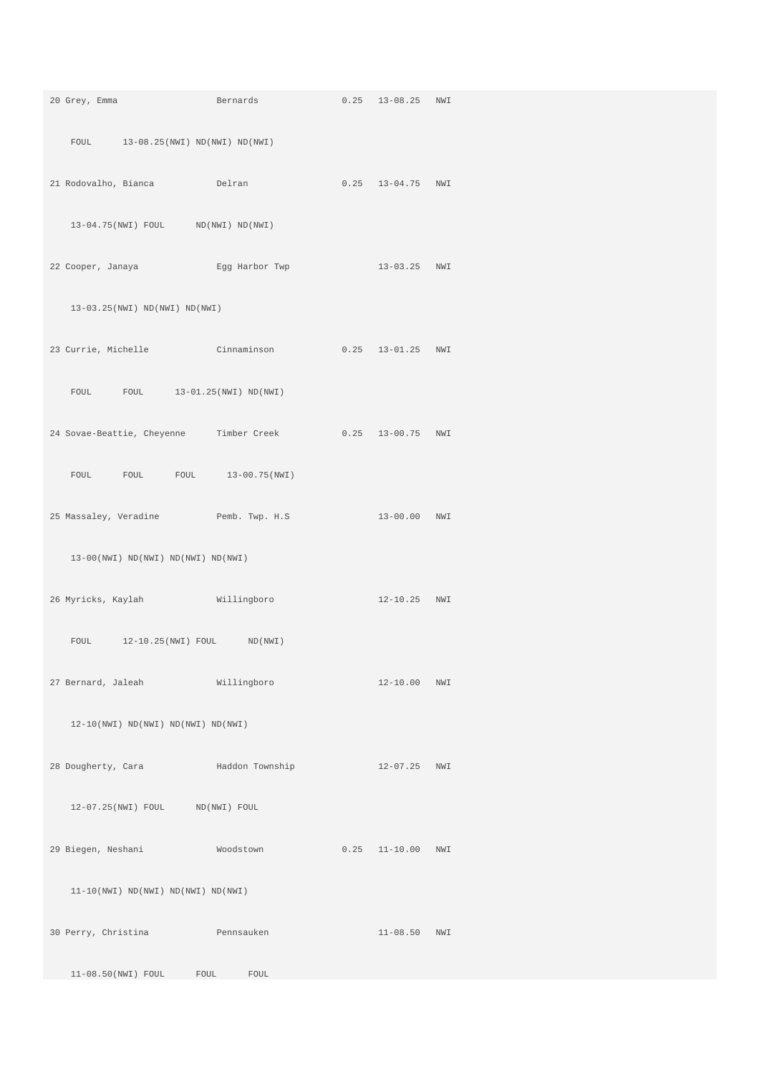|                                                              | 20 Grey, Emma Bernards                                    | 0.25 13-08.25 NWI     |  |
|--------------------------------------------------------------|-----------------------------------------------------------|-----------------------|--|
| FOUL 13-08.25 (NWI) ND (NWI) ND (NWI)                        |                                                           |                       |  |
| 21 Rodovalho, Bianca belran                                  |                                                           | $0.25$ 13-04.75 NWI   |  |
| $13-04.75(NWI)$ FOUL ND(NWI) ND(NWI)                         |                                                           |                       |  |
|                                                              | 22 Cooper, Janaya Egg Harbor Twp                          | 13-03.25 NWI          |  |
| 13-03.25(NWI) ND(NWI) ND(NWI)                                |                                                           |                       |  |
|                                                              | 23 Currie, Michelle Cinnaminson                           | $0.25$ $13-01.25$ NWI |  |
| FOUL FOUL 13-01.25 (NWI) ND (NWI)                            |                                                           |                       |  |
|                                                              | 24 Sovae-Beattie, Cheyenne Timber Creek 0.25 13-00.75 NWI |                       |  |
|                                                              | FOUL FOUL FOUL 13-00.75(NWI)                              |                       |  |
|                                                              | 25 Massaley, Veradine Pemb. Twp. H.S 13-00.00 NWI         |                       |  |
| $13-00(NWI) ND(NWI) ND(NWI) ND(NWI)$                         |                                                           |                       |  |
| 26 Myricks, Kaylah Millingboro                               |                                                           | 12-10.25 NWI          |  |
| FOUL 12-10.25 (NWI) FOUL ND (NWI)                            |                                                           |                       |  |
| 27 Bernard, Jaleah Millingboro                               |                                                           | 12-10.00 NWI          |  |
| $12-10(NWI) \text{ ND}(NWI) \text{ ND}(NWI) \text{ ND}(NWI)$ |                                                           |                       |  |
|                                                              | 28 Dougherty, Cara Maddon Township 12-07.25 NWI           |                       |  |
| 12-07.25(NWI) FOUL ND(NWI) FOUL                              |                                                           |                       |  |
| 29 Biegen, Neshani Moodstown                                 |                                                           | $0.25$ 11-10.00 NWI   |  |
| $11-10(NWI) ND(NWI) ND(NWI) ND(NWI)$                         |                                                           |                       |  |
| 30 Perry, Christina Pennsauken                               |                                                           | 11-08.50 NWI          |  |
| 11-08.50(NWI) FOUL FOUL FOUL                                 |                                                           |                       |  |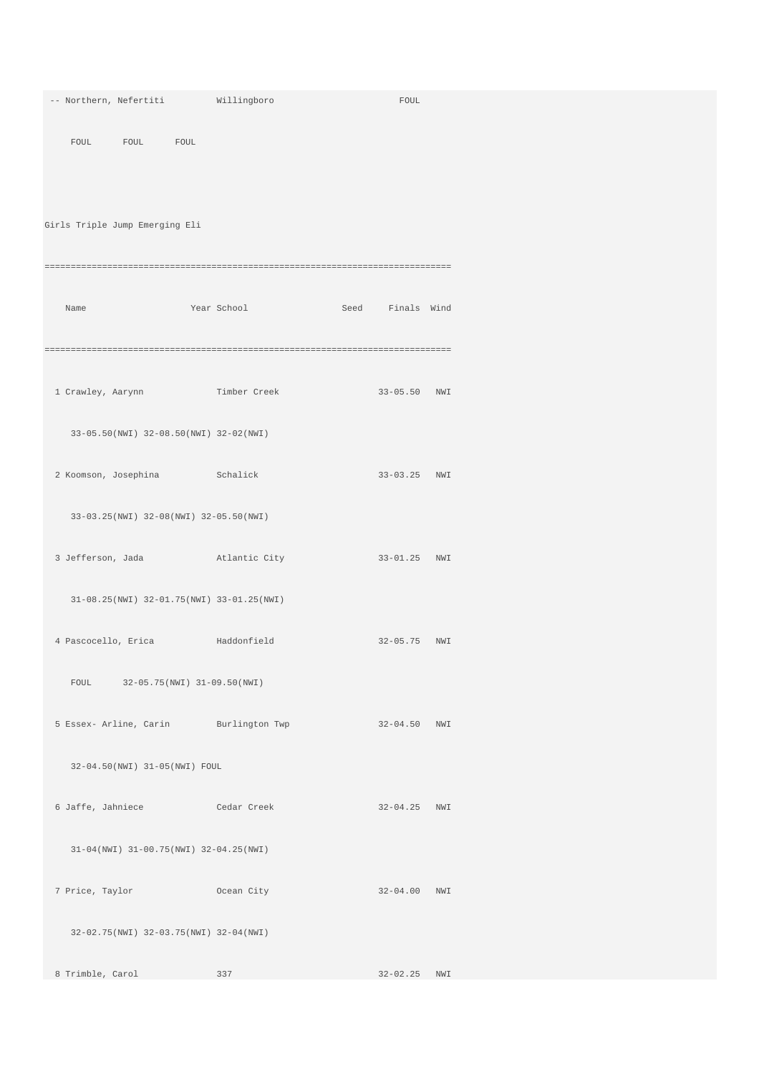|                      | -- Northern, Nefertiti                 |                 | Willingboro                               | ${\tt FOUL}$     |  |
|----------------------|----------------------------------------|-----------------|-------------------------------------------|------------------|--|
|                      |                                        |                 |                                           |                  |  |
|                      | FOUL FOUL FOUL                         |                 |                                           |                  |  |
|                      |                                        |                 |                                           |                  |  |
|                      |                                        |                 |                                           |                  |  |
|                      |                                        |                 |                                           |                  |  |
|                      | Girls Triple Jump Emerging Eli         |                 |                                           |                  |  |
|                      |                                        |                 |                                           |                  |  |
|                      |                                        |                 |                                           |                  |  |
|                      |                                        |                 |                                           |                  |  |
| Name                 |                                        |                 | Year School                               | Seed Finals Wind |  |
|                      |                                        |                 |                                           |                  |  |
|                      |                                        |                 |                                           |                  |  |
|                      |                                        |                 |                                           |                  |  |
|                      |                                        |                 |                                           |                  |  |
|                      | 1 Crawley, Aarynn                      |                 | Timber Creek                              | 33-05.50 NWI     |  |
|                      |                                        |                 |                                           |                  |  |
|                      | 33-05.50(NWI) 32-08.50(NWI) 32-02(NWI) |                 |                                           |                  |  |
|                      |                                        |                 |                                           |                  |  |
| 2 Koomson, Josephina |                                        | <b>Schalick</b> |                                           | 33-03.25 NWI     |  |
|                      |                                        |                 |                                           |                  |  |
|                      |                                        |                 |                                           |                  |  |
|                      | 33-03.25(NWI) 32-08(NWI) 32-05.50(NWI) |                 |                                           |                  |  |
|                      |                                        |                 |                                           |                  |  |
| 3 Jefferson, Jada    |                                        |                 | Atlantic City                             | 33-01.25 NWI     |  |
|                      |                                        |                 |                                           |                  |  |
|                      |                                        |                 | 31-08.25(NWI) 32-01.75(NWI) 33-01.25(NWI) |                  |  |
|                      |                                        |                 |                                           |                  |  |
|                      |                                        |                 | 4 Pascocello, Erica haddonfield           | 32-05.75 NWI     |  |
|                      |                                        |                 |                                           |                  |  |
|                      |                                        |                 |                                           |                  |  |
| FOUL                 | 32-05.75(NWI) 31-09.50(NWI)            |                 |                                           |                  |  |
|                      |                                        |                 |                                           |                  |  |
|                      |                                        |                 | 5 Essex- Arline, Carin Burlington Twp     | 32-04.50 NWI     |  |
|                      |                                        |                 |                                           |                  |  |
|                      | 32-04.50(NWI) 31-05(NWI) FOUL          |                 |                                           |                  |  |
|                      |                                        |                 |                                           |                  |  |
|                      |                                        |                 |                                           |                  |  |
|                      |                                        |                 | 6 Jaffe, Jahniece Cedar Creek             | 32-04.25 NWI     |  |
|                      |                                        |                 |                                           |                  |  |
|                      | 31-04(NWI) 31-00.75(NWI) 32-04.25(NWI) |                 |                                           |                  |  |
|                      |                                        |                 |                                           |                  |  |
| 7 Price, Taylor      |                                        |                 | Commodity Ocean City                      | 32-04.00 NWI     |  |
|                      |                                        |                 |                                           |                  |  |
|                      | 32-02.75(NWI) 32-03.75(NWI) 32-04(NWI) |                 |                                           |                  |  |
|                      |                                        |                 |                                           |                  |  |
|                      |                                        |                 |                                           |                  |  |
| 8 Trimble, Carol     |                                        |                 | 337                                       | 32-02.25 NWI     |  |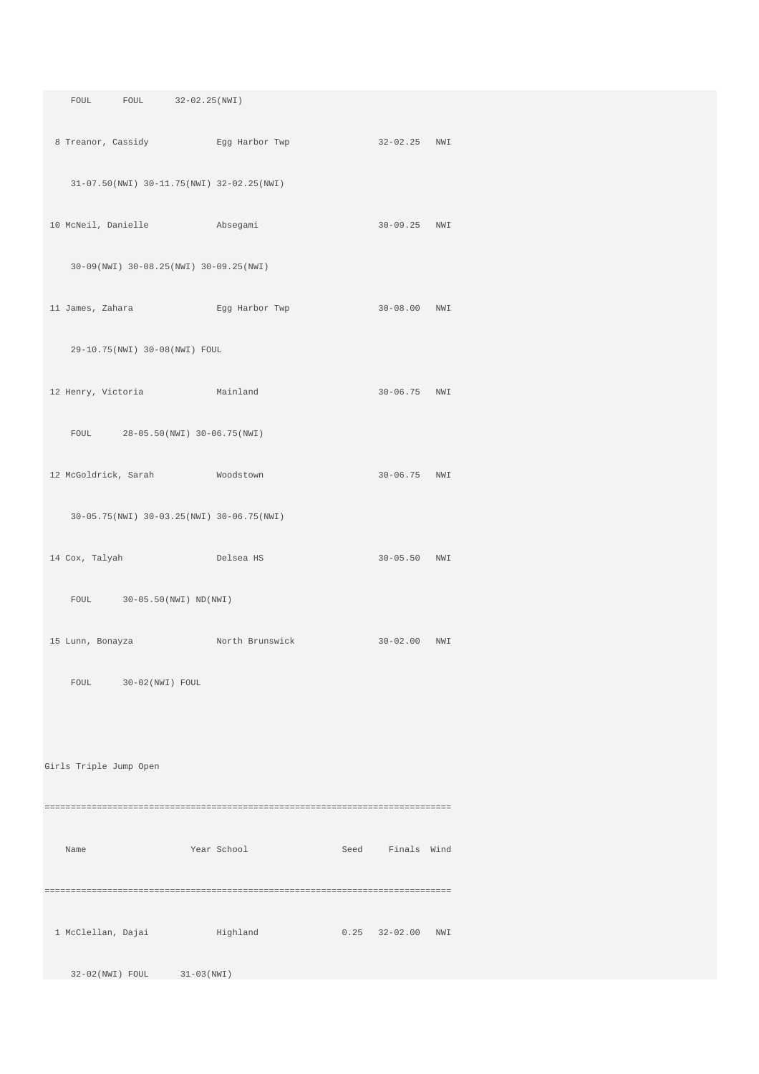| FOUL FOUL 32-02.25(NWI)                   |                                                                                 |                       |  |
|-------------------------------------------|---------------------------------------------------------------------------------|-----------------------|--|
|                                           | 8 Treanor, Cassidy Egg Harbor Twp                                               | 32-02.25 NWI          |  |
| 31-07.50(NWI) 30-11.75(NWI) 32-02.25(NWI) |                                                                                 |                       |  |
|                                           | 10 McNeil, Danielle Absegami                                                    | 30-09.25 NWI          |  |
| 30-09(NWI) 30-08.25(NWI) 30-09.25(NWI)    |                                                                                 |                       |  |
| 11 James, Zahara                          | Egg Harbor Twp                                                                  | 30-08.00 NWI          |  |
| 29-10.75(NWI) 30-08(NWI) FOUL             |                                                                                 |                       |  |
| 12 Henry, Victoria Mainland               |                                                                                 | 30-06.75 NWI          |  |
| FOUL 28-05.50(NWI) 30-06.75(NWI)          |                                                                                 |                       |  |
| 12 McGoldrick, Sarah Moodstown            |                                                                                 | 30-06.75 NWI          |  |
| 30-05.75(NWI) 30-03.25(NWI) 30-06.75(NWI) |                                                                                 |                       |  |
| 14 Cox, Talyah Delsea HS                  |                                                                                 | 30-05.50 NWI          |  |
| FOUL 30-05.50 (NWI) ND (NWI)              |                                                                                 |                       |  |
|                                           | 15 Lunn, Bonayza                 North Brunswick                 30-02.00   NWI |                       |  |
| FOUL 30-02(NWI) FOUL                      |                                                                                 |                       |  |
|                                           |                                                                                 |                       |  |
| Girls Triple Jump Open                    |                                                                                 |                       |  |
|                                           |                                                                                 |                       |  |
| Name                                      | Year School                                                                     | Seed Finals Wind      |  |
|                                           |                                                                                 |                       |  |
| 1 McClellan, Dajai ilighland              |                                                                                 | $0.25$ $32-02.00$ NWI |  |
| 32-02(NWI) FOUL 31-03(NWI)                |                                                                                 |                       |  |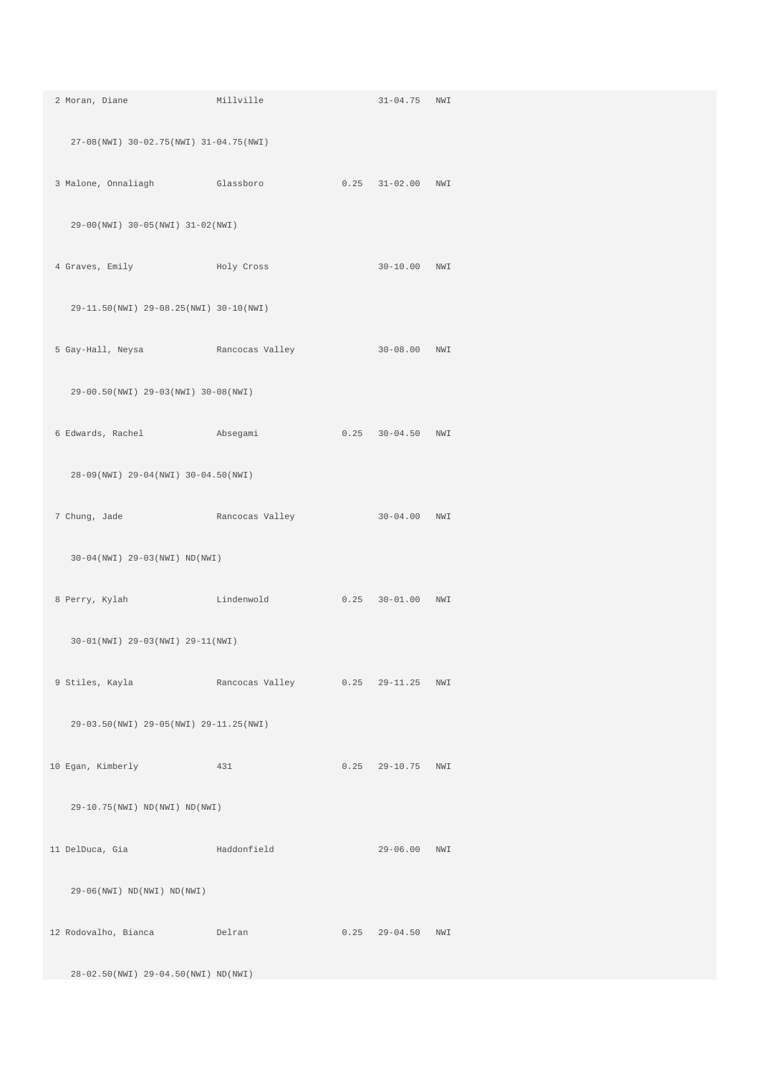| 2 Moran, Diane Millville                                                       |                            | 31-04.75 NWI          |  |
|--------------------------------------------------------------------------------|----------------------------|-----------------------|--|
| 27-08(NWI) 30-02.75(NWI) 31-04.75(NWI)                                         |                            |                       |  |
| 3 Malone, Onnaliagh Glassboro                                                  |                            | 0.25 31-02.00 NWI     |  |
| 29-00(NWI) 30-05(NWI) 31-02(NWI)                                               |                            |                       |  |
| 4 Graves, Emily Boly Cross Role and Holy Cross                                 |                            | 30-10.00 NWI          |  |
| 29-11.50(NWI) 29-08.25(NWI) 30-10(NWI)                                         |                            |                       |  |
| 5 Gay-Hall, Neysa Kancocas Valley                                              |                            | 30-08.00 NWI          |  |
| 29-00.50(NWI) 29-03(NWI) 30-08(NWI)                                            |                            |                       |  |
| 6 Edwards, Rachel Machael Absegami                                             |                            | $0.25$ $30-04.50$ NWI |  |
| 28-09(NWI) 29-04(NWI) 30-04.50(NWI)                                            |                            |                       |  |
| 7 Chung, Jade                 Rancocas Valley                   30-04.00   NWI |                            |                       |  |
| 30-04(NWI) 29-03(NWI) ND(NWI)                                                  |                            |                       |  |
| 8 Perry, Kylah Marshall Lindenwold 0.25 30-01.00 NWI                           |                            |                       |  |
| 30-01(NWI) 29-03(NWI) 29-11(NWI)                                               |                            |                       |  |
| 9 Stiles, Kayla             Rancocas Valley         0.25   29-11.25   NWI      |                            |                       |  |
| 29-03.50(NWI) 29-05(NWI) 29-11.25(NWI)                                         |                            |                       |  |
| 10 Egan, Kimberly 131                                                          |                            | $0.25$ 29-10.75 NWI   |  |
| 29-10.75(NWI) ND(NWI) ND(NWI)                                                  |                            |                       |  |
| 11 DelDuca, Gia                                                                | and a state of Haddonfield | 29-06.00 NWI          |  |
| $29-06(NWI) \quad ND(NWI) \quad ND(NWI)$                                       |                            |                       |  |
| 12 Rodovalho, Bianca belran                                                    |                            | $0.25$ 29-04.50 NWI   |  |
| 28-02.50(NWI) 29-04.50(NWI) ND(NWI)                                            |                            |                       |  |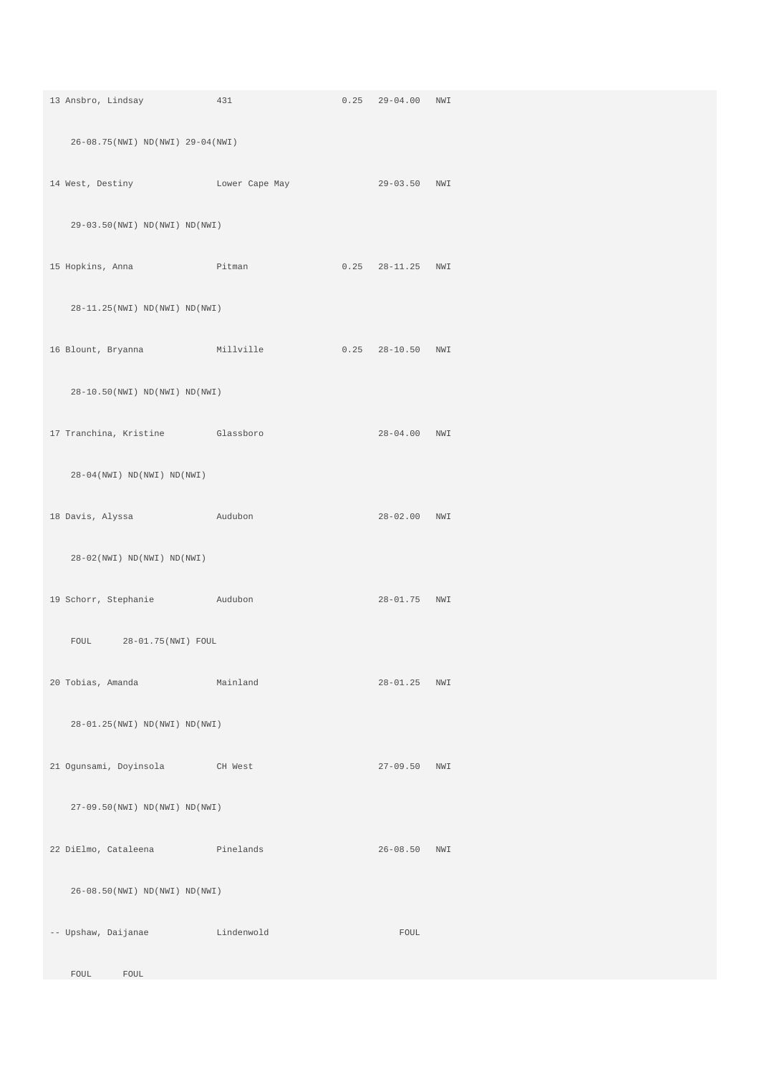| 13 Ansbro, Lindsay 431                         |          | $0.25$ 29-04.00 NWI |  |
|------------------------------------------------|----------|---------------------|--|
| 26-08.75(NWI) ND(NWI) 29-04(NWI)               |          |                     |  |
| 14 West, Destiny Lower Cape May                |          | 29-03.50 NWI        |  |
| 29-03.50(NWI) ND(NWI) ND(NWI)                  |          |                     |  |
| 15 Hopkins, Anna (15 Ditman)                   |          | $0.25$ 28-11.25 NWI |  |
| 28-11.25(NWI) ND(NWI) ND(NWI)                  |          |                     |  |
| 16 Blount, Bryanna Millville 0.25 28-10.50 NWI |          |                     |  |
| 28-10.50(NWI) ND(NWI) ND(NWI)                  |          |                     |  |
| 17 Tranchina, Kristine Glassboro               |          | 28-04.00 NWI        |  |
| $28-04(NWT) ND(NWI) ND(NWI)$                   |          |                     |  |
| 18 Davis, Alyssa Manadabon                     |          | 28-02.00 NWI        |  |
| $28-02(NWI) \quad ND(NWI) \quad ND(NWI)$       |          |                     |  |
| 19 Schorr, Stephanie Audubon                   |          | 28-01.75 NWI        |  |
| FOUL 28-01.75 (NWI) FOUL                       |          |                     |  |
| 20 Tobias, Amanda                              | Mainland | 28-01.25 NWI        |  |
| 28-01.25(NWI) ND(NWI) ND(NWI)                  |          |                     |  |
| 21 Ogunsami, Doyinsola CH West                 |          | 27-09.50 NWI        |  |
| 27-09.50(NWI) ND(NWI) ND(NWI)                  |          |                     |  |
| 22 DiElmo, Cataleena Pinelands                 |          | 26-08.50 NWI        |  |
| 26-08.50(NWI) ND(NWI) ND(NWI)                  |          |                     |  |
| -- Upshaw, Daijanae Lindenwold                 |          | FOUL                |  |
| FOUL<br>FOUL                                   |          |                     |  |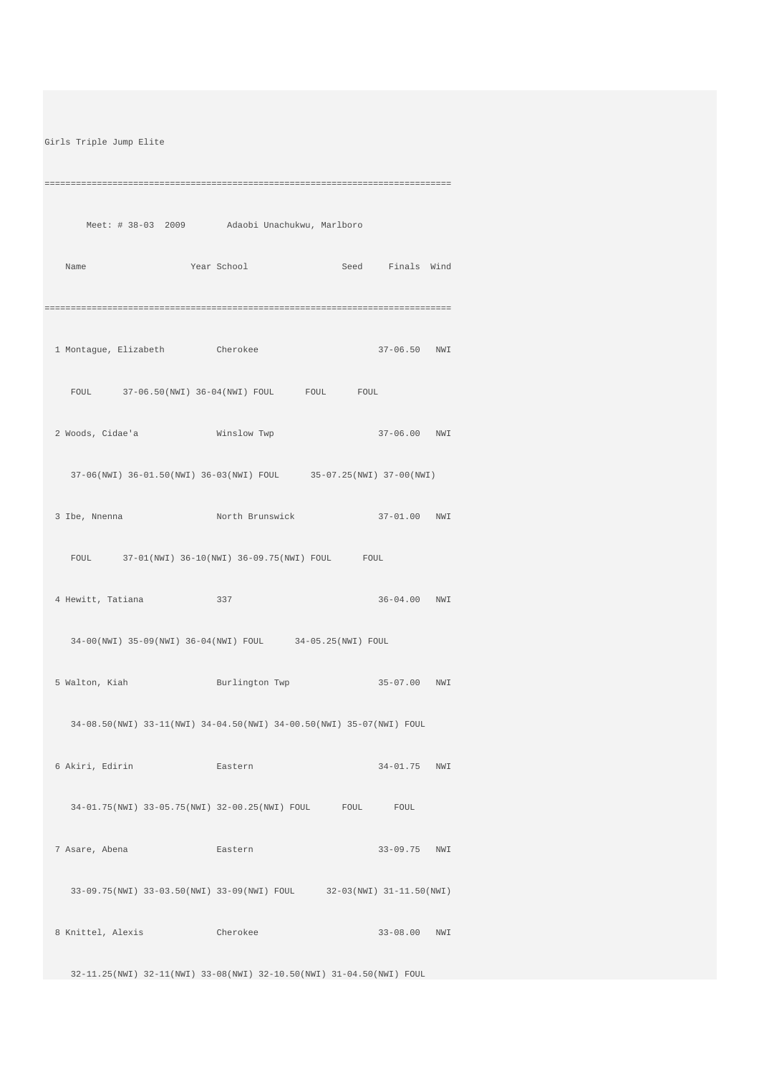Girls Triple Jump Elite

============================================================================== Meet: # 38-03 2009 Adaobi Unachukwu, Marlboro Name Year School Seed Finals Wind ============================================================================== 1 Montague, Elizabeth Cherokee 37-06.50 NWI FOUL 37-06.50(NWI) 36-04(NWI) FOUL FOUL FOUL 2 Woods, Cidae'a Winslow Twp 37-06.00 NWI 37-06(NWI) 36-01.50(NWI) 36-03(NWI) FOUL 35-07.25(NWI) 37-00(NWI) 3 Ibe, Nnenna North Brunswick 37-01.00 NWI FOUL 37-01(NWI) 36-10(NWI) 36-09.75(NWI) FOUL FOUL 4 Hewitt, Tatiana 337 36-04.00 NWI 34-00(NWI) 35-09(NWI) 36-04(NWI) FOUL 34-05.25(NWI) FOUL 5 Walton, Kiah Burlington Twp 35-07.00 NWI 34-08.50(NWI) 33-11(NWI) 34-04.50(NWI) 34-00.50(NWI) 35-07(NWI) FOUL 6 Akiri, Edirin Eastern 34-01.75 NWI 34-01.75(NWI) 33-05.75(NWI) 32-00.25(NWI) FOUL FOUL FOUL 7 Asare, Abena Eastern 33-09.75 NWI 33-09.75(NWI) 33-03.50(NWI) 33-09(NWI) FOUL 32-03(NWI) 31-11.50(NWI) 8 Knittel, Alexis Cherokee 33-08.00 NWI

32-11.25(NWI) 32-11(NWI) 33-08(NWI) 32-10.50(NWI) 31-04.50(NWI) FOUL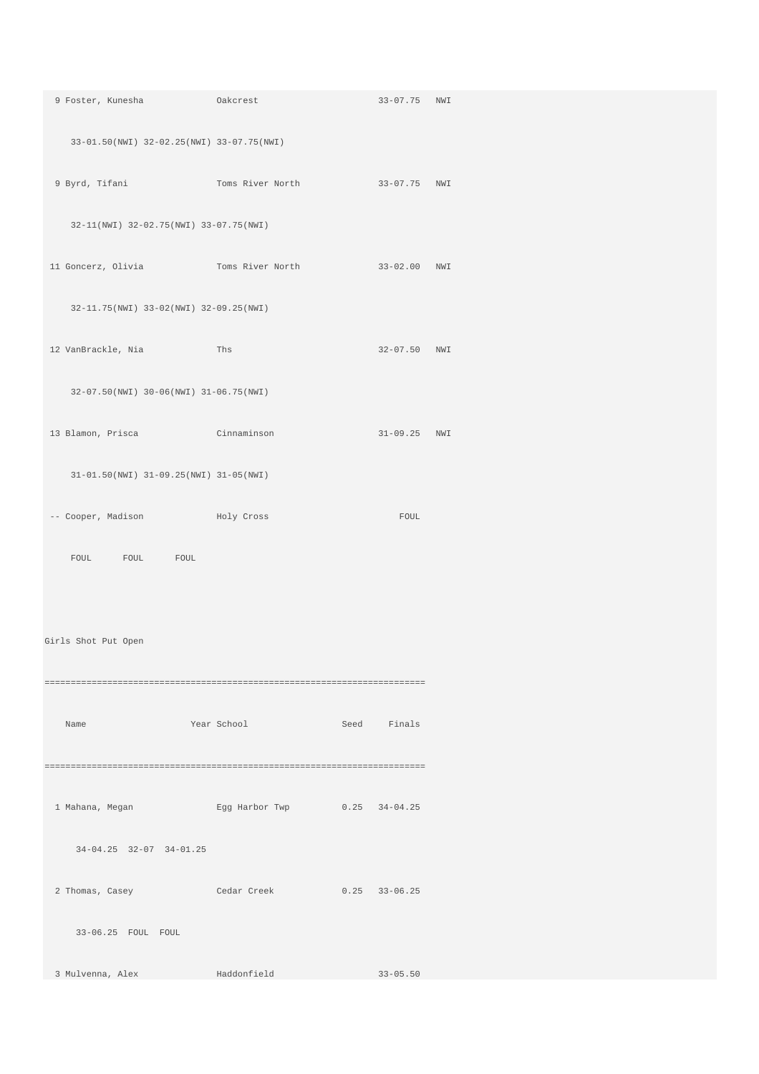| 9 Foster, Kunesha (akcrest                                                         |                  | 33-07.75 NWI |  |
|------------------------------------------------------------------------------------|------------------|--------------|--|
| 33-01.50(NWI) 32-02.25(NWI) 33-07.75(NWI)                                          |                  |              |  |
| 9 Byrd, Tifani                       Toms River North               33-07.75   NWI |                  |              |  |
| 32-11(NWI) 32-02.75(NWI) 33-07.75(NWI)                                             |                  |              |  |
|                                                                                    |                  |              |  |
| 32-11.75(NWI) 33-02(NWI) 32-09.25(NWI)                                             |                  |              |  |
| 12 VanBrackle, Nia 12 Ths                                                          |                  | 32-07.50 NWI |  |
| 32-07.50(NWI) 30-06(NWI) 31-06.75(NWI)                                             |                  |              |  |
| 13 Blamon, Prisca Cinnaminson                                                      |                  | 31-09.25 NWI |  |
| 31-01.50(NWI) 31-09.25(NWI) 31-05(NWI)                                             |                  |              |  |
| -- Cooper, Madison Moly Cross                                                      |                  | FOUL         |  |
| FOUL FOUL FOUL                                                                     |                  |              |  |
|                                                                                    |                  |              |  |
| Girls Shot Put Open                                                                |                  |              |  |
|                                                                                    |                  |              |  |
| Name                                                                               | Year School Seed | Finals       |  |
|                                                                                    |                  |              |  |
| 1 Mahana, Megan Kgg Harbor Twp 0.25 34-04.25                                       |                  |              |  |
| $34-04.25$ $32-07$ $34-01.25$                                                      |                  |              |  |
| 2 Thomas, Casey Cedar Creek 0.25 33-06.25                                          |                  |              |  |
| 33-06.25 FOUL FOUL                                                                 |                  |              |  |
| 3 Mulvenna, Alex                                                                   | Haddonfield      | $33 - 05.50$ |  |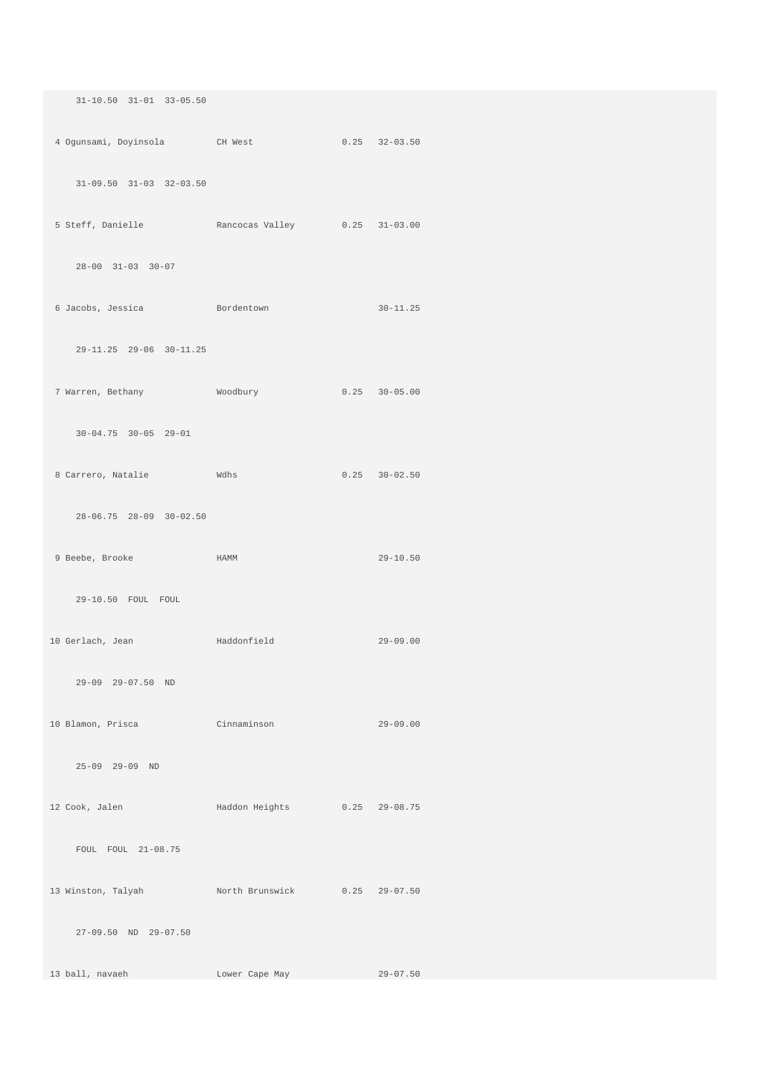| $31 - 10.50$ $31 - 01$ $33 - 05.50$              |                |                   |
|--------------------------------------------------|----------------|-------------------|
| 4 Ogunsami, Doyinsola CH West 0.25 32-03.50      |                |                   |
| $31-09.50$ $31-03$ $32-03.50$                    |                |                   |
| 5 Steff, Danielle Rancocas Valley 0.25 31-03.00  |                |                   |
| $28 - 00$ $31 - 03$ $30 - 07$                    |                |                   |
| 6 Jacobs, Jessica Bordentown                     |                | $30 - 11.25$      |
| 29-11.25 29-06 30-11.25                          |                |                   |
| 7 Warren, Bethany Moodbury 6.25 30-05.00         |                |                   |
| $30 - 04.75$ $30 - 05$ $29 - 01$                 |                |                   |
| 8 Carrero, Natalie Mdhs                          |                | $0.25$ $30-02.50$ |
| 28-06.75 28-09 30-02.50                          |                |                   |
| 9 Beebe, Brooke HAMM                             |                | $29 - 10.50$      |
| 29-10.50 FOUL FOUL                               |                |                   |
| 10 Gerlach, Jean Maddonfield                     |                | $29 - 09.00$      |
| 29-09 29-07.50 ND                                |                |                   |
| 10 Blamon, Prisca Cinnaminson                    |                | $29-09.00$        |
| 25-09 29-09 ND                                   |                |                   |
| 12 Cook, Jalen Maddon Heights 0.25 29-08.75      |                |                   |
| FOUL FOUL 21-08.75                               |                |                   |
| 13 Winston, Talyah Morth Brunswick 0.25 29-07.50 |                |                   |
| 27-09.50 ND 29-07.50                             |                |                   |
| 13 ball, navaeh                                  | Lower Cape May | $29 - 07.50$      |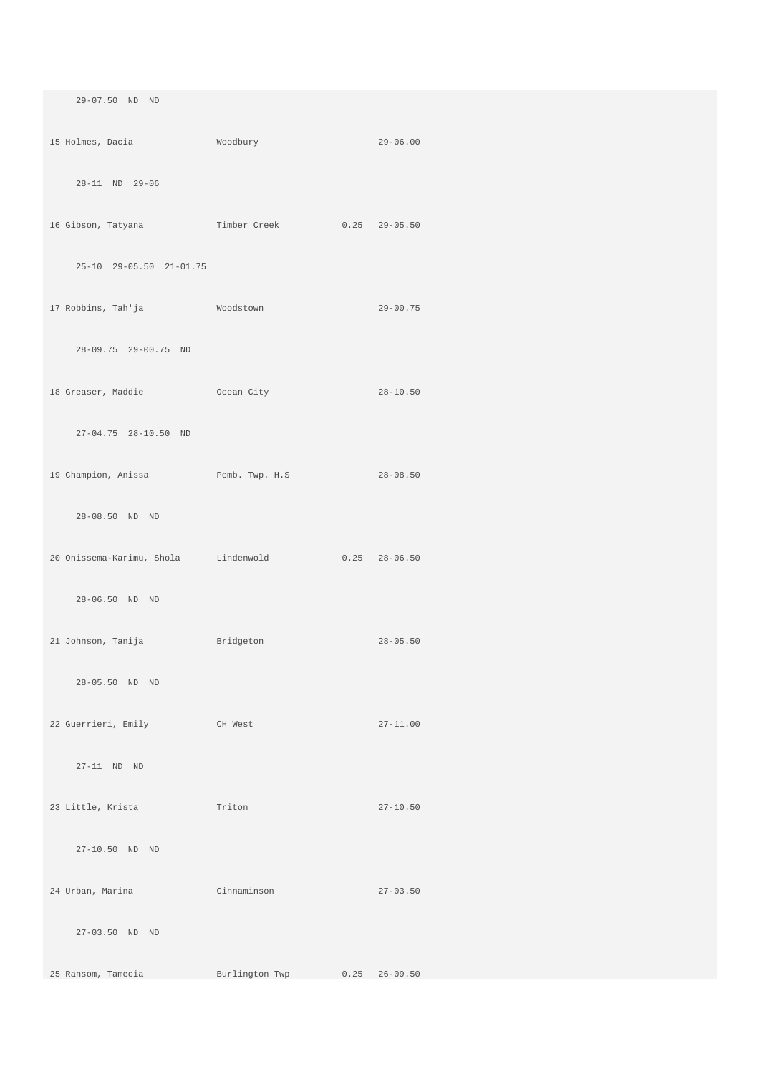| 29-07.50 ND ND                                     |                |                   |  |
|----------------------------------------------------|----------------|-------------------|--|
| 15 Holmes, Dacia Moodbury                          | $29-06.00$     |                   |  |
| 28-11 ND 29-06                                     |                |                   |  |
| 16 Gibson, Tatyana Timber Creek 0.25 29-05.50      |                |                   |  |
|                                                    |                |                   |  |
| 25-10 29-05.50 21-01.75                            |                |                   |  |
| 17 Robbins, Tah'ja               Woodstown         |                | $29 - 00.75$      |  |
| 28-09.75 29-00.75 ND                               |                |                   |  |
| 18 Greaser, Maddie 6 Ocean City                    |                | $28 - 10.50$      |  |
| 27-04.75 28-10.50 ND                               |                |                   |  |
|                                                    |                |                   |  |
| 19 Champion, Anissa Pemb. Twp. H.S 28-08.50        |                |                   |  |
| 28-08.50 ND ND                                     |                |                   |  |
| 20 Onissema-Karimu, Shola Lindenwold 0.25 28-06.50 |                |                   |  |
| 28-06.50 ND ND                                     |                |                   |  |
| 21 Johnson, Tanija Bridgeton                       |                | $28 - 05.50$      |  |
|                                                    |                |                   |  |
| 28-05.50 ND ND                                     |                |                   |  |
| 22 Guerrieri, Emily<br><b>CH West</b>              |                | $27 - 11.00$      |  |
| $27-11$ ND ND                                      |                |                   |  |
| 23 Little, Krista <a> Triton</a>                   |                | $27 - 10.50$      |  |
| 27-10.50 ND ND                                     |                |                   |  |
| 24 Urban, Marina                                   | Cinnaminson    | $27 - 03.50$      |  |
|                                                    |                |                   |  |
| 27-03.50 ND ND                                     |                |                   |  |
| 25 Ransom, Tamecia                                 | Burlington Twp | $0.25$ $26-09.50$ |  |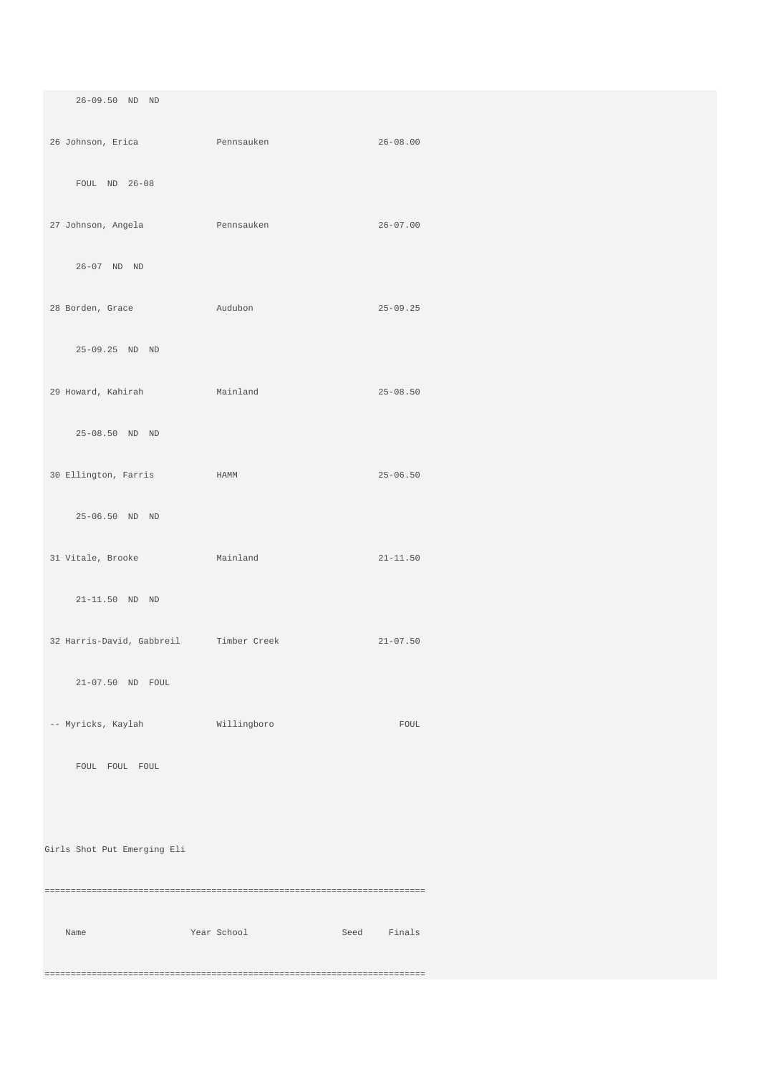26-09.50 ND ND 26 Johnson, Erica Pennsauken 26-08.00 FOUL ND 26-08 27 Johnson, Angela Pennsauken 26-07.00 26-07 ND ND 28 Borden, Grace Audubon 25-09.25 25-09.25 ND ND 29 Howard, Kahirah Mainland 25-08.50 25-08.50 ND ND 30 Ellington, Farris HAMM 25-06.50 25-06.50 ND ND 31 Vitale, Brooke Mainland 21-11.50 21-11.50 ND ND 32 Harris-David, Gabbreil Timber Creek 21-07.50 21-07.50 ND FOUL -- Myricks, Kaylah Willingboro FOUL FOUL FOUL FOUL Girls Shot Put Emerging Eli ========================================================================= Name Year School Seed Finals =========================================================================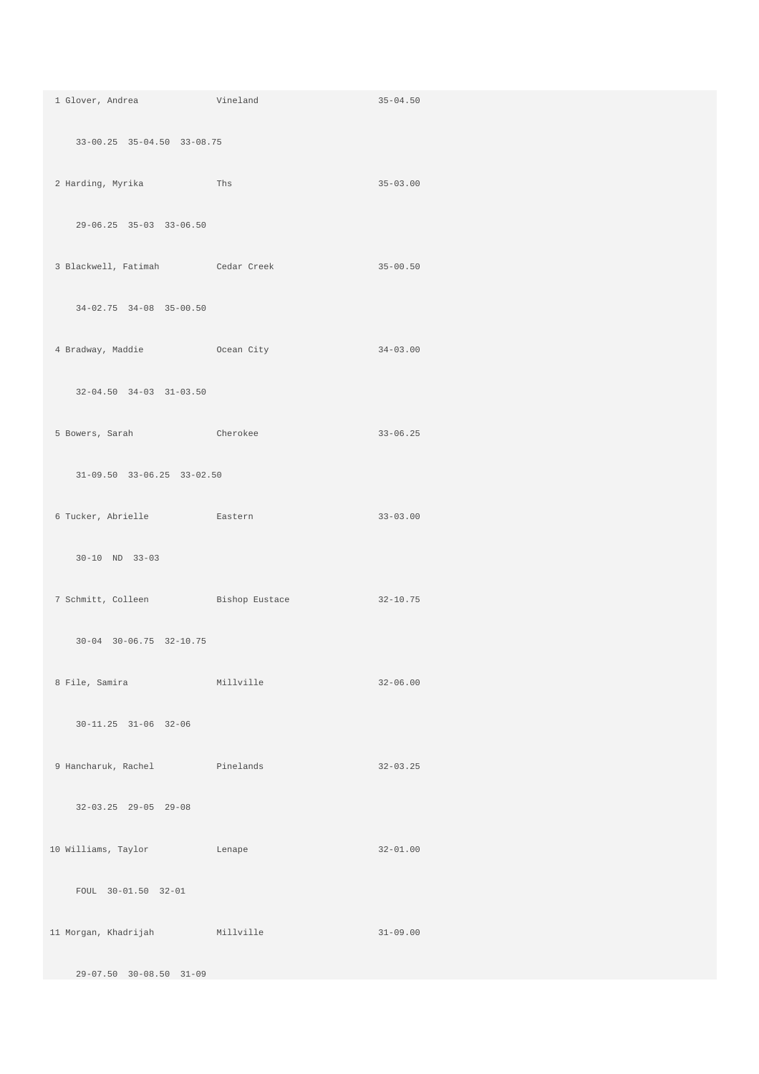| 1 Glover, Andrea Vineland           |                                            | $35 - 04.50$ |
|-------------------------------------|--------------------------------------------|--------------|
| 33-00.25 35-04.50 33-08.75          |                                            |              |
| 2 Harding, Myrika Ths               |                                            | $35 - 03.00$ |
| 29-06.25 35-03 33-06.50             |                                            |              |
|                                     | 3 Blackwell, Fatimah Cedar Creek 35-00.50  |              |
| 34-02.75 34-08 35-00.50             |                                            |              |
| 4 Bradway, Maddie Coean City        |                                            | $34 - 03.00$ |
| $32-04.50$ $34-03$ $31-03.50$       |                                            |              |
| 5 Bowers, Sarah Cherokee            |                                            | $33 - 06.25$ |
| $31-09.50$ $33-06.25$ $33-02.50$    |                                            |              |
| 6 Tucker, Abrielle Kastern          |                                            | $33 - 03.00$ |
| $30 - 10$ ND $33 - 03$              |                                            |              |
|                                     | 7 Schmitt, Colleen Bishop Eustace 32-10.75 |              |
| $30 - 04$ $30 - 06.75$ $32 - 10.75$ |                                            |              |
| 8 File, Samira Millville            |                                            | $32 - 06.00$ |
| 30-11.25 31-06 32-06                |                                            |              |
| 9 Hancharuk, Rachel Pinelands       |                                            | $32 - 03.25$ |
| $32-03.25$ $29-05$ $29-08$          |                                            |              |
| 10 Williams, Taylor Lenape          |                                            | $32 - 01.00$ |
| FOUL 30-01.50 32-01                 |                                            |              |
| 11 Morgan, Khadrijah Millville      |                                            | $31 - 09.00$ |
| $29-07.50$ $30-08.50$ $31-09$       |                                            |              |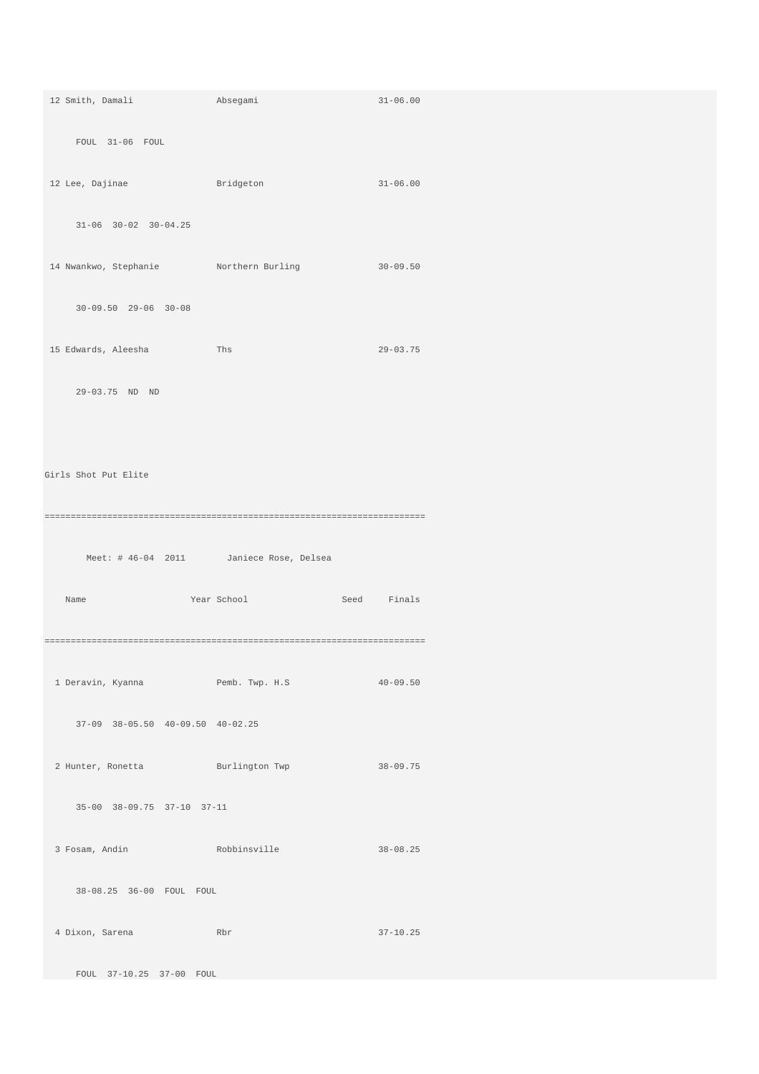| 12 Smith, Damali                                                                        | Absegami                                | $31 - 06.00$   |
|-----------------------------------------------------------------------------------------|-----------------------------------------|----------------|
| FOUL 31-06 FOUL                                                                         |                                         |                |
|                                                                                         |                                         |                |
| 12 Lee, Dajinae                                                                         | and a Bridgeton                         | $31 - 06.00$   |
| $31-06$ $30-02$ $30-04.25$                                                              |                                         |                |
| 14 Nwankwo, Stephanie Morthern Burling                                                  |                                         | $30-09.50$     |
|                                                                                         |                                         |                |
| $30 - 09.50$ $29 - 06$ $30 - 08$                                                        |                                         |                |
| 15 Edwards, Aleesha                                                                     | Ths                                     | $29 - 03.75$   |
| 29-03.75 ND ND                                                                          |                                         |                |
|                                                                                         |                                         |                |
|                                                                                         |                                         |                |
| Girls Shot Put Elite                                                                    |                                         |                |
|                                                                                         |                                         |                |
|                                                                                         |                                         |                |
|                                                                                         |                                         |                |
|                                                                                         | Meet: # 46-04 2011 Janiece Rose, Delsea |                |
| Name                                                                                    | Year School                             | Seed<br>Finals |
|                                                                                         |                                         |                |
|                                                                                         |                                         |                |
|                                                                                         |                                         |                |
| 37-09 38-05.50 40-09.50 40-02.25                                                        |                                         |                |
|                                                                                         |                                         |                |
| 2 Hunter, Ronetta Burlington Twp 38-09.75                                               |                                         |                |
| 35-00 38-09.75 37-10 37-11                                                              |                                         |                |
|                                                                                         |                                         |                |
| 3 Fosam, Andin                       Robbinsville                              38-08.25 |                                         |                |
| 38-08.25 36-00 FOUL FOUL                                                                |                                         |                |
| 4 Dixon, Sarena Rbr                                                                     |                                         | $37 - 10.25$   |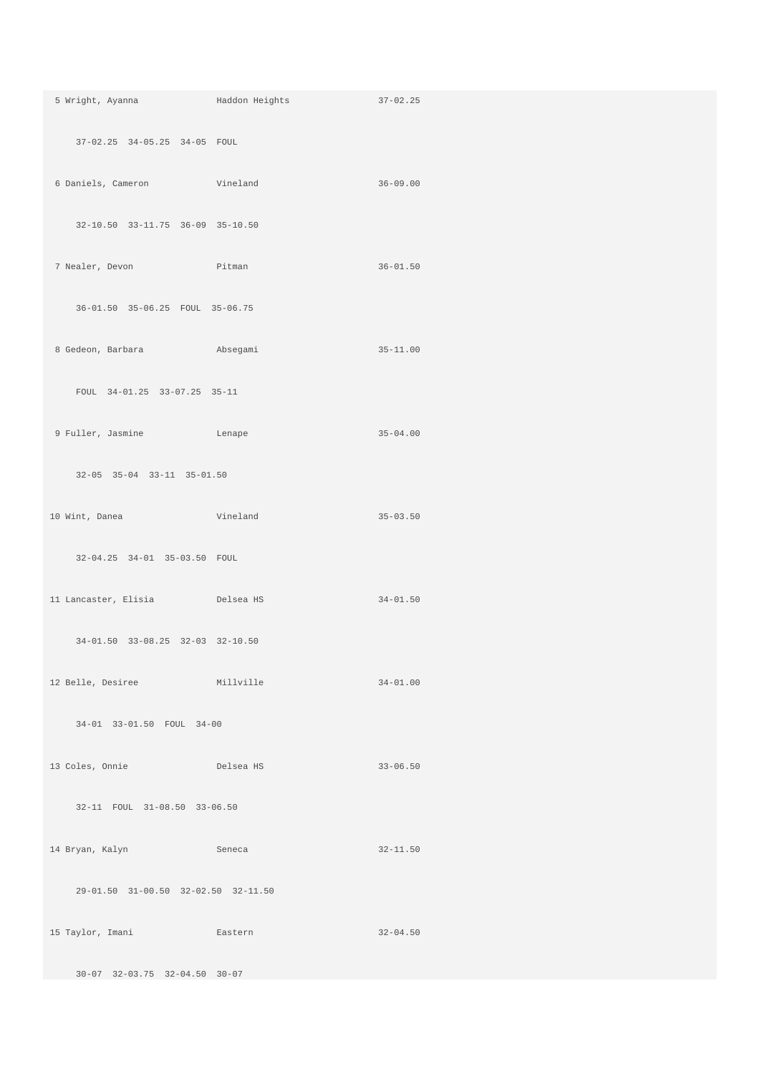|                                     | 5 Wright, Ayanna (and Haddon Heights 37-02.25) |              |
|-------------------------------------|------------------------------------------------|--------------|
| 37-02.25 34-05.25 34-05 FOUL        |                                                |              |
| 6 Daniels, Cameron Vineland         |                                                | $36 - 09.00$ |
| 32-10.50 33-11.75 36-09 35-10.50    |                                                |              |
|                                     | 7 Nealer, Devon Pitman Pitman 36-01.50         |              |
| 36-01.50 35-06.25 FOUL 35-06.75     |                                                |              |
| 8 Gedeon, Barbara<br>absegami       |                                                | $35 - 11.00$ |
| FOUL 34-01.25 33-07.25 35-11        |                                                |              |
| 9 Fuller, Jasmine Chape             |                                                | $35 - 04.00$ |
| 32-05 35-04 33-11 35-01.50          |                                                |              |
| 10 Wint, Danea Vineland             |                                                | $35 - 03.50$ |
| 32-04.25 34-01 35-03.50 FOUL        |                                                |              |
| 11 Lancaster, Elisia belsea HS      |                                                | $34 - 01.50$ |
| 34-01.50 33-08.25 32-03 32-10.50    |                                                |              |
| 12 Belle, Desiree Millville         |                                                | $34 - 01.00$ |
| 34-01 33-01.50 FOUL 34-00           |                                                |              |
| 13 Coles, Onnie Delsea HS           |                                                | $33 - 06.50$ |
| 32-11 FOUL 31-08.50 33-06.50        |                                                |              |
| 14 Bryan, Kalyn Seneca              |                                                | $32 - 11.50$ |
| 29-01.50 31-00.50 32-02.50 32-11.50 |                                                |              |
| 15 Taylor, Imani Kastern            | $32-04.50$                                     |              |
| 30-07 32-03.75 32-04.50 30-07       |                                                |              |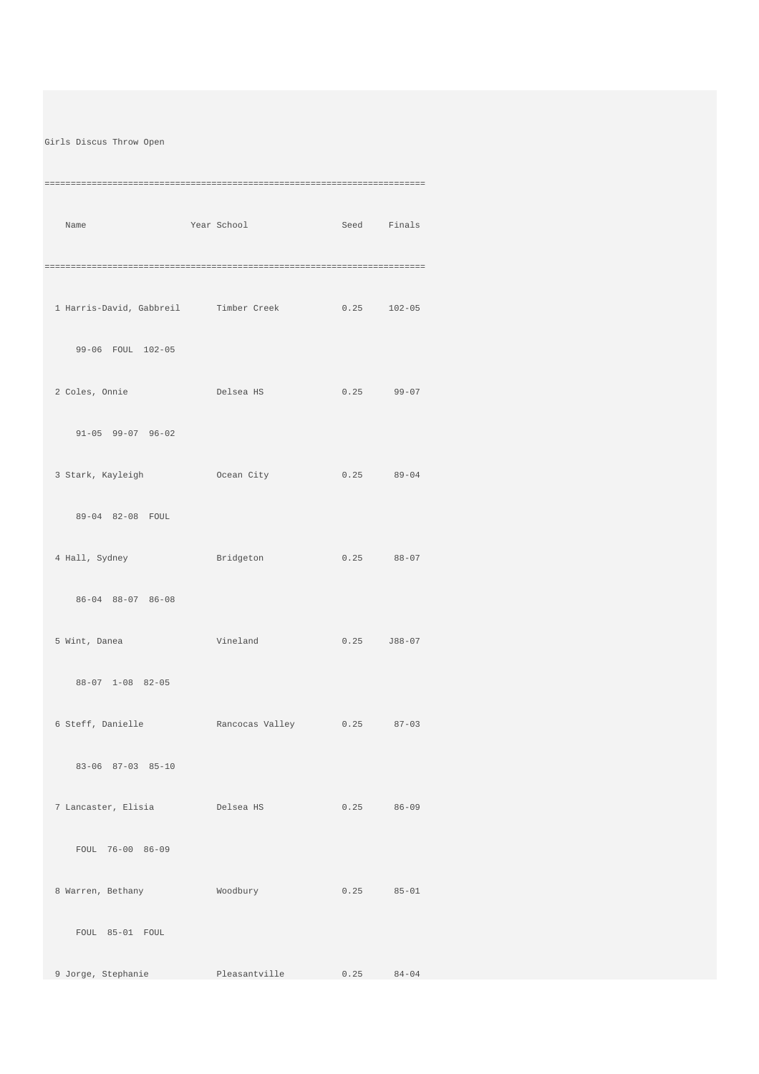## Girls Discus Throw Open

| Name                                              | Year School              | Seed Finals     |
|---------------------------------------------------|--------------------------|-----------------|
|                                                   |                          |                 |
| 1 Harris-David, Gabbreil Timber Creek 0.25 102-05 |                          |                 |
| 99-06 FOUL 102-05                                 |                          |                 |
|                                                   |                          |                 |
| $91-05$ $99-07$ $96-02$                           |                          |                 |
| 3 Stark, Kayleigh Ocean City                      |                          | $0.25$ $89-04$  |
| 89-04 82-08 FOUL                                  |                          |                 |
| 4 Hall, Sydney                                    | Bridgeton                | $0.25$ $88-07$  |
| 86-04 88-07 86-08                                 |                          |                 |
| 5 Wint, Danea                                     | Vineland                 | $0.25$ $J88-07$ |
| 88-07 1-08 82-05                                  |                          |                 |
| 6 Steff, Danielle Rancocas Valley 0.25 87-03      |                          |                 |
| 83-06 87-03 85-10                                 |                          |                 |
| 7 Lancaster, Elisia belsea HS                     |                          | $0.25$ $86-09$  |
| FOUL 76-00 86-09                                  |                          |                 |
| 8 Warren, Bethany Moodbury                        |                          | $0.25$ $85-01$  |
| FOUL 85-01 FOUL                                   |                          |                 |
| 9 Jorge, Stephanie                                | Pleasantville 0.25 84-04 |                 |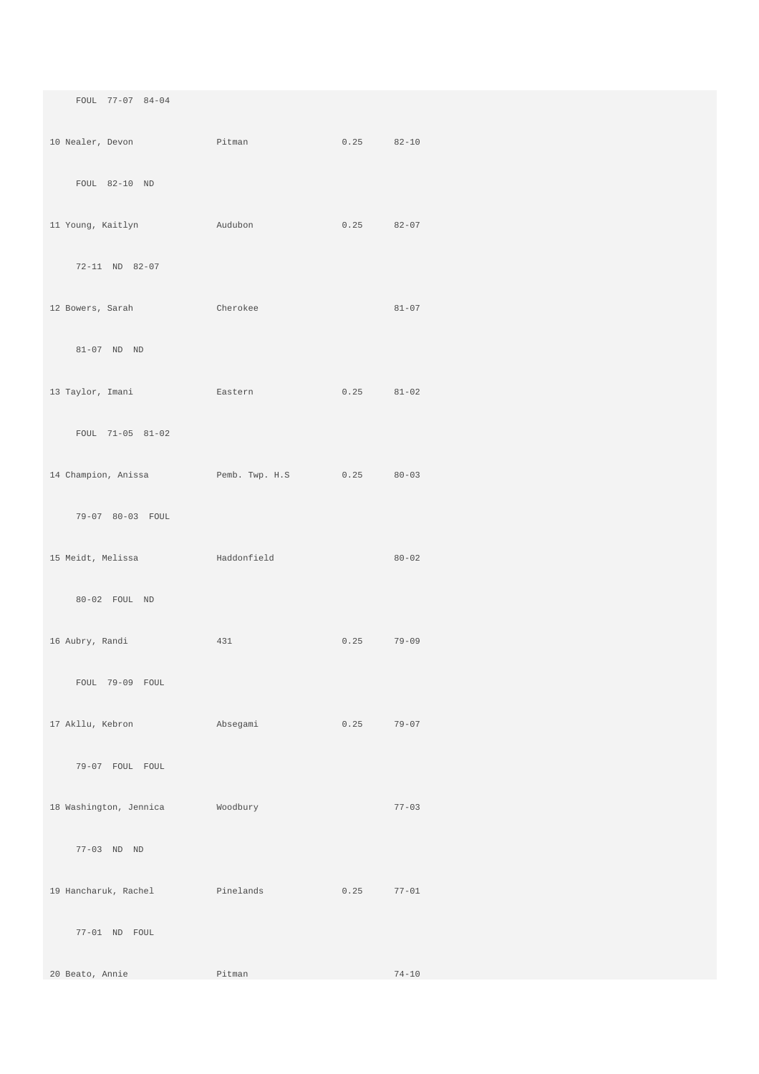| FOUL 77-07 84-04                        |                                    |                |           |
|-----------------------------------------|------------------------------------|----------------|-----------|
| 10 Nealer, Devon                        | Pitman                             | $0.25$ $82-10$ |           |
| FOUL 82-10 ND                           |                                    |                |           |
| 11 Young, Kaitlyn                       | Audubon                            | 0.25           | $82 - 07$ |
| 72-11 ND 82-07                          |                                    |                |           |
| 12 Bowers, Sarah                        | Cherokee                           |                | $81 - 07$ |
| 81-07 ND ND                             |                                    |                |           |
| 13 Taylor, Imani                        | Eastern                            | 0.25           | $81 - 02$ |
| FOUL 71-05 81-02                        |                                    |                |           |
| 14 Champion, Anissa Pemb. Twp. H.S 0.25 |                                    |                | $80 - 03$ |
| 79-07 80-03 FOUL                        |                                    |                |           |
| 15 Meidt, Melissa                       | and a manufacturer and Haddonfield |                | $80 - 02$ |
| 80-02 FOUL ND                           |                                    |                |           |
| 16 Aubry, Randi                         | 431                                | 0.25           | $79 - 09$ |
| FOUL 79-09 FOUL                         |                                    |                |           |
| 17 Akllu, Kebron                        | Absegami                           | 0.25           | $79 - 07$ |
| 79-07 FOUL FOUL                         |                                    |                |           |
| 18 Washington, Jennica                  | Woodbury                           |                | $77 - 03$ |
| 77-03 ND ND                             |                                    |                |           |
| 19 Hancharuk, Rachel Manuel Pinelands   |                                    | 0.25           | $77 - 01$ |
| 77-01 ND FOUL                           |                                    |                |           |
| 20 Beato, Annie                         | Pitman                             |                | $74 - 10$ |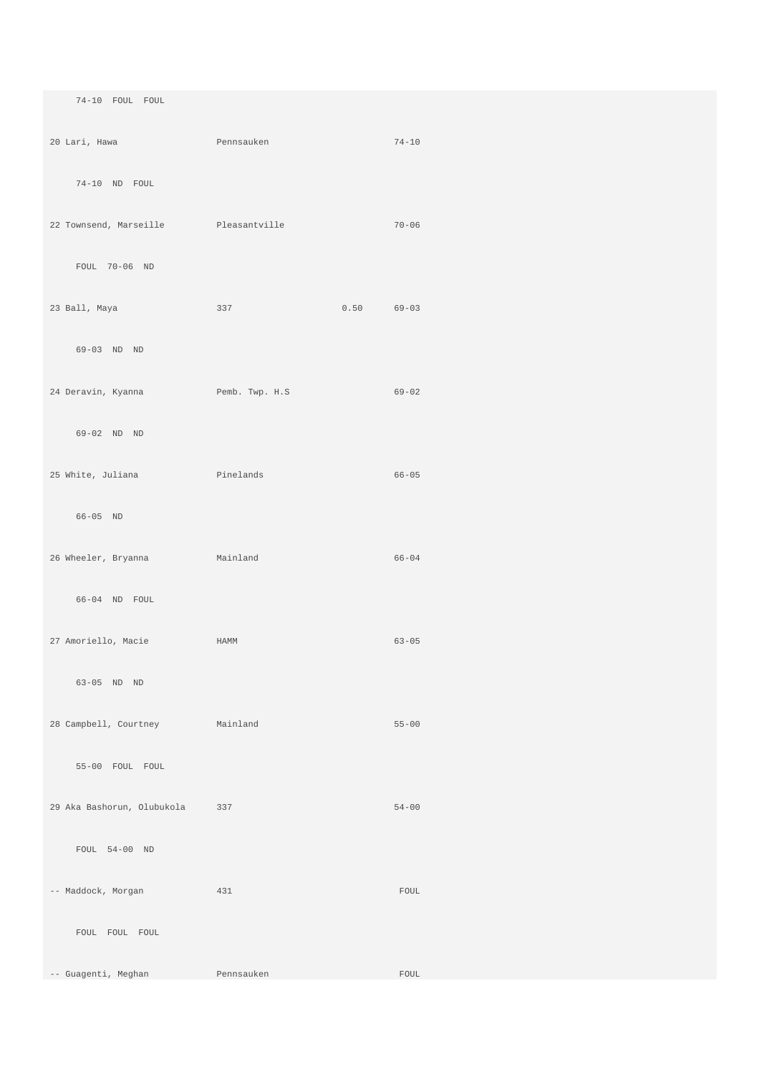74-10 FOUL FOUL

 20 Lari, Hawa Pennsauken 74-10 74-10 ND FOUL 22 Townsend, Marseille Pleasantville 70-06 FOUL 70-06 ND 23 Ball, Maya 337 0.50 69-03 69-03 ND ND 24 Deravin, Kyanna Pemb. Twp. H.S 69-02 69-02 ND ND 25 White, Juliana Pinelands 66-05 66-05 ND 26 Wheeler, Bryanna Mainland 66-04 66-04 ND FOUL 27 Amoriello, Macie HAMM 63-05 63-05 ND ND 28 Campbell, Courtney Mainland 55-00 55-00 FOUL FOUL 29 Aka Bashorun, Olubukola 337 54-00 FOUL 54-00 ND -- Maddock, Morgan 431 431 FOUL FOUL FOUL FOUL

-- Guagenti, Meghan Pennsauken FOUL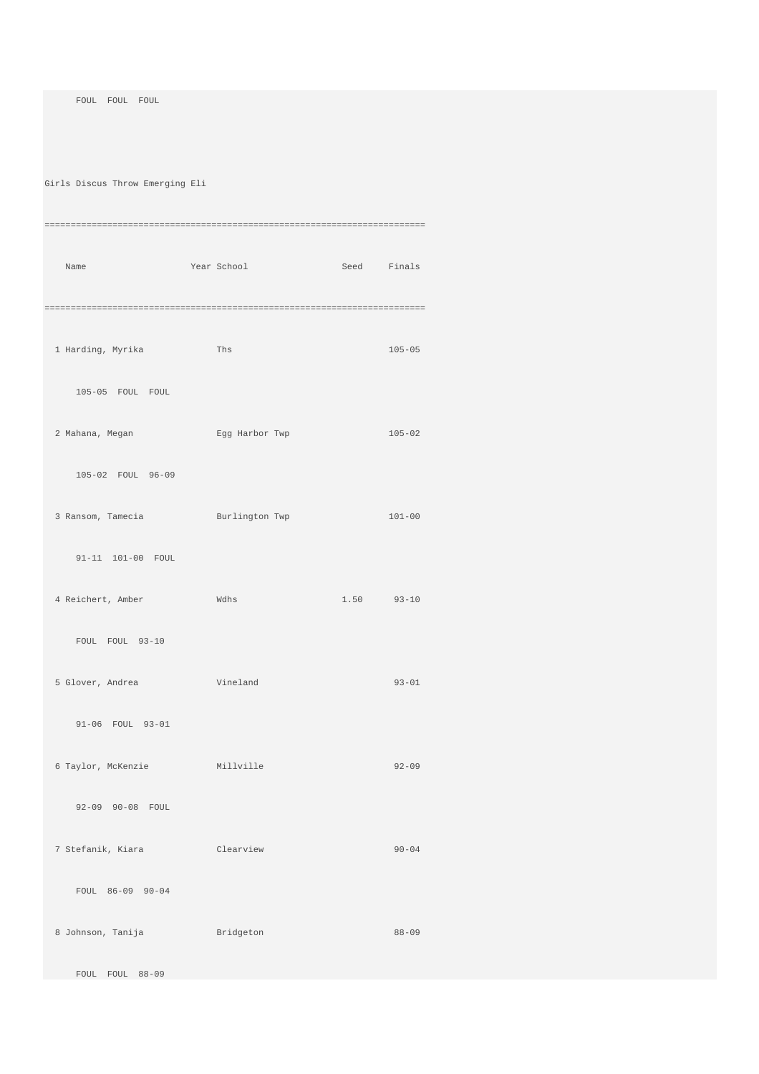FOUL FOUL FOUL

Girls Discus Throw Emerging Eli

| Name                             | Year School Seed Finals |            |              |
|----------------------------------|-------------------------|------------|--------------|
|                                  |                         |            |              |
| 1 Harding, Myrika Ths            |                         |            | $105 - 05$   |
| 105-05 FOUL FOUL                 |                         |            |              |
|                                  |                         |            |              |
| 2 Mahana, Megan Karbor Twp       |                         | $105 - 02$ |              |
| 105-02 FOUL 96-09                |                         |            |              |
| 3 Ransom, Tamecia Burlington Twp |                         |            | $101 - 00$   |
|                                  |                         |            |              |
| 91-11 101-00 FOUL                |                         |            |              |
| 4 Reichert, Amber Wdhs           |                         |            | $1.50$ 93-10 |
| FOUL FOUL 93-10                  |                         |            |              |
| 5 Glover, Andrea Vineland        |                         |            | $93 - 01$    |
| 91-06 FOUL 93-01                 |                         |            |              |
| 6 Taylor, McKenzie Millville     |                         |            | $92 - 09$    |
| 92-09 90-08 FOUL                 |                         |            |              |
|                                  |                         |            | $90 - 04$    |
| 7 Stefanik, Kiara (Clearview     |                         |            |              |
| FOUL 86-09 90-04                 |                         |            |              |
| 8 Johnson, Tanija Bridgeton      |                         |            | $88 - 09$    |
| FOUL FOUL 88-09                  |                         |            |              |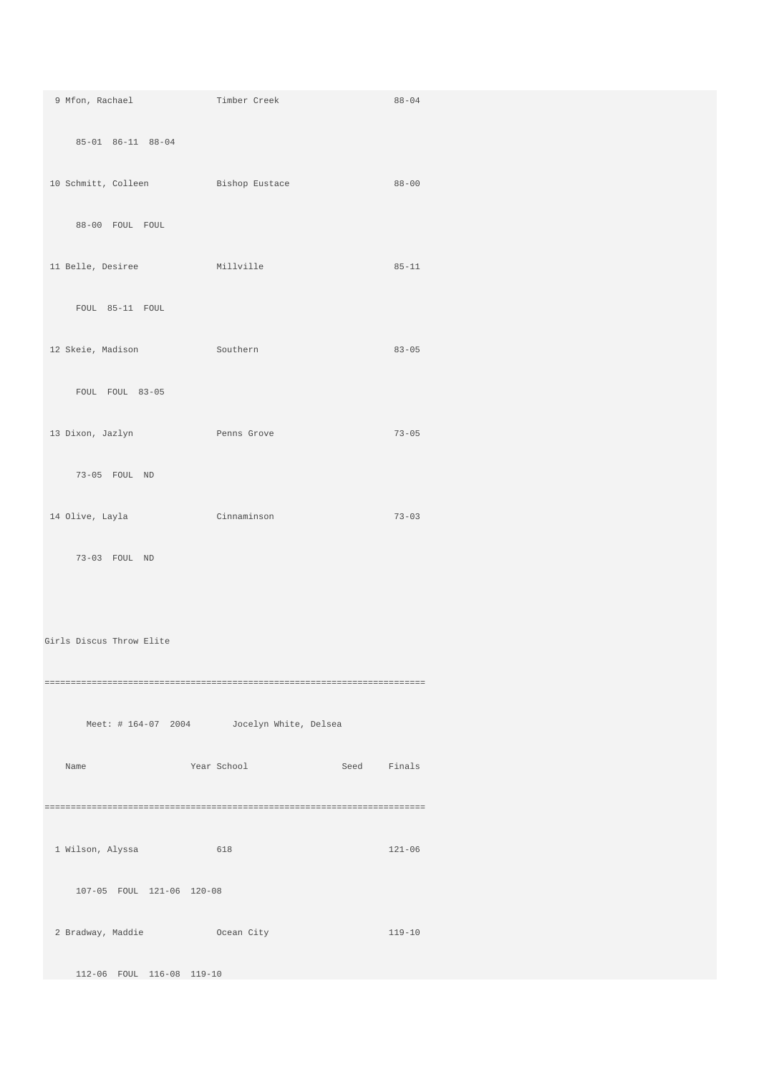| 9 Mfon, Rachael Timber Creek       |                                            | $88 - 04$  |
|------------------------------------|--------------------------------------------|------------|
| 85-01 86-11 88-04                  |                                            |            |
| 10 Schmitt, Colleen Bishop Eustace |                                            | $88 - 00$  |
| 88-00 FOUL FOUL                    |                                            |            |
| 11 Belle, Desiree Millville        |                                            | $85 - 11$  |
| FOUL 85-11 FOUL                    |                                            |            |
| 12 Skeie, Madison Southern         |                                            | $83 - 05$  |
| FOUL FOUL 83-05                    |                                            |            |
| 13 Dixon, Jazlyn Nenns Grove       |                                            | $73 - 05$  |
| 73-05 FOUL ND                      |                                            |            |
| 14 Olive, Layla Cinnaminson        |                                            | $73 - 03$  |
| 73-03 FOUL ND                      |                                            |            |
|                                    |                                            |            |
| Girls Discus Throw Elite           |                                            |            |
|                                    |                                            |            |
|                                    | Meet: # 164-07 2004 Jocelyn White, Delsea  |            |
| Name                               | <b>Example 2.1 Year School Seed Finals</b> |            |
|                                    |                                            |            |
| 1 Wilson, Alyssa 618               |                                            | $121 - 06$ |
| 107-05 FOUL 121-06 120-08          |                                            |            |
| 2 Bradway, Maddie 6 0 Ocean City   |                                            | 119-10     |
| 112-06 FOUL 116-08 119-10          |                                            |            |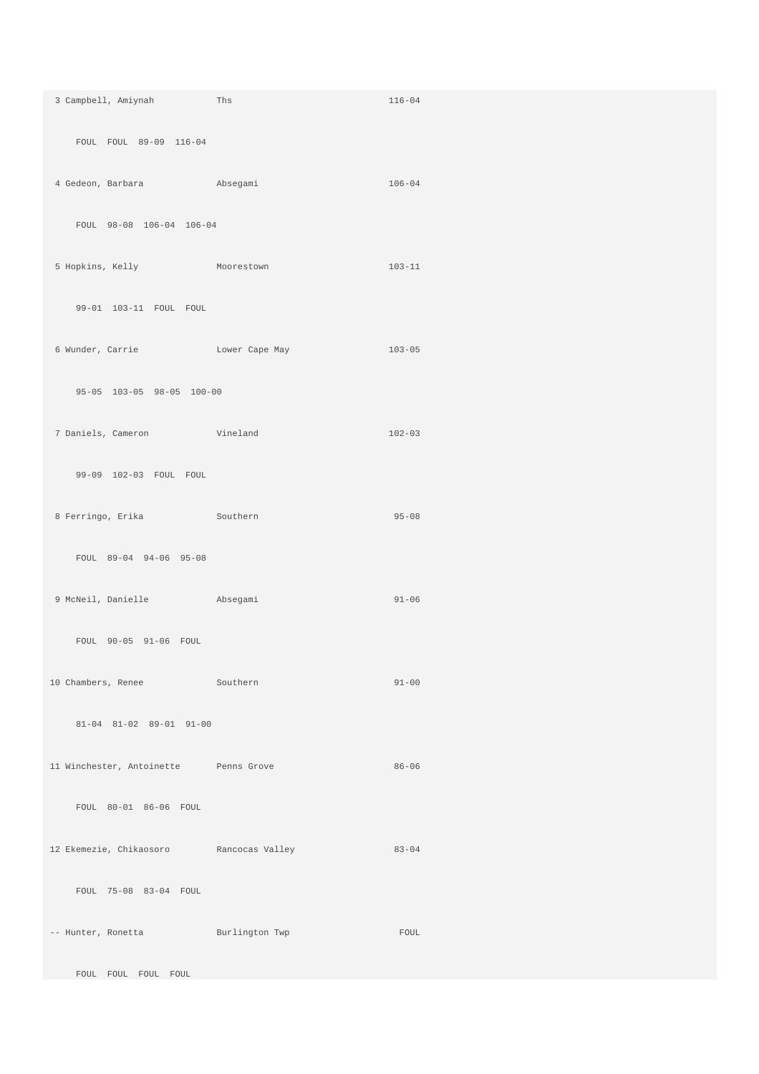| 3 Campbell, Amiynah Ths                     |                                                                      | $116 - 04$ |
|---------------------------------------------|----------------------------------------------------------------------|------------|
| FOUL FOUL 89-09 116-04                      |                                                                      |            |
| 4 Gedeon, Barbara (and Absegami             |                                                                      | $106 - 04$ |
| FOUL 98-08 106-04 106-04                    |                                                                      |            |
| 5 Hopkins, Kelly Moorestown                 |                                                                      | $103 - 11$ |
| 99-01 103-11 FOUL FOUL                      |                                                                      |            |
|                                             | 6 Wunder, Carrie               Lower Cape May                 103-05 |            |
| 95-05 103-05 98-05 100-00                   |                                                                      |            |
| 7 Daniels, Cameron Vineland                 |                                                                      | $102 - 03$ |
| 99-09 102-03 FOUL FOUL                      |                                                                      |            |
| 8 Ferringo, Erika Southern                  |                                                                      | $95 - 08$  |
| FOUL 89-04 94-06 95-08                      |                                                                      |            |
| 9 McNeil, Danielle Absegami                 |                                                                      | $91 - 06$  |
| FOUL 90-05 91-06 FOUL                       |                                                                      |            |
| 10 Chambers, Renee Southern                 |                                                                      | $91 - 00$  |
| 81-04 81-02 89-01 91-00                     |                                                                      |            |
| 11 Winchester, Antoinette Penns Grove       |                                                                      | $86 - 06$  |
| FOUL 80-01 86-06 FOUL                       |                                                                      |            |
| 12 Ekemezie, Chikaosoro     Rancocas Valley |                                                                      | $83 - 04$  |
| FOUL 75-08 83-04 FOUL                       |                                                                      |            |
| -- Hunter, Ronetta Burlington Twp           |                                                                      | FOUL       |
| FOUL FOUL FOUL FOUL                         |                                                                      |            |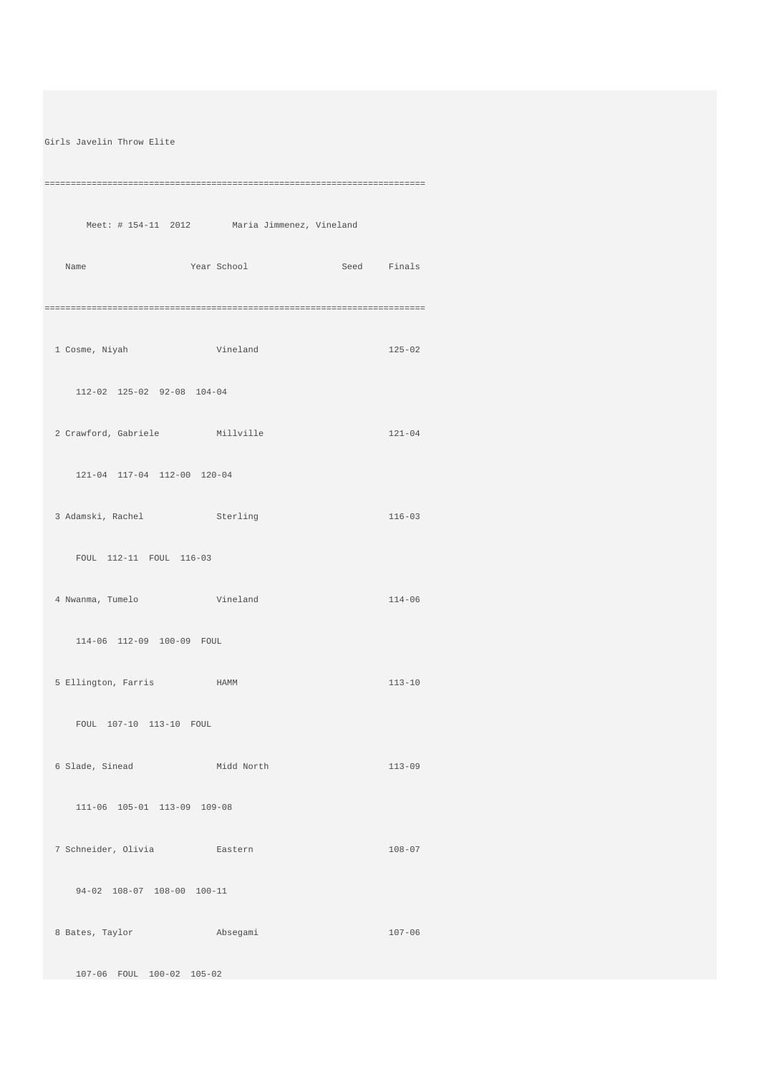Girls Javelin Throw Elite

========================================================================= Meet: # 154-11 2012 Maria Jimmenez, Vineland Name Year School Seed Finals ========================================================================= 1 Cosme, Niyah Vineland 125-02 112-02 125-02 92-08 104-04 2 Crawford, Gabriele Millville 121-04 121-04 117-04 112-00 120-04 3 Adamski, Rachel Sterling 116-03 FOUL 112-11 FOUL 116-03 4 Nwanma, Tumelo Vineland 114-06 114-06 112-09 100-09 FOUL 5 Ellington, Farris HAMM 113-10 FOUL 107-10 113-10 FOUL 6 Slade, Sinead Midd North 113-09 111-06 105-01 113-09 109-08 7 Schneider, Olivia Eastern 108-07 94-02 108-07 108-00 100-11 8 Bates, Taylor **Absegami** 207-06 107-06 FOUL 100-02 105-02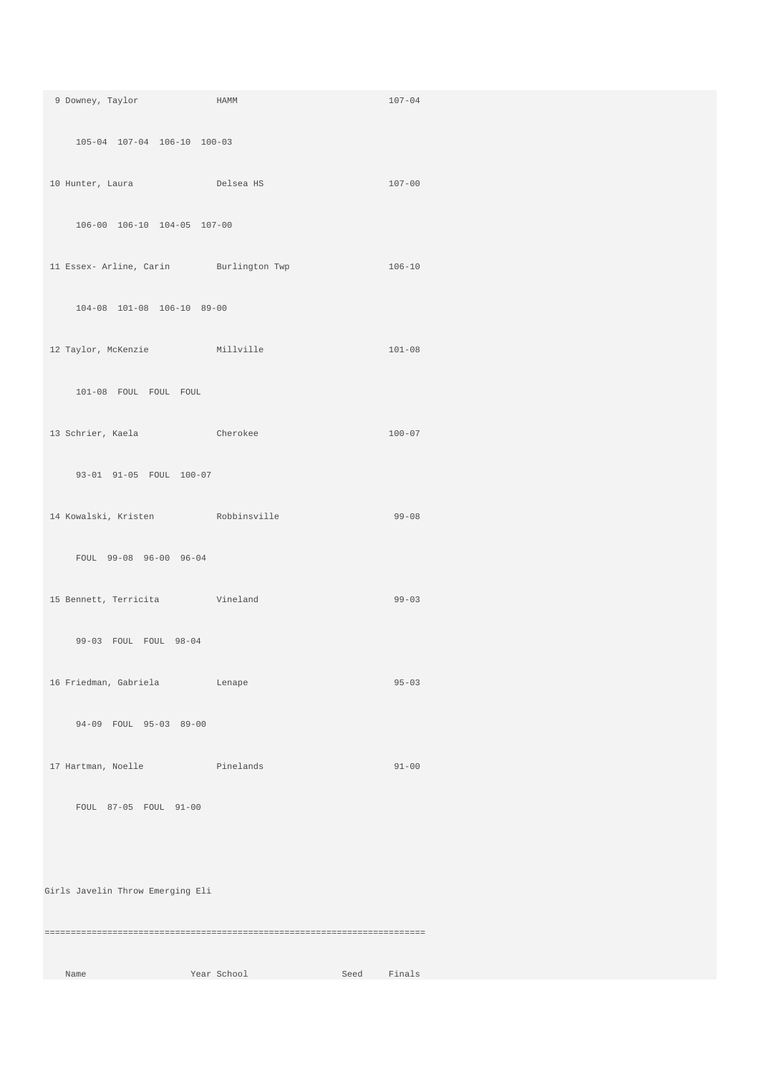| 9 Downey, Taylor HAMM                         |             | $107 - 04$     |  |
|-----------------------------------------------|-------------|----------------|--|
| 105-04 107-04 106-10 100-03                   |             |                |  |
| 10 Hunter, Laura Delsea HS                    |             | $107 - 00$     |  |
| 106-00 106-10 104-05 107-00                   |             |                |  |
| 11 Essex- Arline, Carin Burlington Twp 106-10 |             |                |  |
| 104-08 101-08 106-10 89-00                    |             |                |  |
| 12 Taylor, McKenzie Millville                 |             | $101 - 08$     |  |
| 101-08 FOUL FOUL FOUL                         |             |                |  |
| 13 Schrier, Kaela Cherokee                    |             | $100 - 07$     |  |
| 93-01 91-05 FOUL 100-07                       |             |                |  |
| 14 Kowalski, Kristen Nobbinsville             |             | $99 - 08$      |  |
| FOUL 99-08 96-00 96-04                        |             |                |  |
| 15 Bennett, Terricita vineland                |             | $99 - 03$      |  |
| 99-03 FOUL FOUL 98-04                         |             |                |  |
| 16 Friedman, Gabriela                         | Lenape      | $95 - 03$      |  |
| 94-09 FOUL 95-03 89-00                        |             |                |  |
| 17 Hartman, Noelle Pinelands                  |             | $91 - 00$      |  |
| FOUL 87-05 FOUL 91-00                         |             |                |  |
|                                               |             |                |  |
| Girls Javelin Throw Emerging Eli              |             |                |  |
|                                               |             |                |  |
| Name                                          | Year School | Seed<br>Finals |  |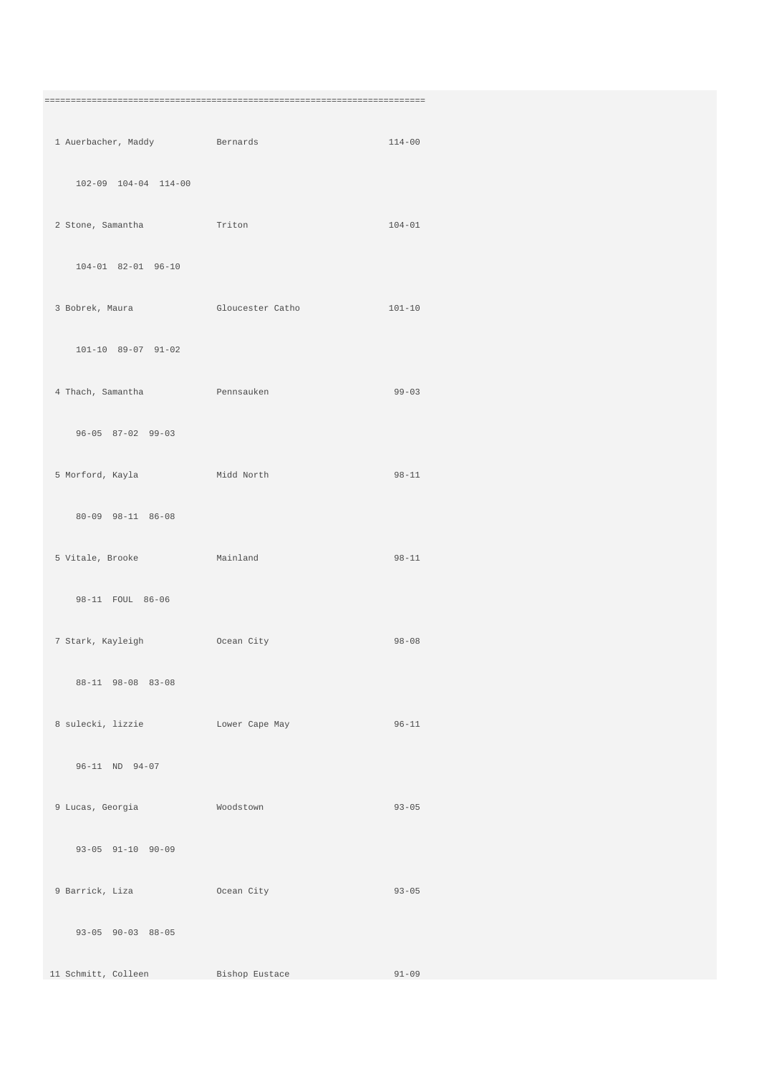| 1 Auerbacher, Maddy Bernards        |                                                    | $114 - 00$ |
|-------------------------------------|----------------------------------------------------|------------|
| 102-09 104-04 114-00                |                                                    |            |
| 2 Stone, Samantha Triton            |                                                    | $104 - 01$ |
| 104-01 82-01 96-10                  |                                                    |            |
|                                     | 3 Bobrek, Maura 61 Gloucester Catholic Case 101-10 |            |
| 101-10 89-07 91-02                  |                                                    |            |
| 4 Thach, Samantha <b>Pennsauken</b> |                                                    | $99 - 03$  |
| $96 - 05$ $87 - 02$ $99 - 03$       |                                                    |            |
| 5 Morford, Kayla Midd North         |                                                    | $98 - 11$  |
| 80-09 98-11 86-08                   |                                                    |            |
| 5 Vitale, Brooke Mainland           |                                                    | $98 - 11$  |
| 98-11 FOUL 86-06                    |                                                    |            |
| 7 Stark, Kayleigh (Coean City       |                                                    | $98 - 08$  |
| 88-11 98-08 83-08                   |                                                    |            |
| 8 sulecki, lizzie bower Cape May    |                                                    | $96 - 11$  |
| 96-11 ND 94-07                      |                                                    |            |
| 9 Lucas, Georgia Moodstown          |                                                    | $93 - 05$  |
| 93-05 91-10 90-09                   |                                                    |            |
| 9 Barrick, Liza                     | Ocean City                                         | $93 - 05$  |
| $93-05$ $90-03$ $88-05$             |                                                    |            |
| 11 Schmitt, Colleen Bishop Eustace  |                                                    | $91 - 09$  |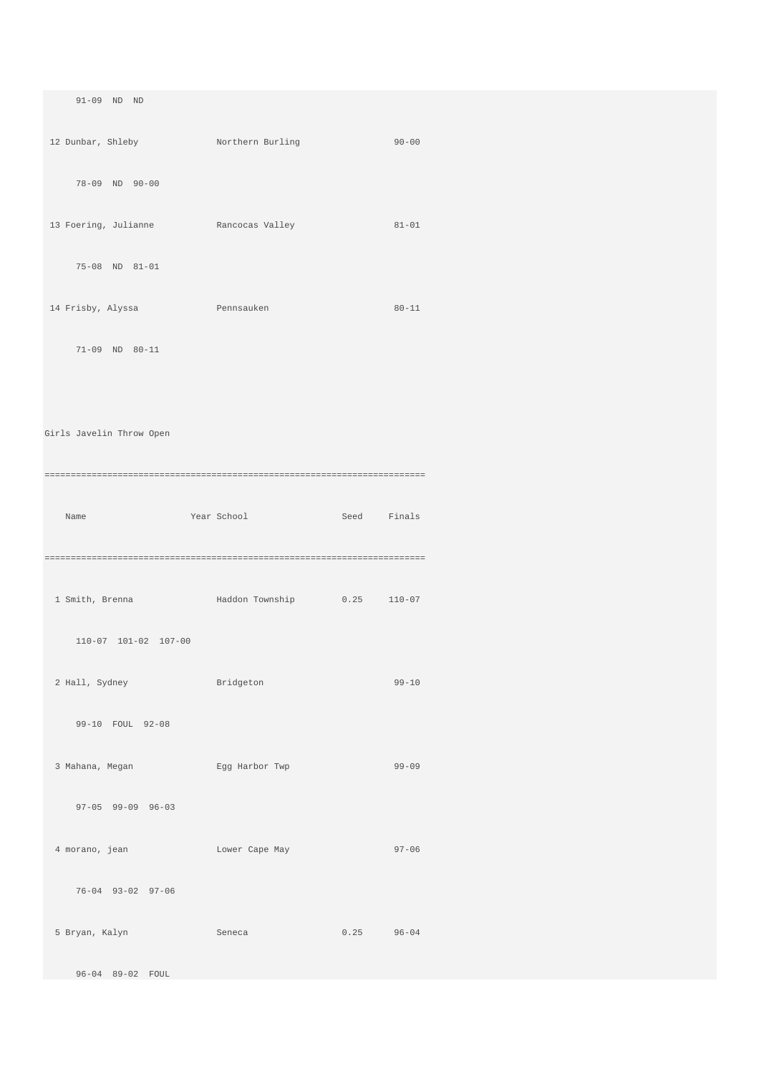91-09 ND ND 12 Dunbar, Shleby Northern Burling 90-00 78-09 ND 90-00 13 Foering, Julianne Rancocas Valley 81-01 75-08 ND 81-01 14 Frisby, Alyssa Pennsauken 80-11 71-09 ND 80-11 Girls Javelin Throw Open ========================================================================= Name Year School Seed Finals ========================================================================= 1 Smith, Brenna Haddon Township 0.25 110-07 110-07 101-02 107-00 2 Hall, Sydney Bridgeton 99-10 99-10 FOUL 92-08 3 Mahana, Megan Egg Harbor Twp 99-09 97-05 99-09 96-03 4 morano, jean Lower Cape May 97-06 76-04 93-02 97-06 5 Bryan, Kalyn Seneca 0.25 96-04 96-04 89-02 FOUL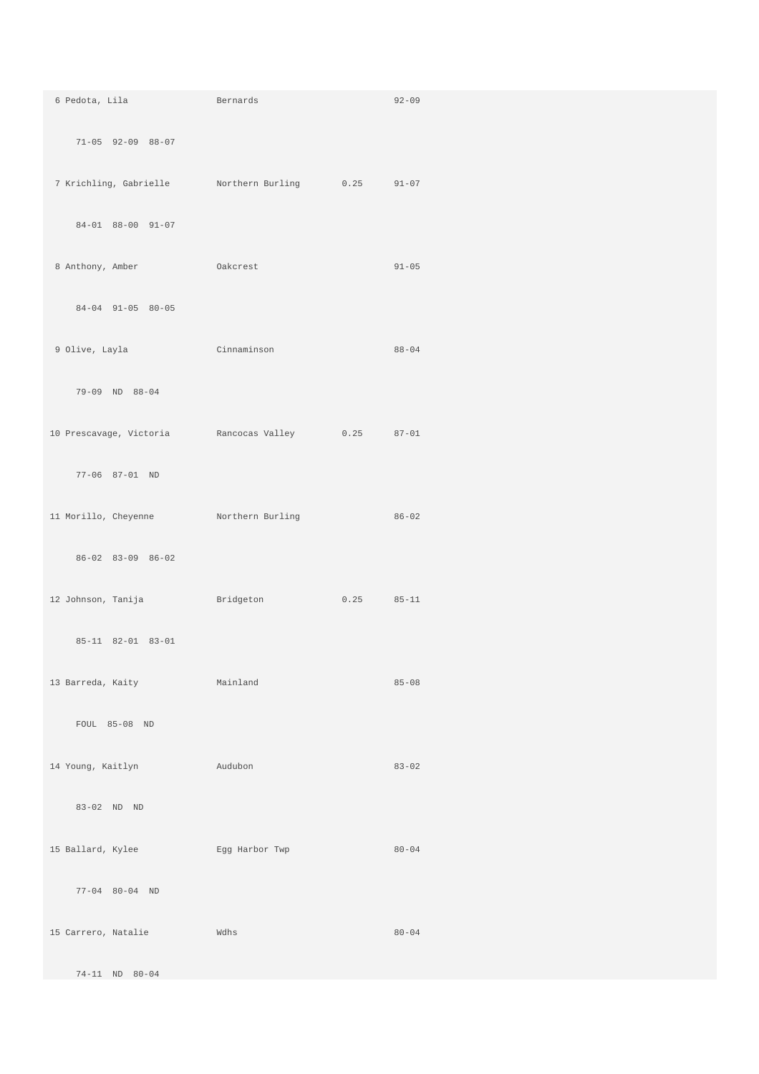| 6 Pedota, Lila<br><b>Example 2018</b> Bernards                                                                                       |      | $92 - 09$ |
|--------------------------------------------------------------------------------------------------------------------------------------|------|-----------|
| 71-05 92-09 88-07                                                                                                                    |      |           |
| 7 Krichling, Gabrielle Morthern Burling 0.25 91-07                                                                                   |      |           |
| 84-01 88-00 91-07                                                                                                                    |      |           |
| 8 Anthony, Amber 6 Oakcrest                                                                                                          |      | $91 - 05$ |
| $84-04$ 91-05 80-05                                                                                                                  |      |           |
| 9 Olive, Layla Cinnaminson                                                                                                           |      | $88 - 04$ |
| 79-09 ND 88-04                                                                                                                       |      |           |
| 10 Prescavage, Victoria Rancocas Valley 0.25 87-01                                                                                   |      |           |
| 77-06 87-01 ND                                                                                                                       |      |           |
| 11 Morillo, Cheyenne Northern Burling                                                                                                |      | $86 - 02$ |
| 86-02 83-09 86-02                                                                                                                    |      |           |
| 12 Johnson, Tanija<br><b>Example 19 Service State Bridgeton</b>                                                                      | 0.25 | $85 - 11$ |
| 85-11 82-01 83-01                                                                                                                    |      |           |
| 13 Barreda, Kaity<br><b>Mainland</b>                                                                                                 |      | $85 - 08$ |
| FOUL 85-08 ND                                                                                                                        |      |           |
| 14 Young, Kaitlyn<br>and a state of a state and a state and a state of the state of the state of the state of the state of the state |      | $83 - 02$ |
| 83-02 ND ND                                                                                                                          |      |           |
| 15 Ballard, Kylee Kgg Harbor Twp                                                                                                     |      | $80 - 04$ |
| 77-04 80-04 ND                                                                                                                       |      |           |
| 15 Carrero, Natalie                                                                                                                  | Wdhs | $80 - 04$ |
| 74-11 ND 80-04                                                                                                                       |      |           |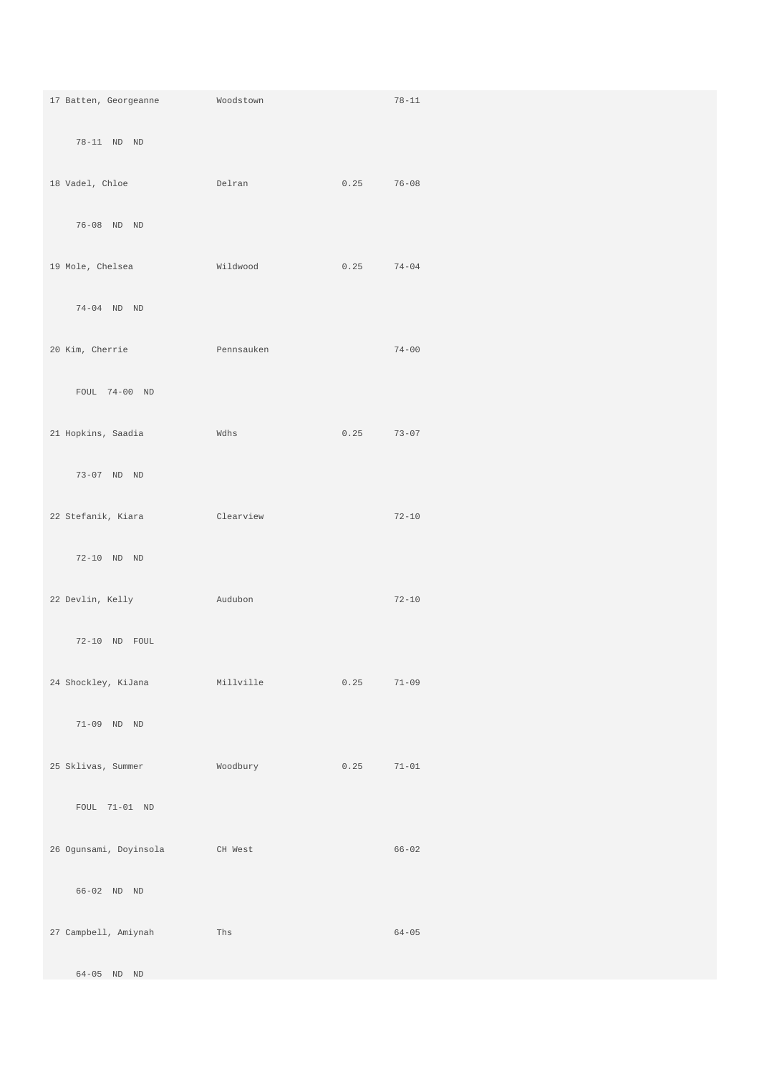| 17 Batten, Georgeanne                             | Woodstown |      | $78 - 11$ |
|---------------------------------------------------|-----------|------|-----------|
| 78-11 ND ND                                       |           |      |           |
| 18 Vadel, Chloe                                   | Delran    | 0.25 | $76 - 08$ |
| 76-08 ND ND                                       |           |      |           |
| 19 Mole, Chelsea                                  | Wildwood  | 0.25 | $74 - 04$ |
| 74-04 ND ND                                       |           |      |           |
| 20 Kim, Cherrie<br><b>Example 2018</b> Pennsauken |           |      | $74 - 00$ |
| FOUL 74-00 ND                                     |           |      |           |
| 21 Hopkins, Saadia                                | Wdhs      | 0.25 | $73 - 07$ |
| 73-07 ND ND                                       |           |      |           |
| 22 Stefanik, Kiara                                | Clearview |      | $72 - 10$ |
| 72-10 ND ND                                       |           |      |           |
| 22 Devlin, Kelly                                  | Audubon   |      | $72 - 10$ |
| 72-10 ND FOUL                                     |           |      |           |
| 24 Shockley, KiJana                               | Millville | 0.25 | $71 - 09$ |
| 71-09 ND ND                                       |           |      |           |
| 25 Sklivas, Summer                                | Woodbury  | 0.25 | $71 - 01$ |
| FOUL 71-01 ND                                     |           |      |           |
| 26 Ogunsami, Doyinsola                            | CH West   |      | $66 - 02$ |
| 66-02 ND ND                                       |           |      |           |
| 27 Campbell, Amiynah                              | Ths       |      | $64 - 05$ |
| 64-05 ND ND                                       |           |      |           |